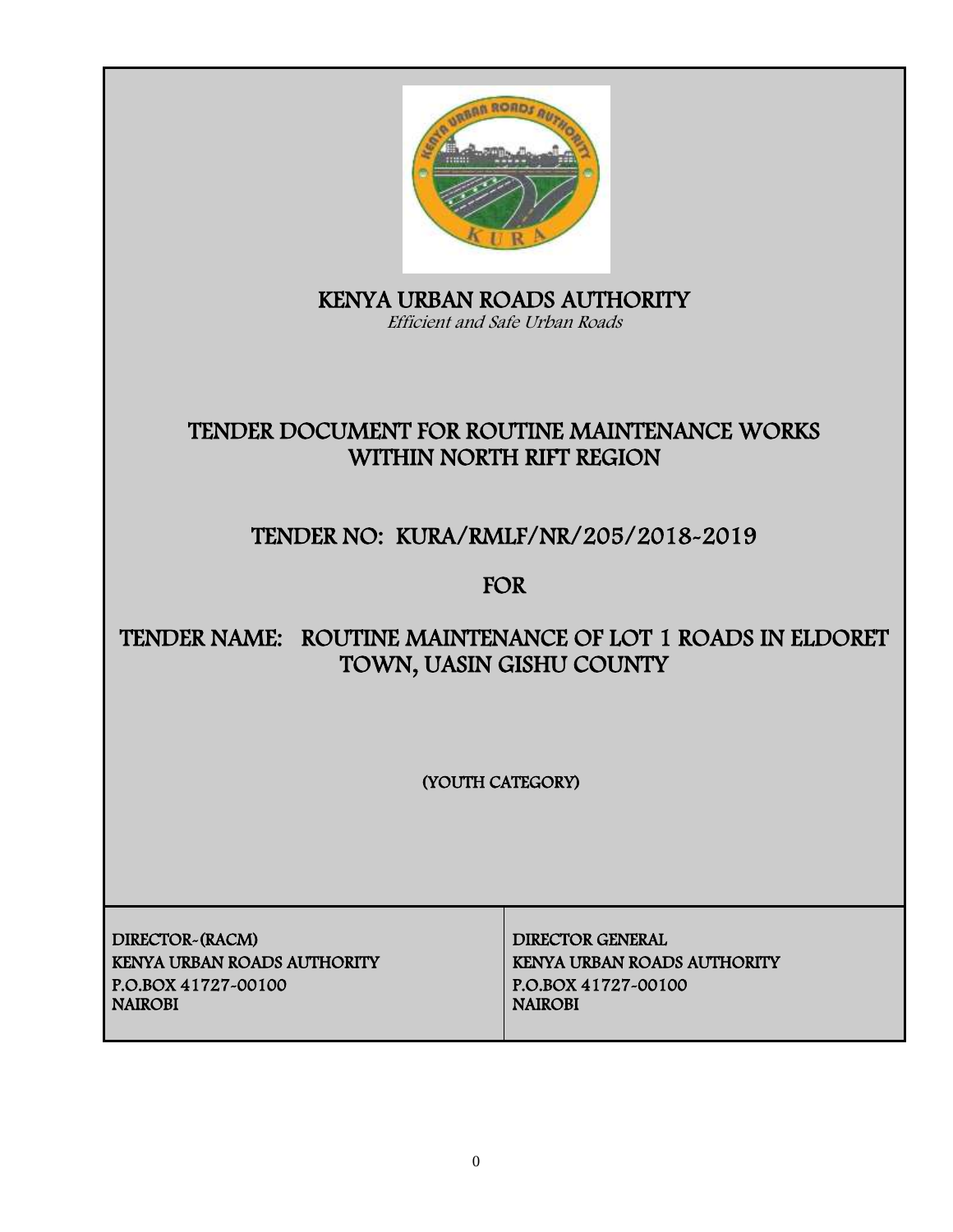

KENYA URBAN ROADS AUTHORITY Efficient and Safe Urban Roads

# TENDER DOCUMENT FOR ROUTINE MAINTENANCE WORKS WITHIN NORTH RIFT REGION

# TENDER NO: KURA/RMLF/NR/205/2018-2019

FOR

# TENDER NAME: ROUTINE MAINTENANCE OF LOT 1 ROADS IN ELDORET TOWN, UASIN GISHU COUNTY

(YOUTH CATEGORY)

DIRECTOR-(RACM) DIRECTOR GENERAL KENYA URBAN ROADS AUTHORITY KENYA URBAN ROADS AUTHORITY P.O.BOX 41727-00100 P.O.BOX 41727-00100

**NAIROBI**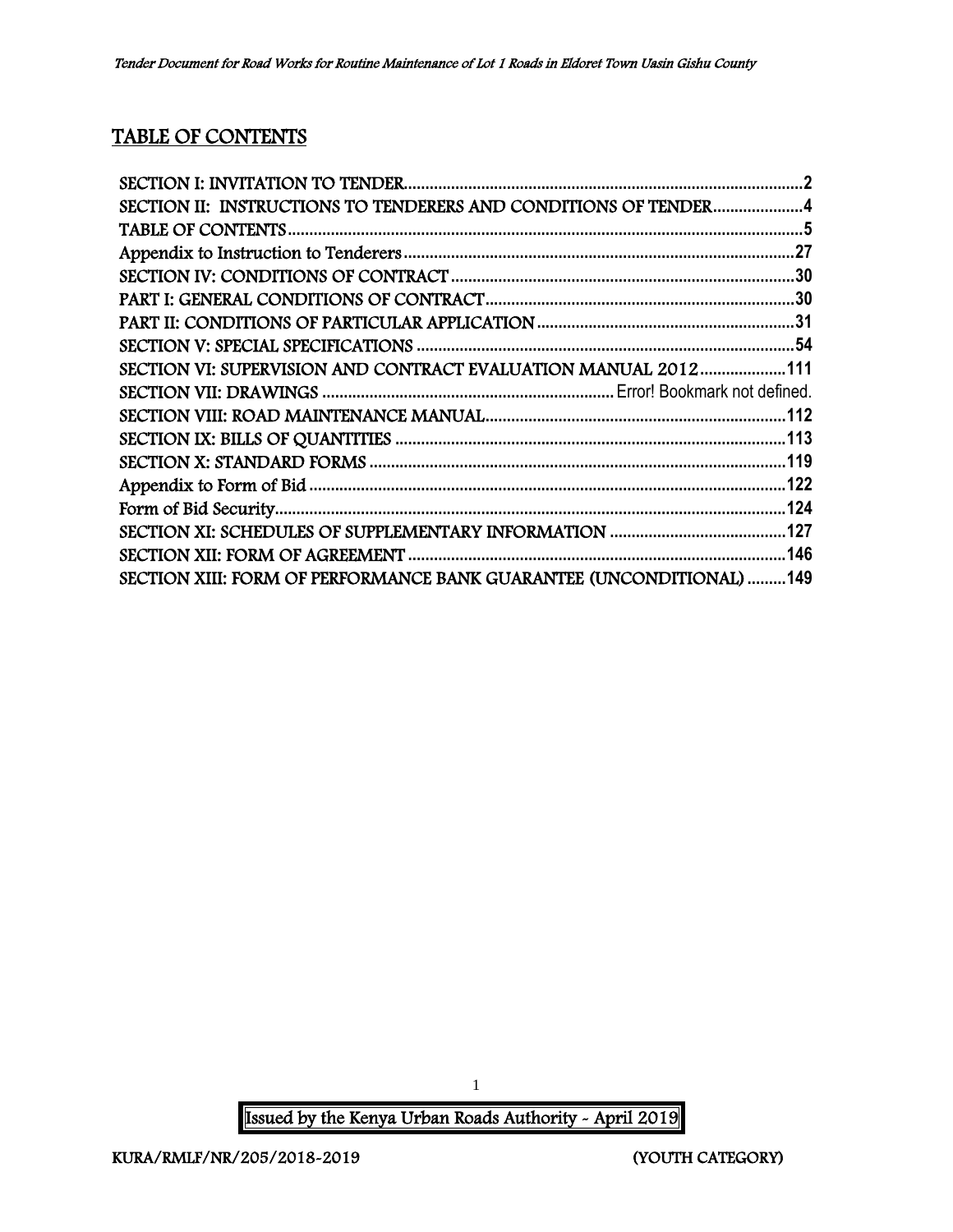## TABLE OF CONTENTS

| SECTION II: INSTRUCTIONS TO TENDERERS AND CONDITIONS OF TENDER4      |  |
|----------------------------------------------------------------------|--|
|                                                                      |  |
|                                                                      |  |
|                                                                      |  |
|                                                                      |  |
|                                                                      |  |
|                                                                      |  |
| SECTION VI: SUPERVISION AND CONTRACT EVALUATION MANUAL 2012111       |  |
|                                                                      |  |
|                                                                      |  |
|                                                                      |  |
|                                                                      |  |
|                                                                      |  |
|                                                                      |  |
|                                                                      |  |
|                                                                      |  |
| SECTION XIII: FORM OF PERFORMANCE BANK GUARANTEE (UNCONDITIONAL) 149 |  |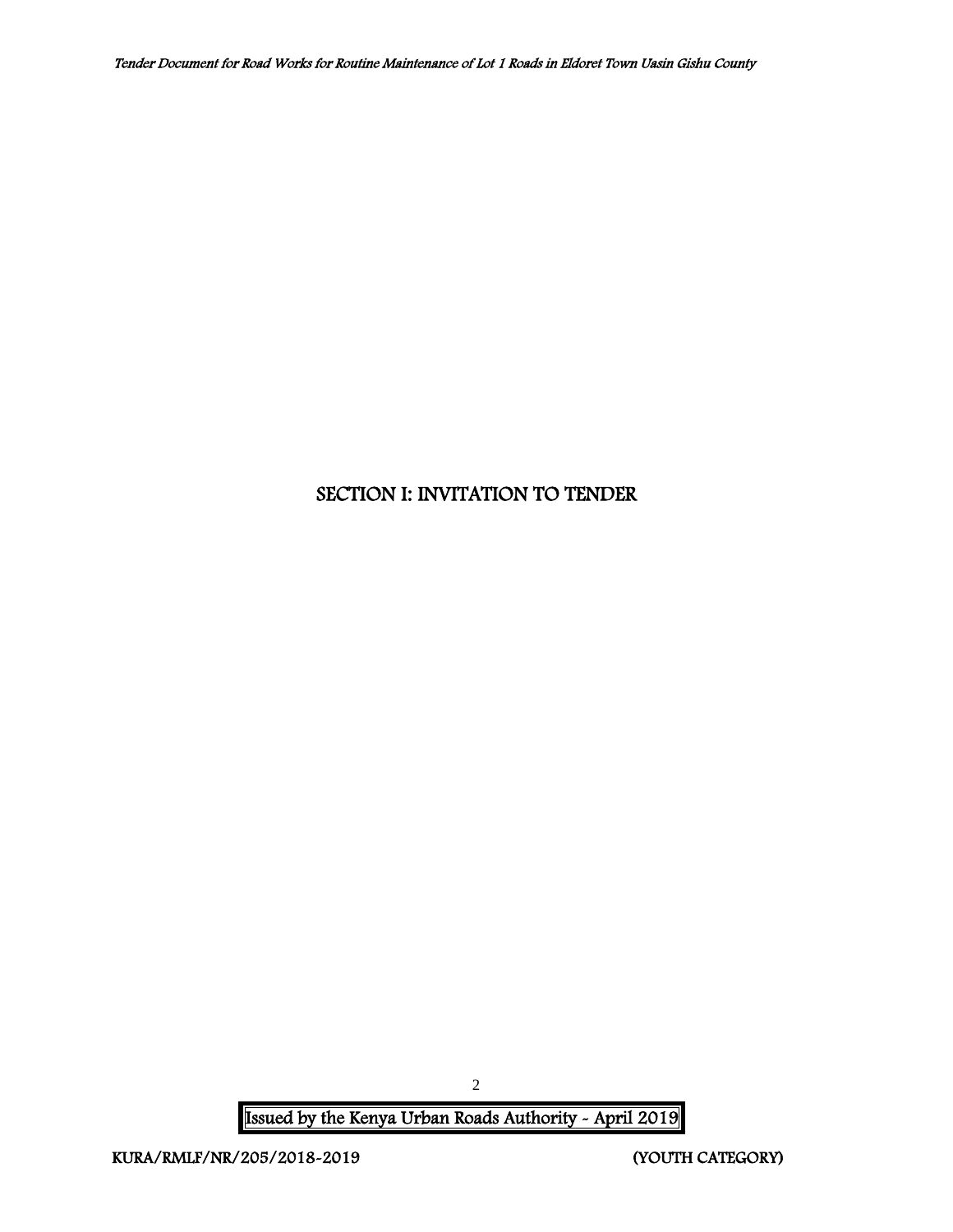## <span id="page-2-0"></span>SECTION I: INVITATION TO TENDER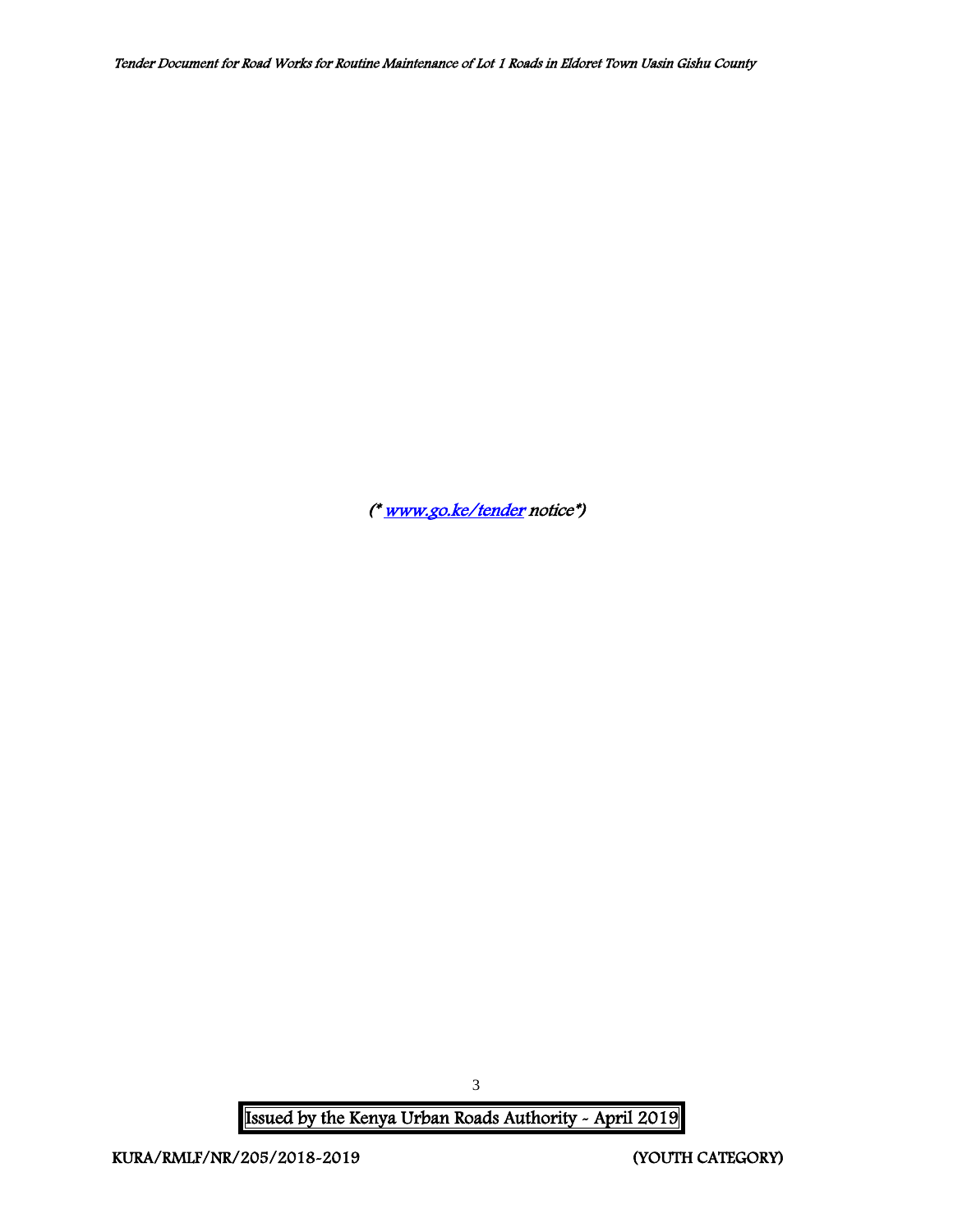([\\* www.go.ke/tender](http://www.go.ke/tender) notice\*)

Issued by the Kenya Urban Roads Authority - April 2019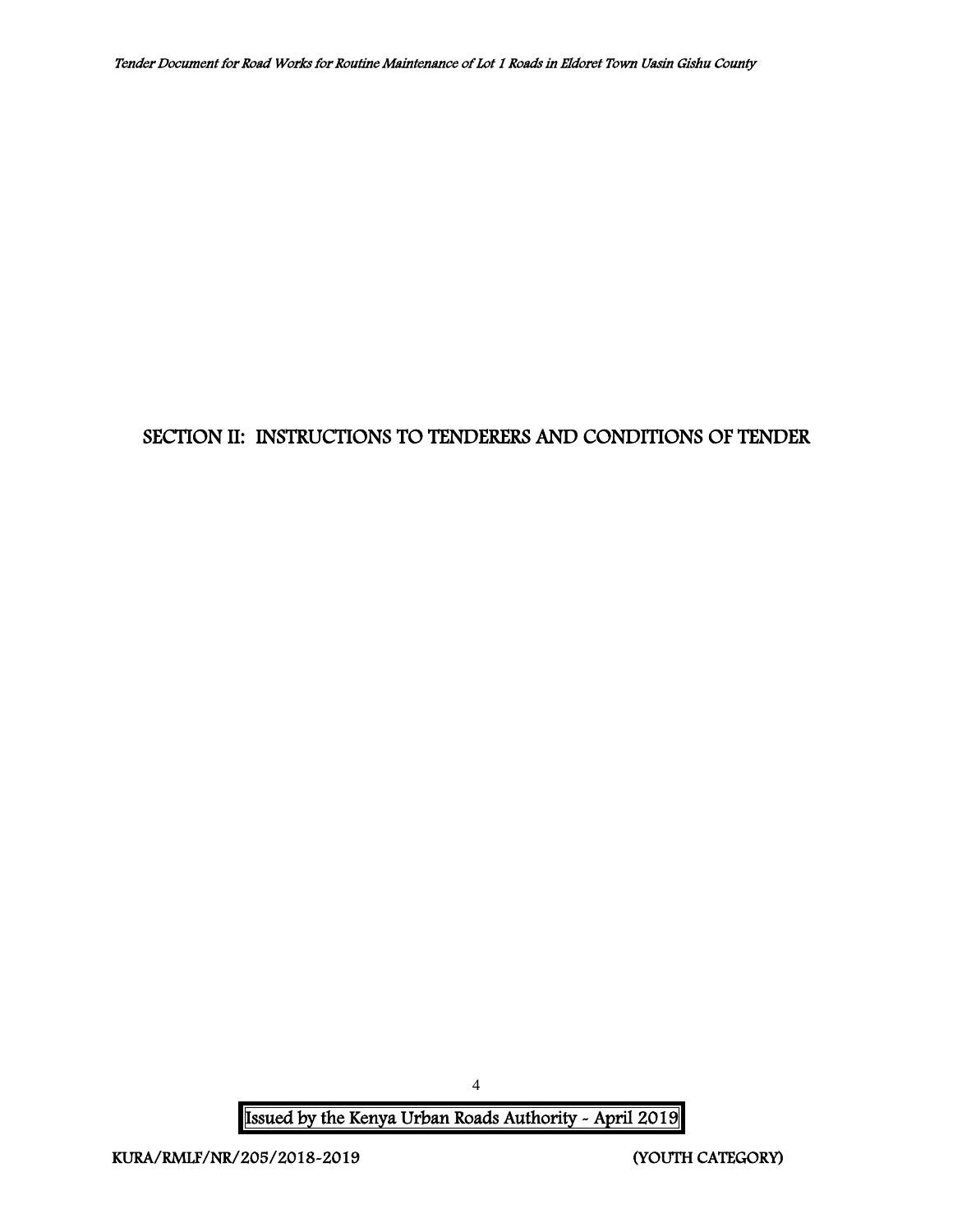## <span id="page-4-0"></span>SECTION II: INSTRUCTIONS TO TENDERERS AND CONDITIONS OF TENDER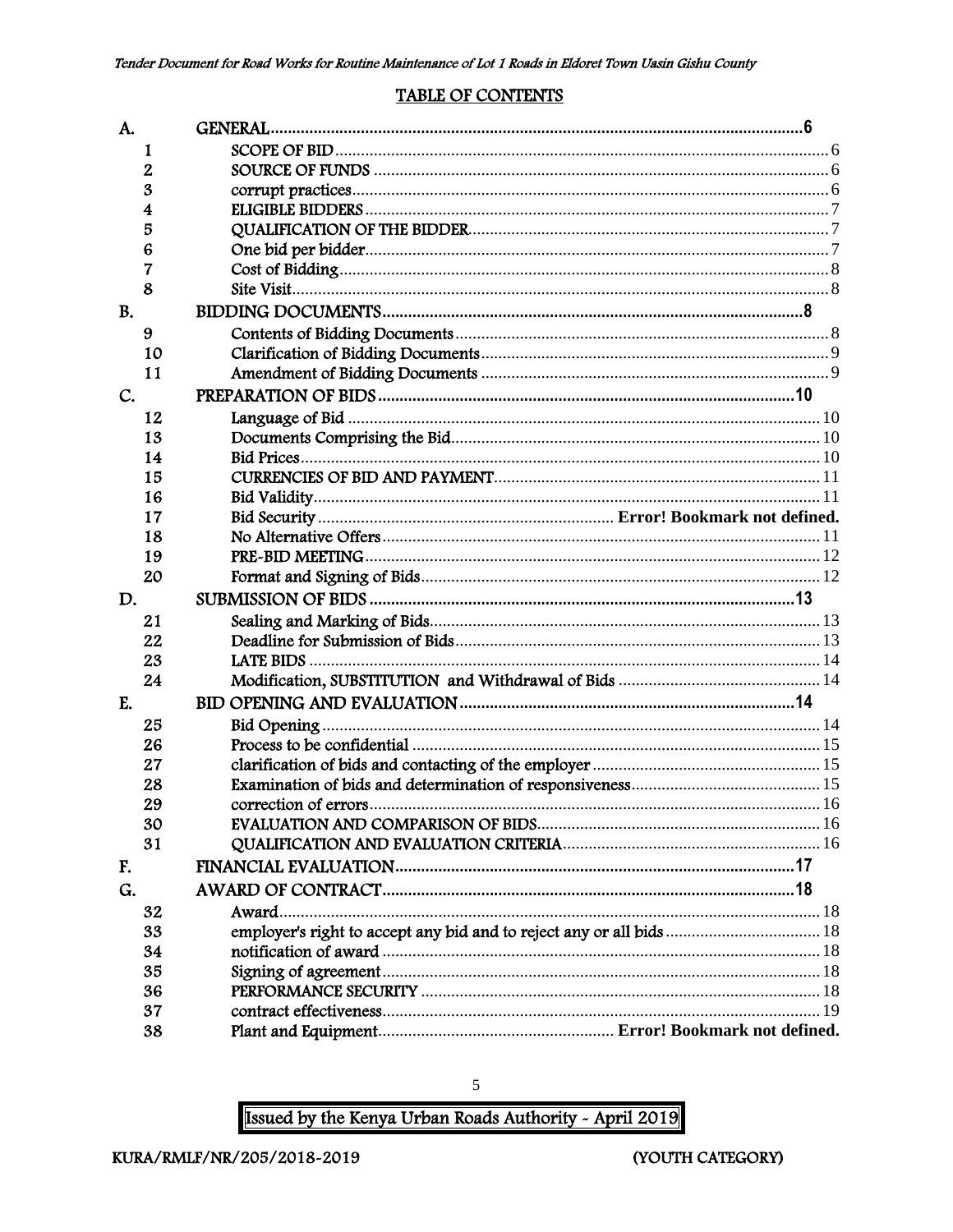#### **TABLE OF CONTENTS**

<span id="page-5-0"></span>

| A.        |    |                                                                      |  |
|-----------|----|----------------------------------------------------------------------|--|
|           | 1  |                                                                      |  |
|           | 2  |                                                                      |  |
|           | 3  |                                                                      |  |
|           | 4  |                                                                      |  |
|           | 5  |                                                                      |  |
|           | 6  |                                                                      |  |
|           | 7  |                                                                      |  |
|           | 8  |                                                                      |  |
| <b>B.</b> |    |                                                                      |  |
|           | 9  |                                                                      |  |
|           | 10 |                                                                      |  |
|           | 11 |                                                                      |  |
| C.        |    |                                                                      |  |
|           | 12 |                                                                      |  |
|           | 13 |                                                                      |  |
|           | 14 |                                                                      |  |
|           | 15 |                                                                      |  |
|           | 16 |                                                                      |  |
|           | 17 |                                                                      |  |
|           | 18 |                                                                      |  |
|           | 19 |                                                                      |  |
|           | 20 |                                                                      |  |
| D.        |    |                                                                      |  |
|           | 21 |                                                                      |  |
|           | 22 |                                                                      |  |
|           | 23 |                                                                      |  |
|           | 24 |                                                                      |  |
| E.        |    |                                                                      |  |
|           | 25 |                                                                      |  |
|           | 26 |                                                                      |  |
|           | 27 |                                                                      |  |
|           | 28 |                                                                      |  |
|           | 29 |                                                                      |  |
|           | 30 |                                                                      |  |
|           | 31 |                                                                      |  |
| F.        |    |                                                                      |  |
| G.        |    |                                                                      |  |
|           | 32 | Award                                                                |  |
|           | 33 | employer's right to accept any bid and to reject any or all bids  18 |  |
|           | 34 |                                                                      |  |
|           | 35 |                                                                      |  |
|           | 36 |                                                                      |  |
|           | 37 |                                                                      |  |
|           | 38 |                                                                      |  |

Issued by the Kenya Urban Roads Authority - April 2019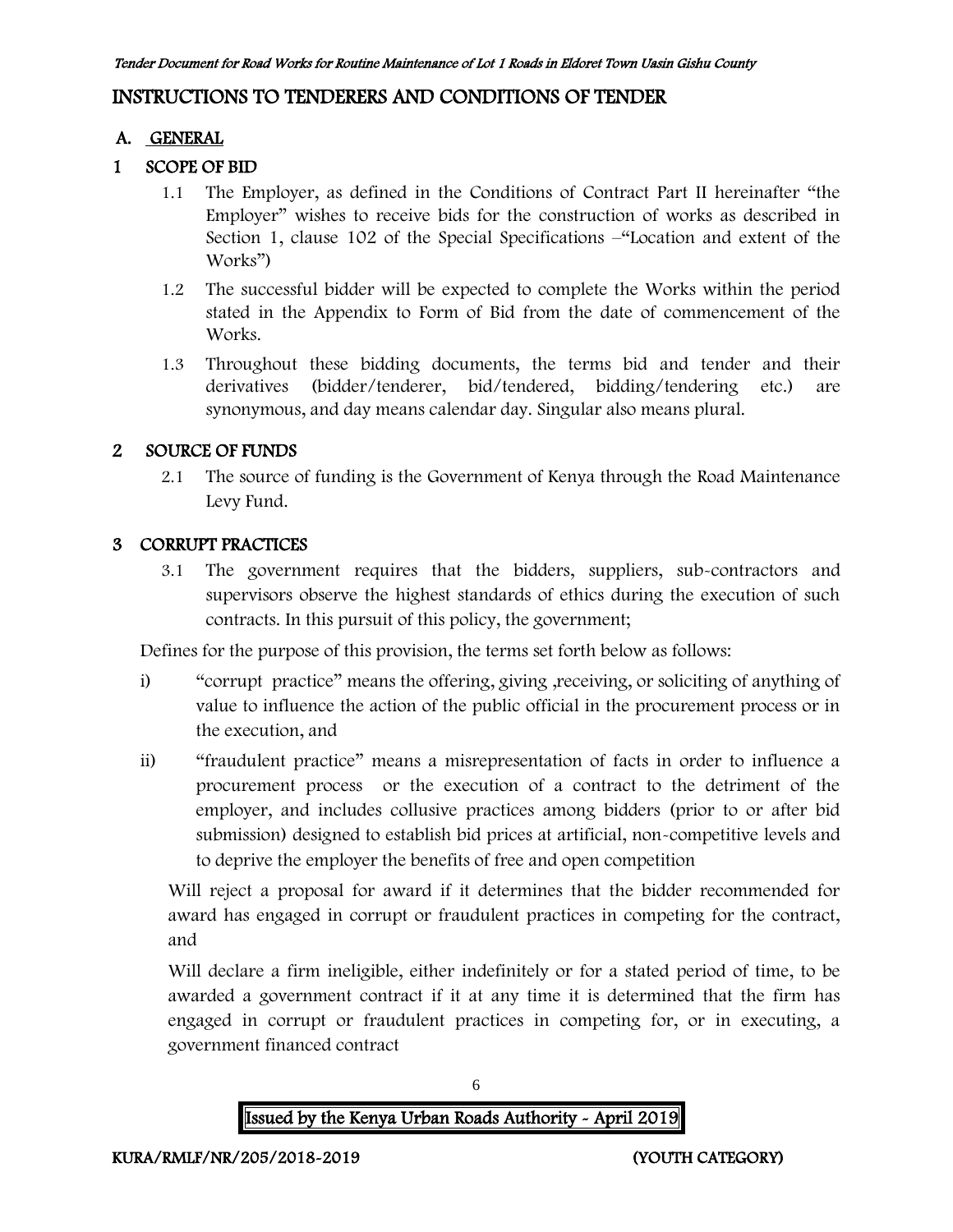## INSTRUCTIONS TO TENDERERS AND CONDITIONS OF TENDER

### A. GENERAL

### 1 SCOPE OF BID

- 1.1 The Employer, as defined in the Conditions of Contract Part II hereinafter "the Employer" wishes to receive bids for the construction of works as described in Section 1, clause 102 of the Special Specifications –"Location and extent of the Works")
- 1.2 The successful bidder will be expected to complete the Works within the period stated in the Appendix to Form of Bid from the date of commencement of the Works.
- 1.3 Throughout these bidding documents, the terms bid and tender and their derivatives (bidder/tenderer, bid/tendered, bidding/tendering etc.) are synonymous, and day means calendar day. Singular also means plural.

### 2 SOURCE OF FUNDS

2.1 The source of funding is the Government of Kenya through the Road Maintenance Levy Fund.

### 3 CORRUPT PRACTICES

3.1 The government requires that the bidders, suppliers, sub-contractors and supervisors observe the highest standards of ethics during the execution of such contracts. In this pursuit of this policy, the government;

Defines for the purpose of this provision, the terms set forth below as follows:

- i) "corrupt practice" means the offering, giving ,receiving, or soliciting of anything of value to influence the action of the public official in the procurement process or in the execution, and
- ii) "fraudulent practice" means a misrepresentation of facts in order to influence a procurement process or the execution of a contract to the detriment of the employer, and includes collusive practices among bidders (prior to or after bid submission) designed to establish bid prices at artificial, non-competitive levels and to deprive the employer the benefits of free and open competition

Will reject a proposal for award if it determines that the bidder recommended for award has engaged in corrupt or fraudulent practices in competing for the contract, and

Will declare a firm ineligible, either indefinitely or for a stated period of time, to be awarded a government contract if it at any time it is determined that the firm has engaged in corrupt or fraudulent practices in competing for, or in executing, a government financed contract



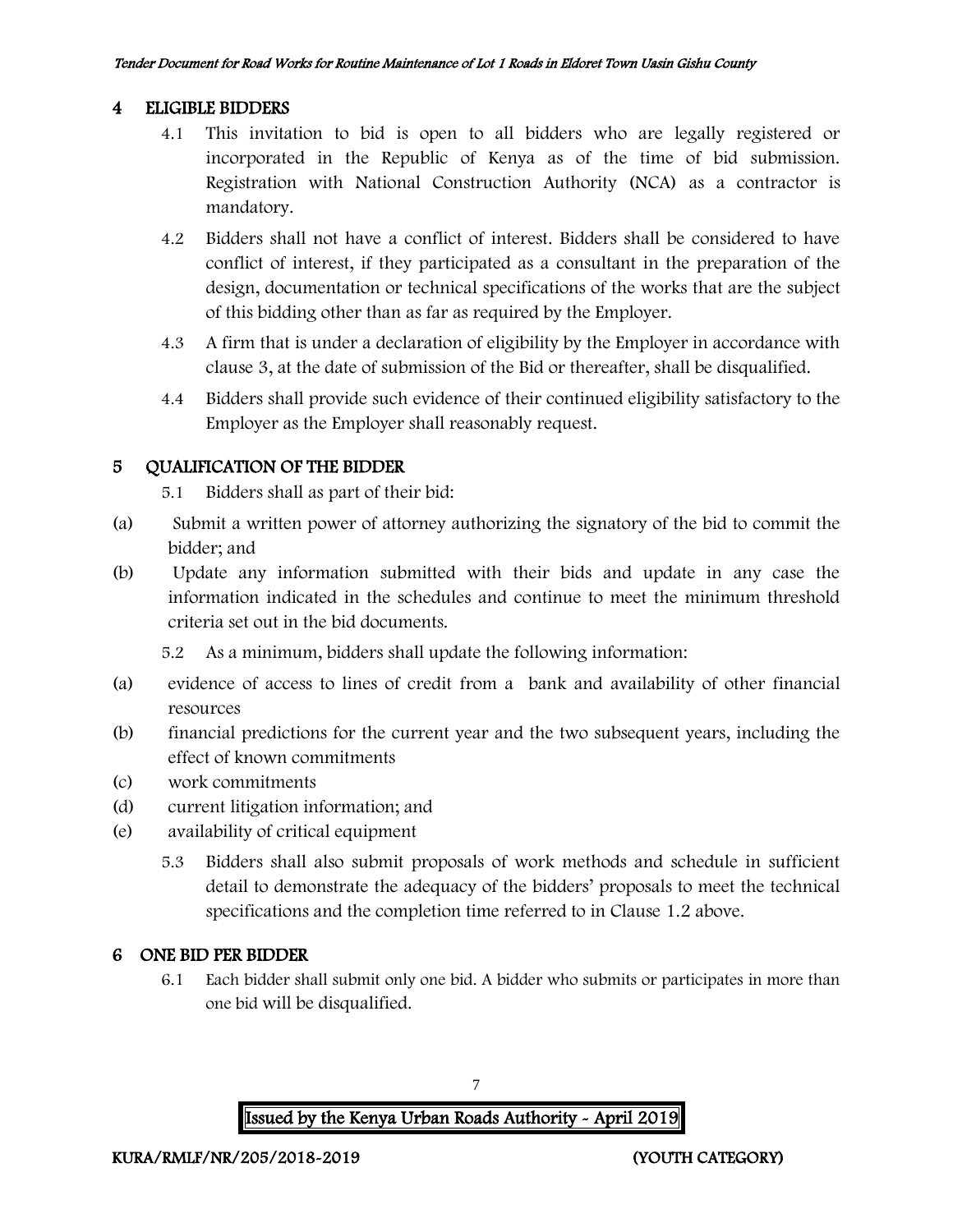### 4 ELIGIBLE BIDDERS

- 4.1 This invitation to bid is open to all bidders who are legally registered or incorporated in the Republic of Kenya as of the time of bid submission. Registration with National Construction Authority (NCA) as a contractor is mandatory.
- 4.2 Bidders shall not have a conflict of interest. Bidders shall be considered to have conflict of interest, if they participated as a consultant in the preparation of the design, documentation or technical specifications of the works that are the subject of this bidding other than as far as required by the Employer.
- 4.3 A firm that is under a declaration of eligibility by the Employer in accordance with clause 3, at the date of submission of the Bid or thereafter, shall be disqualified.
- 4.4 Bidders shall provide such evidence of their continued eligibility satisfactory to the Employer as the Employer shall reasonably request.

### 5 QUALIFICATION OF THE BIDDER

5.1 Bidders shall as part of their bid:

- (a) Submit a written power of attorney authorizing the signatory of the bid to commit the bidder; and
- (b) Update any information submitted with their bids and update in any case the information indicated in the schedules and continue to meet the minimum threshold criteria set out in the bid documents.

5.2 As a minimum, bidders shall update the following information:

- (a) evidence of access to lines of credit from a bank and availability of other financial resources
- (b) financial predictions for the current year and the two subsequent years, including the effect of known commitments
- (c) work commitments
- (d) current litigation information; and
- (e) availability of critical equipment
	- 5.3 Bidders shall also submit proposals of work methods and schedule in sufficient detail to demonstrate the adequacy of the bidders' proposals to meet the technical specifications and the completion time referred to in Clause 1.2 above.

### 6 ONE BID PER BIDDER

6.1 Each bidder shall submit only one bid. A bidder who submits or participates in more than one bid will be disqualified.

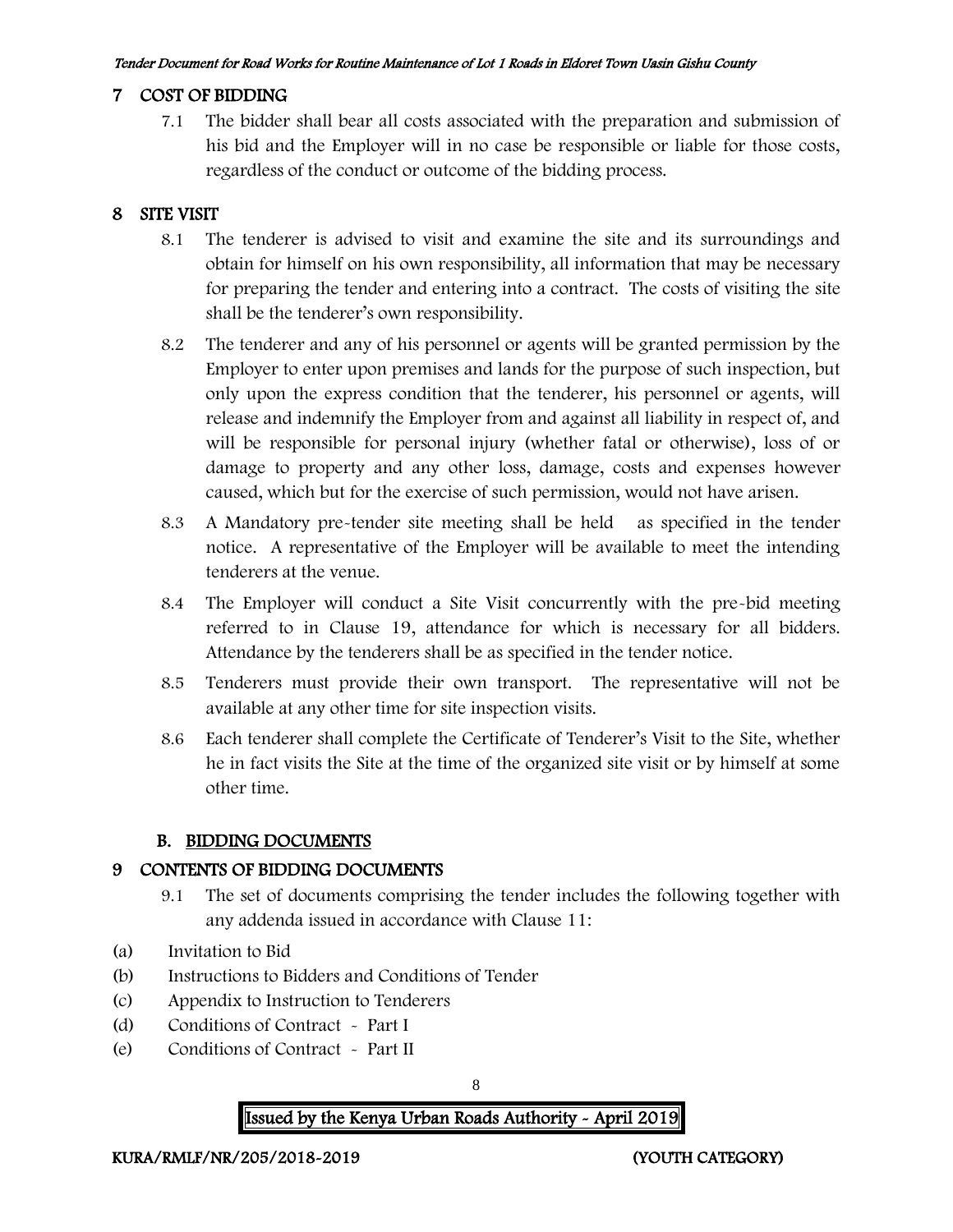#### 7 COST OF BIDDING

7.1 The bidder shall bear all costs associated with the preparation and submission of his bid and the Employer will in no case be responsible or liable for those costs, regardless of the conduct or outcome of the bidding process.

### 8 SITE VISIT

- 8.1 The tenderer is advised to visit and examine the site and its surroundings and obtain for himself on his own responsibility, all information that may be necessary for preparing the tender and entering into a contract. The costs of visiting the site shall be the tenderer's own responsibility.
- 8.2 The tenderer and any of his personnel or agents will be granted permission by the Employer to enter upon premises and lands for the purpose of such inspection, but only upon the express condition that the tenderer, his personnel or agents, will release and indemnify the Employer from and against all liability in respect of, and will be responsible for personal injury (whether fatal or otherwise), loss of or damage to property and any other loss, damage, costs and expenses however caused, which but for the exercise of such permission, would not have arisen.
- 8.3 A Mandatory pre-tender site meeting shall be held as specified in the tender notice. A representative of the Employer will be available to meet the intending tenderers at the venue.
- 8.4 The Employer will conduct a Site Visit concurrently with the pre-bid meeting referred to in Clause 19, attendance for which is necessary for all bidders. Attendance by the tenderers shall be as specified in the tender notice.
- 8.5 Tenderers must provide their own transport. The representative will not be available at any other time for site inspection visits.
- 8.6 Each tenderer shall complete the Certificate of Tenderer's Visit to the Site, whether he in fact visits the Site at the time of the organized site visit or by himself at some other time.

### B. BIDDING DOCUMENTS

### 9 CONTENTS OF BIDDING DOCUMENTS

- 9.1 The set of documents comprising the tender includes the following together with any addenda issued in accordance with Clause 11:
- (a) Invitation to Bid
- (b) Instructions to Bidders and Conditions of Tender
- (c) Appendix to Instruction to Tenderers
- (d) Conditions of Contract Part I
- (e) Conditions of Contract Part II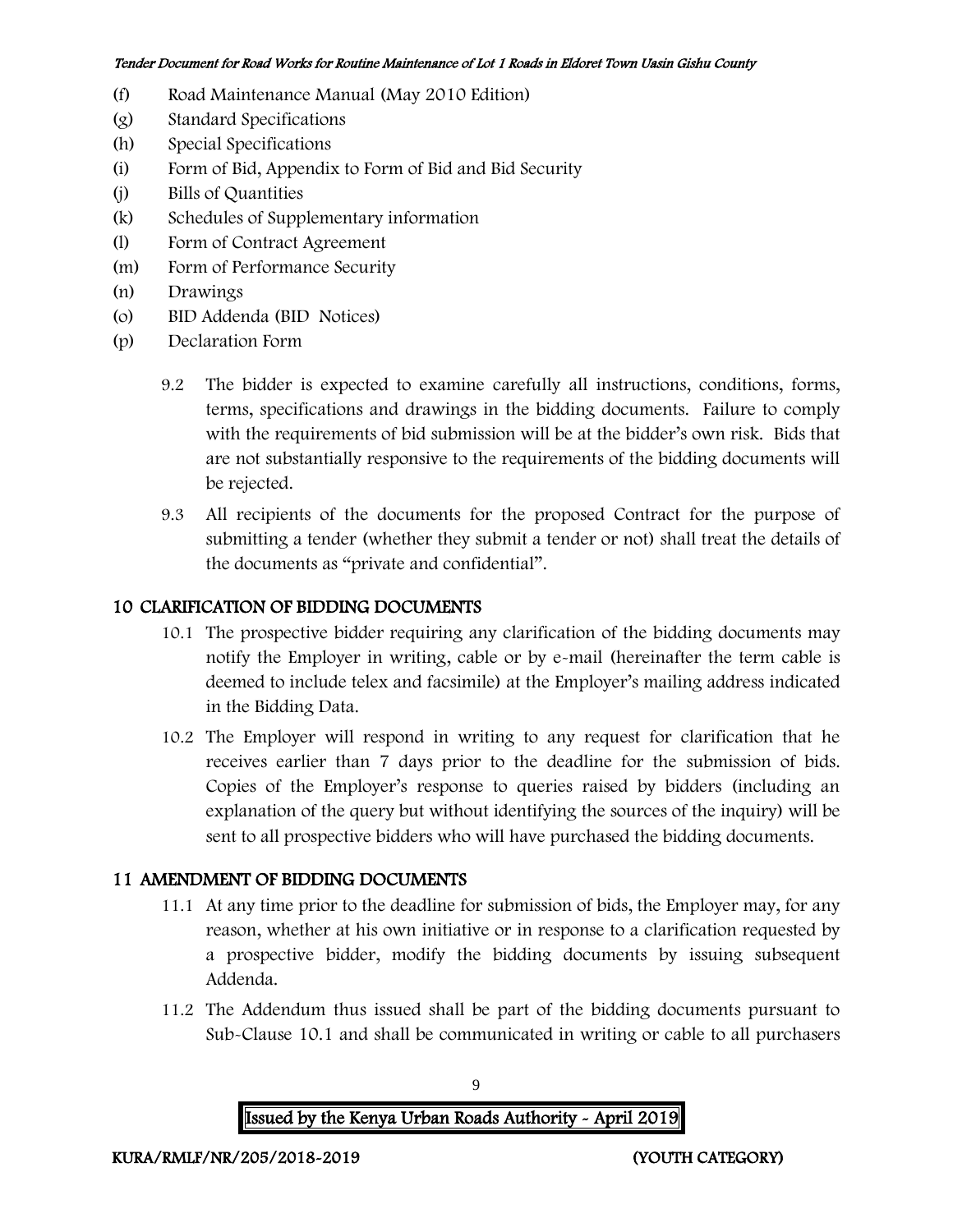- (f) Road Maintenance Manual (May 2010 Edition)
- (g) Standard Specifications
- (h) Special Specifications
- (i) Form of Bid, Appendix to Form of Bid and Bid Security
- (j) Bills of Quantities
- (k) Schedules of Supplementary information
- (l) Form of Contract Agreement
- (m) Form of Performance Security
- (n) Drawings
- (o) BID Addenda (BID Notices)
- (p) Declaration Form
	- 9.2 The bidder is expected to examine carefully all instructions, conditions, forms, terms, specifications and drawings in the bidding documents. Failure to comply with the requirements of bid submission will be at the bidder's own risk. Bids that are not substantially responsive to the requirements of the bidding documents will be rejected.
	- 9.3 All recipients of the documents for the proposed Contract for the purpose of submitting a tender (whether they submit a tender or not) shall treat the details of the documents as "private and confidential".

### 10 CLARIFICATION OF BIDDING DOCUMENTS

- 10.1 The prospective bidder requiring any clarification of the bidding documents may notify the Employer in writing, cable or by e-mail (hereinafter the term cable is deemed to include telex and facsimile) at the Employer's mailing address indicated in the Bidding Data.
- 10.2 The Employer will respond in writing to any request for clarification that he receives earlier than 7 days prior to the deadline for the submission of bids. Copies of the Employer's response to queries raised by bidders (including an explanation of the query but without identifying the sources of the inquiry) will be sent to all prospective bidders who will have purchased the bidding documents.

### 11 AMENDMENT OF BIDDING DOCUMENTS

- 11.1 At any time prior to the deadline for submission of bids, the Employer may, for any reason, whether at his own initiative or in response to a clarification requested by a prospective bidder, modify the bidding documents by issuing subsequent Addenda.
- 11.2 The Addendum thus issued shall be part of the bidding documents pursuant to Sub-Clause 10.1 and shall be communicated in writing or cable to all purchasers

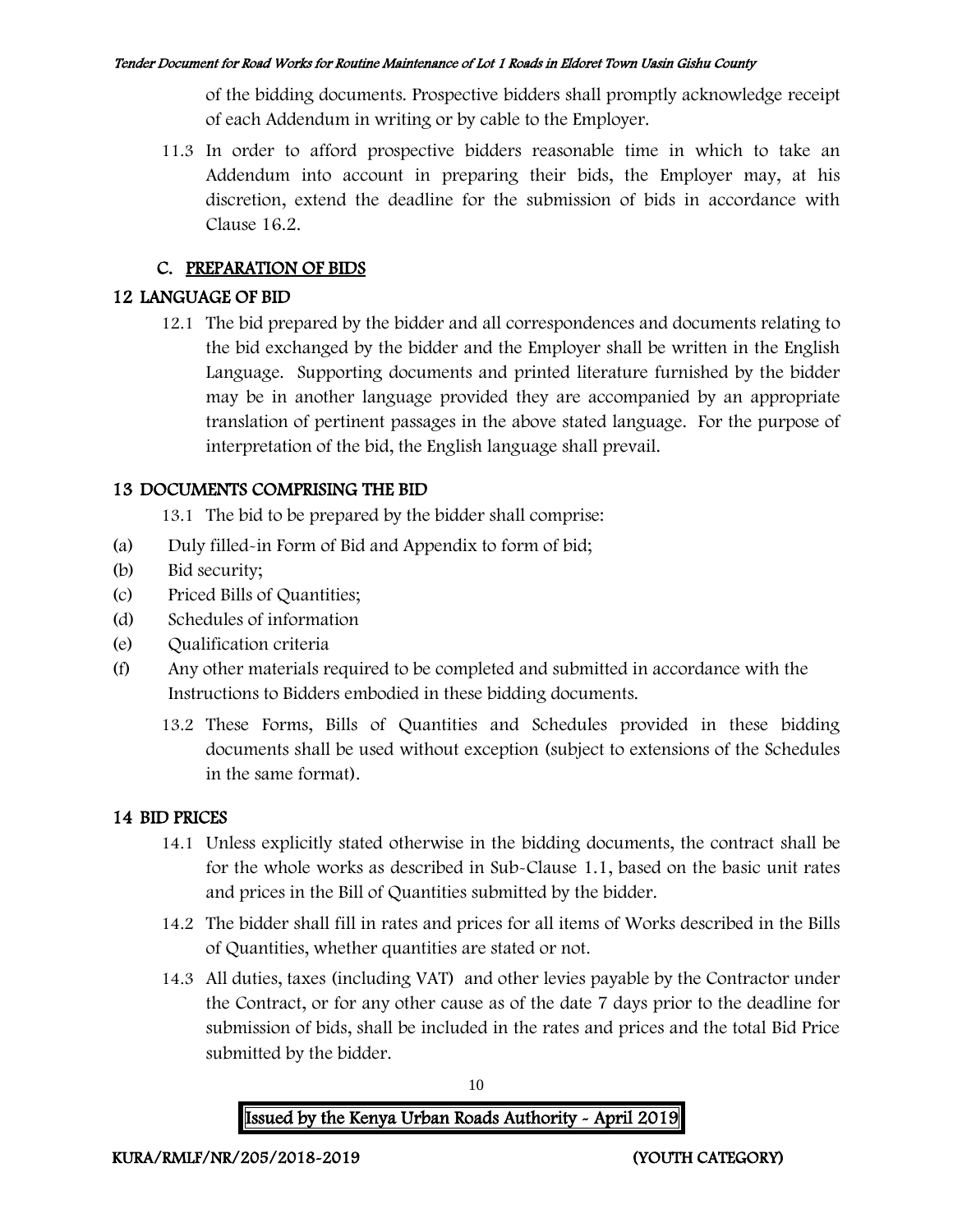of the bidding documents. Prospective bidders shall promptly acknowledge receipt of each Addendum in writing or by cable to the Employer.

11.3 In order to afford prospective bidders reasonable time in which to take an Addendum into account in preparing their bids, the Employer may, at his discretion, extend the deadline for the submission of bids in accordance with Clause 16.2.

## C. PREPARATION OF BIDS

## 12 LANGUAGE OF BID

12.1 The bid prepared by the bidder and all correspondences and documents relating to the bid exchanged by the bidder and the Employer shall be written in the English Language. Supporting documents and printed literature furnished by the bidder may be in another language provided they are accompanied by an appropriate translation of pertinent passages in the above stated language. For the purpose of interpretation of the bid, the English language shall prevail.

## 13 DOCUMENTS COMPRISING THE BID

13.1 The bid to be prepared by the bidder shall comprise:

- (a) Duly filled-in Form of Bid and Appendix to form of bid;
- (b) Bid security;
- (c) Priced Bills of Quantities;
- (d) Schedules of information
- (e) Qualification criteria
- (f) Any other materials required to be completed and submitted in accordance with the Instructions to Bidders embodied in these bidding documents.
	- 13.2 These Forms, Bills of Quantities and Schedules provided in these bidding documents shall be used without exception (subject to extensions of the Schedules in the same format).

## 14 BID PRICES

- 14.1 Unless explicitly stated otherwise in the bidding documents, the contract shall be for the whole works as described in Sub-Clause 1.1, based on the basic unit rates and prices in the Bill of Quantities submitted by the bidder.
- 14.2 The bidder shall fill in rates and prices for all items of Works described in the Bills of Quantities, whether quantities are stated or not.
- 14.3 All duties, taxes (including VAT) and other levies payable by the Contractor under the Contract, or for any other cause as of the date 7 days prior to the deadline for submission of bids, shall be included in the rates and prices and the total Bid Price submitted by the bidder.

10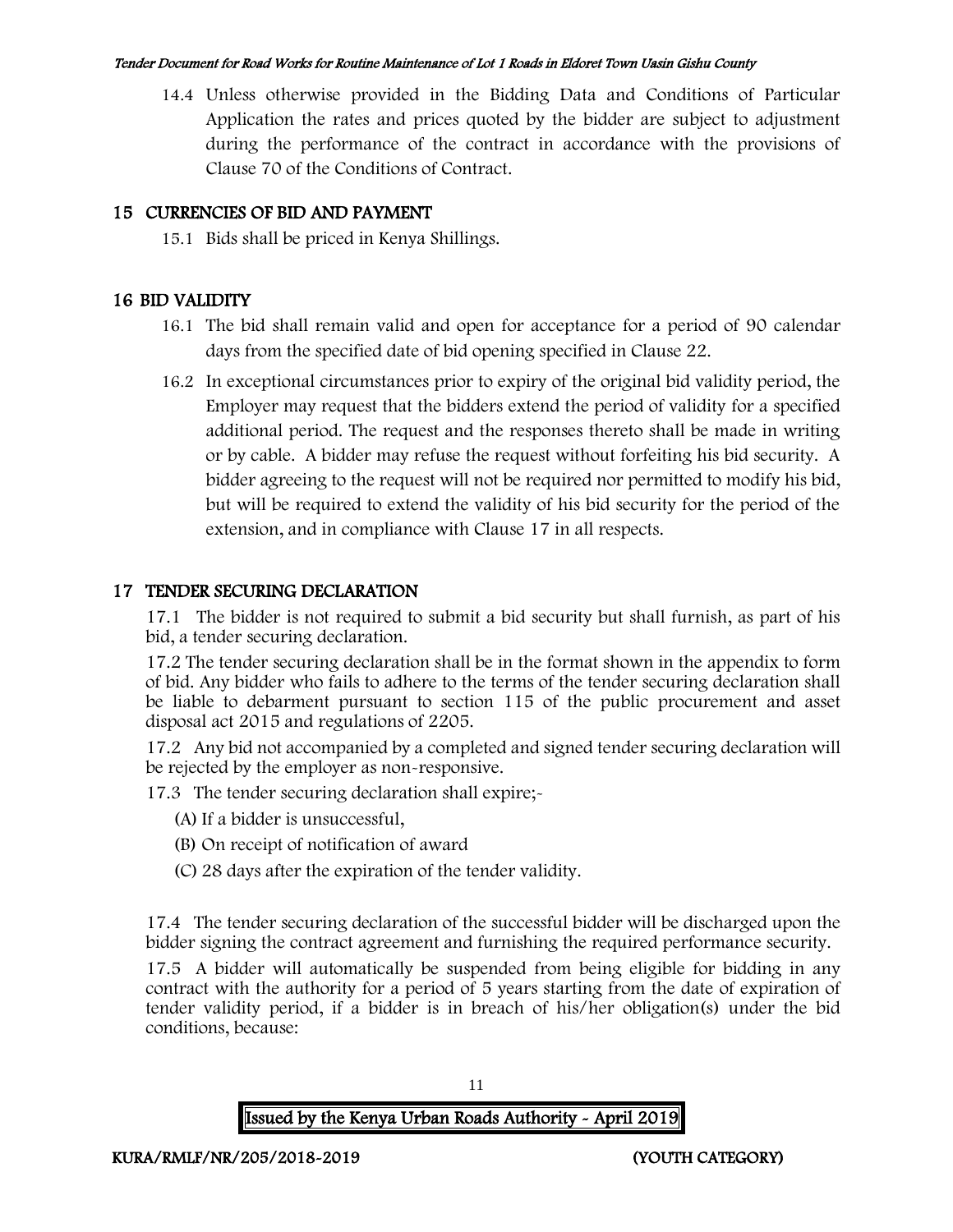14.4 Unless otherwise provided in the Bidding Data and Conditions of Particular Application the rates and prices quoted by the bidder are subject to adjustment during the performance of the contract in accordance with the provisions of Clause 70 of the Conditions of Contract.

## 15 CURRENCIES OF BID AND PAYMENT

15.1 Bids shall be priced in Kenya Shillings.

## 16 BID VALIDITY

- 16.1 The bid shall remain valid and open for acceptance for a period of 90 calendar days from the specified date of bid opening specified in Clause 22.
- 16.2 In exceptional circumstances prior to expiry of the original bid validity period, the Employer may request that the bidders extend the period of validity for a specified additional period. The request and the responses thereto shall be made in writing or by cable. A bidder may refuse the request without forfeiting his bid security. A bidder agreeing to the request will not be required nor permitted to modify his bid, but will be required to extend the validity of his bid security for the period of the extension, and in compliance with Clause 17 in all respects.

## 17 TENDER SECURING DECLARATION

17.1 The bidder is not required to submit a bid security but shall furnish, as part of his bid, a tender securing declaration.

17.2 The tender securing declaration shall be in the format shown in the appendix to form of bid. Any bidder who fails to adhere to the terms of the tender securing declaration shall be liable to debarment pursuant to section 115 of the public procurement and asset disposal act 2015 and regulations of 2205.

17.2 Any bid not accompanied by a completed and signed tender securing declaration will be rejected by the employer as non-responsive.

17.3 The tender securing declaration shall expire;-

- (A) If a bidder is unsuccessful,
- (B) On receipt of notification of award
- (C) 28 days after the expiration of the tender validity.

17.4 The tender securing declaration of the successful bidder will be discharged upon the bidder signing the contract agreement and furnishing the required performance security.

17.5 A bidder will automatically be suspended from being eligible for bidding in any contract with the authority for a period of 5 years starting from the date of expiration of tender validity period, if a bidder is in breach of his/her obligation(s) under the bid conditions, because:

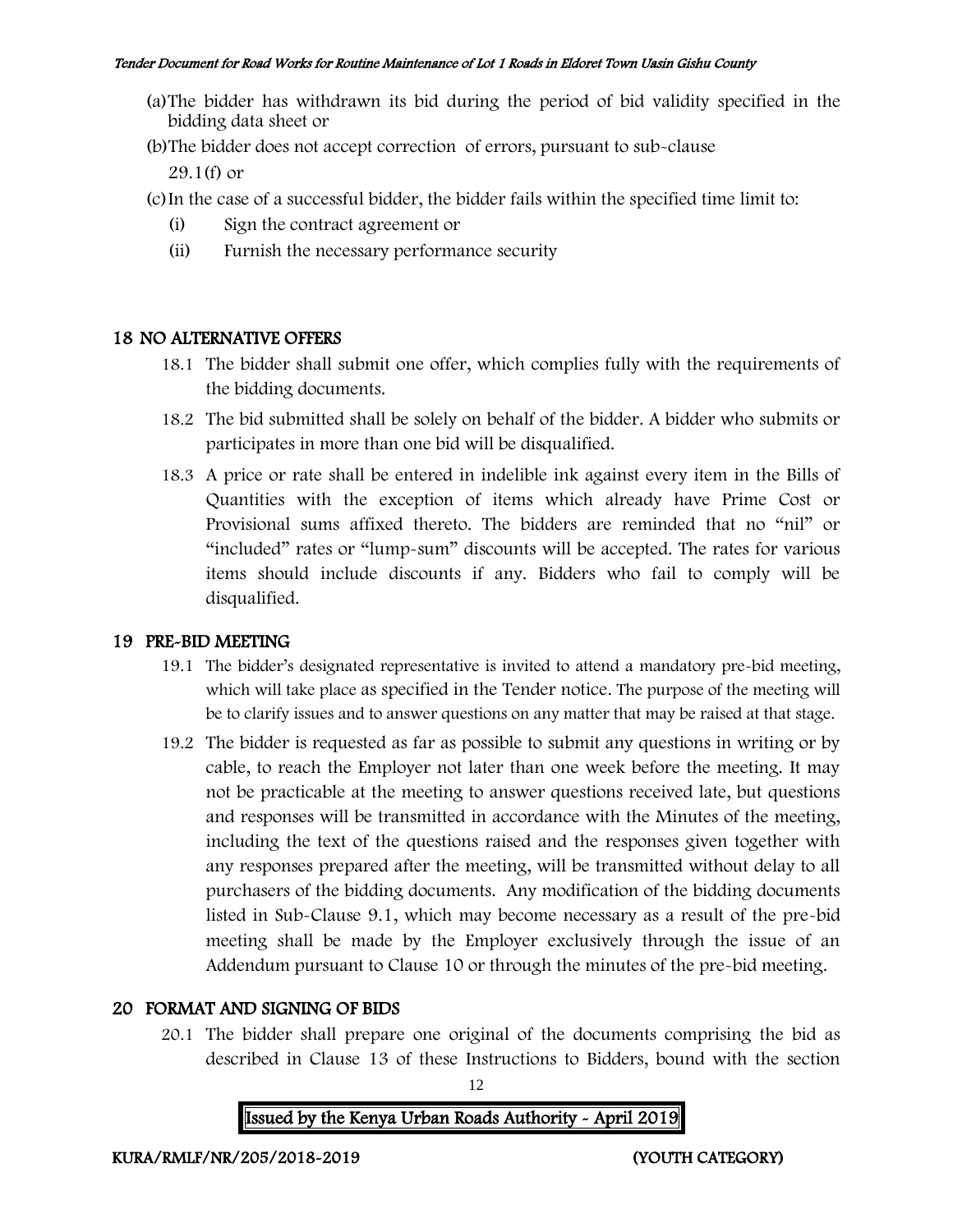- (a)The bidder has withdrawn its bid during the period of bid validity specified in the bidding data sheet or
- (b)The bidder does not accept correction of errors, pursuant to sub-clause

29.1(f) or

- (c)In the case of a successful bidder, the bidder fails within the specified time limit to:
	- (i) Sign the contract agreement or
	- (ii) Furnish the necessary performance security

## 18 NO ALTERNATIVE OFFERS

- 18.1 The bidder shall submit one offer, which complies fully with the requirements of the bidding documents.
- 18.2 The bid submitted shall be solely on behalf of the bidder. A bidder who submits or participates in more than one bid will be disqualified.
- 18.3 A price or rate shall be entered in indelible ink against every item in the Bills of Quantities with the exception of items which already have Prime Cost or Provisional sums affixed thereto. The bidders are reminded that no "nil" or "included" rates or "lump-sum" discounts will be accepted. The rates for various items should include discounts if any. Bidders who fail to comply will be disqualified.

## 19 PRE-BID MEETING

- 19.1 The bidder's designated representative is invited to attend a mandatory pre-bid meeting, which will take place as specified in the Tender notice. The purpose of the meeting will be to clarify issues and to answer questions on any matter that may be raised at that stage.
- 19.2 The bidder is requested as far as possible to submit any questions in writing or by cable, to reach the Employer not later than one week before the meeting. It may not be practicable at the meeting to answer questions received late, but questions and responses will be transmitted in accordance with the Minutes of the meeting, including the text of the questions raised and the responses given together with any responses prepared after the meeting, will be transmitted without delay to all purchasers of the bidding documents. Any modification of the bidding documents listed in Sub-Clause 9.1, which may become necessary as a result of the pre-bid meeting shall be made by the Employer exclusively through the issue of an Addendum pursuant to Clause 10 or through the minutes of the pre-bid meeting.

## 20 FORMAT AND SIGNING OF BIDS

20.1 The bidder shall prepare one original of the documents comprising the bid as described in Clause 13 of these Instructions to Bidders, bound with the section

12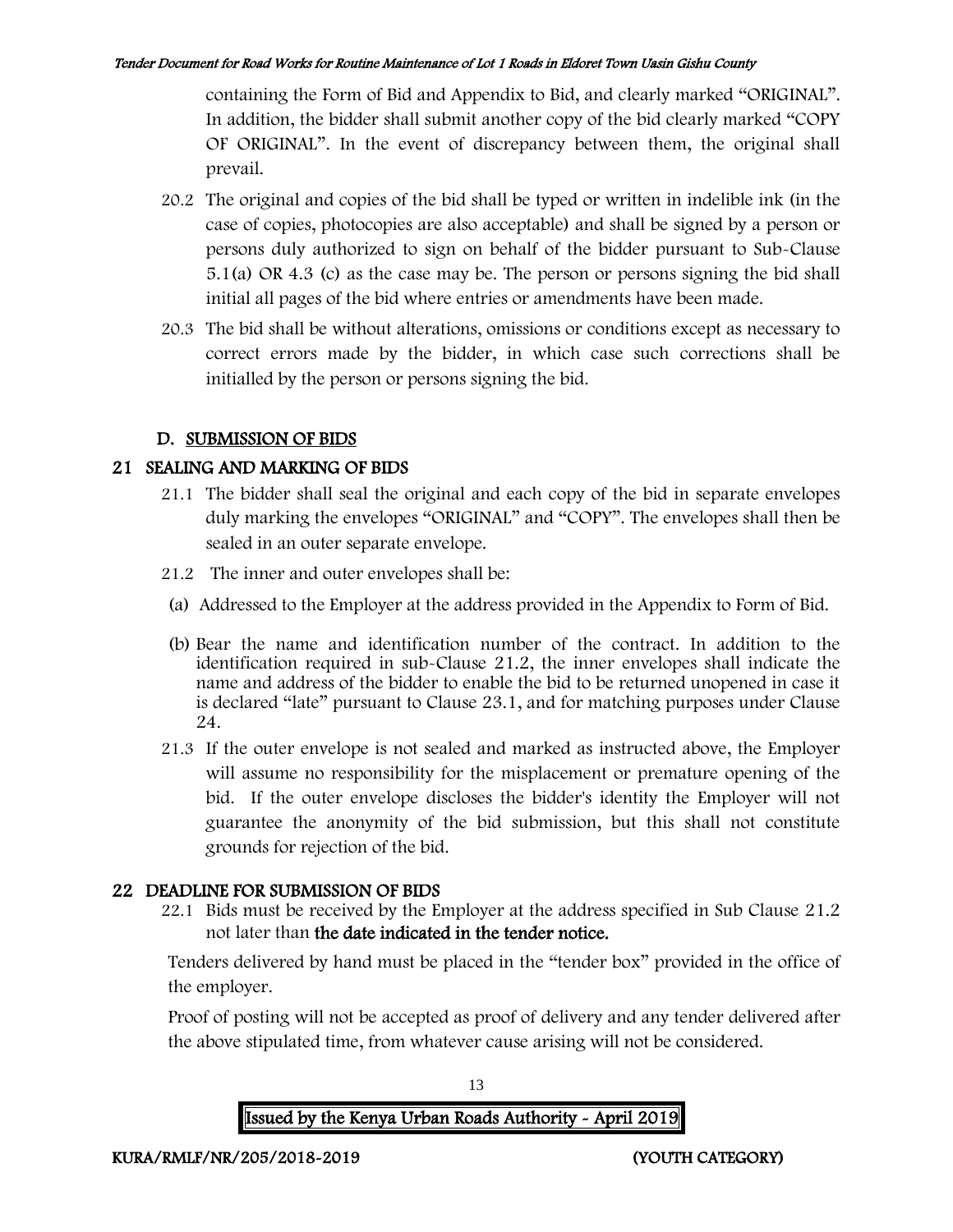containing the Form of Bid and Appendix to Bid, and clearly marked "ORIGINAL". In addition, the bidder shall submit another copy of the bid clearly marked "COPY OF ORIGINAL". In the event of discrepancy between them, the original shall prevail.

- 20.2 The original and copies of the bid shall be typed or written in indelible ink (in the case of copies, photocopies are also acceptable) and shall be signed by a person or persons duly authorized to sign on behalf of the bidder pursuant to Sub-Clause 5.1(a) OR 4.3 (c) as the case may be. The person or persons signing the bid shall initial all pages of the bid where entries or amendments have been made.
- 20.3 The bid shall be without alterations, omissions or conditions except as necessary to correct errors made by the bidder, in which case such corrections shall be initialled by the person or persons signing the bid.

## D. SUBMISSION OF BIDS

## 21 SEALING AND MARKING OF BIDS

- 21.1 The bidder shall seal the original and each copy of the bid in separate envelopes duly marking the envelopes "ORIGINAL" and "COPY". The envelopes shall then be sealed in an outer separate envelope.
- 21.2 The inner and outer envelopes shall be:
- (a) Addressed to the Employer at the address provided in the Appendix to Form of Bid.
- (b) Bear the name and identification number of the contract. In addition to the identification required in sub-Clause 21.2, the inner envelopes shall indicate the name and address of the bidder to enable the bid to be returned unopened in case it is declared "late" pursuant to Clause 23.1, and for matching purposes under Clause 24.
- 21.3 If the outer envelope is not sealed and marked as instructed above, the Employer will assume no responsibility for the misplacement or premature opening of the bid. If the outer envelope discloses the bidder's identity the Employer will not guarantee the anonymity of the bid submission, but this shall not constitute grounds for rejection of the bid.

## 22 DEADLINE FOR SUBMISSION OF BIDS

22.1 Bids must be received by the Employer at the address specified in Sub Clause 21.2 not later than the date indicated in the tender notice.

Tenders delivered by hand must be placed in the "tender box" provided in the office of the employer.

Proof of posting will not be accepted as proof of delivery and any tender delivered after the above stipulated time, from whatever cause arising will not be considered.

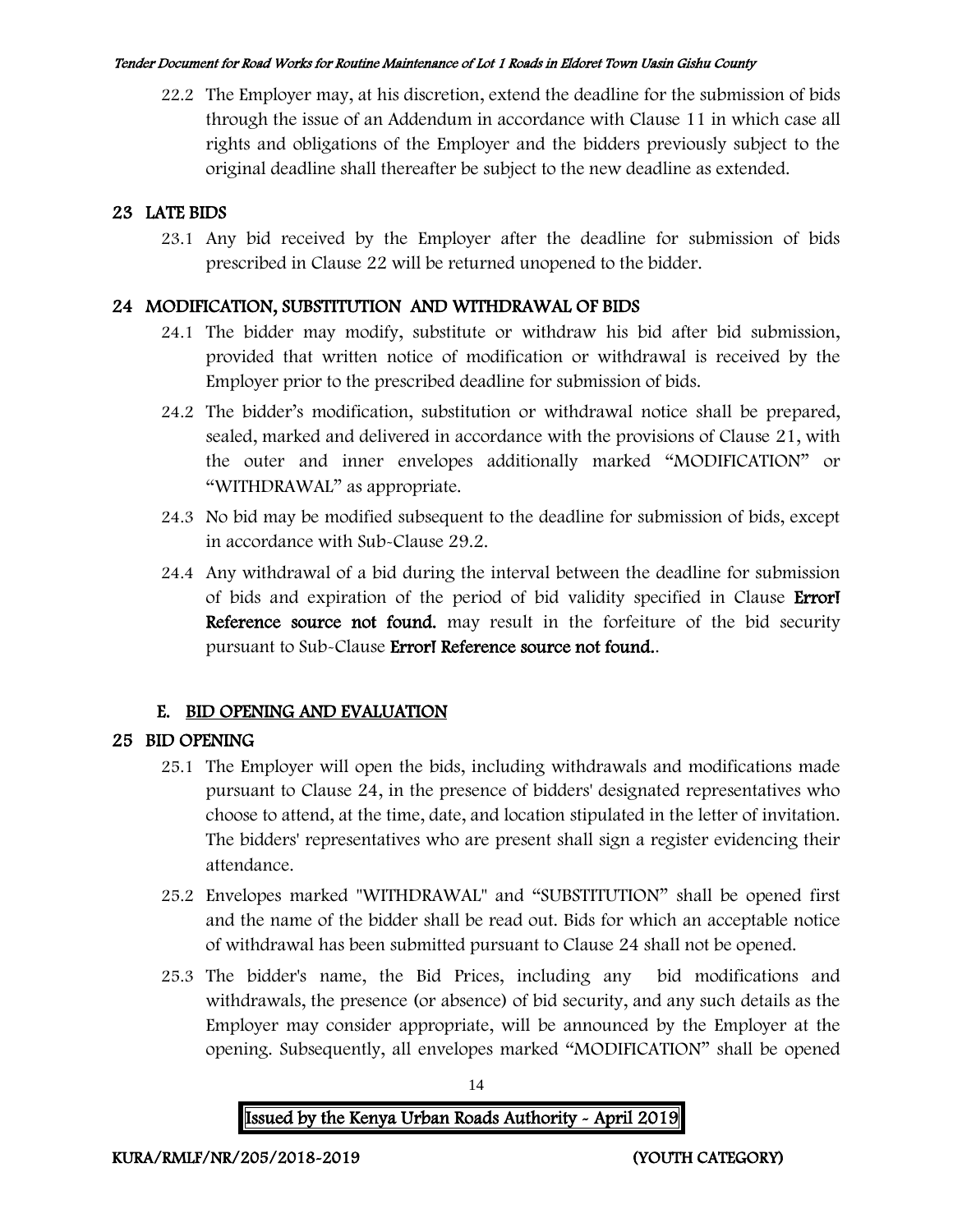22.2 The Employer may, at his discretion, extend the deadline for the submission of bids through the issue of an Addendum in accordance with Clause 11 in which case all rights and obligations of the Employer and the bidders previously subject to the original deadline shall thereafter be subject to the new deadline as extended.

## 23 LATE BIDS

23.1 Any bid received by the Employer after the deadline for submission of bids prescribed in Clause 22 will be returned unopened to the bidder.

## 24 MODIFICATION, SUBSTITUTION AND WITHDRAWAL OF BIDS

- 24.1 The bidder may modify, substitute or withdraw his bid after bid submission, provided that written notice of modification or withdrawal is received by the Employer prior to the prescribed deadline for submission of bids.
- 24.2 The bidder's modification, substitution or withdrawal notice shall be prepared, sealed, marked and delivered in accordance with the provisions of Clause 21, with the outer and inner envelopes additionally marked "MODIFICATION" or "WITHDRAWAL" as appropriate.
- 24.3 No bid may be modified subsequent to the deadline for submission of bids, except in accordance with Sub-Clause 29.2.
- 24.4 Any withdrawal of a bid during the interval between the deadline for submission of bids and expiration of the period of bid validity specified in Clause Error! Reference source not found. may result in the forfeiture of the bid security pursuant to Sub-Clause Error! Reference source not found..

## E. BID OPENING AND EVALUATION

## 25 BID OPENING

- 25.1 The Employer will open the bids, including withdrawals and modifications made pursuant to Clause 24, in the presence of bidders' designated representatives who choose to attend, at the time, date, and location stipulated in the letter of invitation. The bidders' representatives who are present shall sign a register evidencing their attendance.
- 25.2 Envelopes marked "WITHDRAWAL" and "SUBSTITUTION" shall be opened first and the name of the bidder shall be read out. Bids for which an acceptable notice of withdrawal has been submitted pursuant to Clause 24 shall not be opened.
- 25.3 The bidder's name, the Bid Prices, including any bid modifications and withdrawals, the presence (or absence) of bid security, and any such details as the Employer may consider appropriate, will be announced by the Employer at the opening. Subsequently, all envelopes marked "MODIFICATION" shall be opened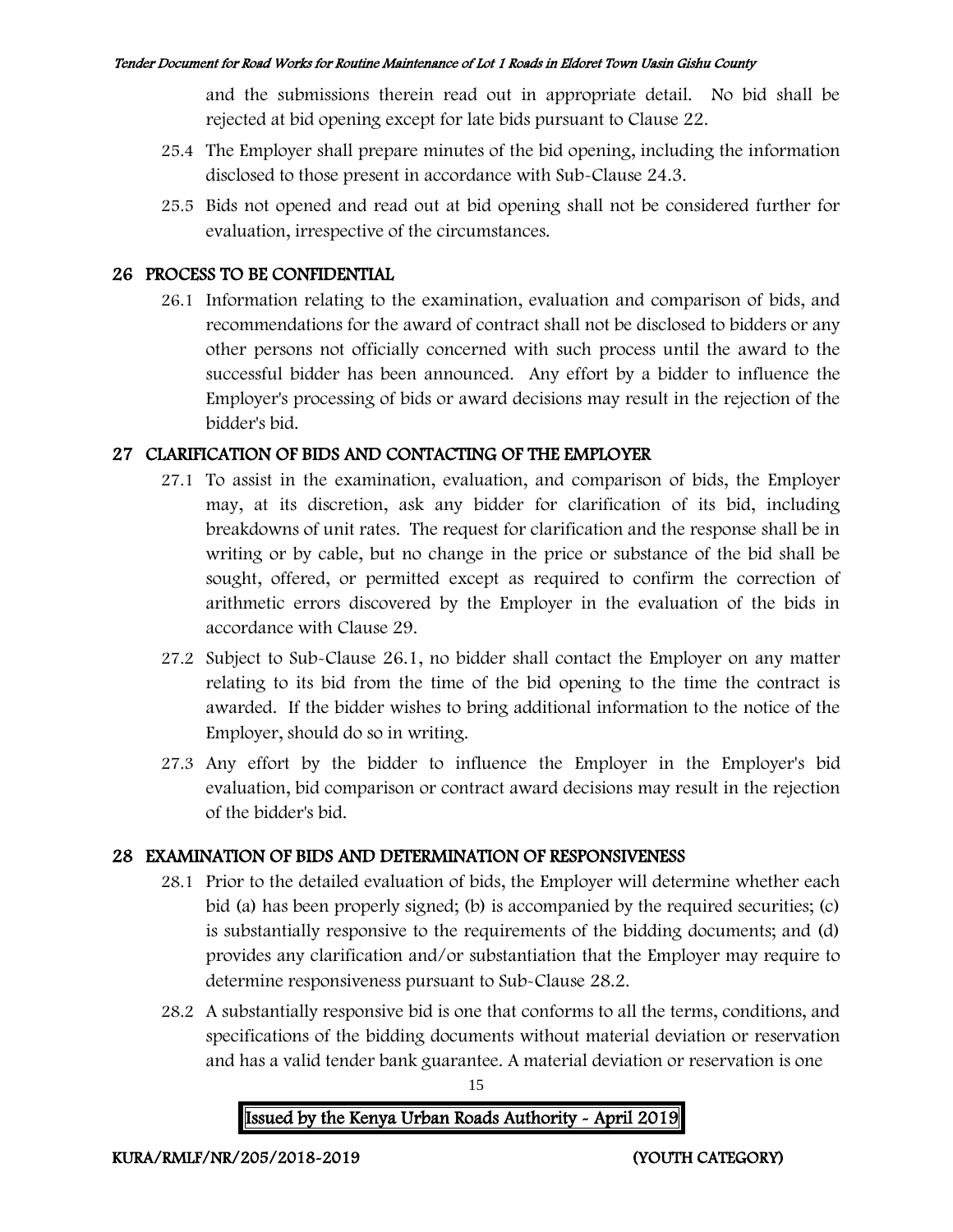and the submissions therein read out in appropriate detail. No bid shall be rejected at bid opening except for late bids pursuant to Clause 22.

- 25.4 The Employer shall prepare minutes of the bid opening, including the information disclosed to those present in accordance with Sub-Clause 24.3.
- 25.5 Bids not opened and read out at bid opening shall not be considered further for evaluation, irrespective of the circumstances.

## 26 PROCESS TO BE CONFIDENTIAL

26.1 Information relating to the examination, evaluation and comparison of bids, and recommendations for the award of contract shall not be disclosed to bidders or any other persons not officially concerned with such process until the award to the successful bidder has been announced. Any effort by a bidder to influence the Employer's processing of bids or award decisions may result in the rejection of the bidder's bid.

## 27 CLARIFICATION OF BIDS AND CONTACTING OF THE EMPLOYER

- 27.1 To assist in the examination, evaluation, and comparison of bids, the Employer may, at its discretion, ask any bidder for clarification of its bid, including breakdowns of unit rates. The request for clarification and the response shall be in writing or by cable, but no change in the price or substance of the bid shall be sought, offered, or permitted except as required to confirm the correction of arithmetic errors discovered by the Employer in the evaluation of the bids in accordance with Clause 29.
- 27.2 Subject to Sub-Clause 26.1, no bidder shall contact the Employer on any matter relating to its bid from the time of the bid opening to the time the contract is awarded. If the bidder wishes to bring additional information to the notice of the Employer, should do so in writing.
- 27.3 Any effort by the bidder to influence the Employer in the Employer's bid evaluation, bid comparison or contract award decisions may result in the rejection of the bidder's bid.

## 28 EXAMINATION OF BIDS AND DETERMINATION OF RESPONSIVENESS

- 28.1 Prior to the detailed evaluation of bids, the Employer will determine whether each bid (a) has been properly signed; (b) is accompanied by the required securities; (c) is substantially responsive to the requirements of the bidding documents; and (d) provides any clarification and/or substantiation that the Employer may require to determine responsiveness pursuant to Sub-Clause 28.2.
- 28.2 A substantially responsive bid is one that conforms to all the terms, conditions, and specifications of the bidding documents without material deviation or reservation and has a valid tender bank guarantee. A material deviation or reservation is one

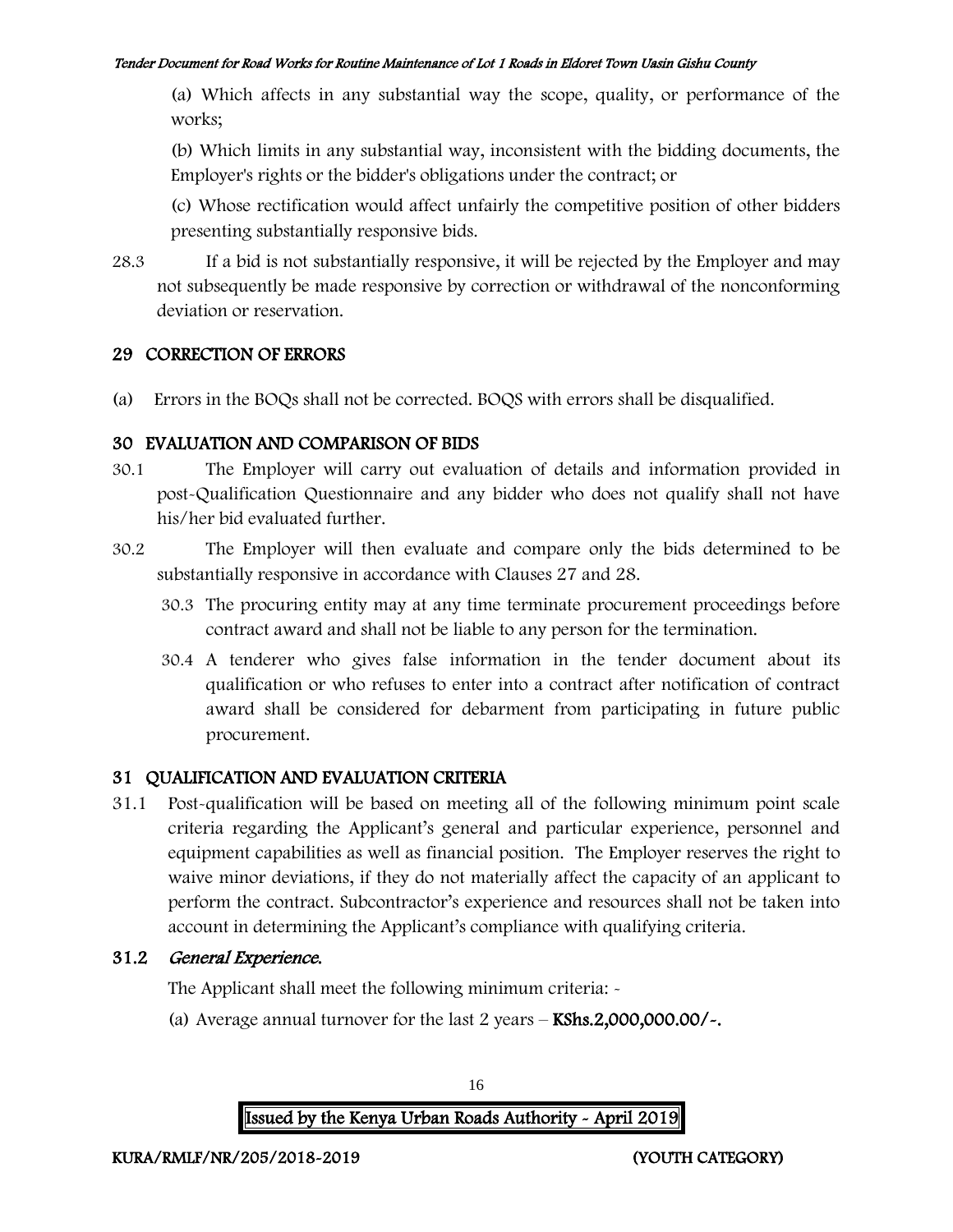(a) Which affects in any substantial way the scope, quality, or performance of the works;

(b) Which limits in any substantial way, inconsistent with the bidding documents, the Employer's rights or the bidder's obligations under the contract; or

(c) Whose rectification would affect unfairly the competitive position of other bidders presenting substantially responsive bids.

28.3 If a bid is not substantially responsive, it will be rejected by the Employer and may not subsequently be made responsive by correction or withdrawal of the nonconforming deviation or reservation.

## 29 CORRECTION OF ERRORS

(a) Errors in the BOQs shall not be corrected. BOQS with errors shall be disqualified.

## 30 EVALUATION AND COMPARISON OF BIDS

- 30.1 The Employer will carry out evaluation of details and information provided in post-Qualification Questionnaire and any bidder who does not qualify shall not have his/her bid evaluated further.
- 30.2 The Employer will then evaluate and compare only the bids determined to be substantially responsive in accordance with Clauses 27 and 28.
	- 30.3 The procuring entity may at any time terminate procurement proceedings before contract award and shall not be liable to any person for the termination.
	- 30.4 A tenderer who gives false information in the tender document about its qualification or who refuses to enter into a contract after notification of contract award shall be considered for debarment from participating in future public procurement.

## 31 QUALIFICATION AND EVALUATION CRITERIA

31.1 Post-qualification will be based on meeting all of the following minimum point scale criteria regarding the Applicant's general and particular experience, personnel and equipment capabilities as well as financial position. The Employer reserves the right to waive minor deviations, if they do not materially affect the capacity of an applicant to perform the contract. Subcontractor's experience and resources shall not be taken into account in determining the Applicant's compliance with qualifying criteria.

## 31.2 General Experience.

The Applicant shall meet the following minimum criteria: -

(a) Average annual turnover for the last  $2$  years  $-$  KShs.2,000,000.00/ $\sim$ .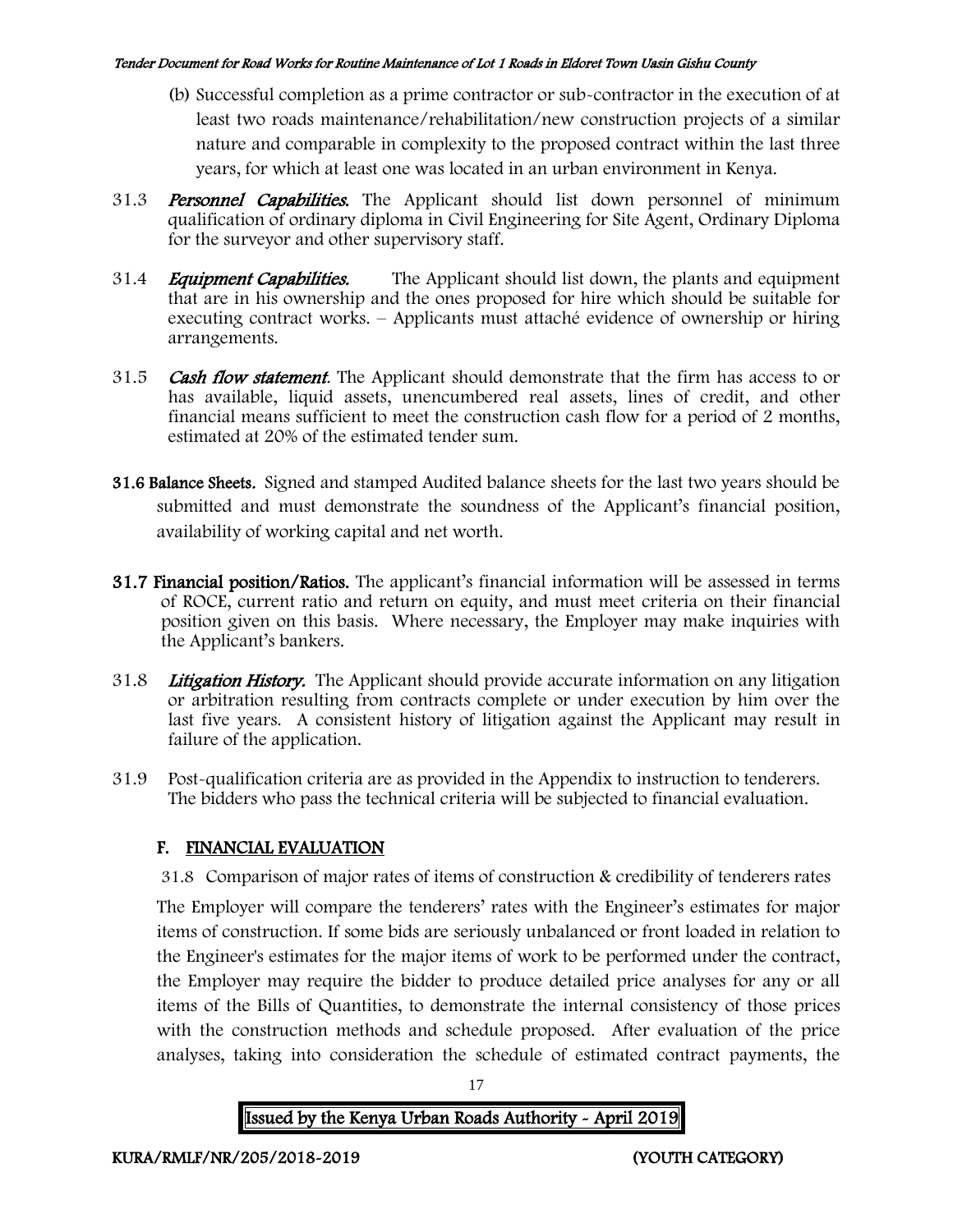- (b) Successful completion as a prime contractor or sub-contractor in the execution of at least two roads maintenance/rehabilitation/new construction projects of a similar nature and comparable in complexity to the proposed contract within the last three years, for which at least one was located in an urban environment in Kenya.
- 31.3 **Personnel Capabilities.** The Applicant should list down personnel of minimum qualification of ordinary diploma in Civil Engineering for Site Agent, Ordinary Diploma for the surveyor and other supervisory staff.
- 31.4 *Equipment Capabilities.* The Applicant should list down, the plants and equipment that are in his ownership and the ones proposed for hire which should be suitable for executing contract works. – Applicants must attaché evidence of ownership or hiring arrangements.
- 31.5 Cash flow statement. The Applicant should demonstrate that the firm has access to or has available, liquid assets, unencumbered real assets, lines of credit, and other financial means sufficient to meet the construction cash flow for a period of 2 months, estimated at 20% of the estimated tender sum.
- 31.6 Balance Sheets. Signed and stamped Audited balance sheets for the last two years should be submitted and must demonstrate the soundness of the Applicant's financial position, availability of working capital and net worth.
- 31.7 Financial position/Ratios. The applicant's financial information will be assessed in terms of ROCE, current ratio and return on equity, and must meet criteria on their financial position given on this basis. Where necessary, the Employer may make inquiries with the Applicant's bankers.
- 31.8 Litigation History. The Applicant should provide accurate information on any litigation or arbitration resulting from contracts complete or under execution by him over the last five years. A consistent history of litigation against the Applicant may result in failure of the application.
- 31.9 Post-qualification criteria are as provided in the Appendix to instruction to tenderers. The bidders who pass the technical criteria will be subjected to financial evaluation.

## F. FINANCIAL EVALUATION

31.8 Comparison of major rates of items of construction & credibility of tenderers rates

The Employer will compare the tenderers' rates with the Engineer's estimates for major items of construction. If some bids are seriously unbalanced or front loaded in relation to the Engineer's estimates for the major items of work to be performed under the contract, the Employer may require the bidder to produce detailed price analyses for any or all items of the Bills of Quantities, to demonstrate the internal consistency of those prices with the construction methods and schedule proposed. After evaluation of the price analyses, taking into consideration the schedule of estimated contract payments, the

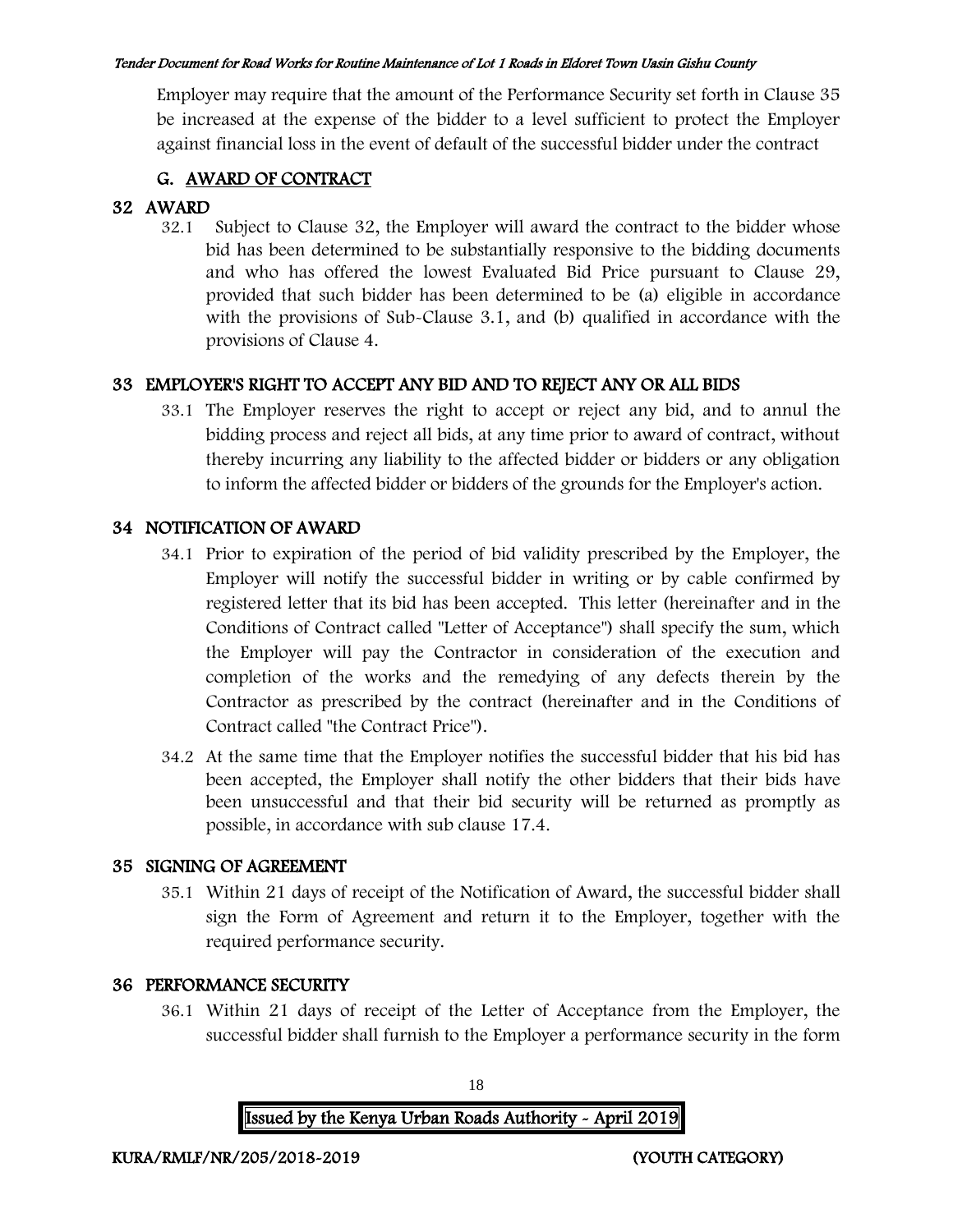Employer may require that the amount of the Performance Security set forth in Clause 35 be increased at the expense of the bidder to a level sufficient to protect the Employer against financial loss in the event of default of the successful bidder under the contract

## G. AWARD OF CONTRACT

## 32 AWARD

32.1 Subject to Clause 32, the Employer will award the contract to the bidder whose bid has been determined to be substantially responsive to the bidding documents and who has offered the lowest Evaluated Bid Price pursuant to Clause 29, provided that such bidder has been determined to be (a) eligible in accordance with the provisions of Sub-Clause 3.1, and (b) qualified in accordance with the provisions of Clause 4.

## 33 EMPLOYER'S RIGHT TO ACCEPT ANY BID AND TO REJECT ANY OR ALL BIDS

33.1 The Employer reserves the right to accept or reject any bid, and to annul the bidding process and reject all bids, at any time prior to award of contract, without thereby incurring any liability to the affected bidder or bidders or any obligation to inform the affected bidder or bidders of the grounds for the Employer's action.

## 34 NOTIFICATION OF AWARD

- 34.1 Prior to expiration of the period of bid validity prescribed by the Employer, the Employer will notify the successful bidder in writing or by cable confirmed by registered letter that its bid has been accepted. This letter (hereinafter and in the Conditions of Contract called "Letter of Acceptance") shall specify the sum, which the Employer will pay the Contractor in consideration of the execution and completion of the works and the remedying of any defects therein by the Contractor as prescribed by the contract (hereinafter and in the Conditions of Contract called "the Contract Price").
- 34.2 At the same time that the Employer notifies the successful bidder that his bid has been accepted, the Employer shall notify the other bidders that their bids have been unsuccessful and that their bid security will be returned as promptly as possible, in accordance with sub clause 17.4.

## 35 SIGNING OF AGREEMENT

35.1 Within 21 days of receipt of the Notification of Award, the successful bidder shall sign the Form of Agreement and return it to the Employer, together with the required performance security.

## 36 PERFORMANCE SECURITY

36.1 Within 21 days of receipt of the Letter of Acceptance from the Employer, the successful bidder shall furnish to the Employer a performance security in the form

| Issued by the Kenya Urban Roads Authority - April 2019 |  |  |
|--------------------------------------------------------|--|--|
|                                                        |  |  |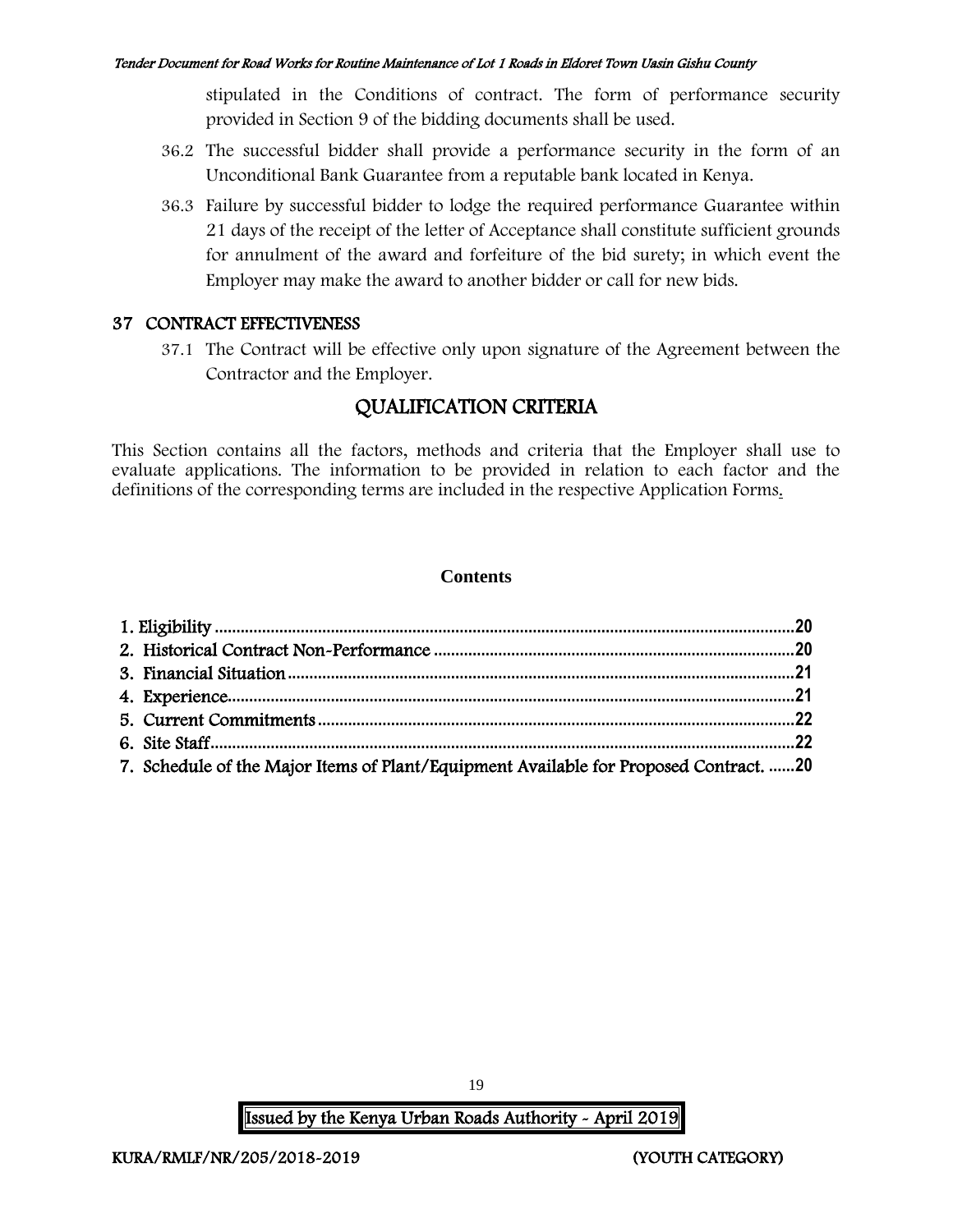stipulated in the Conditions of contract. The form of performance security provided in Section 9 of the bidding documents shall be used.

- 36.2 The successful bidder shall provide a performance security in the form of an Unconditional Bank Guarantee from a reputable bank located in Kenya.
- 36.3 Failure by successful bidder to lodge the required performance Guarantee within 21 days of the receipt of the letter of Acceptance shall constitute sufficient grounds for annulment of the award and forfeiture of the bid surety; in which event the Employer may make the award to another bidder or call for new bids.

### 37 CONTRACT EFFECTIVENESS

37.1 The Contract will be effective only upon signature of the Agreement between the Contractor and the Employer.

## QUALIFICATION CRITERIA

This Section contains all the factors, methods and criteria that the Employer shall use to evaluate applications. The information to be provided in relation to each factor and the definitions of the corresponding terms are included in the respective Application Forms.

### **Contents**

| 7. Schedule of the Major Items of Plant/Equipment Available for Proposed Contract. 20 |  |
|---------------------------------------------------------------------------------------|--|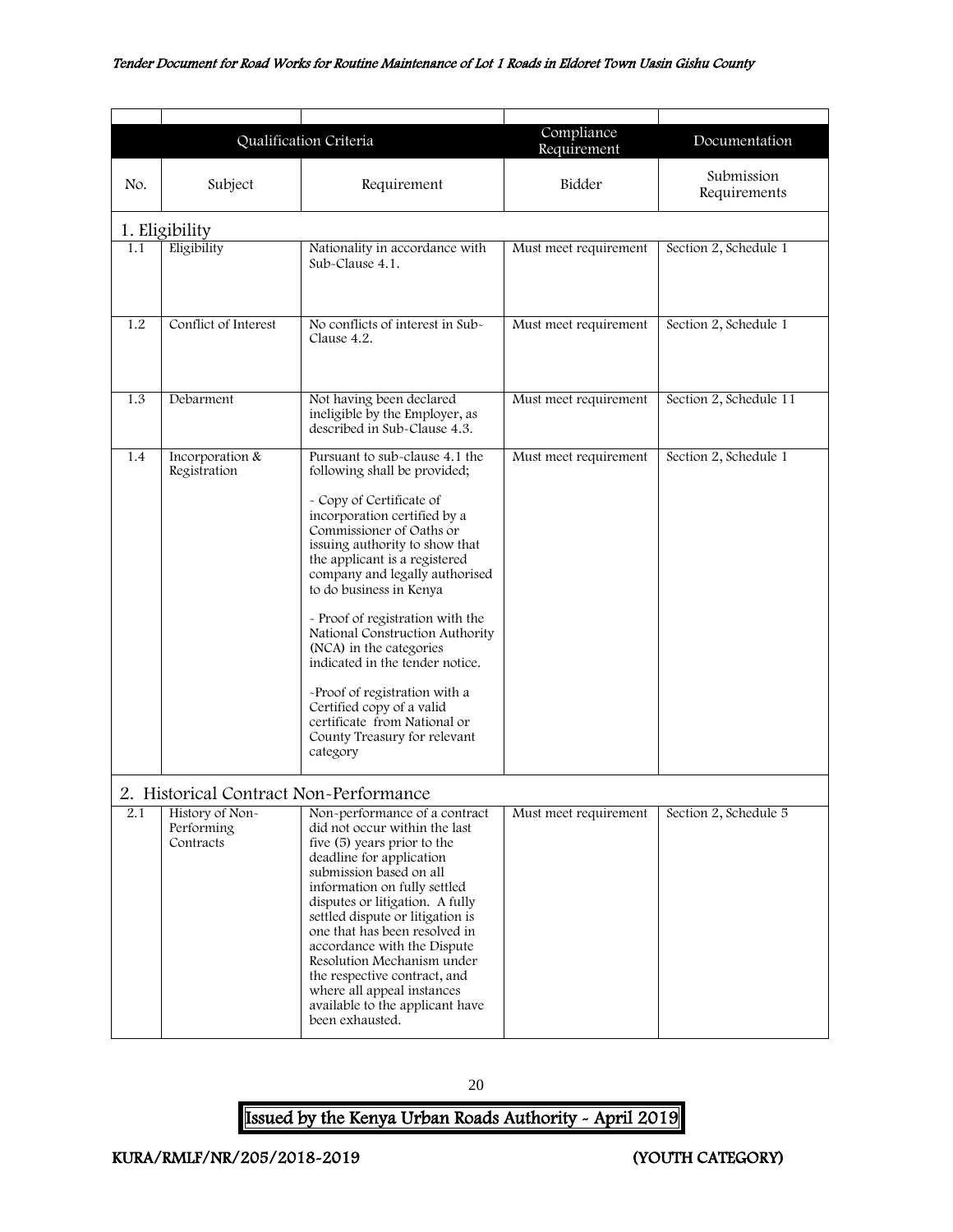<span id="page-20-2"></span><span id="page-20-1"></span><span id="page-20-0"></span>

|                                                                                                                                                                                                                                                                                                                                                                                                                                                                                                                                                                              |                                 |                                                                                                                                                                                                                                                                                                                                                                                                                                                                                                                                                                       | Compliance            |                            |  |  |
|------------------------------------------------------------------------------------------------------------------------------------------------------------------------------------------------------------------------------------------------------------------------------------------------------------------------------------------------------------------------------------------------------------------------------------------------------------------------------------------------------------------------------------------------------------------------------|---------------------------------|-----------------------------------------------------------------------------------------------------------------------------------------------------------------------------------------------------------------------------------------------------------------------------------------------------------------------------------------------------------------------------------------------------------------------------------------------------------------------------------------------------------------------------------------------------------------------|-----------------------|----------------------------|--|--|
|                                                                                                                                                                                                                                                                                                                                                                                                                                                                                                                                                                              | Qualification Criteria          |                                                                                                                                                                                                                                                                                                                                                                                                                                                                                                                                                                       | Requirement           | Documentation              |  |  |
| No.                                                                                                                                                                                                                                                                                                                                                                                                                                                                                                                                                                          | Subject                         | Requirement                                                                                                                                                                                                                                                                                                                                                                                                                                                                                                                                                           | Bidder                | Submission<br>Requirements |  |  |
|                                                                                                                                                                                                                                                                                                                                                                                                                                                                                                                                                                              | 1. Eligibility                  |                                                                                                                                                                                                                                                                                                                                                                                                                                                                                                                                                                       |                       |                            |  |  |
| 1.1                                                                                                                                                                                                                                                                                                                                                                                                                                                                                                                                                                          | Eligibility                     | Nationality in accordance with<br>Sub-Clause 4.1.                                                                                                                                                                                                                                                                                                                                                                                                                                                                                                                     | Must meet requirement | Section 2, Schedule 1      |  |  |
| 1.2                                                                                                                                                                                                                                                                                                                                                                                                                                                                                                                                                                          | Conflict of Interest            | No conflicts of interest in Sub-<br>Clause 4.2.                                                                                                                                                                                                                                                                                                                                                                                                                                                                                                                       | Must meet requirement | Section 2, Schedule 1      |  |  |
| 1.3                                                                                                                                                                                                                                                                                                                                                                                                                                                                                                                                                                          | Debarment                       | Not having been declared<br>ineligible by the Employer, as<br>described in Sub-Clause 4.3.                                                                                                                                                                                                                                                                                                                                                                                                                                                                            | Must meet requirement | Section 2, Schedule 11     |  |  |
| 1.4                                                                                                                                                                                                                                                                                                                                                                                                                                                                                                                                                                          | Incorporation &<br>Registration | Pursuant to sub-clause 4.1 the<br>following shall be provided;<br>- Copy of Certificate of<br>incorporation certified by a<br>Commissioner of Oaths or<br>issuing authority to show that<br>the applicant is a registered<br>company and legally authorised<br>to do business in Kenya<br>- Proof of registration with the<br>National Construction Authority<br>(NCA) in the categories<br>indicated in the tender notice.<br>-Proof of registration with a<br>Certified copy of a valid<br>certificate from National or<br>County Treasury for relevant<br>category | Must meet requirement | Section 2, Schedule 1      |  |  |
| 2. Historical Contract Non-Performance<br>History of Non-<br>Non-performance of a contract<br>2.1<br>Performing<br>did not occur within the last<br>five (5) years prior to the<br>Contracts<br>deadline for application<br>submission based on all<br>information on fully settled<br>disputes or litigation. A fully<br>settled dispute or litigation is<br>one that has been resolved in<br>accordance with the Dispute<br>Resolution Mechanism under<br>the respective contract, and<br>where all appeal instances<br>available to the applicant have<br>been exhausted. |                                 | Must meet requirement                                                                                                                                                                                                                                                                                                                                                                                                                                                                                                                                                 | Section 2, Schedule 5 |                            |  |  |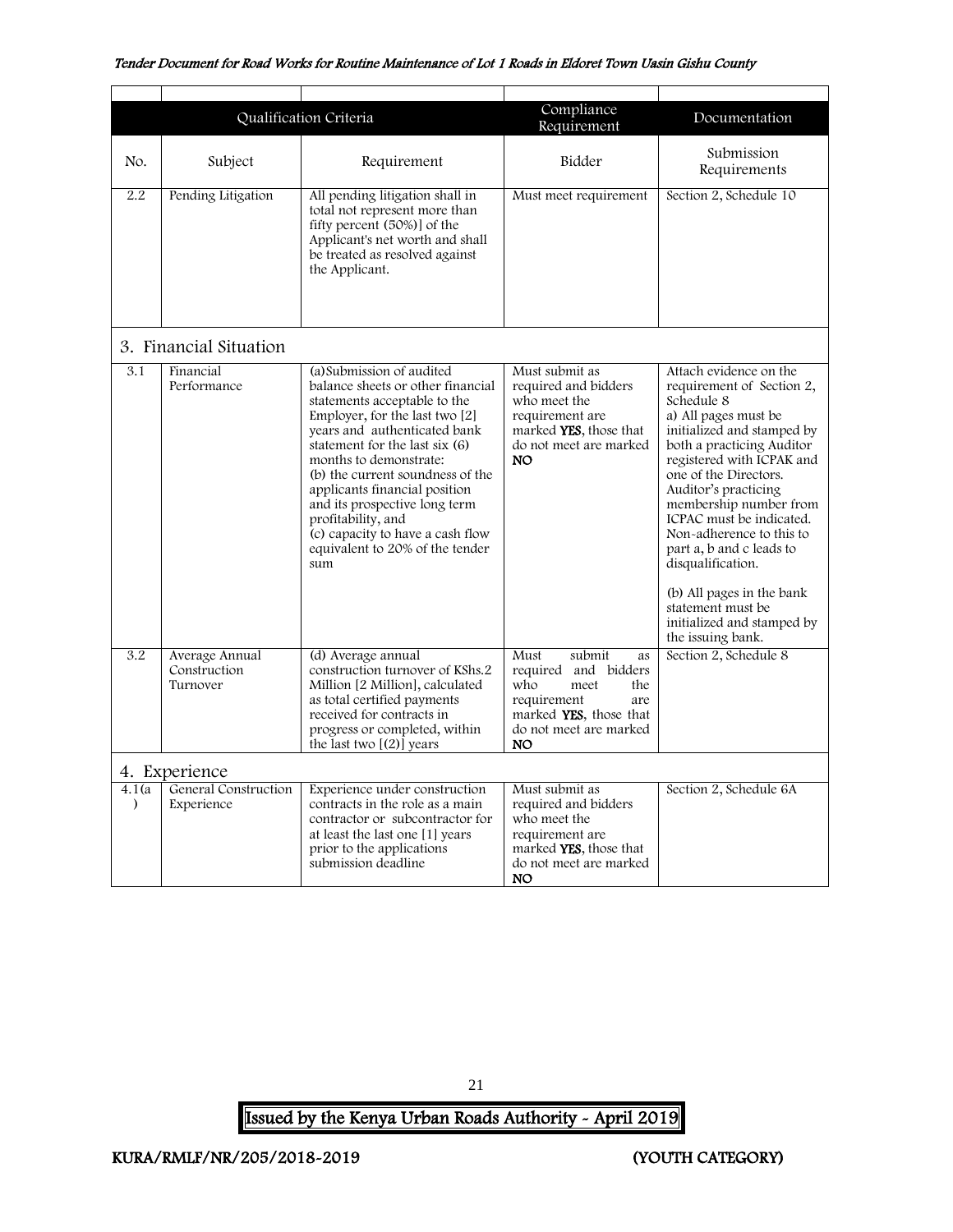<span id="page-21-0"></span>

|                     |                                            | Qualification Criteria                                                                                                                                                                                                                                                                                                                                                                                                                     | Compliance<br>Requirement                                                                                                                           | Documentation                                                                                                                                                                                                                                                                                                                                                                                                                                                              |
|---------------------|--------------------------------------------|--------------------------------------------------------------------------------------------------------------------------------------------------------------------------------------------------------------------------------------------------------------------------------------------------------------------------------------------------------------------------------------------------------------------------------------------|-----------------------------------------------------------------------------------------------------------------------------------------------------|----------------------------------------------------------------------------------------------------------------------------------------------------------------------------------------------------------------------------------------------------------------------------------------------------------------------------------------------------------------------------------------------------------------------------------------------------------------------------|
| No.                 | Subject                                    | Requirement                                                                                                                                                                                                                                                                                                                                                                                                                                | Bidder                                                                                                                                              | Submission<br>Requirements                                                                                                                                                                                                                                                                                                                                                                                                                                                 |
| 2.2                 | Pending Litigation                         | All pending litigation shall in<br>total not represent more than<br>fifty percent (50%) of the<br>Applicant's net worth and shall<br>be treated as resolved against<br>the Applicant.                                                                                                                                                                                                                                                      | Must meet requirement                                                                                                                               | Section 2, Schedule 10                                                                                                                                                                                                                                                                                                                                                                                                                                                     |
|                     | 3. Financial Situation                     |                                                                                                                                                                                                                                                                                                                                                                                                                                            |                                                                                                                                                     |                                                                                                                                                                                                                                                                                                                                                                                                                                                                            |
| 3.1                 | Financial<br>Performance                   | (a) Submission of audited<br>balance sheets or other financial<br>statements acceptable to the<br>Employer, for the last two $[2]$<br>years and authenticated bank<br>statement for the last six $(6)$<br>months to demonstrate:<br>(b) the current soundness of the<br>applicants financial position<br>and its prospective long term<br>profitability, and<br>(c) capacity to have a cash flow<br>equivalent to 20% of the tender<br>sum | Must submit as<br>required and bidders<br>who meet the<br>requirement are<br>marked YES, those that<br>do not meet are marked<br><b>NO</b>          | Attach evidence on the<br>requirement of Section 2,<br>Schedule 8<br>a) All pages must be<br>initialized and stamped by<br>both a practicing Auditor<br>registered with ICPAK and<br>one of the Directors.<br>Auditor's practicing<br>membership number from<br>ICPAC must be indicated.<br>Non-adherence to this to<br>part a, b and c leads to<br>disqualification.<br>(b) All pages in the bank<br>statement must be<br>initialized and stamped by<br>the issuing bank. |
| 3.2                 | Average Annual<br>Construction<br>Turnover | (d) Average annual<br>construction turnover of KShs.2<br>Million [2 Million], calculated<br>as total certified payments<br>received for contracts in<br>progress or completed, within<br>the last two $[(2)]$ years                                                                                                                                                                                                                        | submit<br>Must<br>as<br>required and bidders<br>who<br>meet<br>the<br>requirement<br>are<br>marked YES, those that<br>do not meet are marked<br>NO. | Section 2, Schedule 8                                                                                                                                                                                                                                                                                                                                                                                                                                                      |
|                     | 4. Experience                              |                                                                                                                                                                                                                                                                                                                                                                                                                                            |                                                                                                                                                     |                                                                                                                                                                                                                                                                                                                                                                                                                                                                            |
| 4.1(a)<br>$\lambda$ | General Construction<br>Experience         | Experience under construction<br>contracts in the role as a main<br>contractor or subcontractor for<br>at least the last one [1] years<br>prior to the applications<br>submission deadline                                                                                                                                                                                                                                                 | Must submit as<br>required and bidders<br>who meet the<br>requirement are<br>marked <b>YES</b> , those that<br>do not meet are marked<br><b>NO</b>  | Section 2, Schedule 6A                                                                                                                                                                                                                                                                                                                                                                                                                                                     |

<span id="page-21-1"></span>21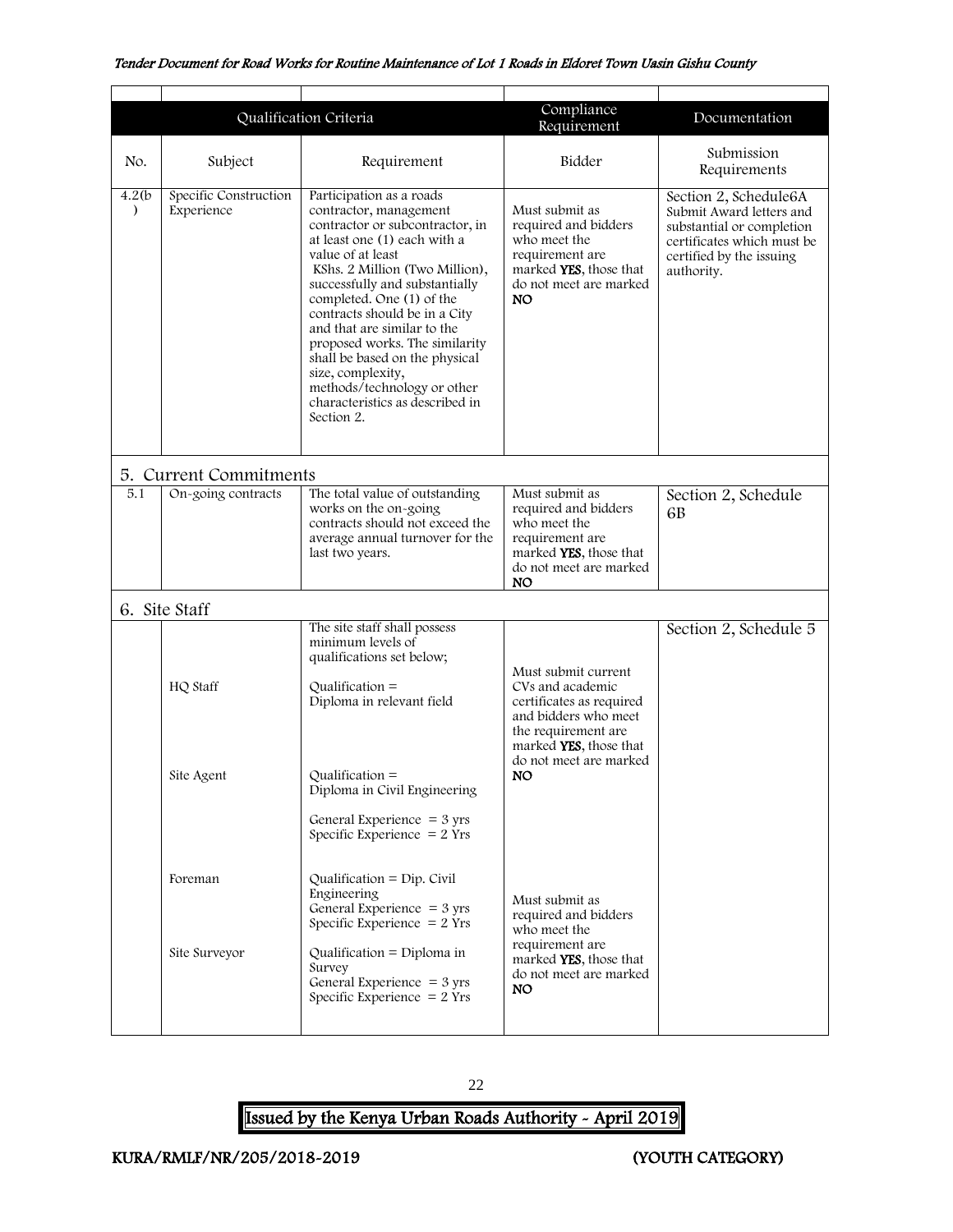<span id="page-22-1"></span><span id="page-22-0"></span>

|                         |                                     | Qualification Criteria                                                                                                                                                                                                                                                                                                                                                                                                                                                               | Compliance<br>Requirement                                                                                                            | Documentation                                                                                                                                          |
|-------------------------|-------------------------------------|--------------------------------------------------------------------------------------------------------------------------------------------------------------------------------------------------------------------------------------------------------------------------------------------------------------------------------------------------------------------------------------------------------------------------------------------------------------------------------------|--------------------------------------------------------------------------------------------------------------------------------------|--------------------------------------------------------------------------------------------------------------------------------------------------------|
| No.                     | Subject                             | Requirement                                                                                                                                                                                                                                                                                                                                                                                                                                                                          | Bidder                                                                                                                               | Submission<br>Requirements                                                                                                                             |
| 4.2(b)<br>$\mathcal{E}$ | Specific Construction<br>Experience | Participation as a roads<br>contractor, management<br>contractor or subcontractor, in<br>at least one (1) each with a<br>value of at least<br>KShs. 2 Million (Two Million),<br>successfully and substantially<br>completed. One (1) of the<br>contracts should be in a City<br>and that are similar to the<br>proposed works. The similarity<br>shall be based on the physical<br>size, complexity,<br>methods/technology or other<br>characteristics as described in<br>Section 2. | Must submit as<br>required and bidders<br>who meet the<br>requirement are<br>marked YES, those that<br>do not meet are marked<br>NO. | Section 2, Schedule6A<br>Submit Award letters and<br>substantial or completion<br>certificates which must be<br>certified by the issuing<br>authority. |
|                         | 5. Current Commitments              |                                                                                                                                                                                                                                                                                                                                                                                                                                                                                      |                                                                                                                                      |                                                                                                                                                        |
| 5.1                     | On-going contracts                  | The total value of outstanding<br>works on the on-going<br>contracts should not exceed the<br>average annual turnover for the<br>last two years.                                                                                                                                                                                                                                                                                                                                     | Must submit as<br>required and bidders<br>who meet the<br>requirement are<br>marked YES, those that<br>do not meet are marked<br>NO. | Section 2, Schedule<br>6B                                                                                                                              |
|                         | 6. Site Staff                       |                                                                                                                                                                                                                                                                                                                                                                                                                                                                                      |                                                                                                                                      |                                                                                                                                                        |
|                         | HQ Staff                            | The site staff shall possess<br>minimum levels of<br>qualifications set below;<br>$Qualification =$<br>Diploma in relevant field                                                                                                                                                                                                                                                                                                                                                     |                                                                                                                                      | Section 2, Schedule 5                                                                                                                                  |
|                         | Site Agent                          | $Qualification =$<br>Diploma in Civil Engineering<br>General Experience $=$ 3 yrs<br>Specific Experience $= 2$ Yrs                                                                                                                                                                                                                                                                                                                                                                   | do not meet are marked<br>NO.                                                                                                        |                                                                                                                                                        |
|                         | Foreman<br>Site Surveyor            | Qualification = $Dip$ . Civil<br>Engineering<br>General Experience $=$ 3 yrs<br>Specific Experience $= 2$ Yrs<br>Qualification = Diploma in                                                                                                                                                                                                                                                                                                                                          | Must submit as<br>required and bidders<br>who meet the<br>requirement are                                                            |                                                                                                                                                        |
|                         |                                     | Survey<br>General Experience $=$ 3 yrs<br>Specific Experience $= 2$ Yrs                                                                                                                                                                                                                                                                                                                                                                                                              | marked YES, those that<br>do not meet are marked<br>NO.                                                                              |                                                                                                                                                        |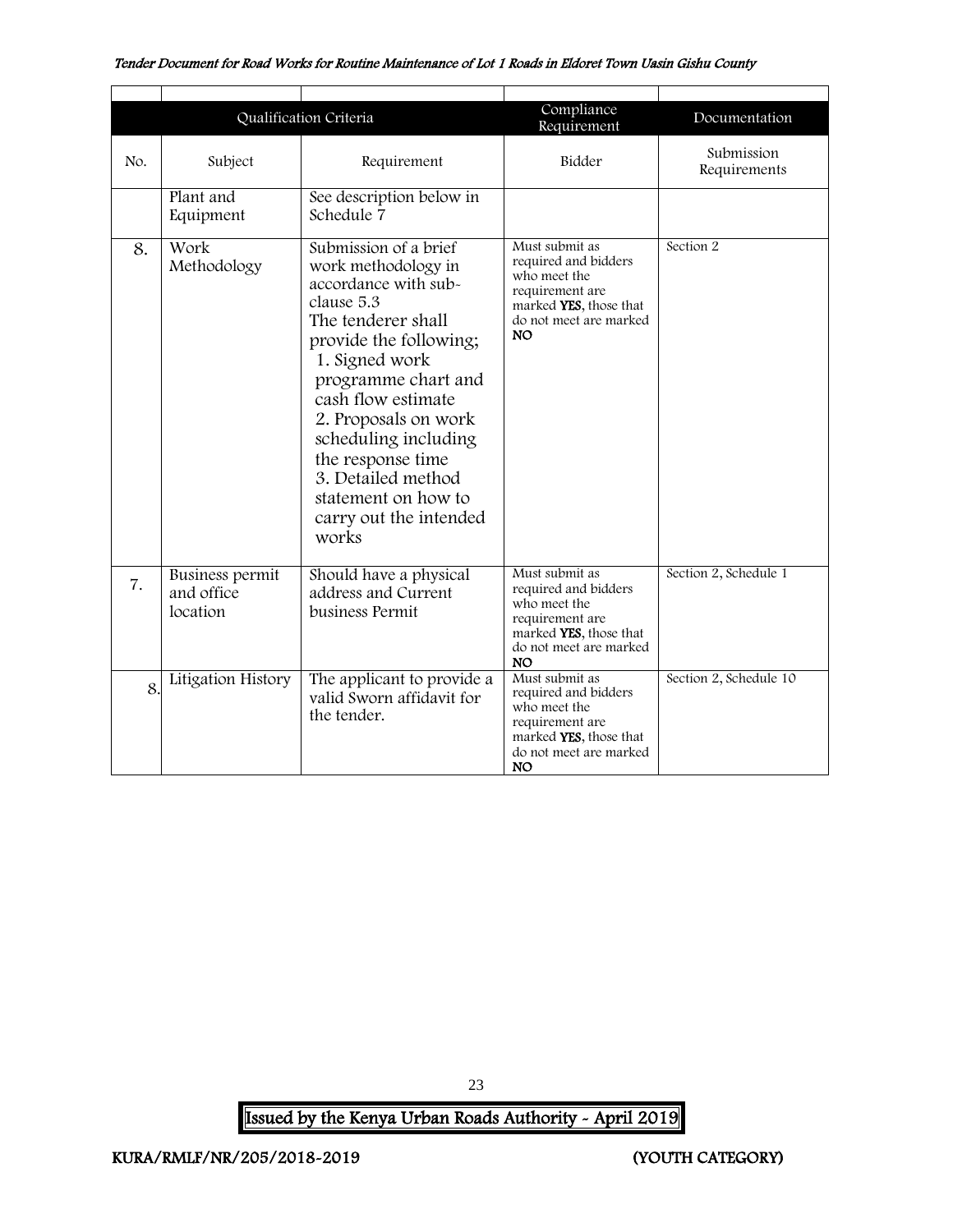|                                                                                                                                                                                                                                                                                                                                                                                     | Qualification Criteria                                                                       |                                                                                                                                            | Compliance<br>Requirement                                                                                                                  | Documentation              |
|-------------------------------------------------------------------------------------------------------------------------------------------------------------------------------------------------------------------------------------------------------------------------------------------------------------------------------------------------------------------------------------|----------------------------------------------------------------------------------------------|--------------------------------------------------------------------------------------------------------------------------------------------|--------------------------------------------------------------------------------------------------------------------------------------------|----------------------------|
| No.                                                                                                                                                                                                                                                                                                                                                                                 | Subject                                                                                      | Requirement                                                                                                                                | Bidder                                                                                                                                     | Submission<br>Requirements |
|                                                                                                                                                                                                                                                                                                                                                                                     | Plant and<br>Equipment                                                                       | See description below in<br>Schedule 7                                                                                                     |                                                                                                                                            |                            |
| Submission of a brief<br>Work<br>8.<br>Methodology<br>work methodology in<br>accordance with sub-<br>clause 5.3<br>The tenderer shall<br>provide the following;<br>1. Signed work<br>programme chart and<br>cash flow estimate<br>2. Proposals on work<br>scheduling including<br>the response time<br>3. Detailed method<br>statement on how to<br>carry out the intended<br>works |                                                                                              | Must submit as<br>required and bidders<br>who meet the<br>requirement are<br>marked YES, those that<br>do not meet are marked<br><b>NO</b> | Section 2                                                                                                                                  |                            |
| 7.                                                                                                                                                                                                                                                                                                                                                                                  | Business permit<br>and office<br>location                                                    | Should have a physical<br>address and Current<br>business Permit                                                                           | Must submit as<br>required and bidders<br>who meet the<br>requirement are<br>marked YES, those that<br>do not meet are marked<br><b>NO</b> | Section 2, Schedule 1      |
| 8                                                                                                                                                                                                                                                                                                                                                                                   | Litigation History<br>The applicant to provide a<br>valid Sworn affidavit for<br>the tender. |                                                                                                                                            | Must submit as<br>required and bidders<br>who meet the<br>requirement are<br>marked YES, those that<br>do not meet are marked<br><b>NO</b> | Section 2, Schedule 10     |

23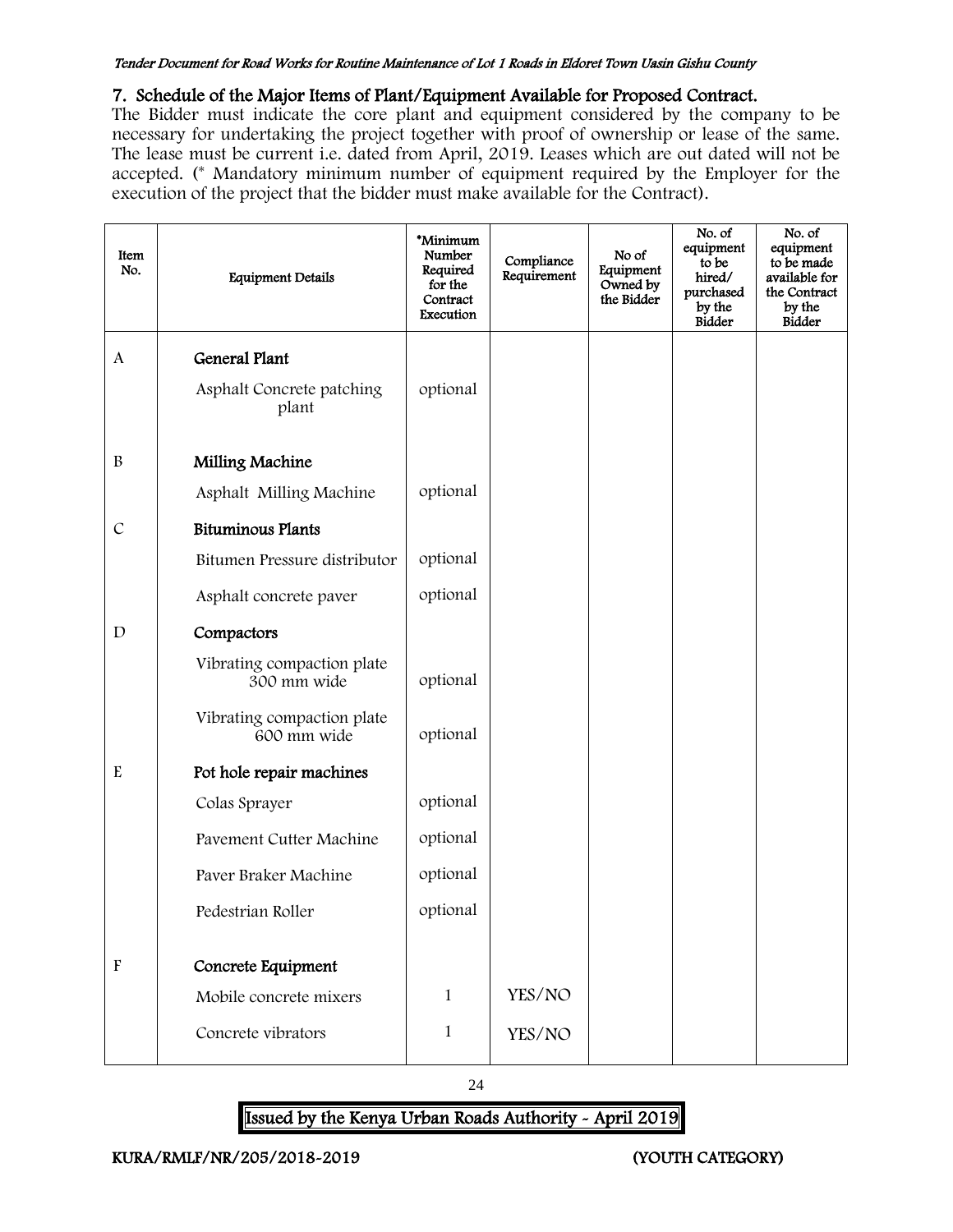### 7. Schedule of the Major Items of Plant/Equipment Available for Proposed Contract.

The Bidder must indicate the core plant and equipment considered by the company to be necessary for undertaking the project together with proof of ownership or lease of the same. The lease must be current i.e. dated from April, 2019. Leases which are out dated will not be accepted. (\* Mandatory minimum number of equipment required by the Employer for the execution of the project that the bidder must make available for the Contract).

| Item<br>No.               | <b>Equipment Details</b>                  | *Minimum<br>Number<br>Required<br>for the<br>Contract<br>Execution | Compliance<br>Requirement | No of<br>Equipment<br>Owned by<br>the Bidder | No. of<br>equipment<br>to be<br>hired/<br>purchased<br>by the<br><b>Bidder</b> | No. of<br>equipment<br>to be made<br>available for<br>the Contract<br>by the<br><b>Bidder</b> |
|---------------------------|-------------------------------------------|--------------------------------------------------------------------|---------------------------|----------------------------------------------|--------------------------------------------------------------------------------|-----------------------------------------------------------------------------------------------|
| A                         | <b>General Plant</b>                      |                                                                    |                           |                                              |                                                                                |                                                                                               |
|                           | Asphalt Concrete patching<br>plant        | optional                                                           |                           |                                              |                                                                                |                                                                                               |
| $\, {\bf B}$              | Milling Machine                           |                                                                    |                           |                                              |                                                                                |                                                                                               |
|                           | Asphalt Milling Machine                   | optional                                                           |                           |                                              |                                                                                |                                                                                               |
| $\cal C$                  | <b>Bituminous Plants</b>                  |                                                                    |                           |                                              |                                                                                |                                                                                               |
|                           | Bitumen Pressure distributor              | optional                                                           |                           |                                              |                                                                                |                                                                                               |
|                           | Asphalt concrete paver                    | optional                                                           |                           |                                              |                                                                                |                                                                                               |
| $\mathbf D$               | Compactors                                |                                                                    |                           |                                              |                                                                                |                                                                                               |
|                           | Vibrating compaction plate<br>300 mm wide | optional                                                           |                           |                                              |                                                                                |                                                                                               |
|                           | Vibrating compaction plate<br>600 mm wide | optional                                                           |                           |                                              |                                                                                |                                                                                               |
| ${\bf E}$                 | Pot hole repair machines                  |                                                                    |                           |                                              |                                                                                |                                                                                               |
|                           | Colas Sprayer                             | optional                                                           |                           |                                              |                                                                                |                                                                                               |
|                           | Pavement Cutter Machine                   | optional                                                           |                           |                                              |                                                                                |                                                                                               |
|                           | Paver Braker Machine                      | optional                                                           |                           |                                              |                                                                                |                                                                                               |
|                           | Pedestrian Roller                         | optional                                                           |                           |                                              |                                                                                |                                                                                               |
|                           |                                           |                                                                    |                           |                                              |                                                                                |                                                                                               |
| $\boldsymbol{\mathrm{F}}$ | Concrete Equipment                        |                                                                    |                           |                                              |                                                                                |                                                                                               |
|                           | Mobile concrete mixers                    | 1                                                                  | YES/NO                    |                                              |                                                                                |                                                                                               |
|                           | Concrete vibrators                        | 1                                                                  | YES/NO                    |                                              |                                                                                |                                                                                               |
|                           |                                           |                                                                    |                           |                                              |                                                                                |                                                                                               |

24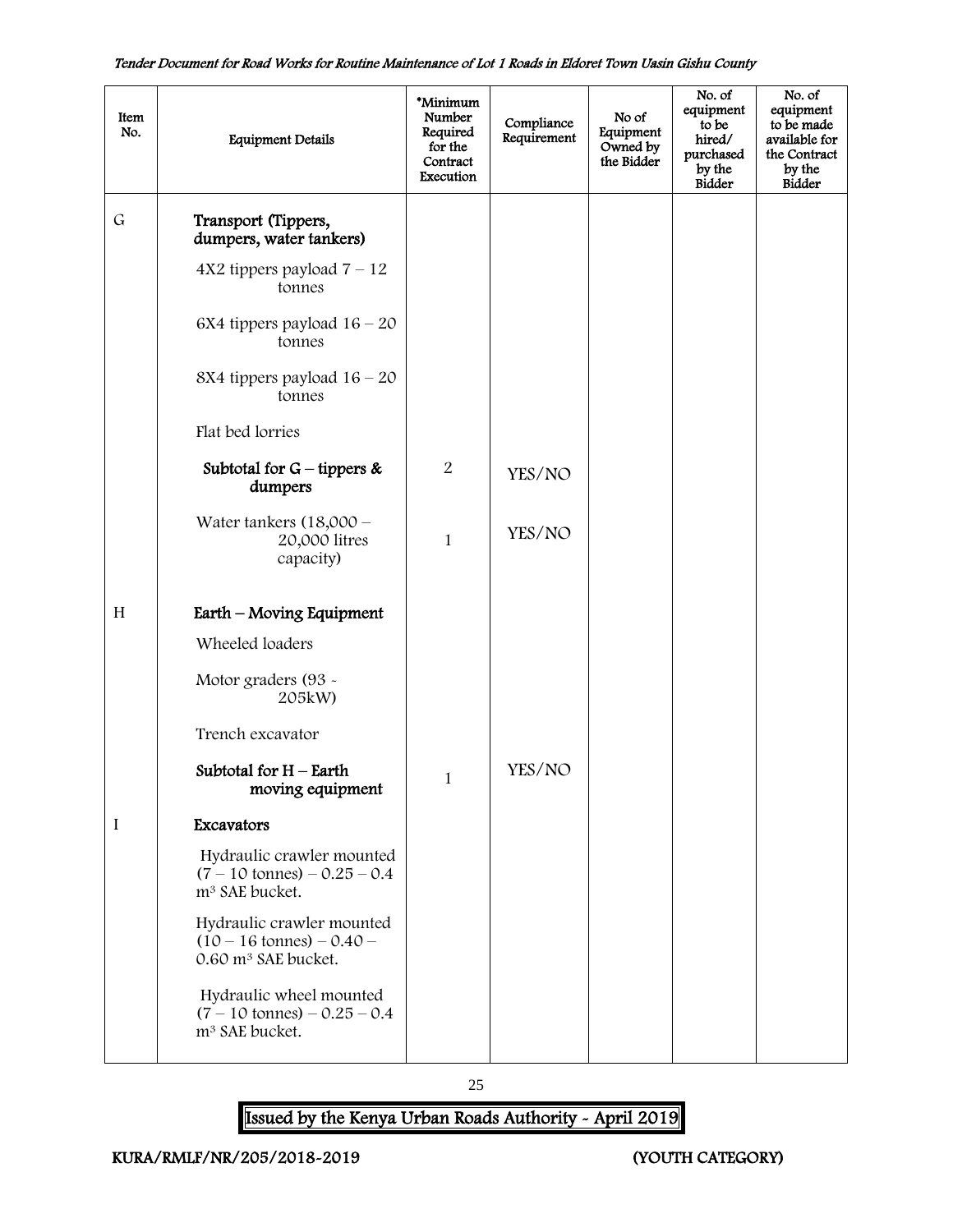| Item<br>No. | <b>Equipment Details</b>                                                                            | *Minimum<br>Number<br>Required<br>for the<br>Contract<br>Execution | Compliance<br>Requirement | No of<br>Equipment<br>Owned by<br>the Bidder | No. of<br>equipment<br>to be<br>hired/<br>purchased<br>by the<br><b>Bidder</b> | No. of<br>equipment<br>to be made<br>available for<br>the Contract<br>by the<br>Bidder |
|-------------|-----------------------------------------------------------------------------------------------------|--------------------------------------------------------------------|---------------------------|----------------------------------------------|--------------------------------------------------------------------------------|----------------------------------------------------------------------------------------|
| $\mathsf G$ | Transport (Tippers,<br>dumpers, water tankers)                                                      |                                                                    |                           |                                              |                                                                                |                                                                                        |
|             | $4X2$ tippers payload $7 - 12$<br>tonnes                                                            |                                                                    |                           |                                              |                                                                                |                                                                                        |
|             | 6X4 tippers payload $16 - 20$<br>tonnes                                                             |                                                                    |                           |                                              |                                                                                |                                                                                        |
|             | 8X4 tippers payload $16 - 20$<br>tonnes                                                             |                                                                    |                           |                                              |                                                                                |                                                                                        |
|             | Flat bed lorries                                                                                    |                                                                    |                           |                                              |                                                                                |                                                                                        |
|             | Subtotal for $G$ – tippers &<br>dumpers                                                             | $\boldsymbol{2}$                                                   | YES/NO                    |                                              |                                                                                |                                                                                        |
|             | Water tankers $(18,000 -$<br>20,000 litres<br>capacity)                                             | $\mathbf{1}$                                                       | YES/NO                    |                                              |                                                                                |                                                                                        |
| H           | Earth – Moving Equipment                                                                            |                                                                    |                           |                                              |                                                                                |                                                                                        |
|             | Wheeled loaders                                                                                     |                                                                    |                           |                                              |                                                                                |                                                                                        |
|             | Motor graders (93 -<br>205kW)                                                                       |                                                                    |                           |                                              |                                                                                |                                                                                        |
|             | Trench excavator                                                                                    |                                                                    |                           |                                              |                                                                                |                                                                                        |
|             | Subtotal for $H$ – Earth<br>moving equipment                                                        | 1                                                                  | YES/NO                    |                                              |                                                                                |                                                                                        |
| I           | Excavators                                                                                          |                                                                    |                           |                                              |                                                                                |                                                                                        |
|             | Hydraulic crawler mounted<br>$(7 - 10 \text{ tonnes}) - 0.25 - 0.4$<br>m <sup>3</sup> SAE bucket.   |                                                                    |                           |                                              |                                                                                |                                                                                        |
|             | Hydraulic crawler mounted<br>$(10 - 16 \text{ tonnes}) - 0.40 -$<br>0.60 m <sup>3</sup> SAE bucket. |                                                                    |                           |                                              |                                                                                |                                                                                        |
|             | Hydraulic wheel mounted<br>$(7 - 10 \text{ tonnes}) - 0.25 - 0.4$<br>m <sup>3</sup> SAE bucket.     |                                                                    |                           |                                              |                                                                                |                                                                                        |

25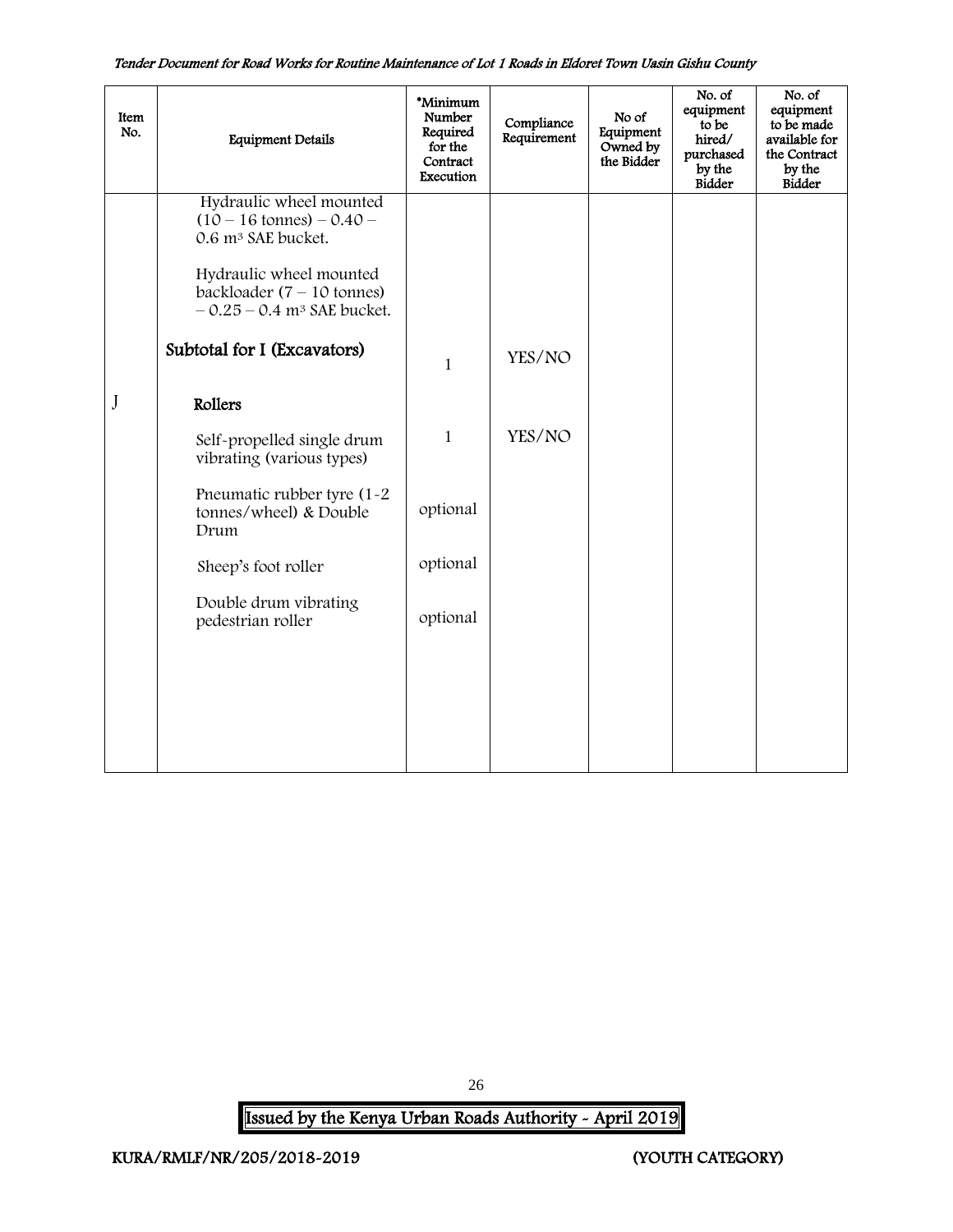| Item<br>No. | <b>Equipment Details</b>                                                                            | *Minimum<br>Number<br>Required<br>for the<br>Contract<br>Execution | Compliance<br>Requirement | No of<br>Equipment<br>Owned by<br>the Bidder | No. of<br>equipment<br>to be<br>hired/<br>purchased<br>by the<br><b>Bidder</b> | No. of<br>equipment<br>to be made<br>available for<br>the Contract<br>by the<br>Bidder |
|-------------|-----------------------------------------------------------------------------------------------------|--------------------------------------------------------------------|---------------------------|----------------------------------------------|--------------------------------------------------------------------------------|----------------------------------------------------------------------------------------|
|             | Hydraulic wheel mounted<br>$(10 - 16 \text{ tonnes}) - 0.40 -$<br>0.6 m <sup>3</sup> SAE bucket.    |                                                                    |                           |                                              |                                                                                |                                                                                        |
|             | Hydraulic wheel mounted<br>backloader $(7 - 10$ tonnes)<br>$-0.25 - 0.4$ m <sup>3</sup> SAE bucket. |                                                                    |                           |                                              |                                                                                |                                                                                        |
|             | Subtotal for I (Excavators)                                                                         | $\mathbf{1}$                                                       | YES/NO                    |                                              |                                                                                |                                                                                        |
| J           | Rollers                                                                                             |                                                                    |                           |                                              |                                                                                |                                                                                        |
|             | Self-propelled single drum<br>vibrating (various types)                                             | $\mathbf{1}$                                                       | YES/NO                    |                                              |                                                                                |                                                                                        |
|             | Pneumatic rubber tyre (1-2)<br>tonnes/wheel) & Double<br>Drum                                       | optional                                                           |                           |                                              |                                                                                |                                                                                        |
|             | Sheep's foot roller                                                                                 | optional                                                           |                           |                                              |                                                                                |                                                                                        |
|             | Double drum vibrating<br>pedestrian roller                                                          | optional                                                           |                           |                                              |                                                                                |                                                                                        |
|             |                                                                                                     |                                                                    |                           |                                              |                                                                                |                                                                                        |
|             |                                                                                                     |                                                                    |                           |                                              |                                                                                |                                                                                        |

<span id="page-26-0"></span>Issued by the Kenya Urban Roads Authority - April 2019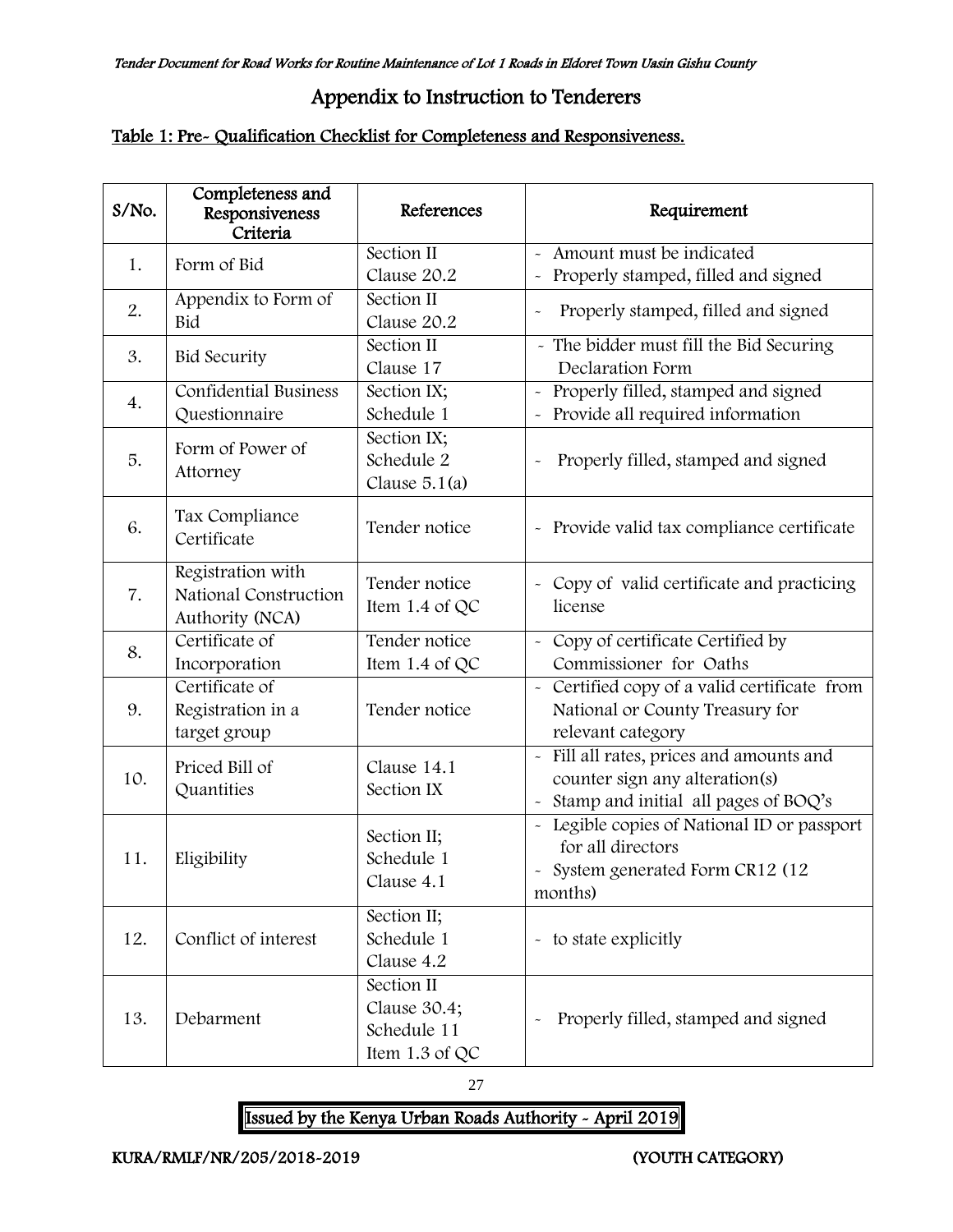# Appendix to Instruction to Tenderers

## Table 1: Pre- Qualification Checklist for Completeness and Responsiveness.

| S/No. | Completeness and<br>Responsiveness<br>Criteria                | References                                                  | Requirement                                                                                                      |
|-------|---------------------------------------------------------------|-------------------------------------------------------------|------------------------------------------------------------------------------------------------------------------|
| 1.    | Form of Bid                                                   | Section II                                                  | Amount must be indicated                                                                                         |
|       |                                                               | Clause 20.2                                                 | Properly stamped, filled and signed<br>$\ddot{\phantom{0}}$                                                      |
| 2.    | Appendix to Form of<br>Bid                                    | Section II<br>Clause 20.2                                   | Properly stamped, filled and signed<br>$\ddot{\phantom{1}}$                                                      |
| 3.    | <b>Bid Security</b>                                           | Section II<br>Clause 17                                     | - The bidder must fill the Bid Securing<br>Declaration Form                                                      |
| 4.    | Confidential Business<br>Questionnaire                        | Section IX;<br>Schedule 1                                   | Properly filled, stamped and signed<br>$\tilde{\phantom{a}}$<br>Provide all required information                 |
| 5.    | Form of Power of<br>Attorney                                  | Section IX;<br>Schedule 2<br>Clause $5.1(a)$                | Properly filled, stamped and signed                                                                              |
| 6.    | Tax Compliance<br>Certificate                                 | Tender notice                                               | - Provide valid tax compliance certificate                                                                       |
| 7.    | Registration with<br>National Construction<br>Authority (NCA) | Tender notice<br>Item 1.4 of QC                             | - Copy of valid certificate and practicing<br>license                                                            |
| 8.    | Certificate of                                                | Tender notice                                               | - Copy of certificate Certified by                                                                               |
|       | Incorporation                                                 | Item 1.4 of QC                                              | Commissioner for Oaths                                                                                           |
| 9.    | Certificate of<br>Registration in a<br>target group           | Tender notice                                               | - Certified copy of a valid certificate from<br>National or County Treasury for<br>relevant category             |
| 10.   | Priced Bill of<br>Quantities                                  | Clause 14.1<br>Section IX                                   | Fill all rates, prices and amounts and<br>counter sign any alteration(s)<br>Stamp and initial all pages of BOQ's |
| 11.   | Eligibility                                                   | Section II;<br>Schedule 1<br>Clause 4.1                     | Legible copies of National ID or passport<br>for all directors<br>- System generated Form CR12 (12<br>months)    |
| 12.   | Conflict of interest                                          | Section II;<br>Schedule 1<br>Clause 4.2                     | - to state explicitly                                                                                            |
| 13.   | Debarment                                                     | Section II<br>Clause 30.4;<br>Schedule 11<br>Item 1.3 of QC | Properly filled, stamped and signed                                                                              |

27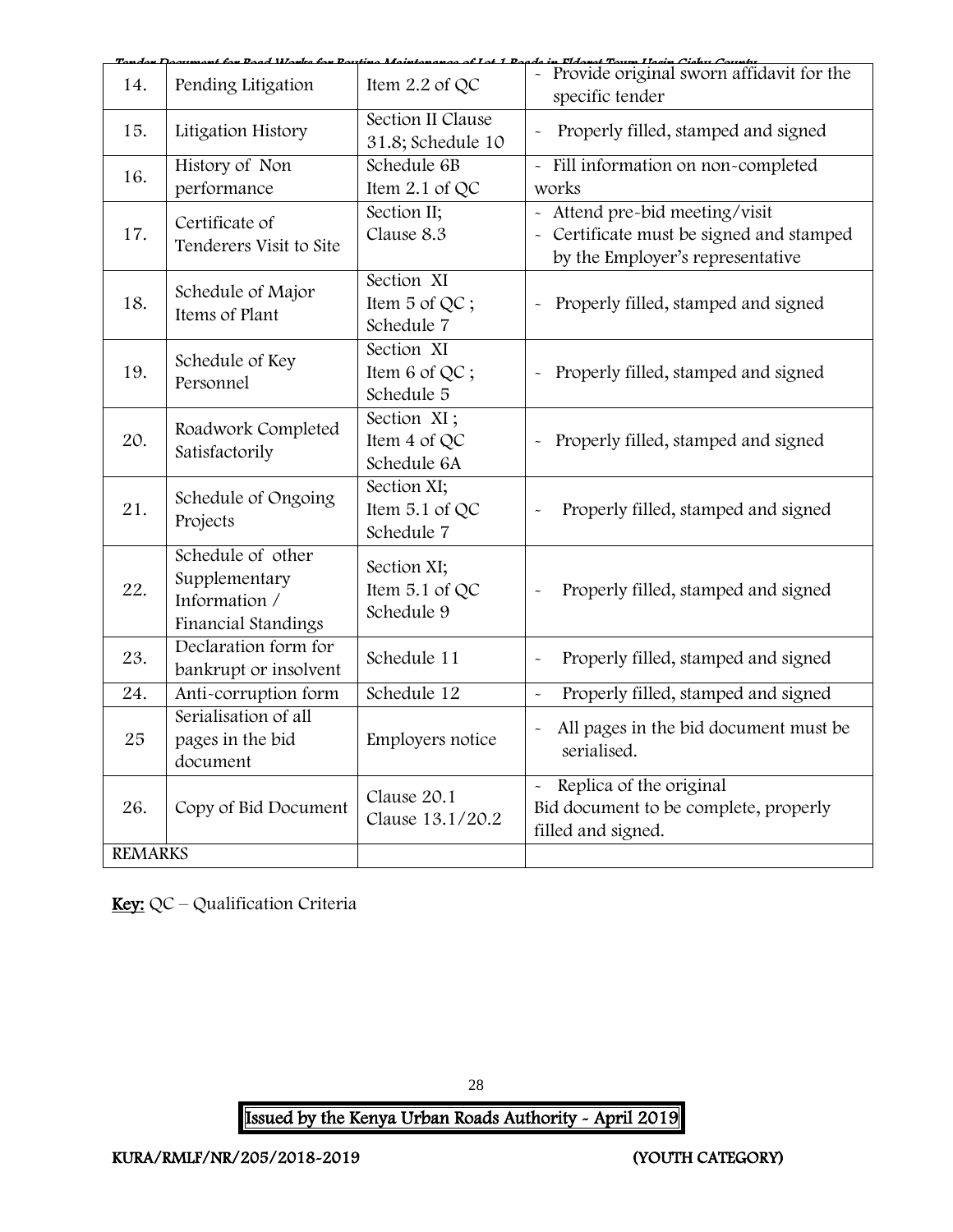|                   |                                                                            | Doed Works for Douting Meintenance of Lot 1 De |                                                                                                                 |
|-------------------|----------------------------------------------------------------------------|------------------------------------------------|-----------------------------------------------------------------------------------------------------------------|
| 14.               | Pending Litigation                                                         | Item $2.2$ of QC                               | do in Flance Town Hacin Cichy County<br>- Provide original sworn affidavit for the<br>specific tender           |
| 15.               | Litigation History                                                         | Section II Clause<br>31.8; Schedule 10         | Properly filled, stamped and signed                                                                             |
| 16.               | History of Non<br>performance                                              | Schedule 6B<br>Item $2.1$ of QC                | - Fill information on non-completed<br>works                                                                    |
| 17.               | Certificate of<br>Tenderers Visit to Site                                  | Section II;<br>Clause 8.3                      | - Attend pre-bid meeting/visit<br>- Certificate must be signed and stamped<br>by the Employer's representative  |
| 18.               | Schedule of Major<br>Items of Plant                                        | Section XI<br>Item 5 of QC;<br>Schedule 7      | Properly filled, stamped and signed                                                                             |
| 19.               | Schedule of Key<br>Personnel                                               | Section XI<br>Item 6 of QC;<br>Schedule 5      | Properly filled, stamped and signed                                                                             |
| 20.               | Roadwork Completed<br>Satisfactorily                                       | Section XI;<br>Item 4 of QC<br>Schedule 6A     | Properly filled, stamped and signed<br>$\sim$                                                                   |
| 21.               | Schedule of Ongoing<br>Projects                                            | Section XI;<br>Item 5.1 of QC<br>Schedule 7    | Properly filled, stamped and signed                                                                             |
| 22.               | Schedule of other<br>Supplementary<br>Information /<br>Financial Standings | Section XI;<br>Item $5.1$ of QC<br>Schedule 9  | Properly filled, stamped and signed                                                                             |
| 23.               | Declaration form for<br>bankrupt or insolvent                              | Schedule 11                                    | Properly filled, stamped and signed<br>$\tilde{\phantom{a}}$                                                    |
| $\overline{24}$ . | Anti-corruption form                                                       | Schedule 12                                    | Properly filled, stamped and signed<br>$\tilde{\phantom{a}}$                                                    |
| 25                | Serialisation of all<br>pages in the bid<br>document                       | Employers notice                               | All pages in the bid document must be<br>$\ddot{\phantom{0}}$<br>serialised.                                    |
| 26.               | Copy of Bid Document                                                       | Clause 20.1<br>Clause 13.1/20.2                | Replica of the original<br>$\tilde{\phantom{a}}$<br>Bid document to be complete, properly<br>filled and signed. |
| <b>REMARKS</b>    |                                                                            |                                                |                                                                                                                 |

Key: QC – Qualification Criteria

28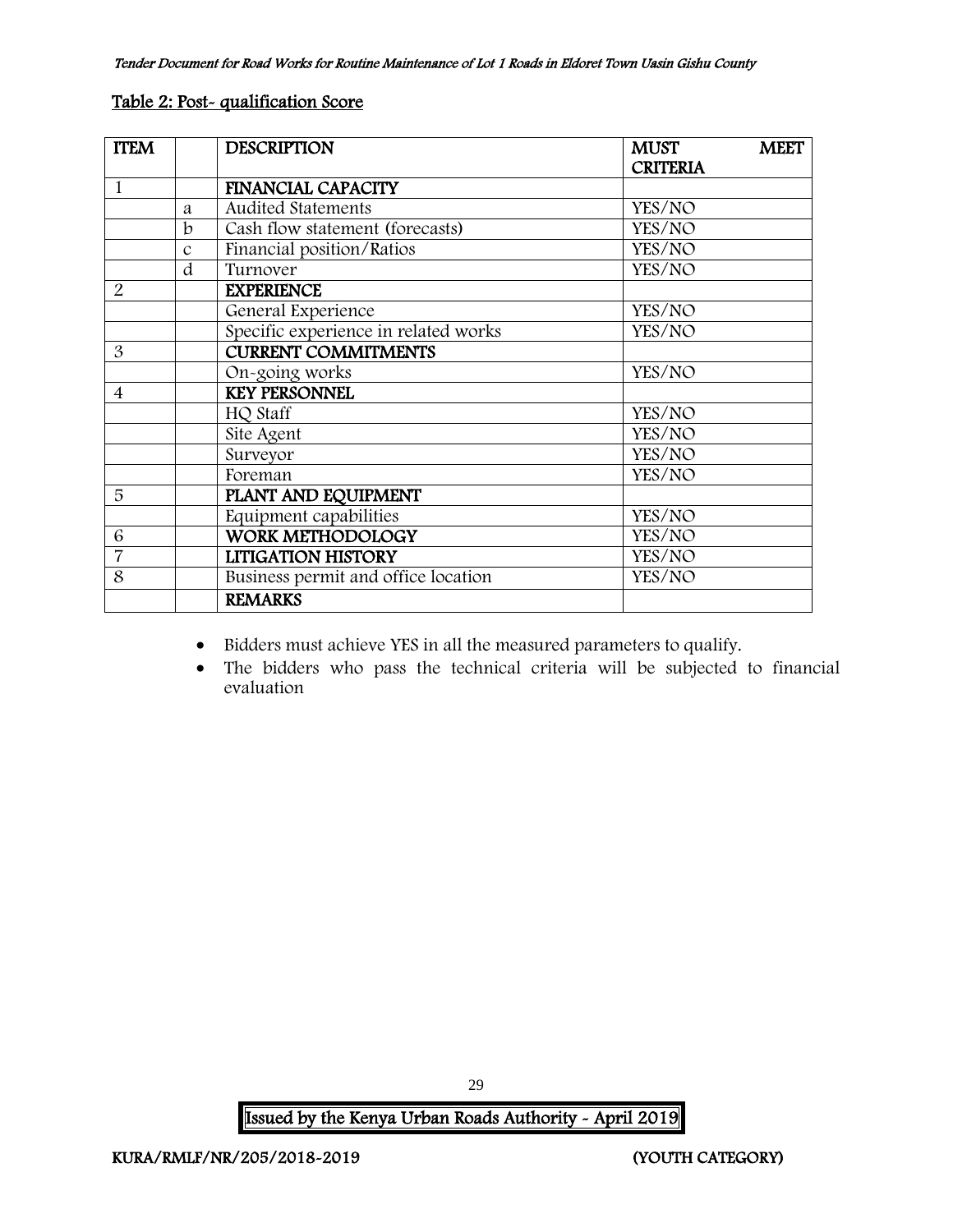#### Table 2: Post- qualification Score

| <b>ITEM</b>              |               | <b>DESCRIPTION</b>                   | <b>MUST</b>     | <b>MEET</b> |
|--------------------------|---------------|--------------------------------------|-----------------|-------------|
|                          |               |                                      | <b>CRITERIA</b> |             |
| 1                        |               | <b>FINANCIAL CAPACITY</b>            |                 |             |
|                          | a             | <b>Audited Statements</b>            | YES/NO          |             |
|                          | b             | Cash flow statement (forecasts)      | YES/NO          |             |
|                          | $\mathcal{C}$ | Financial position/Ratios            | YES/NO          |             |
|                          | d             | Turnover                             | YES/NO          |             |
| 2                        |               | <b>EXPERIENCE</b>                    |                 |             |
|                          |               | General Experience                   | YES/NO          |             |
|                          |               | Specific experience in related works | YES/NO          |             |
| 3                        |               | <b>CURRENT COMMITMENTS</b>           |                 |             |
|                          |               | On-going works                       | YES/NO          |             |
| $\overline{\mathcal{A}}$ |               | <b>KEY PERSONNEL</b>                 |                 |             |
|                          |               | HQ Staff                             | YES/NO          |             |
|                          |               | Site Agent                           | YES/NO          |             |
|                          |               | Surveyor                             | YES/NO          |             |
|                          |               | Foreman                              | YES/NO          |             |
| 5                        |               | PLANT AND EQUIPMENT                  |                 |             |
|                          |               | Equipment capabilities               | YES/NO          |             |
| 6                        |               | <b>WORK METHODOLOGY</b>              | YES/NO          |             |
| $\overline{7}$           |               | <b>LITIGATION HISTORY</b>            | YES/NO          |             |
| 8                        |               | Business permit and office location  | YES/NO          |             |
|                          |               | <b>REMARKS</b>                       |                 |             |

- Bidders must achieve YES in all the measured parameters to qualify.
- The bidders who pass the technical criteria will be subjected to financial evaluation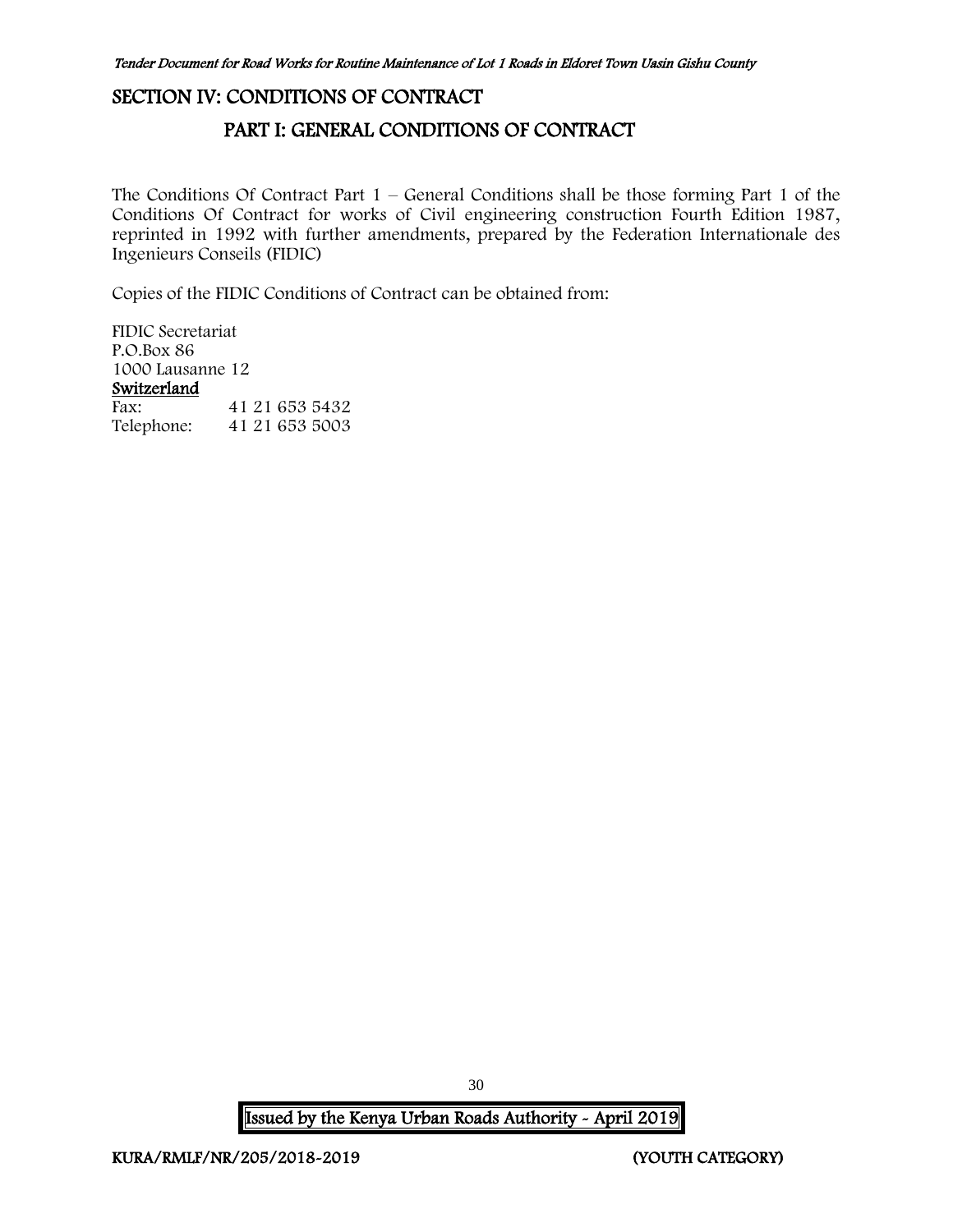## <span id="page-30-1"></span><span id="page-30-0"></span>SECTION IV: CONDITIONS OF CONTRACT

## PART I: GENERAL CONDITIONS OF CONTRACT

The Conditions Of Contract Part  $1$  – General Conditions shall be those forming Part 1 of the Conditions Of Contract for works of Civil engineering construction Fourth Edition 1987, reprinted in 1992 with further amendments, prepared by the Federation Internationale des Ingenieurs Conseils (FIDIC)

Copies of the FIDIC Conditions of Contract can be obtained from:

FIDIC Secretariat P.O.Box 86 1000 Lausanne 12 Switzerland Fax: 41 21 653 5432 Telephone: 41 21 653 5003

30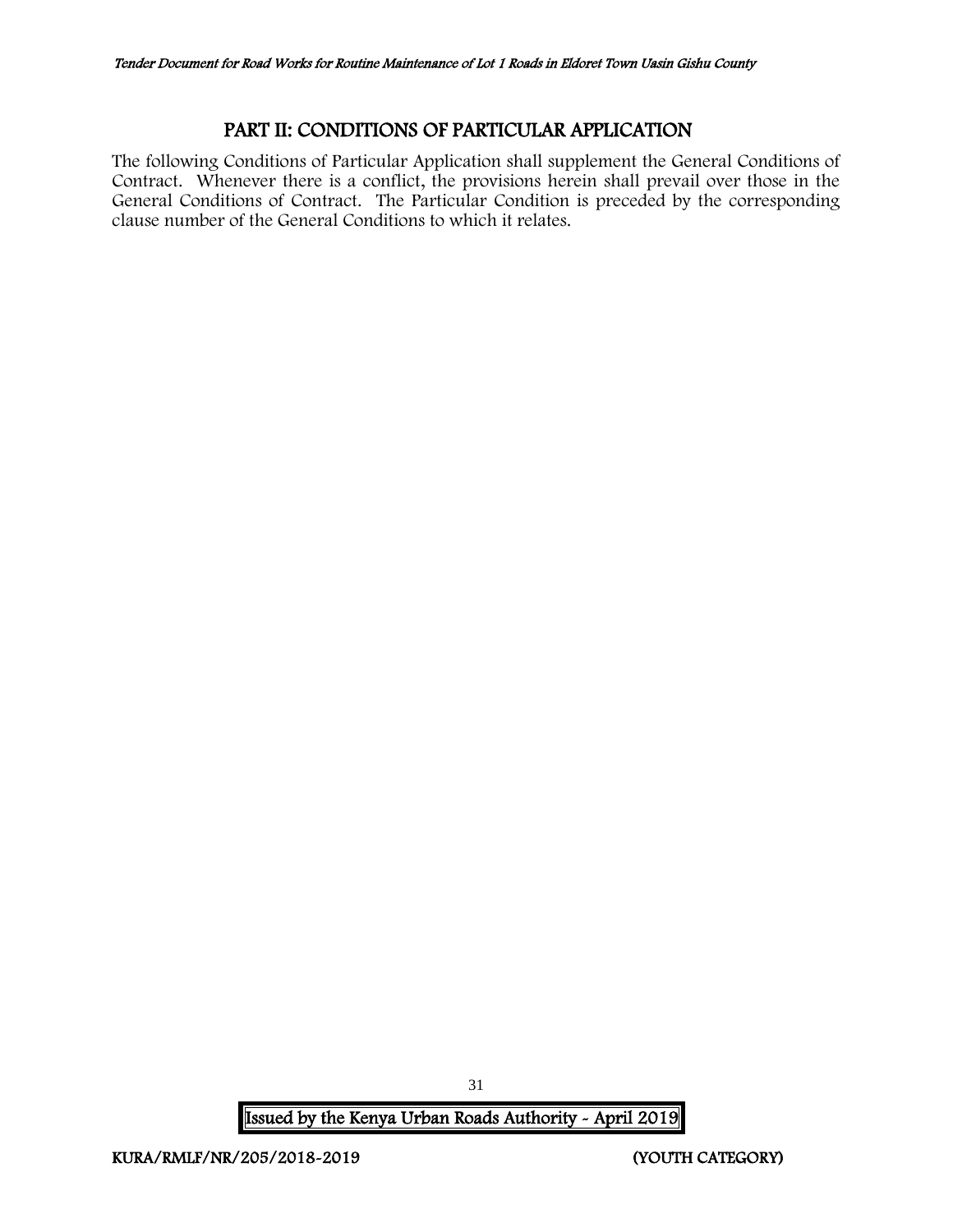## PART II: CONDITIONS OF PARTICULAR APPLICATION

<span id="page-31-0"></span>The following Conditions of Particular Application shall supplement the General Conditions of Contract. Whenever there is a conflict, the provisions herein shall prevail over those in the General Conditions of Contract. The Particular Condition is preceded by the corresponding clause number of the General Conditions to which it relates.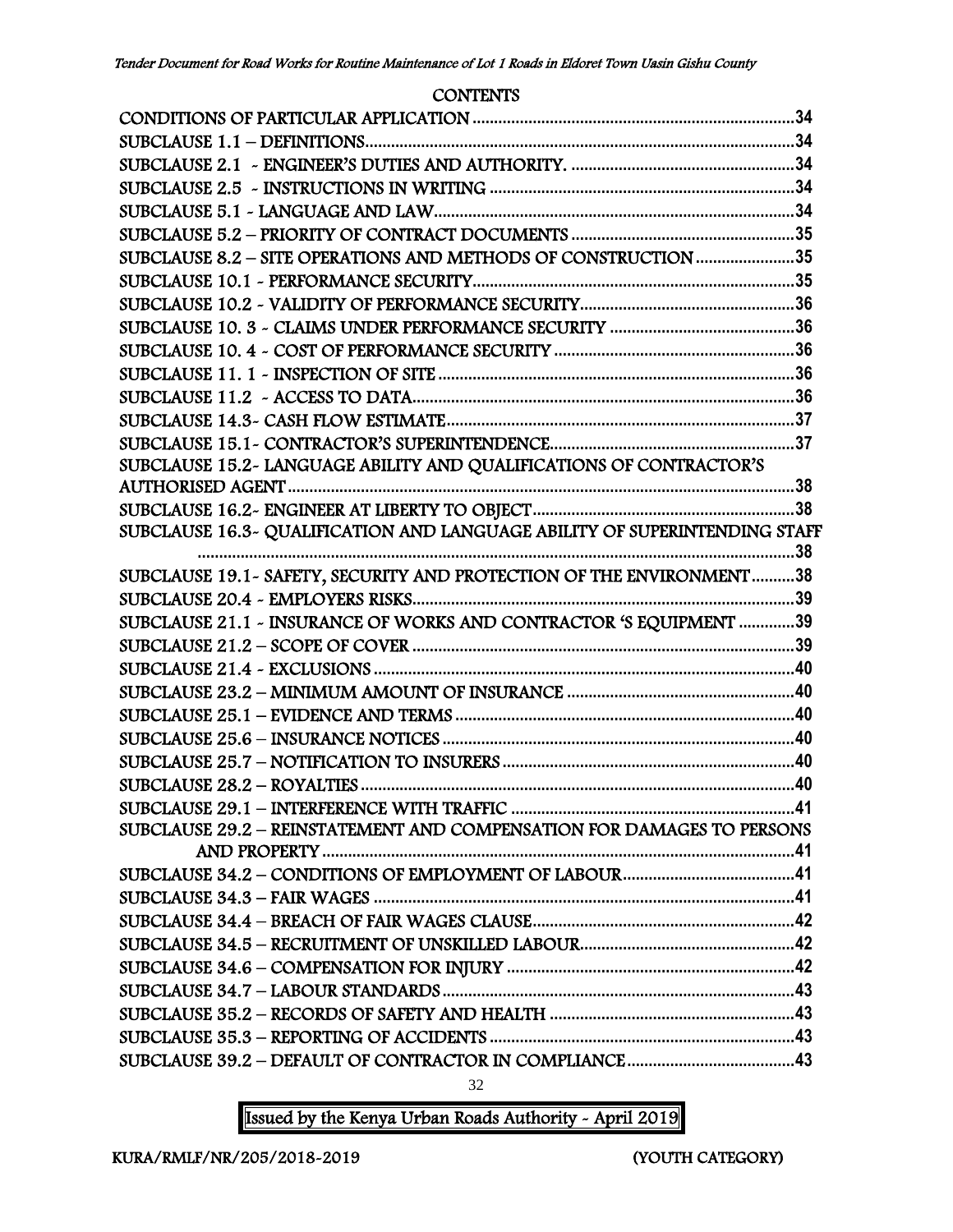### **CONTENTS**

| SUBCLAUSE 8.2 - SITE OPERATIONS AND METHODS OF CONSTRUCTION 35         |     |
|------------------------------------------------------------------------|-----|
|                                                                        |     |
|                                                                        |     |
|                                                                        |     |
|                                                                        |     |
|                                                                        |     |
|                                                                        |     |
|                                                                        |     |
|                                                                        |     |
| SUBCLAUSE 15.2- LANGUAGE ABILITY AND QUALIFICATIONS OF CONTRACTOR'S    |     |
|                                                                        |     |
|                                                                        |     |
|                                                                        | .38 |
| SUBCLAUSE 19.1 - SAFETY, SECURITY AND PROTECTION OF THE ENVIRONMENT38  |     |
|                                                                        |     |
| SUBCLAUSE 21.1 - INSURANCE OF WORKS AND CONTRACTOR 'S EQUIPMENT 39     |     |
|                                                                        |     |
|                                                                        |     |
|                                                                        |     |
|                                                                        |     |
|                                                                        |     |
|                                                                        |     |
|                                                                        |     |
|                                                                        |     |
| SUBCLAUSE 29.2 - REINSTATEMENT AND COMPENSATION FOR DAMAGES TO PERSONS |     |
|                                                                        |     |
|                                                                        |     |
|                                                                        |     |
|                                                                        |     |
|                                                                        |     |
|                                                                        |     |
|                                                                        |     |
|                                                                        |     |
|                                                                        |     |
|                                                                        |     |

32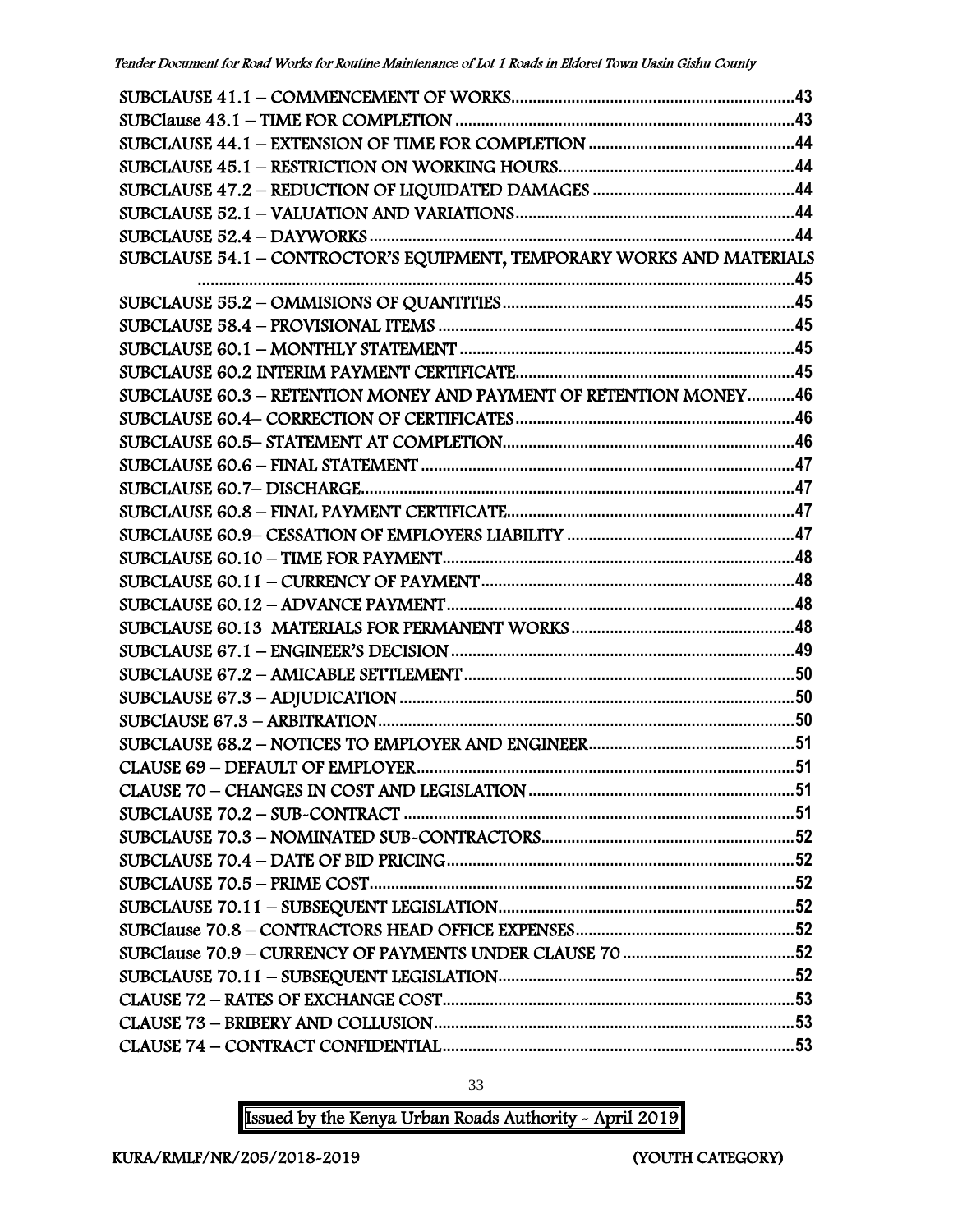| SUBCLAUSE 54.1 - CONTROCTOR'S EQUIPMENT, TEMPORARY WORKS AND MATERIALS |  |
|------------------------------------------------------------------------|--|
|                                                                        |  |
|                                                                        |  |
|                                                                        |  |
|                                                                        |  |
|                                                                        |  |
| SUBCLAUSE 60.3 - RETENTION MONEY AND PAYMENT OF RETENTION MONEY46      |  |
|                                                                        |  |
|                                                                        |  |
|                                                                        |  |
|                                                                        |  |
|                                                                        |  |
|                                                                        |  |
|                                                                        |  |
|                                                                        |  |
|                                                                        |  |
|                                                                        |  |
|                                                                        |  |
|                                                                        |  |
|                                                                        |  |
|                                                                        |  |
|                                                                        |  |
|                                                                        |  |
|                                                                        |  |
|                                                                        |  |
|                                                                        |  |
|                                                                        |  |
|                                                                        |  |
|                                                                        |  |
|                                                                        |  |
|                                                                        |  |
|                                                                        |  |
|                                                                        |  |
|                                                                        |  |
|                                                                        |  |

33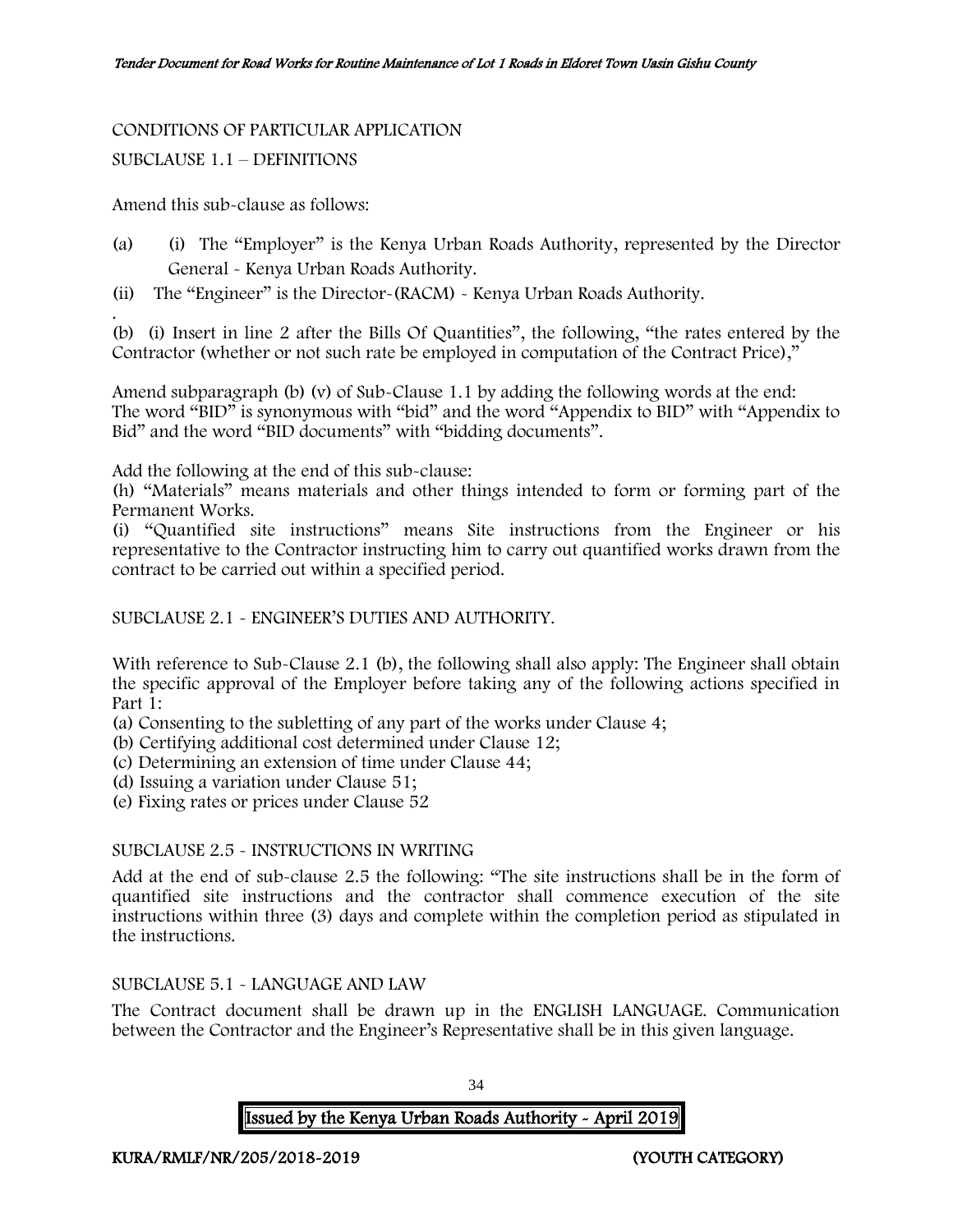#### CONDITIONS OF PARTICULAR APPLICATION

#### SUBCLAUSE 1.1 – DEFINITIONS

Amend this sub-clause as follows:

- (a) (i) The "Employer" is the Kenya Urban Roads Authority, represented by the Director General - Kenya Urban Roads Authority.
- (ii) The "Engineer" is the Director-(RACM) Kenya Urban Roads Authority.

. (b) (i) Insert in line 2 after the Bills Of Quantities", the following, "the rates entered by the Contractor (whether or not such rate be employed in computation of the Contract Price),"

Amend subparagraph (b) (v) of Sub-Clause 1.1 by adding the following words at the end: The word "BID" is synonymous with "bid" and the word "Appendix to BID" with "Appendix to Bid" and the word "BID documents" with "bidding documents".

Add the following at the end of this sub-clause:

(h) "Materials" means materials and other things intended to form or forming part of the Permanent Works.

(i) "Quantified site instructions" means Site instructions from the Engineer or his representative to the Contractor instructing him to carry out quantified works drawn from the contract to be carried out within a specified period.

#### SUBCLAUSE 2.1 - ENGINEER'S DUTIES AND AUTHORITY.

With reference to Sub-Clause 2.1 (b), the following shall also apply: The Engineer shall obtain the specific approval of the Employer before taking any of the following actions specified in Part 1:

(a) Consenting to the subletting of any part of the works under Clause 4;

(b) Certifying additional cost determined under Clause 12;

(c) Determining an extension of time under Clause 44;

(d) Issuing a variation under Clause 51;

(e) Fixing rates or prices under Clause 52

#### SUBCLAUSE 2.5 - INSTRUCTIONS IN WRITING

Add at the end of sub-clause 2.5 the following: "The site instructions shall be in the form of quantified site instructions and the contractor shall commence execution of the site instructions within three (3) days and complete within the completion period as stipulated in the instructions.

### SUBCLAUSE 5.1 - LANGUAGE AND LAW

The Contract document shall be drawn up in the ENGLISH LANGUAGE. Communication between the Contractor and the Engineer's Representative shall be in this given language.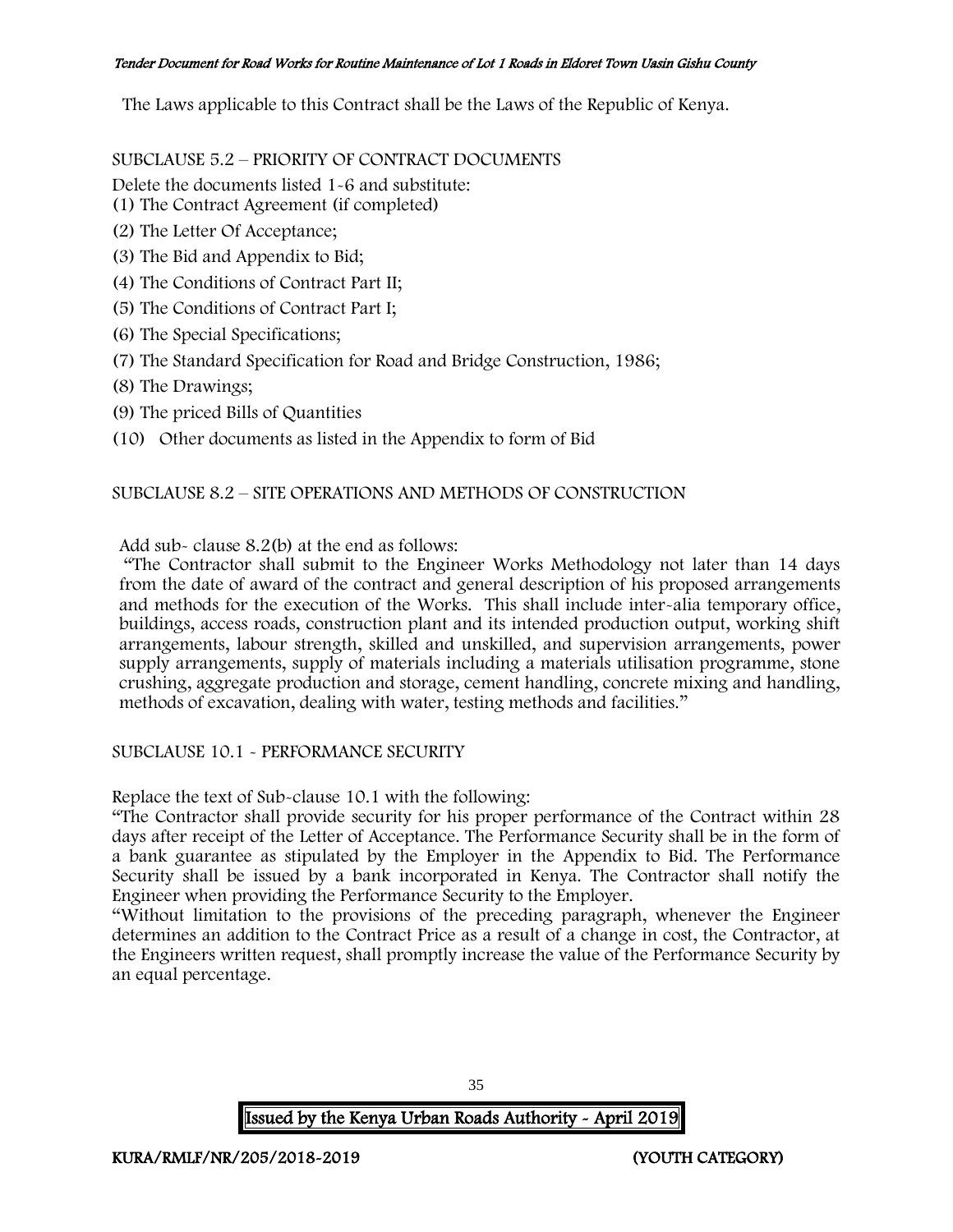The Laws applicable to this Contract shall be the Laws of the Republic of Kenya.

SUBCLAUSE 5.2 – PRIORITY OF CONTRACT DOCUMENTS

Delete the documents listed 1-6 and substitute:

- (1) The Contract Agreement (if completed)
- (2) The Letter Of Acceptance;
- (3) The Bid and Appendix to Bid;
- (4) The Conditions of Contract Part II;
- (5) The Conditions of Contract Part I;
- (6) The Special Specifications;
- (7) The Standard Specification for Road and Bridge Construction, 1986;
- (8) The Drawings;
- (9) The priced Bills of Quantities
- (10) Other documents as listed in the Appendix to form of Bid

### SUBCLAUSE 8.2 – SITE OPERATIONS AND METHODS OF CONSTRUCTION

Add sub- clause 8.2(b) at the end as follows:

"The Contractor shall submit to the Engineer Works Methodology not later than 14 days from the date of award of the contract and general description of his proposed arrangements and methods for the execution of the Works. This shall include inter-alia temporary office, buildings, access roads, construction plant and its intended production output, working shift arrangements, labour strength, skilled and unskilled, and supervision arrangements, power supply arrangements, supply of materials including a materials utilisation programme, stone crushing, aggregate production and storage, cement handling, concrete mixing and handling, methods of excavation, dealing with water, testing methods and facilities."

#### SUBCLAUSE 10.1 - PERFORMANCE SECURITY

Replace the text of Sub-clause 10.1 with the following:

"The Contractor shall provide security for his proper performance of the Contract within 28 days after receipt of the Letter of Acceptance. The Performance Security shall be in the form of a bank guarantee as stipulated by the Employer in the Appendix to Bid. The Performance Security shall be issued by a bank incorporated in Kenya. The Contractor shall notify the Engineer when providing the Performance Security to the Employer.

"Without limitation to the provisions of the preceding paragraph, whenever the Engineer determines an addition to the Contract Price as a result of a change in cost, the Contractor, at the Engineers written request, shall promptly increase the value of the Performance Security by an equal percentage.

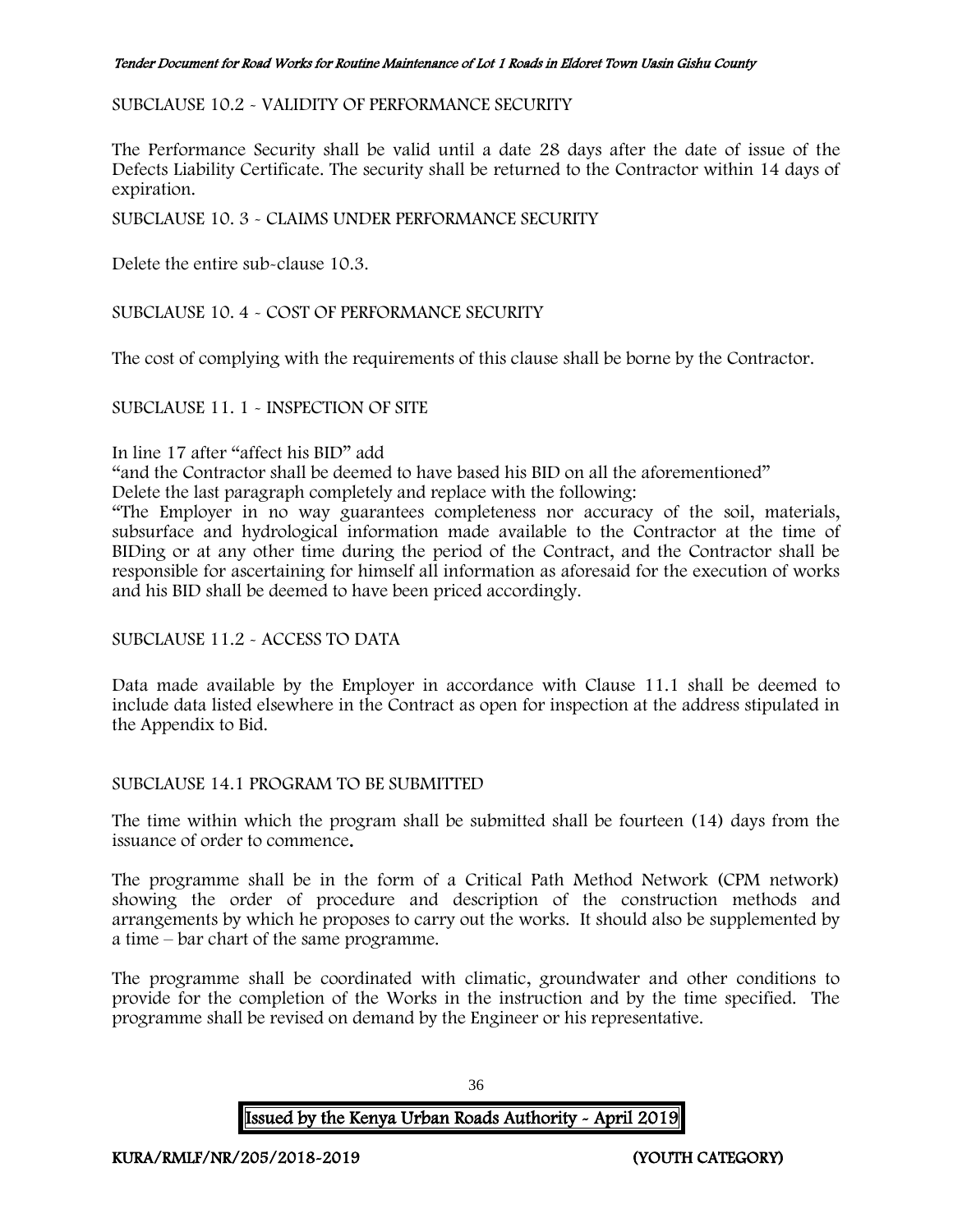### SUBCLAUSE 10.2 - VALIDITY OF PERFORMANCE SECURITY

The Performance Security shall be valid until a date 28 days after the date of issue of the Defects Liability Certificate. The security shall be returned to the Contractor within 14 days of expiration.

## SUBCLAUSE 10. 3 - CLAIMS UNDER PERFORMANCE SECURITY

Delete the entire sub-clause 10.3.

SUBCLAUSE 10. 4 - COST OF PERFORMANCE SECURITY

The cost of complying with the requirements of this clause shall be borne by the Contractor.

#### SUBCLAUSE 11. 1 - INSPECTION OF SITE

#### In line 17 after "affect his BID" add

"and the Contractor shall be deemed to have based his BID on all the aforementioned"

Delete the last paragraph completely and replace with the following:

"The Employer in no way guarantees completeness nor accuracy of the soil, materials, subsurface and hydrological information made available to the Contractor at the time of BIDing or at any other time during the period of the Contract, and the Contractor shall be responsible for ascertaining for himself all information as aforesaid for the execution of works and his BID shall be deemed to have been priced accordingly.

#### SUBCLAUSE 11.2 - ACCESS TO DATA

Data made available by the Employer in accordance with Clause 11.1 shall be deemed to include data listed elsewhere in the Contract as open for inspection at the address stipulated in the Appendix to Bid.

#### SUBCLAUSE 14.1 PROGRAM TO BE SUBMITTED

The time within which the program shall be submitted shall be fourteen (14) days from the issuance of order to commence.

The programme shall be in the form of a Critical Path Method Network (CPM network) showing the order of procedure and description of the construction methods and arrangements by which he proposes to carry out the works. It should also be supplemented by a time – bar chart of the same programme.

The programme shall be coordinated with climatic, groundwater and other conditions to provide for the completion of the Works in the instruction and by the time specified. The programme shall be revised on demand by the Engineer or his representative.

Issued by the Kenya Urban Roads Authority - April 2019

36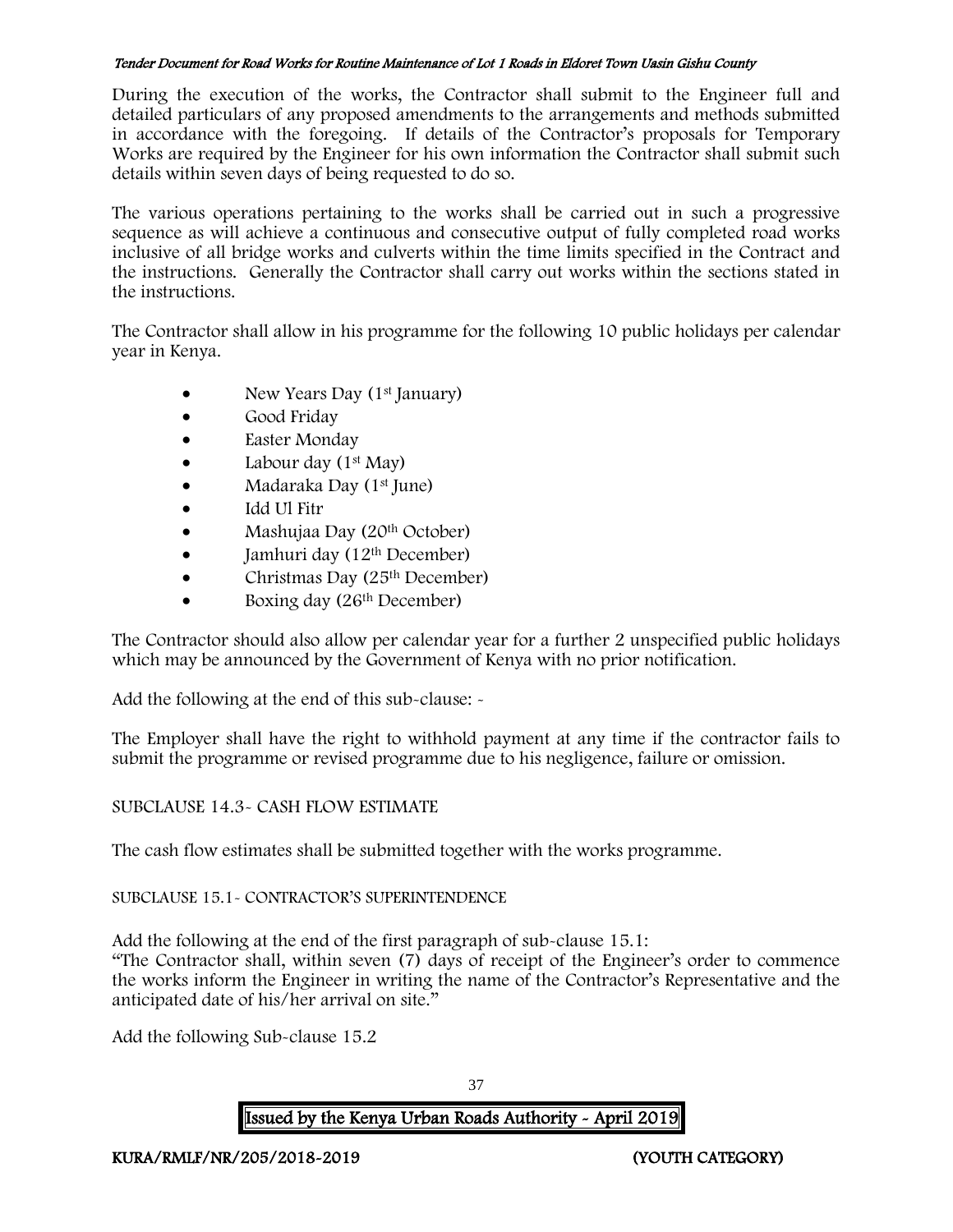During the execution of the works, the Contractor shall submit to the Engineer full and detailed particulars of any proposed amendments to the arrangements and methods submitted in accordance with the foregoing. If details of the Contractor's proposals for Temporary Works are required by the Engineer for his own information the Contractor shall submit such details within seven days of being requested to do so.

The various operations pertaining to the works shall be carried out in such a progressive sequence as will achieve a continuous and consecutive output of fully completed road works inclusive of all bridge works and culverts within the time limits specified in the Contract and the instructions. Generally the Contractor shall carry out works within the sections stated in the instructions.

The Contractor shall allow in his programme for the following 10 public holidays per calendar year in Kenya.

- New Years Day (1<sup>st</sup> January)
- Good Friday
- Easter Monday
- Labour day  $(1^{st}$  May)
- Madaraka Day (1<sup>st</sup> June)
- Idd Ul Fitr
- Mashujaa Day (20<sup>th</sup> October)
- $\bullet$  Jamhuri day (12<sup>th</sup> December)
- Christmas Day  $(25<sup>th</sup> December)$
- Boxing day (26<sup>th</sup> December)

The Contractor should also allow per calendar year for a further 2 unspecified public holidays which may be announced by the Government of Kenya with no prior notification.

Add the following at the end of this sub-clause: -

The Employer shall have the right to withhold payment at any time if the contractor fails to submit the programme or revised programme due to his negligence, failure or omission.

# SUBCLAUSE 14.3- CASH FLOW ESTIMATE

The cash flow estimates shall be submitted together with the works programme.

### SUBCLAUSE 15.1- CONTRACTOR'S SUPERINTENDENCE

Add the following at the end of the first paragraph of sub-clause 15.1: "The Contractor shall, within seven (7) days of receipt of the Engineer's order to commence the works inform the Engineer in writing the name of the Contractor's Representative and the anticipated date of his/her arrival on site."

Add the following Sub-clause 15.2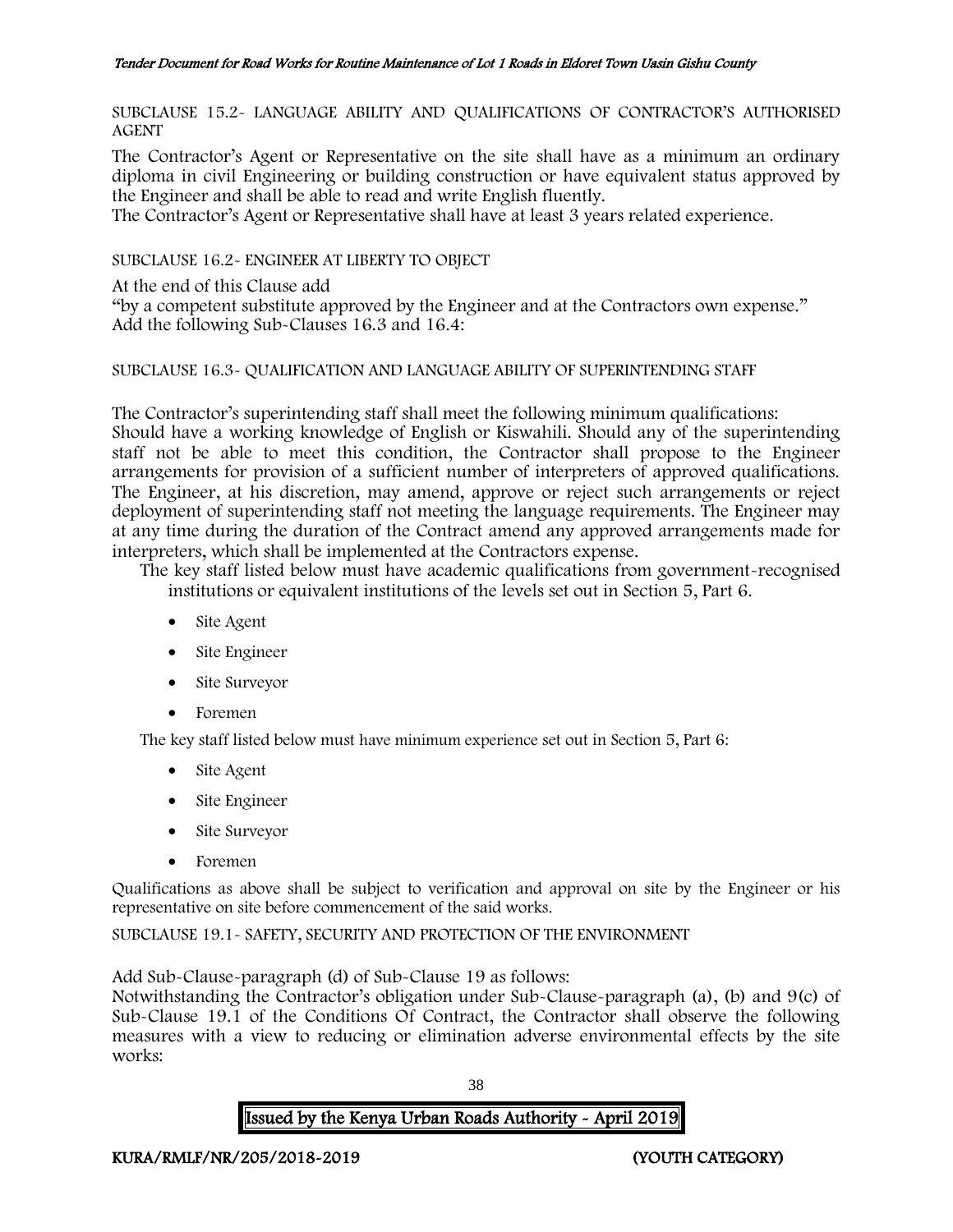SUBCLAUSE 15.2- LANGUAGE ABILITY AND QUALIFICATIONS OF CONTRACTOR'S AUTHORISED AGENT

The Contractor's Agent or Representative on the site shall have as a minimum an ordinary diploma in civil Engineering or building construction or have equivalent status approved by the Engineer and shall be able to read and write English fluently.

The Contractor's Agent or Representative shall have at least 3 years related experience.

SUBCLAUSE 16.2- ENGINEER AT LIBERTY TO OBJECT

At the end of this Clause add

"by a competent substitute approved by the Engineer and at the Contractors own expense." Add the following Sub-Clauses 16.3 and 16.4:

## SUBCLAUSE 16.3- QUALIFICATION AND LANGUAGE ABILITY OF SUPERINTENDING STAFF

The Contractor's superintending staff shall meet the following minimum qualifications: Should have a working knowledge of English or Kiswahili. Should any of the superintending staff not be able to meet this condition, the Contractor shall propose to the Engineer arrangements for provision of a sufficient number of interpreters of approved qualifications. The Engineer, at his discretion, may amend, approve or reject such arrangements or reject deployment of superintending staff not meeting the language requirements. The Engineer may at any time during the duration of the Contract amend any approved arrangements made for interpreters, which shall be implemented at the Contractors expense.

The key staff listed below must have academic qualifications from government-recognised institutions or equivalent institutions of the levels set out in Section 5, Part 6.

- Site Agent
- Site Engineer
- Site Surveyor
- Foremen

The key staff listed below must have minimum experience set out in Section 5, Part 6:

- Site Agent
- Site Engineer
- Site Surveyor
- Foremen

Qualifications as above shall be subject to verification and approval on site by the Engineer or his representative on site before commencement of the said works.

SUBCLAUSE 19.1- SAFETY, SECURITY AND PROTECTION OF THE ENVIRONMENT

Add Sub-Clause-paragraph (d) of Sub-Clause 19 as follows:

Notwithstanding the Contractor's obligation under Sub-Clause-paragraph (a), (b) and 9(c) of Sub-Clause 19.1 of the Conditions Of Contract, the Contractor shall observe the following measures with a view to reducing or elimination adverse environmental effects by the site works:

38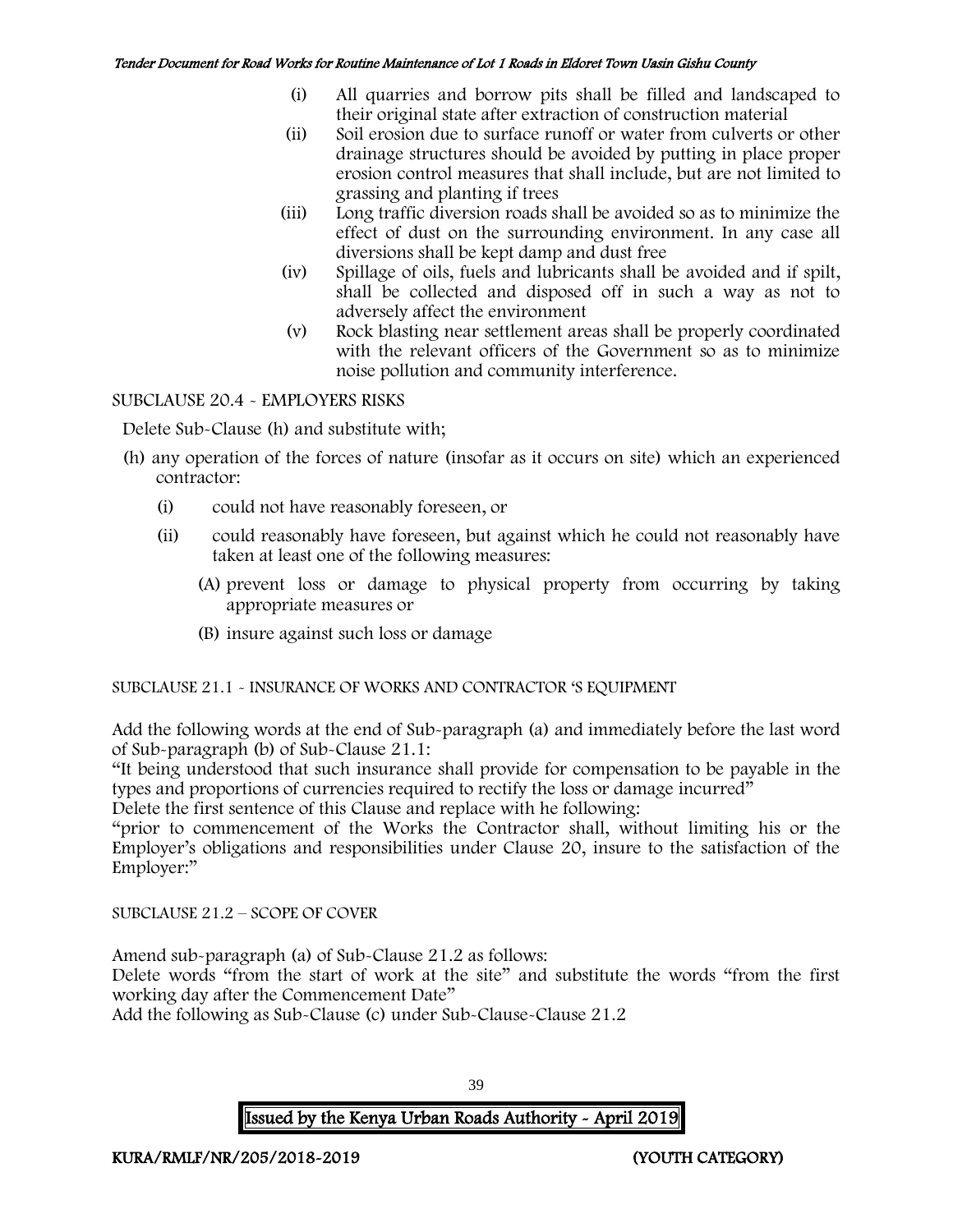- (i) All quarries and borrow pits shall be filled and landscaped to their original state after extraction of construction material
- (ii) Soil erosion due to surface runoff or water from culverts or other drainage structures should be avoided by putting in place proper erosion control measures that shall include, but are not limited to grassing and planting if trees
- (iii) Long traffic diversion roads shall be avoided so as to minimize the effect of dust on the surrounding environment. In any case all diversions shall be kept damp and dust free
- (iv) Spillage of oils, fuels and lubricants shall be avoided and if spilt, shall be collected and disposed off in such a way as not to adversely affect the environment
- (v) Rock blasting near settlement areas shall be properly coordinated with the relevant officers of the Government so as to minimize noise pollution and community interference.

# SUBCLAUSE 20.4 - EMPLOYERS RISKS

Delete Sub-Clause (h) and substitute with;

- (h) any operation of the forces of nature (insofar as it occurs on site) which an experienced contractor:
	- (i) could not have reasonably foreseen, or
	- (ii) could reasonably have foreseen, but against which he could not reasonably have taken at least one of the following measures:
		- (A) prevent loss or damage to physical property from occurring by taking appropriate measures or
		- (B) insure against such loss or damage

# SUBCLAUSE 21.1 - INSURANCE OF WORKS AND CONTRACTOR 'S EQUIPMENT

Add the following words at the end of Sub-paragraph (a) and immediately before the last word of Sub-paragraph (b) of Sub-Clause 21.1:

"It being understood that such insurance shall provide for compensation to be payable in the types and proportions of currencies required to rectify the loss or damage incurred"

Delete the first sentence of this Clause and replace with he following:

"prior to commencement of the Works the Contractor shall, without limiting his or the Employer's obligations and responsibilities under Clause 20, insure to the satisfaction of the Employer:"

SUBCLAUSE 21.2 – SCOPE OF COVER

Amend sub-paragraph (a) of Sub-Clause 21.2 as follows:

Delete words "from the start of work at the site" and substitute the words "from the first working day after the Commencement Date"

Add the following as Sub-Clause (c) under Sub-Clause-Clause 21.2

39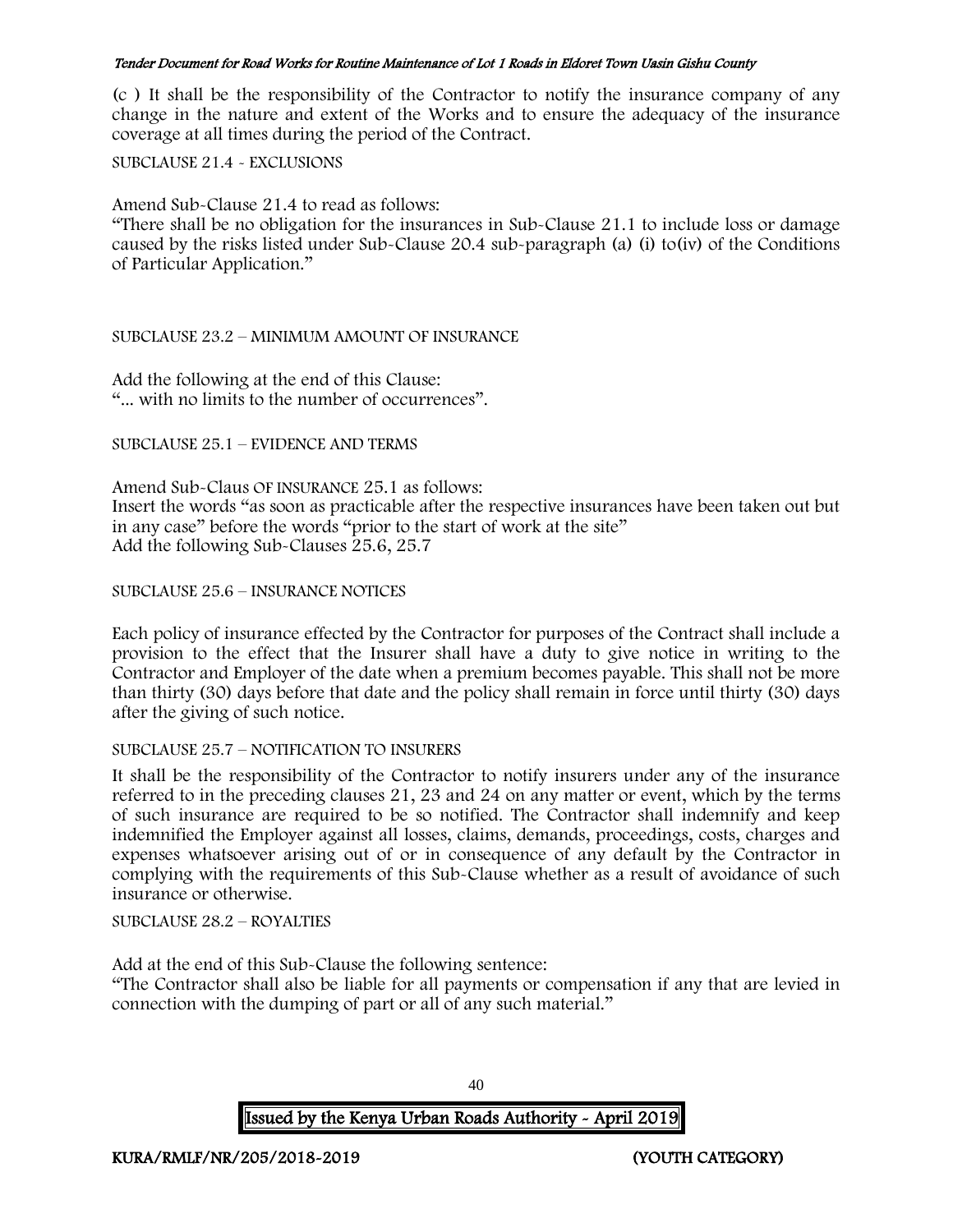(c ) It shall be the responsibility of the Contractor to notify the insurance company of any change in the nature and extent of the Works and to ensure the adequacy of the insurance coverage at all times during the period of the Contract.

SUBCLAUSE 21.4 - EXCLUSIONS

Amend Sub-Clause 21.4 to read as follows:

"There shall be no obligation for the insurances in Sub-Clause 21.1 to include loss or damage caused by the risks listed under Sub-Clause 20.4 sub-paragraph (a) (i) to(iv) of the Conditions of Particular Application."

#### SUBCLAUSE 23.2 – MINIMUM AMOUNT OF INSURANCE

Add the following at the end of this Clause: "... with no limits to the number of occurrences".

#### SUBCLAUSE 25.1 – EVIDENCE AND TERMS

Amend Sub-Claus OF INSURANCE 25.1 as follows: Insert the words "as soon as practicable after the respective insurances have been taken out but in any case" before the words "prior to the start of work at the site" Add the following Sub-Clauses 25.6, 25.7

## SUBCLAUSE 25.6 – INSURANCE NOTICES

Each policy of insurance effected by the Contractor for purposes of the Contract shall include a provision to the effect that the Insurer shall have a duty to give notice in writing to the Contractor and Employer of the date when a premium becomes payable. This shall not be more than thirty (30) days before that date and the policy shall remain in force until thirty (30) days after the giving of such notice.

#### SUBCLAUSE 25.7 – NOTIFICATION TO INSURERS

It shall be the responsibility of the Contractor to notify insurers under any of the insurance referred to in the preceding clauses 21, 23 and 24 on any matter or event, which by the terms of such insurance are required to be so notified. The Contractor shall indemnify and keep indemnified the Employer against all losses, claims, demands, proceedings, costs, charges and expenses whatsoever arising out of or in consequence of any default by the Contractor in complying with the requirements of this Sub-Clause whether as a result of avoidance of such insurance or otherwise.

SUBCLAUSE 28.2 – ROYALTIES

Add at the end of this Sub-Clause the following sentence:

"The Contractor shall also be liable for all payments or compensation if any that are levied in connection with the dumping of part or all of any such material."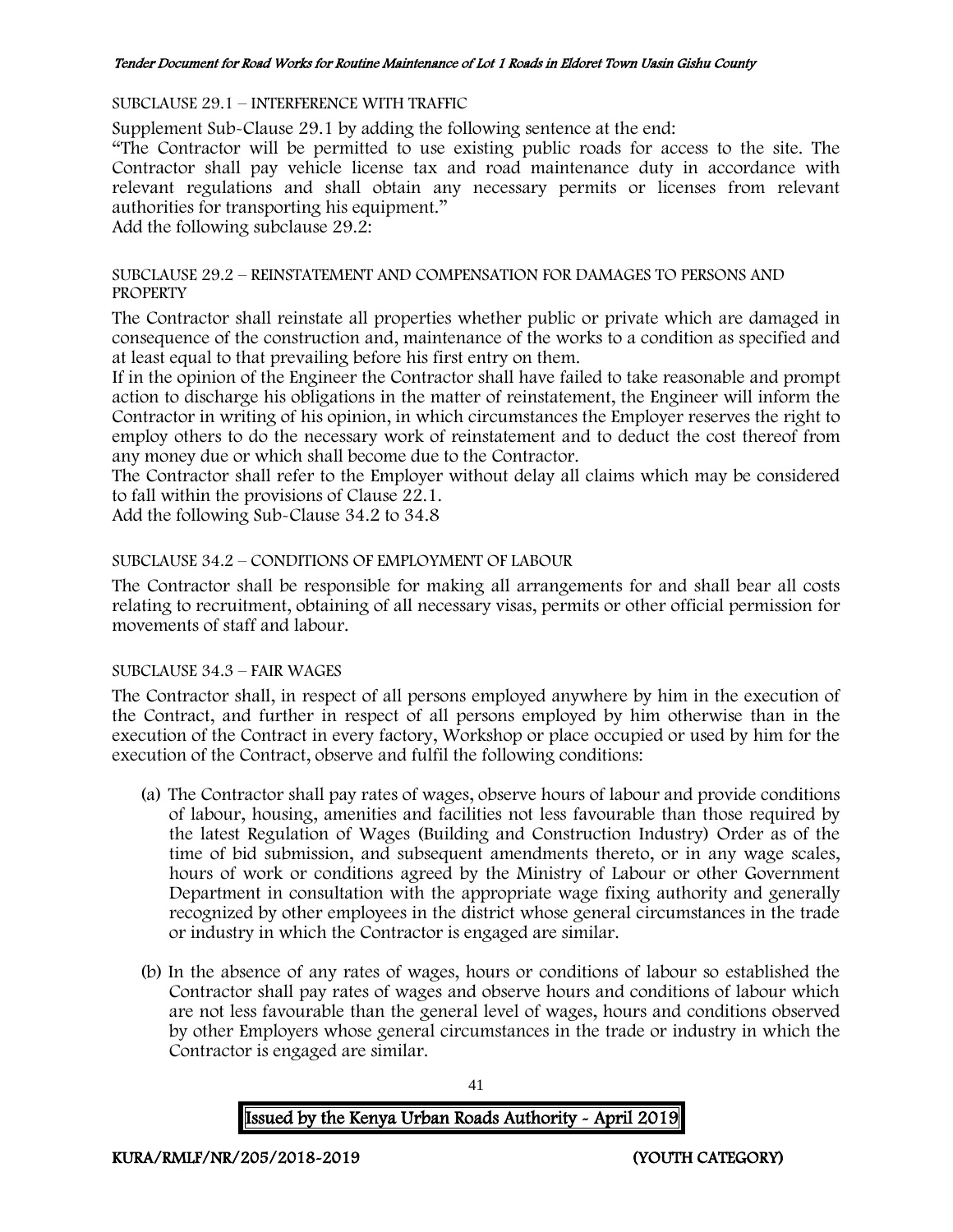#### SUBCLAUSE 29.1 – INTERFERENCE WITH TRAFFIC

Supplement Sub-Clause 29.1 by adding the following sentence at the end:

"The Contractor will be permitted to use existing public roads for access to the site. The Contractor shall pay vehicle license tax and road maintenance duty in accordance with relevant regulations and shall obtain any necessary permits or licenses from relevant authorities for transporting his equipment."

Add the following subclause 29.2:

#### SUBCLAUSE 29.2 – REINSTATEMENT AND COMPENSATION FOR DAMAGES TO PERSONS AND **PROPERTY**

The Contractor shall reinstate all properties whether public or private which are damaged in consequence of the construction and, maintenance of the works to a condition as specified and at least equal to that prevailing before his first entry on them.

If in the opinion of the Engineer the Contractor shall have failed to take reasonable and prompt action to discharge his obligations in the matter of reinstatement, the Engineer will inform the Contractor in writing of his opinion, in which circumstances the Employer reserves the right to employ others to do the necessary work of reinstatement and to deduct the cost thereof from any money due or which shall become due to the Contractor.

The Contractor shall refer to the Employer without delay all claims which may be considered to fall within the provisions of Clause 22.1.

Add the following Sub-Clause 34.2 to 34.8

## SUBCLAUSE 34.2 – CONDITIONS OF EMPLOYMENT OF LABOUR

The Contractor shall be responsible for making all arrangements for and shall bear all costs relating to recruitment, obtaining of all necessary visas, permits or other official permission for movements of staff and labour.

#### SUBCLAUSE 34.3 – FAIR WAGES

The Contractor shall, in respect of all persons employed anywhere by him in the execution of the Contract, and further in respect of all persons employed by him otherwise than in the execution of the Contract in every factory, Workshop or place occupied or used by him for the execution of the Contract, observe and fulfil the following conditions:

- (a) The Contractor shall pay rates of wages, observe hours of labour and provide conditions of labour, housing, amenities and facilities not less favourable than those required by the latest Regulation of Wages (Building and Construction Industry) Order as of the time of bid submission, and subsequent amendments thereto, or in any wage scales, hours of work or conditions agreed by the Ministry of Labour or other Government Department in consultation with the appropriate wage fixing authority and generally recognized by other employees in the district whose general circumstances in the trade or industry in which the Contractor is engaged are similar.
- (b) In the absence of any rates of wages, hours or conditions of labour so established the Contractor shall pay rates of wages and observe hours and conditions of labour which are not less favourable than the general level of wages, hours and conditions observed by other Employers whose general circumstances in the trade or industry in which the Contractor is engaged are similar.

41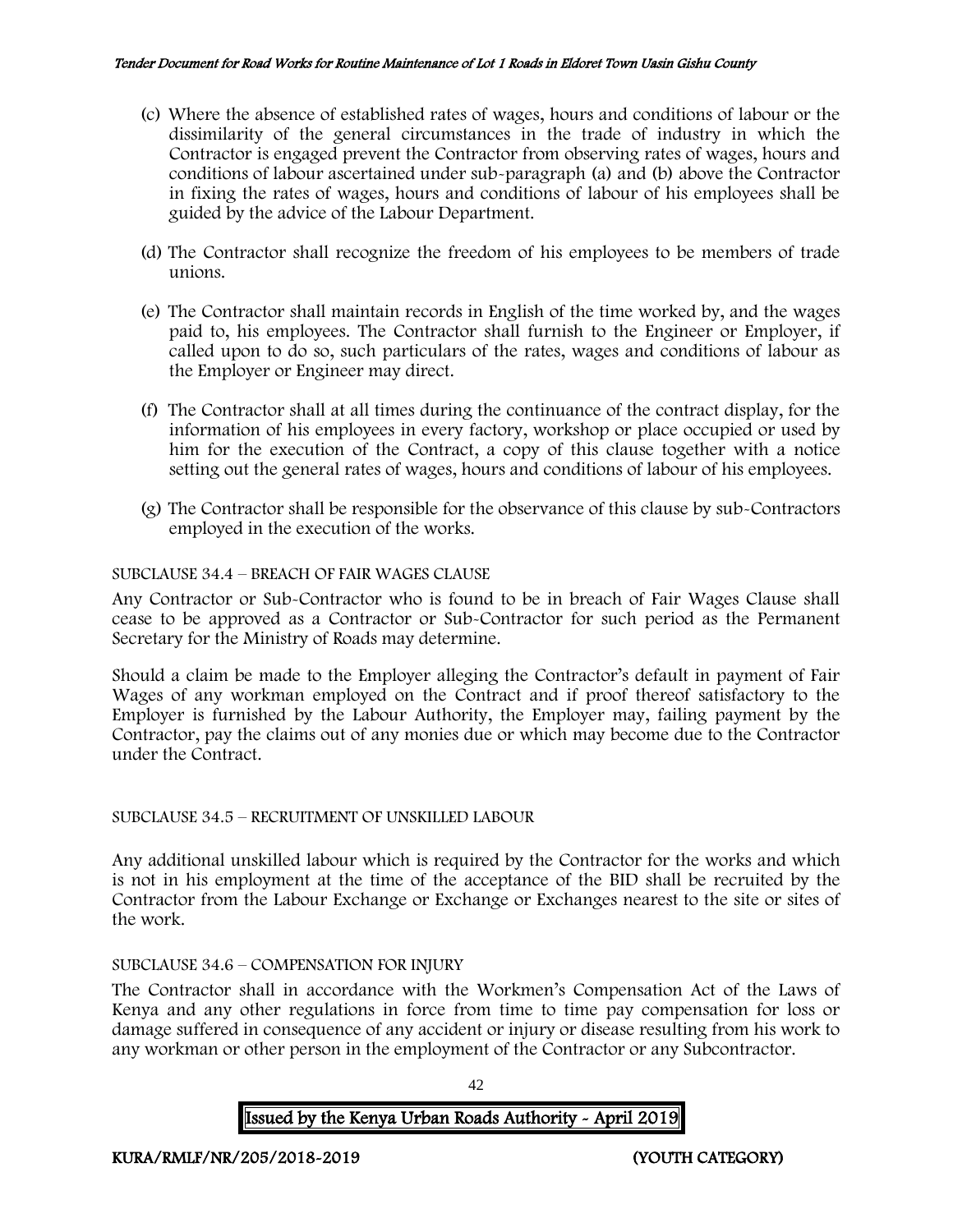- (c) Where the absence of established rates of wages, hours and conditions of labour or the dissimilarity of the general circumstances in the trade of industry in which the Contractor is engaged prevent the Contractor from observing rates of wages, hours and conditions of labour ascertained under sub-paragraph (a) and (b) above the Contractor in fixing the rates of wages, hours and conditions of labour of his employees shall be guided by the advice of the Labour Department.
- (d) The Contractor shall recognize the freedom of his employees to be members of trade unions.
- (e) The Contractor shall maintain records in English of the time worked by, and the wages paid to, his employees. The Contractor shall furnish to the Engineer or Employer, if called upon to do so, such particulars of the rates, wages and conditions of labour as the Employer or Engineer may direct.
- (f) The Contractor shall at all times during the continuance of the contract display, for the information of his employees in every factory, workshop or place occupied or used by him for the execution of the Contract, a copy of this clause together with a notice setting out the general rates of wages, hours and conditions of labour of his employees.
- (g) The Contractor shall be responsible for the observance of this clause by sub-Contractors employed in the execution of the works.

## SUBCLAUSE 34.4 – BREACH OF FAIR WAGES CLAUSE

Any Contractor or Sub-Contractor who is found to be in breach of Fair Wages Clause shall cease to be approved as a Contractor or Sub-Contractor for such period as the Permanent Secretary for the Ministry of Roads may determine.

Should a claim be made to the Employer alleging the Contractor's default in payment of Fair Wages of any workman employed on the Contract and if proof thereof satisfactory to the Employer is furnished by the Labour Authority, the Employer may, failing payment by the Contractor, pay the claims out of any monies due or which may become due to the Contractor under the Contract.

#### SUBCLAUSE 34.5 – RECRUITMENT OF UNSKILLED LABOUR

Any additional unskilled labour which is required by the Contractor for the works and which is not in his employment at the time of the acceptance of the BID shall be recruited by the Contractor from the Labour Exchange or Exchange or Exchanges nearest to the site or sites of the work.

#### SUBCLAUSE 34.6 – COMPENSATION FOR INJURY

The Contractor shall in accordance with the Workmen's Compensation Act of the Laws of Kenya and any other regulations in force from time to time pay compensation for loss or damage suffered in consequence of any accident or injury or disease resulting from his work to any workman or other person in the employment of the Contractor or any Subcontractor.

42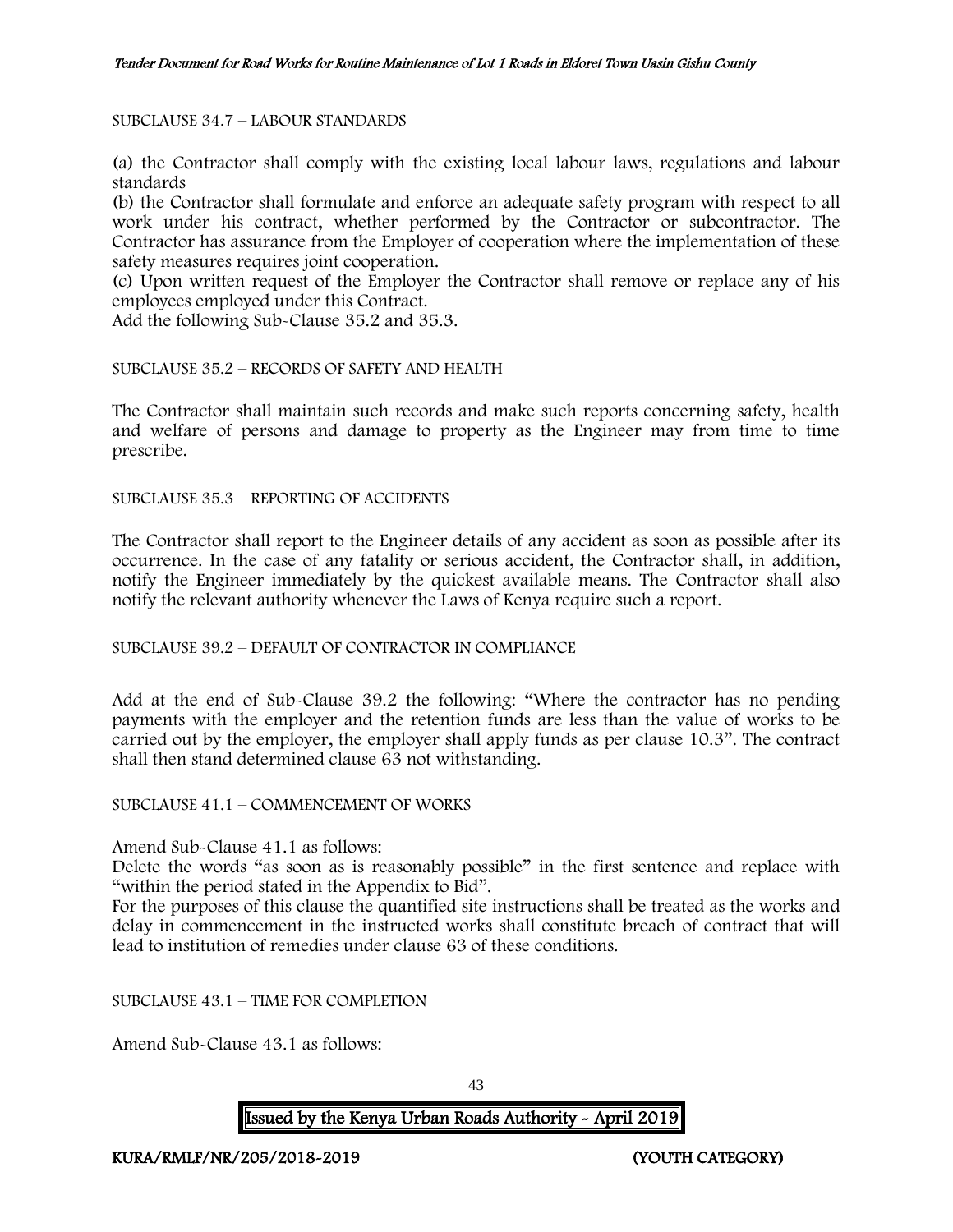### SUBCLAUSE 34.7 – LABOUR STANDARDS

(a) the Contractor shall comply with the existing local labour laws, regulations and labour standards

(b) the Contractor shall formulate and enforce an adequate safety program with respect to all work under his contract, whether performed by the Contractor or subcontractor. The Contractor has assurance from the Employer of cooperation where the implementation of these safety measures requires joint cooperation.

(c) Upon written request of the Employer the Contractor shall remove or replace any of his employees employed under this Contract.

Add the following Sub-Clause 35.2 and 35.3.

#### SUBCLAUSE 35.2 – RECORDS OF SAFETY AND HEALTH

The Contractor shall maintain such records and make such reports concerning safety, health and welfare of persons and damage to property as the Engineer may from time to time prescribe.

SUBCLAUSE 35.3 – REPORTING OF ACCIDENTS

The Contractor shall report to the Engineer details of any accident as soon as possible after its occurrence. In the case of any fatality or serious accident, the Contractor shall, in addition, notify the Engineer immediately by the quickest available means. The Contractor shall also notify the relevant authority whenever the Laws of Kenya require such a report.

SUBCLAUSE 39.2 – DEFAULT OF CONTRACTOR IN COMPLIANCE

Add at the end of Sub-Clause 39.2 the following: "Where the contractor has no pending payments with the employer and the retention funds are less than the value of works to be carried out by the employer, the employer shall apply funds as per clause 10.3". The contract shall then stand determined clause 63 not withstanding.

SUBCLAUSE 41.1 – COMMENCEMENT OF WORKS

Amend Sub-Clause 41.1 as follows:

Delete the words "as soon as is reasonably possible" in the first sentence and replace with "within the period stated in the Appendix to Bid".

For the purposes of this clause the quantified site instructions shall be treated as the works and delay in commencement in the instructed works shall constitute breach of contract that will lead to institution of remedies under clause 63 of these conditions.

SUBCLAUSE 43.1 – TIME FOR COMPLETION

Amend Sub-Clause 43.1 as follows: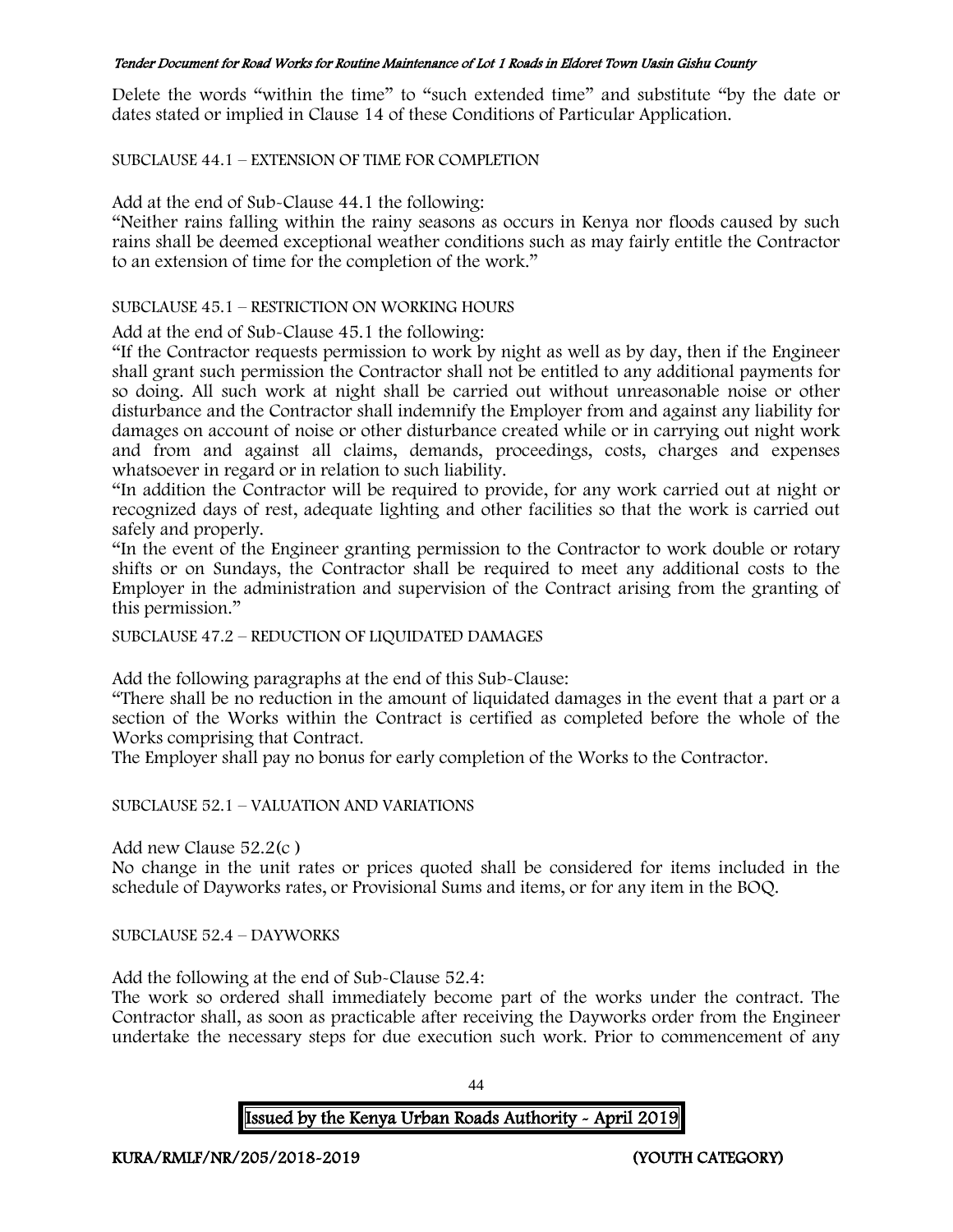Delete the words "within the time" to "such extended time" and substitute "by the date or dates stated or implied in Clause 14 of these Conditions of Particular Application.

SUBCLAUSE 44.1 – EXTENSION OF TIME FOR COMPLETION

Add at the end of Sub-Clause 44.1 the following:

"Neither rains falling within the rainy seasons as occurs in Kenya nor floods caused by such rains shall be deemed exceptional weather conditions such as may fairly entitle the Contractor to an extension of time for the completion of the work."

### SUBCLAUSE 45.1 – RESTRICTION ON WORKING HOURS

Add at the end of Sub-Clause 45.1 the following:

"If the Contractor requests permission to work by night as well as by day, then if the Engineer shall grant such permission the Contractor shall not be entitled to any additional payments for so doing. All such work at night shall be carried out without unreasonable noise or other disturbance and the Contractor shall indemnify the Employer from and against any liability for damages on account of noise or other disturbance created while or in carrying out night work and from and against all claims, demands, proceedings, costs, charges and expenses whatsoever in regard or in relation to such liability.

"In addition the Contractor will be required to provide, for any work carried out at night or recognized days of rest, adequate lighting and other facilities so that the work is carried out safely and properly.

"In the event of the Engineer granting permission to the Contractor to work double or rotary shifts or on Sundays, the Contractor shall be required to meet any additional costs to the Employer in the administration and supervision of the Contract arising from the granting of this permission."

SUBCLAUSE 47.2 – REDUCTION OF LIQUIDATED DAMAGES

Add the following paragraphs at the end of this Sub-Clause:

"There shall be no reduction in the amount of liquidated damages in the event that a part or a section of the Works within the Contract is certified as completed before the whole of the Works comprising that Contract.

The Employer shall pay no bonus for early completion of the Works to the Contractor.

SUBCLAUSE 52.1 – VALUATION AND VARIATIONS

Add new Clause 52.2(c )

No change in the unit rates or prices quoted shall be considered for items included in the schedule of Dayworks rates, or Provisional Sums and items, or for any item in the BOQ.

SUBCLAUSE 52.4 – DAYWORKS

Add the following at the end of Sub-Clause 52.4:

The work so ordered shall immediately become part of the works under the contract. The Contractor shall, as soon as practicable after receiving the Dayworks order from the Engineer undertake the necessary steps for due execution such work. Prior to commencement of any

44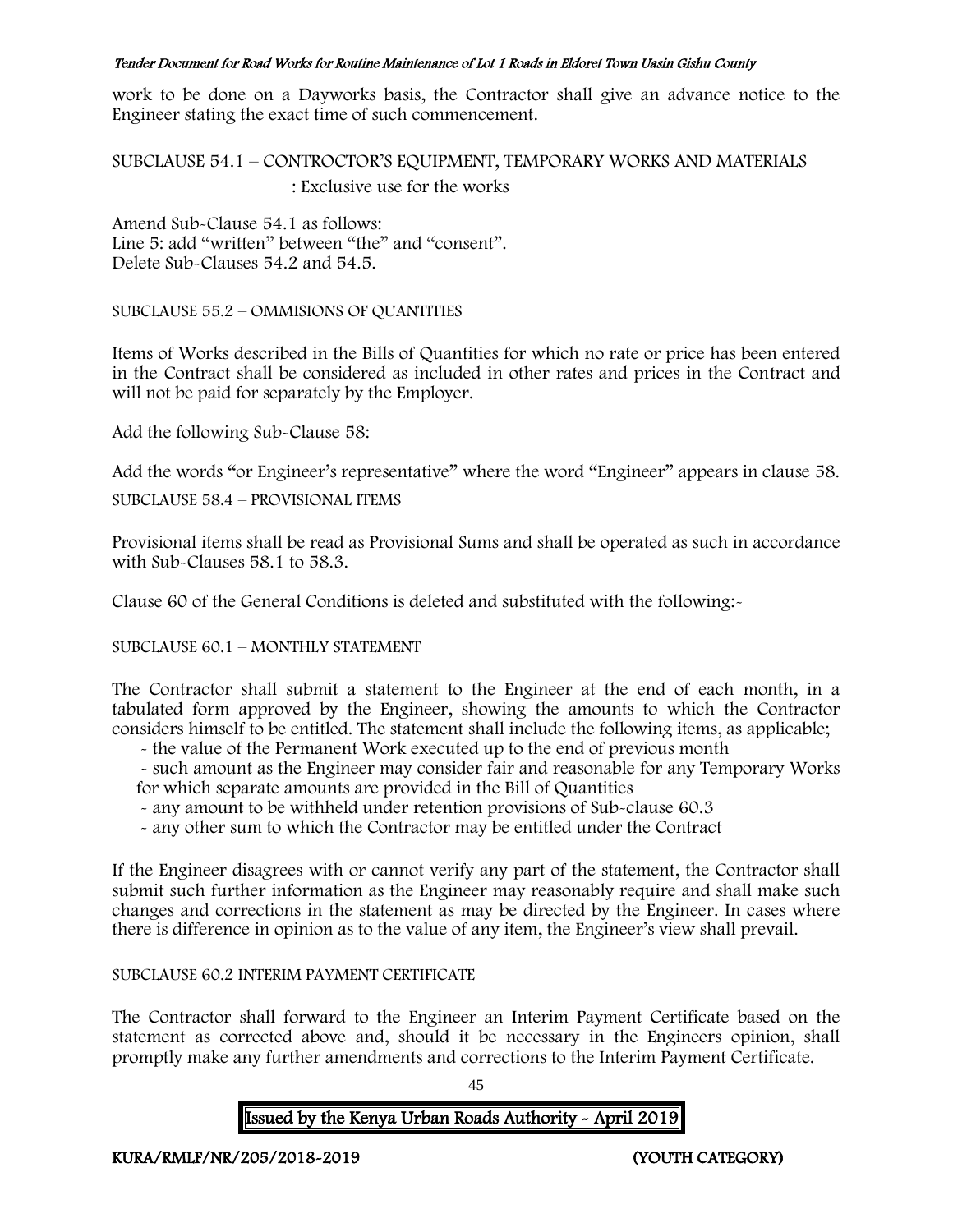work to be done on a Dayworks basis, the Contractor shall give an advance notice to the Engineer stating the exact time of such commencement.

SUBCLAUSE 54.1 – CONTROCTOR'S EQUIPMENT, TEMPORARY WORKS AND MATERIALS : Exclusive use for the works

Amend Sub-Clause 54.1 as follows: Line 5: add "written" between "the" and "consent". Delete Sub-Clauses 54.2 and 54.5.

SUBCLAUSE 55.2 – OMMISIONS OF QUANTITIES

Items of Works described in the Bills of Quantities for which no rate or price has been entered in the Contract shall be considered as included in other rates and prices in the Contract and will not be paid for separately by the Employer.

Add the following Sub-Clause 58:

Add the words "or Engineer's representative" where the word "Engineer" appears in clause 58.

SUBCLAUSE 58.4 – PROVISIONAL ITEMS

Provisional items shall be read as Provisional Sums and shall be operated as such in accordance with Sub-Clauses 58.1 to 58.3.

Clause 60 of the General Conditions is deleted and substituted with the following:-

SUBCLAUSE 60.1 – MONTHLY STATEMENT

The Contractor shall submit a statement to the Engineer at the end of each month, in a tabulated form approved by the Engineer, showing the amounts to which the Contractor considers himself to be entitled. The statement shall include the following items, as applicable;

- the value of the Permanent Work executed up to the end of previous month

- such amount as the Engineer may consider fair and reasonable for any Temporary Works for which separate amounts are provided in the Bill of Quantities

- any amount to be withheld under retention provisions of Sub-clause 60.3
- any other sum to which the Contractor may be entitled under the Contract

If the Engineer disagrees with or cannot verify any part of the statement, the Contractor shall submit such further information as the Engineer may reasonably require and shall make such changes and corrections in the statement as may be directed by the Engineer. In cases where there is difference in opinion as to the value of any item, the Engineer's view shall prevail.

# SUBCLAUSE 60.2 INTERIM PAYMENT CERTIFICATE

The Contractor shall forward to the Engineer an Interim Payment Certificate based on the statement as corrected above and, should it be necessary in the Engineers opinion, shall promptly make any further amendments and corrections to the Interim Payment Certificate.

45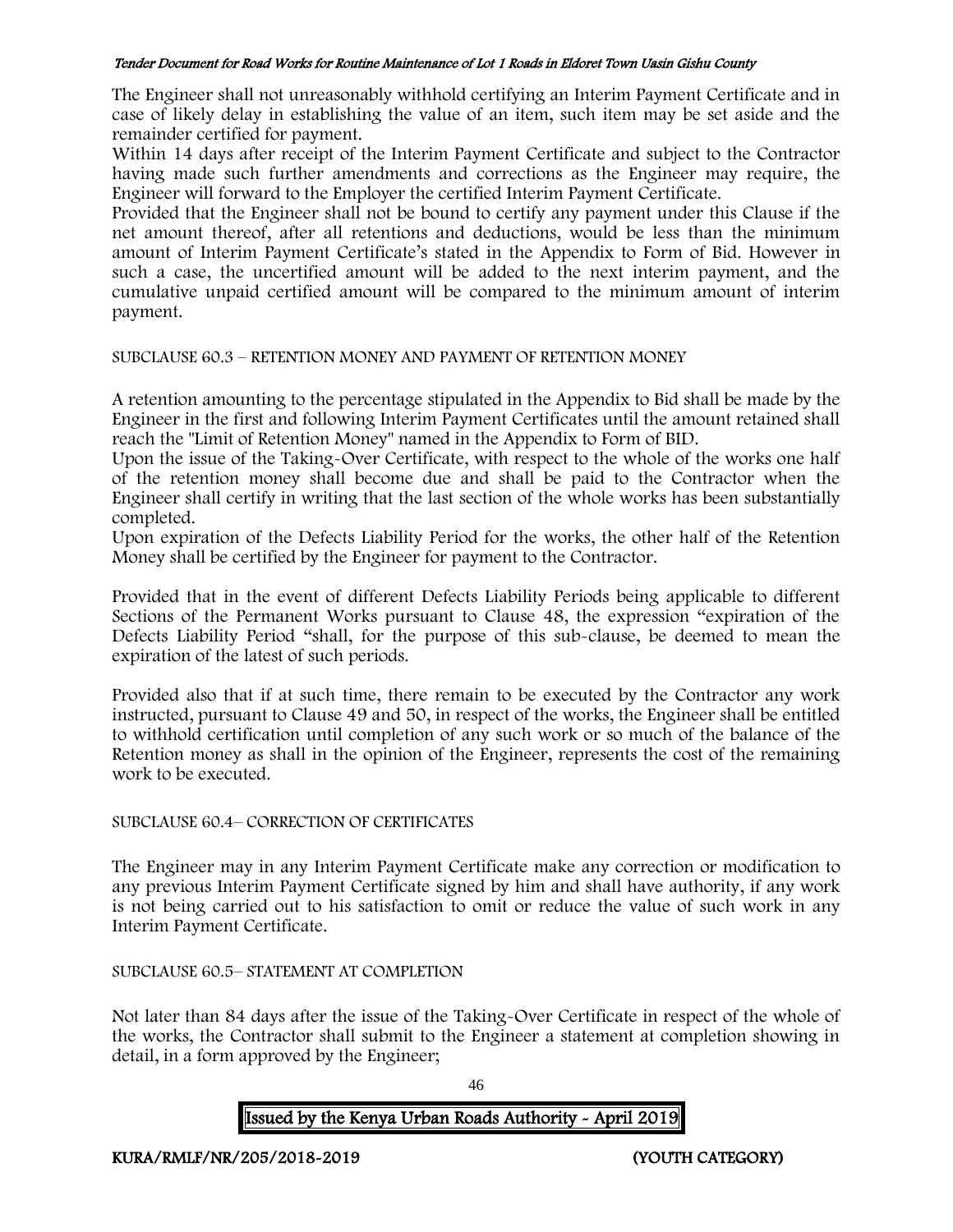The Engineer shall not unreasonably withhold certifying an Interim Payment Certificate and in case of likely delay in establishing the value of an item, such item may be set aside and the remainder certified for payment.

Within 14 days after receipt of the Interim Payment Certificate and subject to the Contractor having made such further amendments and corrections as the Engineer may require, the Engineer will forward to the Employer the certified Interim Payment Certificate.

Provided that the Engineer shall not be bound to certify any payment under this Clause if the net amount thereof, after all retentions and deductions, would be less than the minimum amount of Interim Payment Certificate's stated in the Appendix to Form of Bid. However in such a case, the uncertified amount will be added to the next interim payment, and the cumulative unpaid certified amount will be compared to the minimum amount of interim payment.

#### SUBCLAUSE 60.3 – RETENTION MONEY AND PAYMENT OF RETENTION MONEY

A retention amounting to the percentage stipulated in the Appendix to Bid shall be made by the Engineer in the first and following Interim Payment Certificates until the amount retained shall reach the "Limit of Retention Money" named in the Appendix to Form of BID.

Upon the issue of the Taking-Over Certificate, with respect to the whole of the works one half of the retention money shall become due and shall be paid to the Contractor when the Engineer shall certify in writing that the last section of the whole works has been substantially completed.

Upon expiration of the Defects Liability Period for the works, the other half of the Retention Money shall be certified by the Engineer for payment to the Contractor.

Provided that in the event of different Defects Liability Periods being applicable to different Sections of the Permanent Works pursuant to Clause 48, the expression "expiration of the Defects Liability Period "shall, for the purpose of this sub-clause, be deemed to mean the expiration of the latest of such periods.

Provided also that if at such time, there remain to be executed by the Contractor any work instructed, pursuant to Clause 49 and 50, in respect of the works, the Engineer shall be entitled to withhold certification until completion of any such work or so much of the balance of the Retention money as shall in the opinion of the Engineer, represents the cost of the remaining work to be executed.

#### SUBCLAUSE 60.4– CORRECTION OF CERTIFICATES

The Engineer may in any Interim Payment Certificate make any correction or modification to any previous Interim Payment Certificate signed by him and shall have authority, if any work is not being carried out to his satisfaction to omit or reduce the value of such work in any Interim Payment Certificate.

# SUBCLAUSE 60.5– STATEMENT AT COMPLETION

Not later than 84 days after the issue of the Taking-Over Certificate in respect of the whole of the works, the Contractor shall submit to the Engineer a statement at completion showing in detail, in a form approved by the Engineer;

46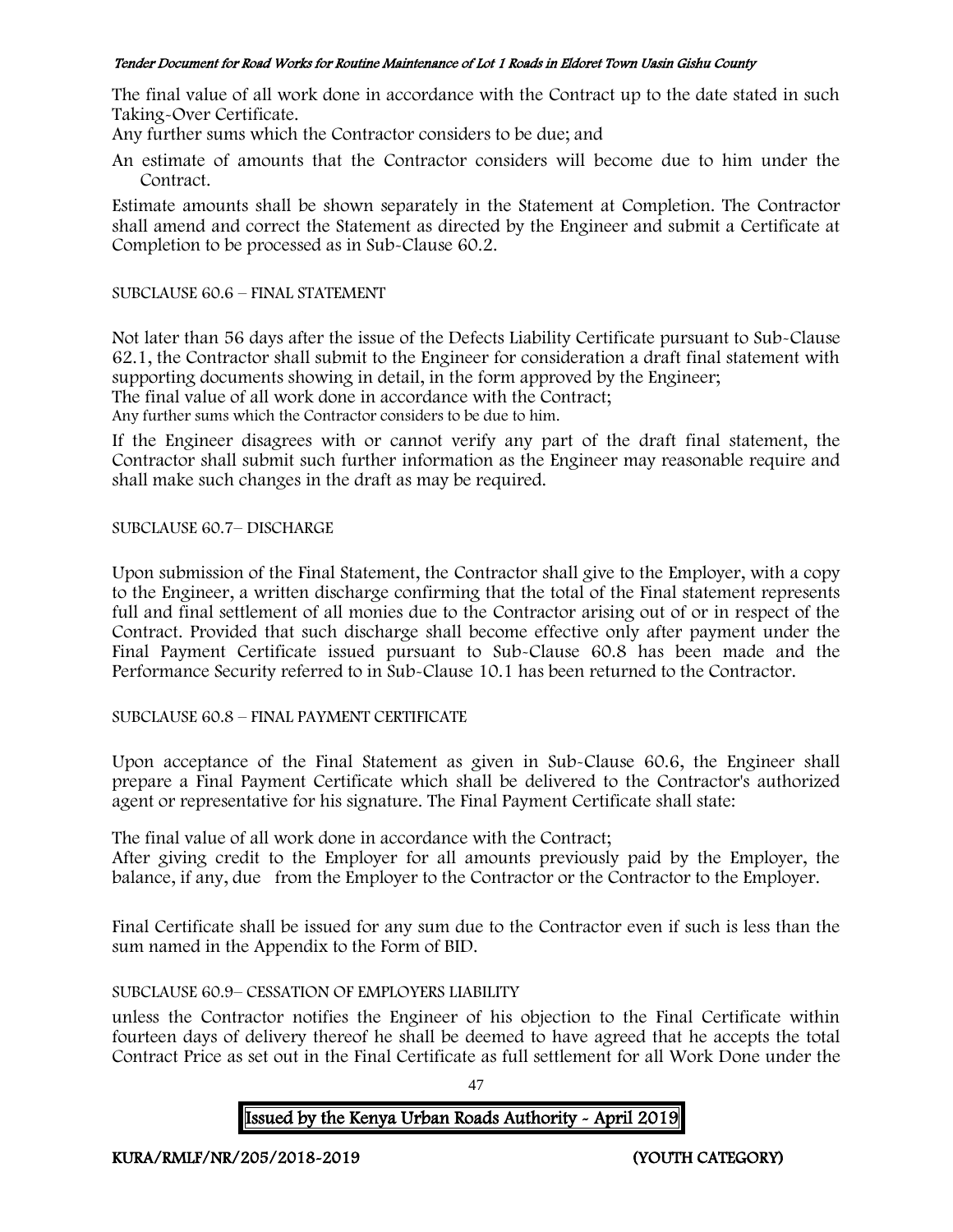The final value of all work done in accordance with the Contract up to the date stated in such Taking-Over Certificate.

Any further sums which the Contractor considers to be due; and

An estimate of amounts that the Contractor considers will become due to him under the Contract.

Estimate amounts shall be shown separately in the Statement at Completion. The Contractor shall amend and correct the Statement as directed by the Engineer and submit a Certificate at Completion to be processed as in Sub-Clause 60.2.

### SUBCLAUSE 60.6 – FINAL STATEMENT

Not later than 56 days after the issue of the Defects Liability Certificate pursuant to Sub-Clause 62.1, the Contractor shall submit to the Engineer for consideration a draft final statement with supporting documents showing in detail, in the form approved by the Engineer; The final value of all work done in accordance with the Contract; Any further sums which the Contractor considers to be due to him.

If the Engineer disagrees with or cannot verify any part of the draft final statement, the Contractor shall submit such further information as the Engineer may reasonable require and shall make such changes in the draft as may be required.

## SUBCLAUSE 60.7– DISCHARGE

Upon submission of the Final Statement, the Contractor shall give to the Employer, with a copy to the Engineer, a written discharge confirming that the total of the Final statement represents full and final settlement of all monies due to the Contractor arising out of or in respect of the Contract. Provided that such discharge shall become effective only after payment under the Final Payment Certificate issued pursuant to Sub-Clause 60.8 has been made and the Performance Security referred to in Sub-Clause 10.1 has been returned to the Contractor.

#### SUBCLAUSE 60.8 – FINAL PAYMENT CERTIFICATE

Upon acceptance of the Final Statement as given in Sub-Clause 60.6, the Engineer shall prepare a Final Payment Certificate which shall be delivered to the Contractor's authorized agent or representative for his signature. The Final Payment Certificate shall state:

The final value of all work done in accordance with the Contract;

After giving credit to the Employer for all amounts previously paid by the Employer, the balance, if any, due from the Employer to the Contractor or the Contractor to the Employer.

Final Certificate shall be issued for any sum due to the Contractor even if such is less than the sum named in the Appendix to the Form of BID.

# SUBCLAUSE 60.9– CESSATION OF EMPLOYERS LIABILITY

unless the Contractor notifies the Engineer of his objection to the Final Certificate within fourteen days of delivery thereof he shall be deemed to have agreed that he accepts the total Contract Price as set out in the Final Certificate as full settlement for all Work Done under the

47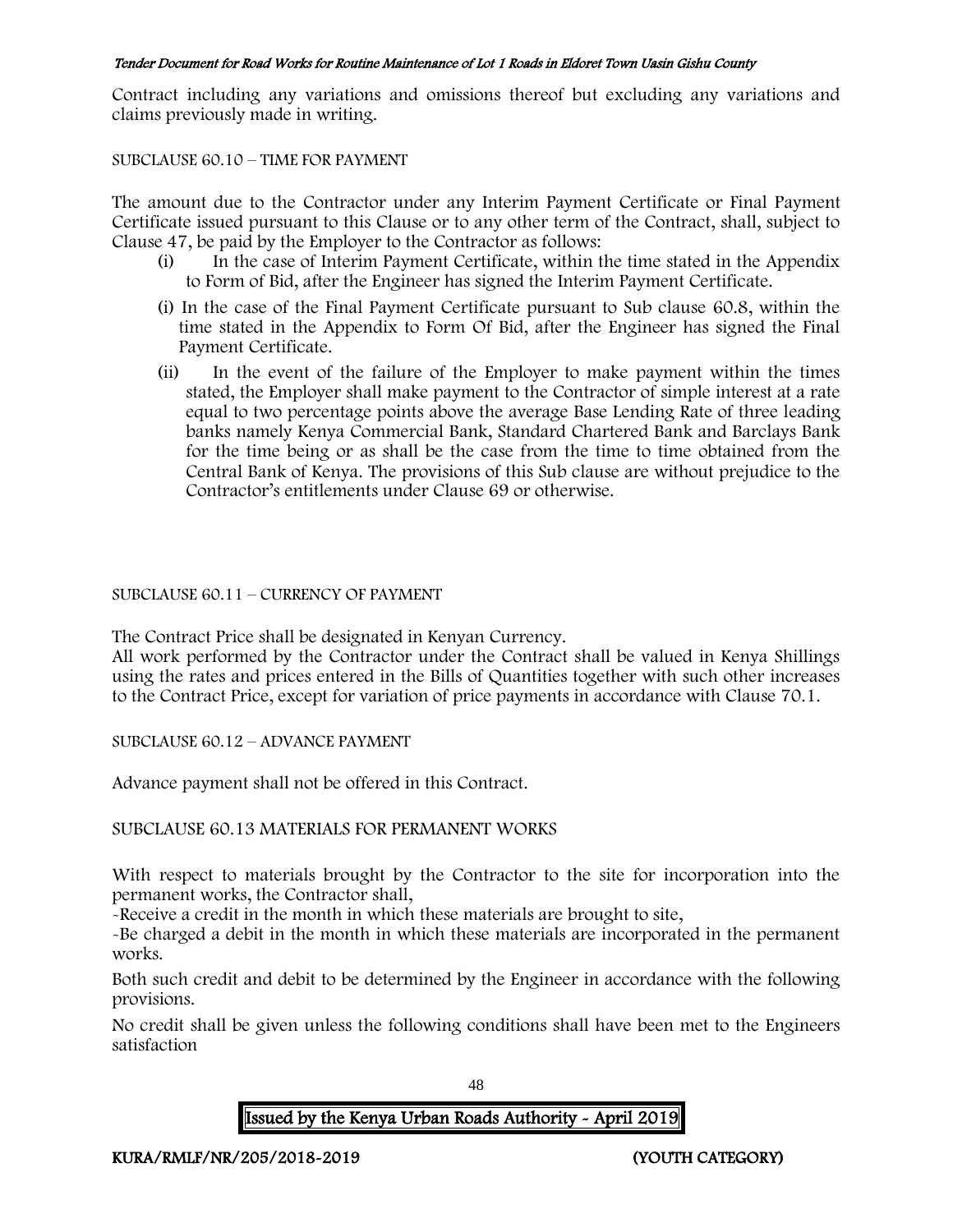Contract including any variations and omissions thereof but excluding any variations and claims previously made in writing.

#### SUBCLAUSE 60.10 – TIME FOR PAYMENT

The amount due to the Contractor under any Interim Payment Certificate or Final Payment Certificate issued pursuant to this Clause or to any other term of the Contract, shall, subject to Clause 47, be paid by the Employer to the Contractor as follows:

- (i) In the case of Interim Payment Certificate, within the time stated in the Appendix to Form of Bid, after the Engineer has signed the Interim Payment Certificate.
- (i) In the case of the Final Payment Certificate pursuant to Sub clause 60.8, within the time stated in the Appendix to Form Of Bid, after the Engineer has signed the Final Payment Certificate.
- (ii) In the event of the failure of the Employer to make payment within the times stated, the Employer shall make payment to the Contractor of simple interest at a rate equal to two percentage points above the average Base Lending Rate of three leading banks namely Kenya Commercial Bank, Standard Chartered Bank and Barclays Bank for the time being or as shall be the case from the time to time obtained from the Central Bank of Kenya. The provisions of this Sub clause are without prejudice to the Contractor's entitlements under Clause 69 or otherwise.

## SUBCLAUSE 60.11 – CURRENCY OF PAYMENT

The Contract Price shall be designated in Kenyan Currency.

All work performed by the Contractor under the Contract shall be valued in Kenya Shillings using the rates and prices entered in the Bills of Quantities together with such other increases to the Contract Price, except for variation of price payments in accordance with Clause 70.1.

SUBCLAUSE 60.12 – ADVANCE PAYMENT

Advance payment shall not be offered in this Contract.

#### SUBCLAUSE 60.13 MATERIALS FOR PERMANENT WORKS

With respect to materials brought by the Contractor to the site for incorporation into the permanent works, the Contractor shall,

-Receive a credit in the month in which these materials are brought to site,

-Be charged a debit in the month in which these materials are incorporated in the permanent works.

Both such credit and debit to be determined by the Engineer in accordance with the following provisions.

No credit shall be given unless the following conditions shall have been met to the Engineers satisfaction

48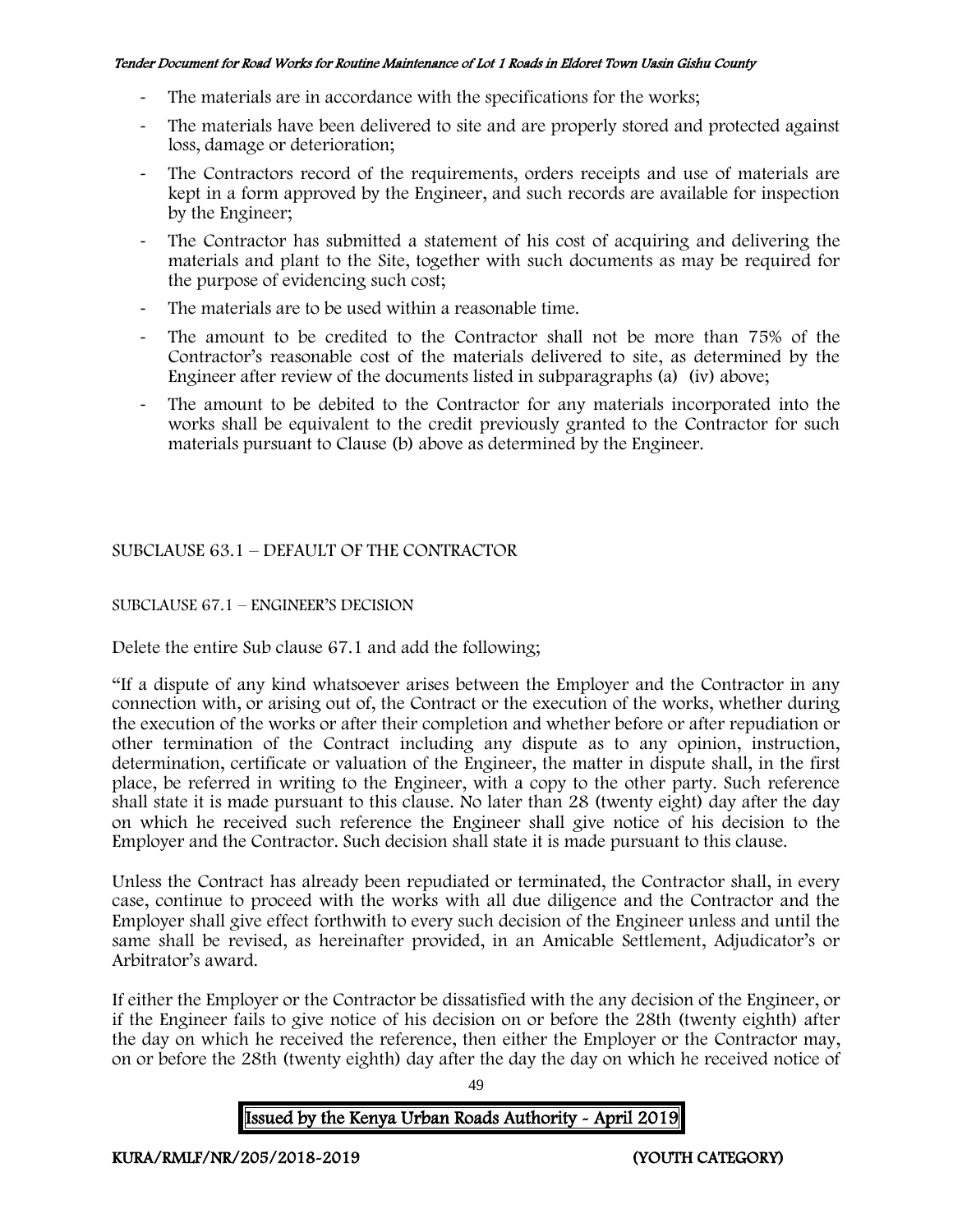- The materials are in accordance with the specifications for the works;
- The materials have been delivered to site and are properly stored and protected against loss, damage or deterioration;
- The Contractors record of the requirements, orders receipts and use of materials are kept in a form approved by the Engineer, and such records are available for inspection by the Engineer;
- The Contractor has submitted a statement of his cost of acquiring and delivering the materials and plant to the Site, together with such documents as may be required for the purpose of evidencing such cost;
- The materials are to be used within a reasonable time.
- The amount to be credited to the Contractor shall not be more than 75% of the Contractor's reasonable cost of the materials delivered to site, as determined by the Engineer after review of the documents listed in subparagraphs (a) (iv) above;
- The amount to be debited to the Contractor for any materials incorporated into the works shall be equivalent to the credit previously granted to the Contractor for such materials pursuant to Clause (b) above as determined by the Engineer.

# SUBCLAUSE 63.1 – DEFAULT OF THE CONTRACTOR

# SUBCLAUSE 67.1 – ENGINEER'S DECISION

Delete the entire Sub clause 67.1 and add the following;

"If a dispute of any kind whatsoever arises between the Employer and the Contractor in any connection with, or arising out of, the Contract or the execution of the works, whether during the execution of the works or after their completion and whether before or after repudiation or other termination of the Contract including any dispute as to any opinion, instruction, determination, certificate or valuation of the Engineer, the matter in dispute shall, in the first place, be referred in writing to the Engineer, with a copy to the other party. Such reference shall state it is made pursuant to this clause. No later than 28 (twenty eight) day after the day on which he received such reference the Engineer shall give notice of his decision to the Employer and the Contractor. Such decision shall state it is made pursuant to this clause.

Unless the Contract has already been repudiated or terminated, the Contractor shall, in every case, continue to proceed with the works with all due diligence and the Contractor and the Employer shall give effect forthwith to every such decision of the Engineer unless and until the same shall be revised, as hereinafter provided, in an Amicable Settlement, Adjudicator's or Arbitrator's award.

If either the Employer or the Contractor be dissatisfied with the any decision of the Engineer, or if the Engineer fails to give notice of his decision on or before the 28th (twenty eighth) after the day on which he received the reference, then either the Employer or the Contractor may, on or before the 28th (twenty eighth) day after the day the day on which he received notice of

Issued by the Kenya Urban Roads Authority - April 2019

49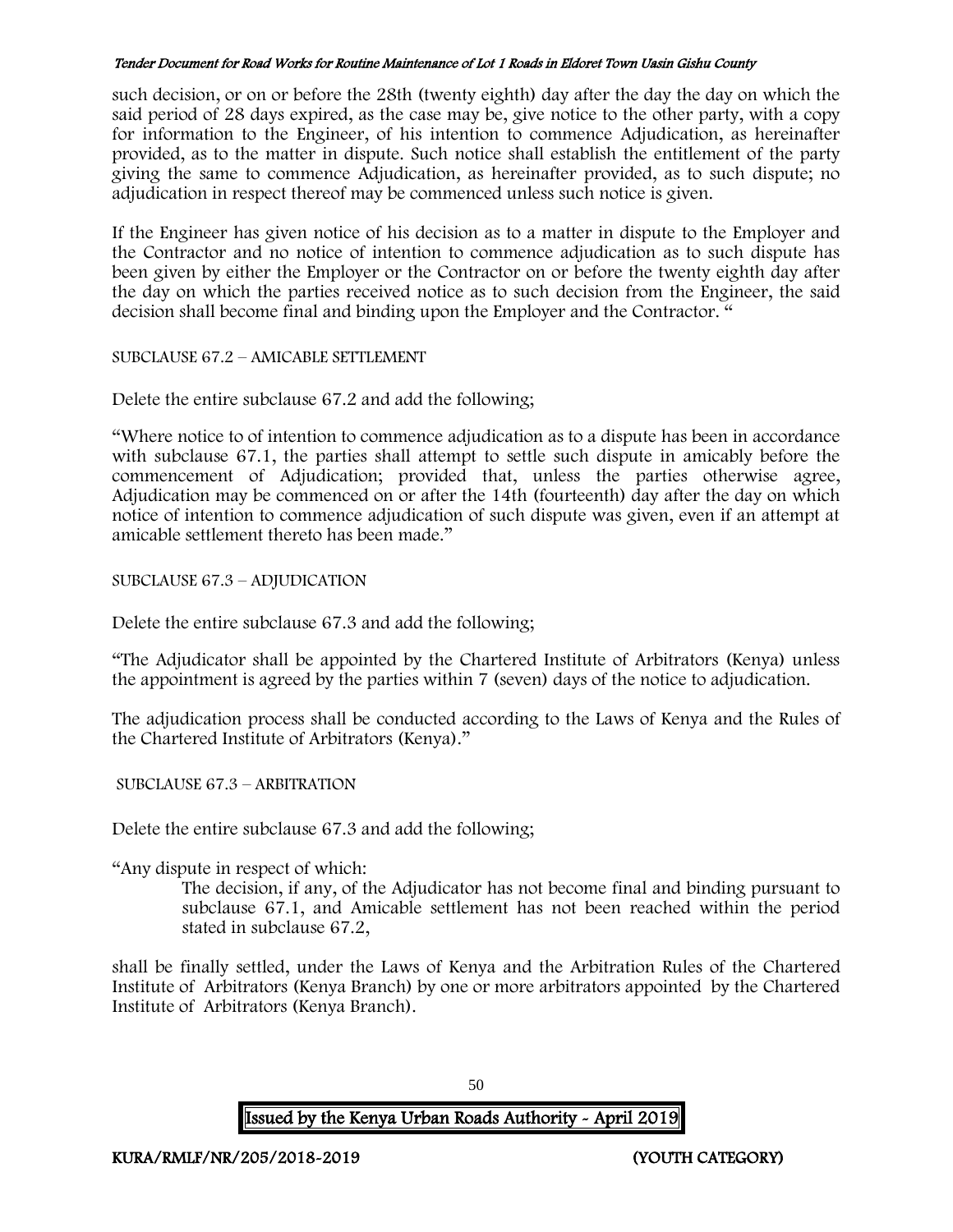such decision, or on or before the 28th (twenty eighth) day after the day the day on which the said period of 28 days expired, as the case may be, give notice to the other party, with a copy for information to the Engineer, of his intention to commence Adjudication, as hereinafter provided, as to the matter in dispute. Such notice shall establish the entitlement of the party giving the same to commence Adjudication, as hereinafter provided, as to such dispute; no adjudication in respect thereof may be commenced unless such notice is given.

If the Engineer has given notice of his decision as to a matter in dispute to the Employer and the Contractor and no notice of intention to commence adjudication as to such dispute has been given by either the Employer or the Contractor on or before the twenty eighth day after the day on which the parties received notice as to such decision from the Engineer, the said decision shall become final and binding upon the Employer and the Contractor. "

SUBCLAUSE 67.2 – AMICABLE SETTLEMENT

Delete the entire subclause 67.2 and add the following;

"Where notice to of intention to commence adjudication as to a dispute has been in accordance with subclause 67.1, the parties shall attempt to settle such dispute in amicably before the commencement of Adjudication; provided that, unless the parties otherwise agree, Adjudication may be commenced on or after the 14th (fourteenth) day after the day on which notice of intention to commence adjudication of such dispute was given, even if an attempt at amicable settlement thereto has been made."

SUBCLAUSE 67.3 – ADJUDICATION

Delete the entire subclause 67.3 and add the following;

"The Adjudicator shall be appointed by the Chartered Institute of Arbitrators (Kenya) unless the appointment is agreed by the parties within 7 (seven) days of the notice to adjudication.

The adjudication process shall be conducted according to the Laws of Kenya and the Rules of the Chartered Institute of Arbitrators (Kenya)."

SUBCLAUSE 67.3 – ARBITRATION

Delete the entire subclause 67.3 and add the following;

"Any dispute in respect of which:

The decision, if any, of the Adjudicator has not become final and binding pursuant to subclause 67.1, and Amicable settlement has not been reached within the period stated in subclause 67.2,

shall be finally settled, under the Laws of Kenya and the Arbitration Rules of the Chartered Institute of Arbitrators (Kenya Branch) by one or more arbitrators appointed by the Chartered Institute of Arbitrators (Kenya Branch).

Issued by the Kenya Urban Roads Authority - April 2019

50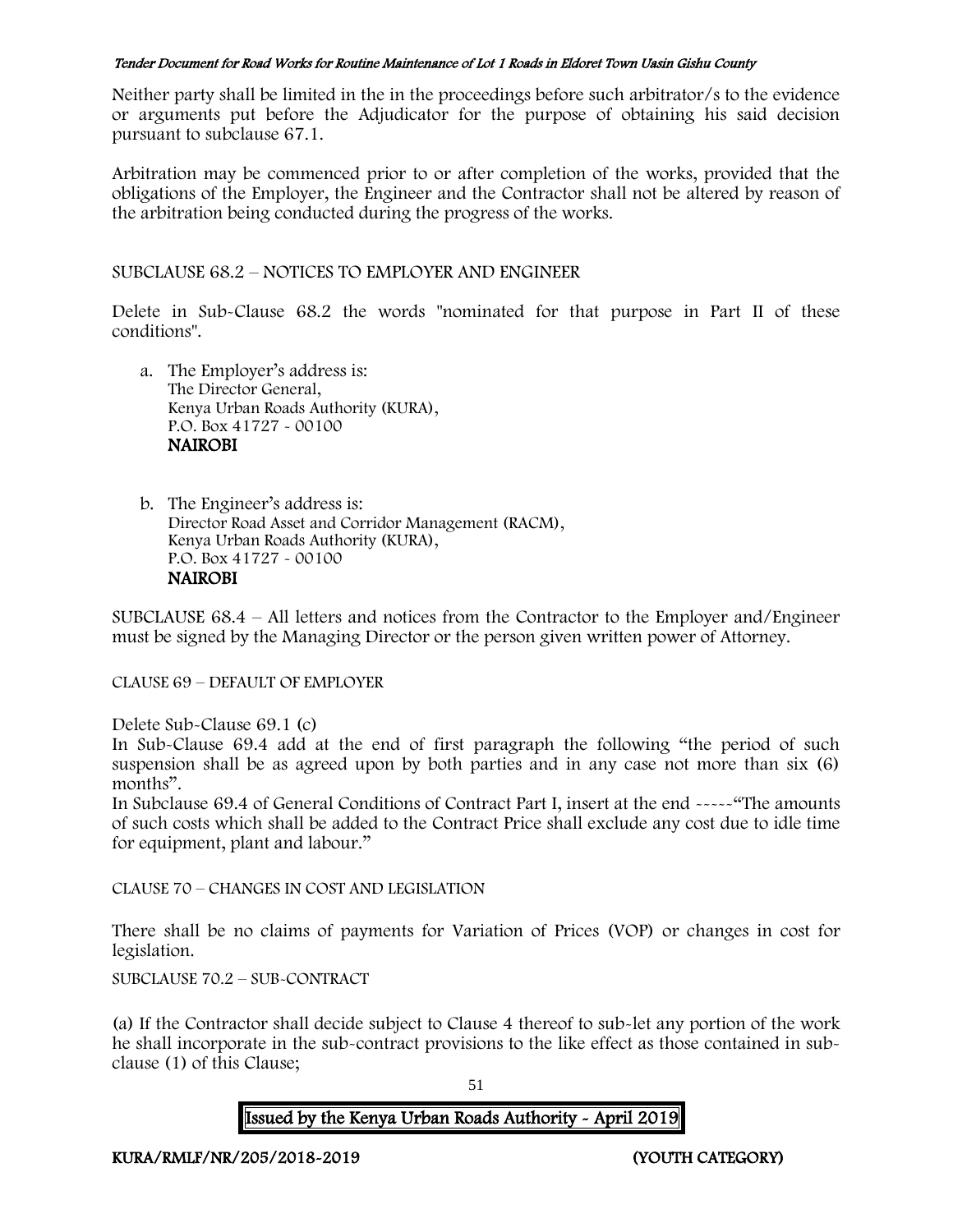Neither party shall be limited in the in the proceedings before such arbitrator/s to the evidence or arguments put before the Adjudicator for the purpose of obtaining his said decision pursuant to subclause 67.1.

Arbitration may be commenced prior to or after completion of the works, provided that the obligations of the Employer, the Engineer and the Contractor shall not be altered by reason of the arbitration being conducted during the progress of the works.

SUBCLAUSE 68.2 – NOTICES TO EMPLOYER AND ENGINEER

Delete in Sub-Clause 68.2 the words "nominated for that purpose in Part II of these conditions".

- a. The Employer's address is: The Director General, Kenya Urban Roads Authority (KURA), P.O. Box 41727 - 00100 **NAIROBI**
- b. The Engineer's address is: Director Road Asset and Corridor Management (RACM), Kenya Urban Roads Authority (KURA), P.O. Box 41727 - 00100 NAIROBI

SUBCLAUSE 68.4 – All letters and notices from the Contractor to the Employer and/Engineer must be signed by the Managing Director or the person given written power of Attorney.

CLAUSE 69 – DEFAULT OF EMPLOYER

Delete Sub-Clause 69.1 (c)

In Sub-Clause 69.4 add at the end of first paragraph the following "the period of such suspension shall be as agreed upon by both parties and in any case not more than six (6) months".

In Subclause 69.4 of General Conditions of Contract Part I, insert at the end -----"The amounts of such costs which shall be added to the Contract Price shall exclude any cost due to idle time for equipment, plant and labour."

CLAUSE 70 – CHANGES IN COST AND LEGISLATION

There shall be no claims of payments for Variation of Prices (VOP) or changes in cost for legislation.

SUBCLAUSE 70.2 – SUB-CONTRACT

(a) If the Contractor shall decide subject to Clause 4 thereof to sub-let any portion of the work he shall incorporate in the sub-contract provisions to the like effect as those contained in subclause (1) of this Clause;

51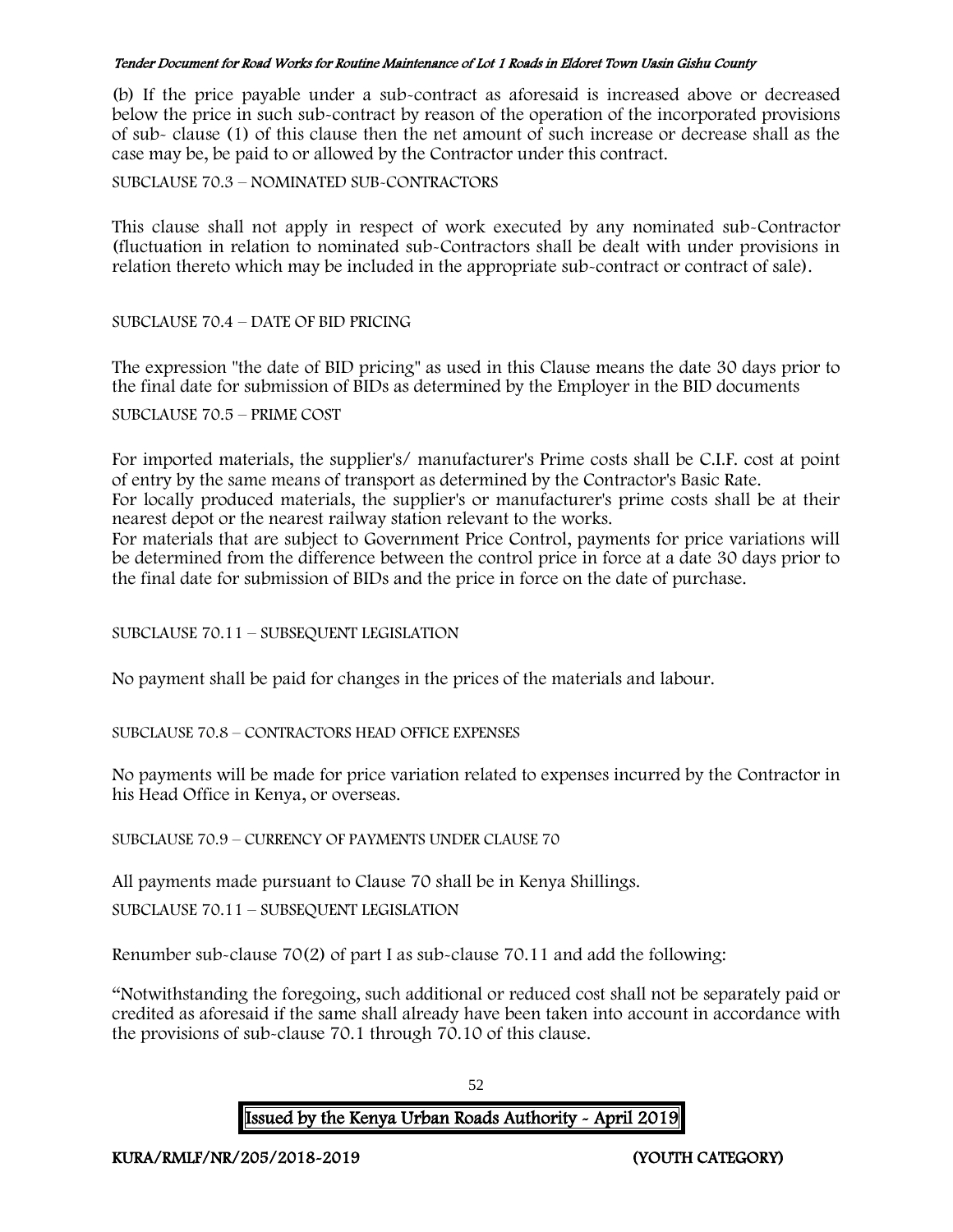(b) If the price payable under a sub-contract as aforesaid is increased above or decreased below the price in such sub-contract by reason of the operation of the incorporated provisions of sub- clause (1) of this clause then the net amount of such increase or decrease shall as the case may be, be paid to or allowed by the Contractor under this contract.

SUBCLAUSE 70.3 – NOMINATED SUB-CONTRACTORS

This clause shall not apply in respect of work executed by any nominated sub-Contractor (fluctuation in relation to nominated sub-Contractors shall be dealt with under provisions in relation thereto which may be included in the appropriate sub-contract or contract of sale).

SUBCLAUSE 70.4 – DATE OF BID PRICING

The expression "the date of BID pricing" as used in this Clause means the date 30 days prior to the final date for submission of BIDs as determined by the Employer in the BID documents SUBCLAUSE 70.5 – PRIME COST

For imported materials, the supplier's/ manufacturer's Prime costs shall be C.I.F. cost at point of entry by the same means of transport as determined by the Contractor's Basic Rate.

For locally produced materials, the supplier's or manufacturer's prime costs shall be at their nearest depot or the nearest railway station relevant to the works.

For materials that are subject to Government Price Control, payments for price variations will be determined from the difference between the control price in force at a date 30 days prior to the final date for submission of BIDs and the price in force on the date of purchase.

SUBCLAUSE 70.11 – SUBSEQUENT LEGISLATION

No payment shall be paid for changes in the prices of the materials and labour.

SUBCLAUSE 70.8 – CONTRACTORS HEAD OFFICE EXPENSES

No payments will be made for price variation related to expenses incurred by the Contractor in his Head Office in Kenya, or overseas.

SUBCLAUSE 70.9 – CURRENCY OF PAYMENTS UNDER CLAUSE 70

All payments made pursuant to Clause 70 shall be in Kenya Shillings. SUBCLAUSE 70.11 – SUBSEQUENT LEGISLATION

Renumber sub-clause 70(2) of part I as sub-clause 70.11 and add the following:

"Notwithstanding the foregoing, such additional or reduced cost shall not be separately paid or credited as aforesaid if the same shall already have been taken into account in accordance with the provisions of sub-clause 70.1 through 70.10 of this clause.

52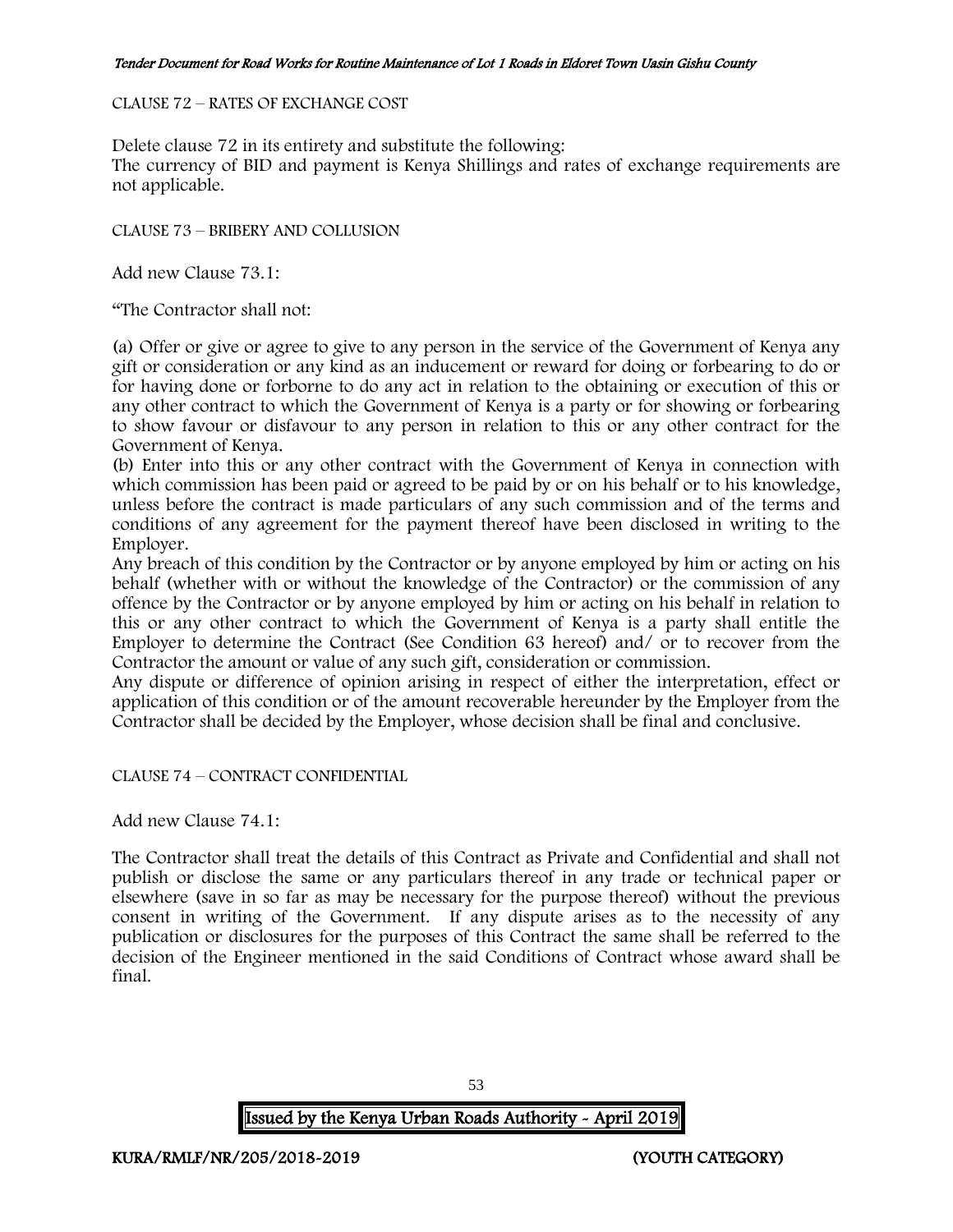### CLAUSE 72 – RATES OF EXCHANGE COST

Delete clause 72 in its entirety and substitute the following:

The currency of BID and payment is Kenya Shillings and rates of exchange requirements are not applicable.

CLAUSE 73 – BRIBERY AND COLLUSION

Add new Clause 73.1:

"The Contractor shall not:

(a) Offer or give or agree to give to any person in the service of the Government of Kenya any gift or consideration or any kind as an inducement or reward for doing or forbearing to do or for having done or forborne to do any act in relation to the obtaining or execution of this or any other contract to which the Government of Kenya is a party or for showing or forbearing to show favour or disfavour to any person in relation to this or any other contract for the Government of Kenya.

(b) Enter into this or any other contract with the Government of Kenya in connection with which commission has been paid or agreed to be paid by or on his behalf or to his knowledge, unless before the contract is made particulars of any such commission and of the terms and conditions of any agreement for the payment thereof have been disclosed in writing to the Employer.

Any breach of this condition by the Contractor or by anyone employed by him or acting on his behalf (whether with or without the knowledge of the Contractor) or the commission of any offence by the Contractor or by anyone employed by him or acting on his behalf in relation to this or any other contract to which the Government of Kenya is a party shall entitle the Employer to determine the Contract (See Condition 63 hereof) and/ or to recover from the Contractor the amount or value of any such gift, consideration or commission.

Any dispute or difference of opinion arising in respect of either the interpretation, effect or application of this condition or of the amount recoverable hereunder by the Employer from the Contractor shall be decided by the Employer, whose decision shall be final and conclusive.

CLAUSE 74 – CONTRACT CONFIDENTIAL

Add new Clause 74.1:

The Contractor shall treat the details of this Contract as Private and Confidential and shall not publish or disclose the same or any particulars thereof in any trade or technical paper or elsewhere (save in so far as may be necessary for the purpose thereof) without the previous consent in writing of the Government. If any dispute arises as to the necessity of any publication or disclosures for the purposes of this Contract the same shall be referred to the decision of the Engineer mentioned in the said Conditions of Contract whose award shall be final.

53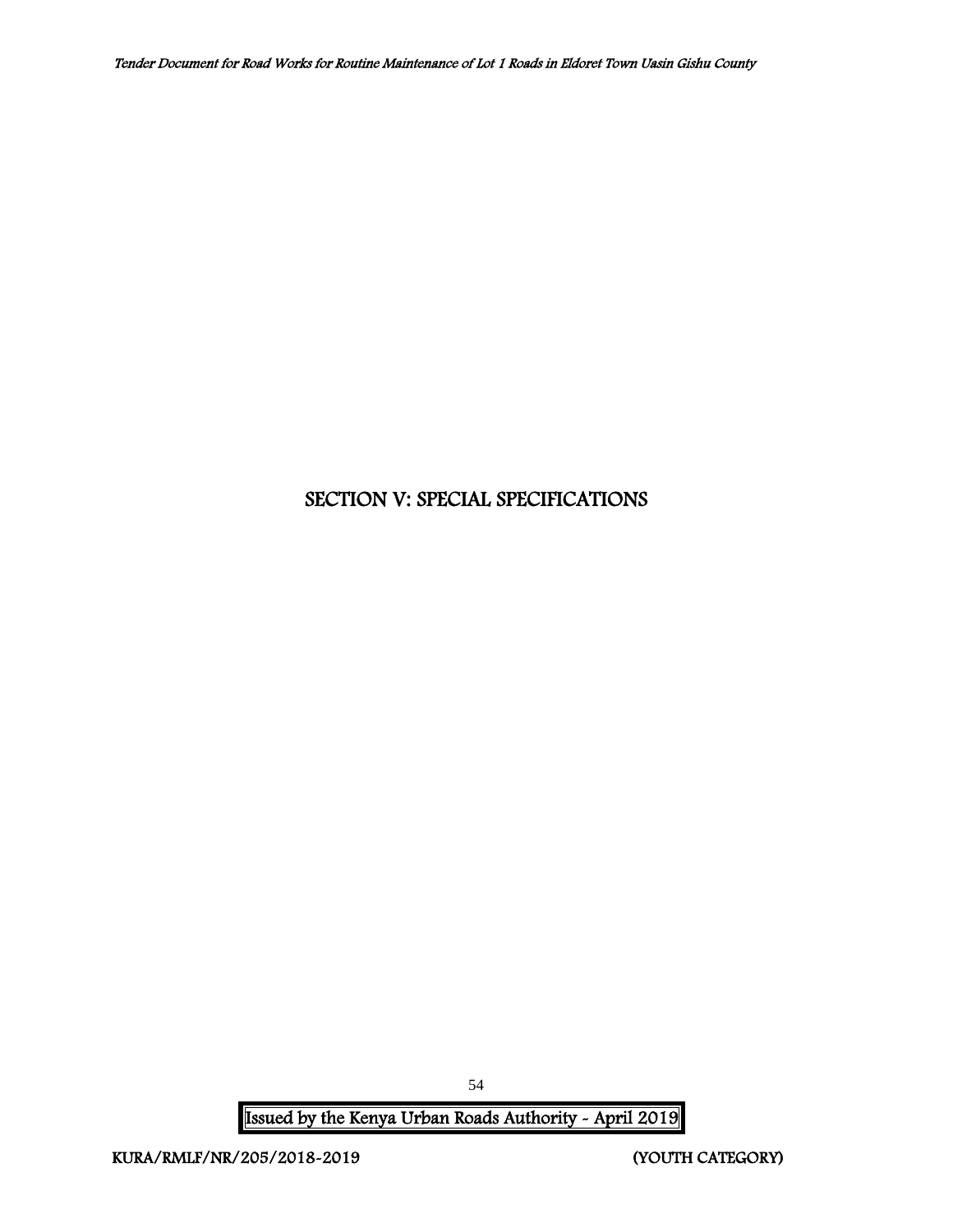# SECTION V: SPECIAL SPECIFICATIONS

Issued by the Kenya Urban Roads Authority - April 2019

54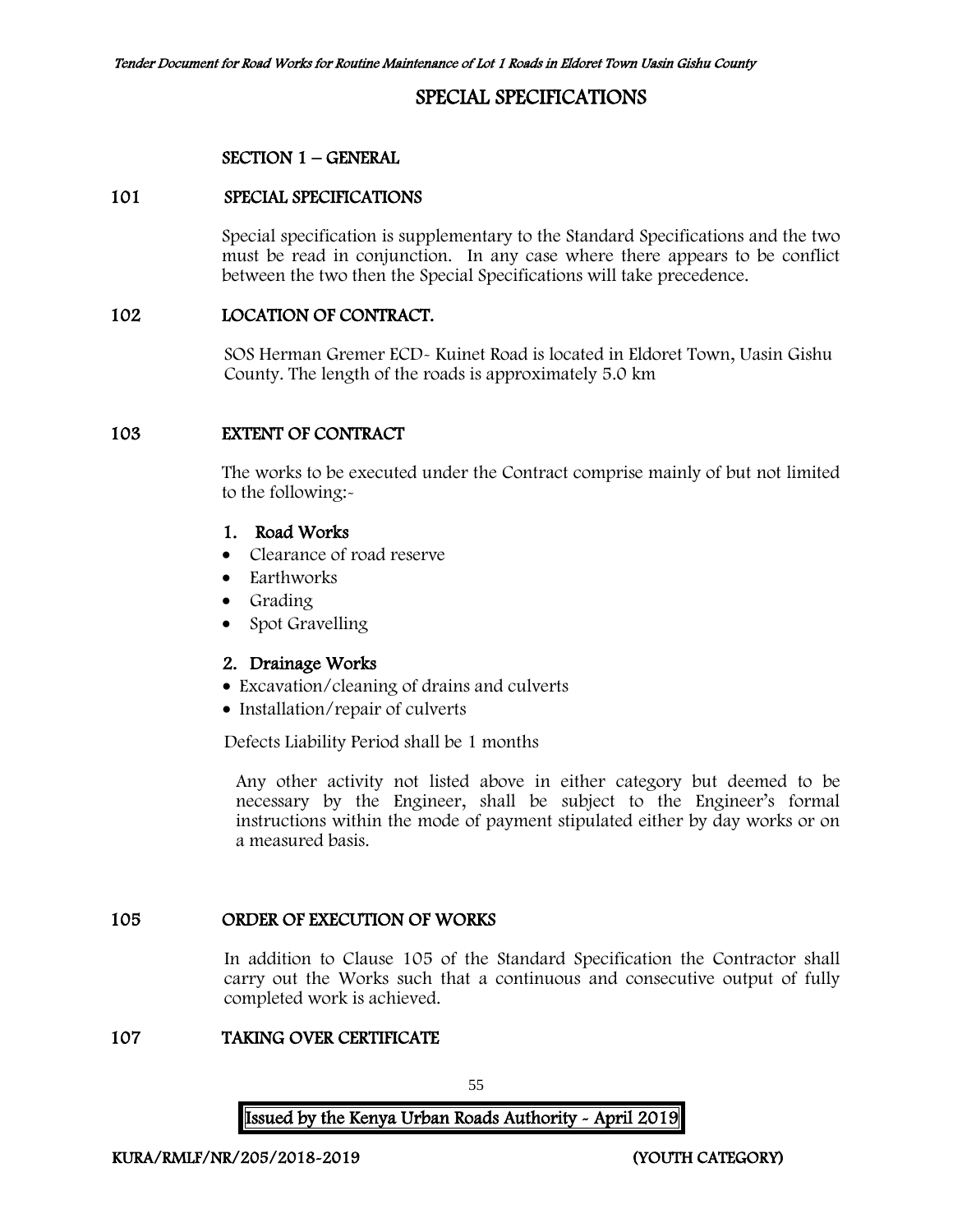# SPECIAL SPECIFICATIONS

#### SECTION 1 – GENERAL

#### 101 SPECIAL SPECIFICATIONS

Special specification is supplementary to the Standard Specifications and the two must be read in conjunction. In any case where there appears to be conflict between the two then the Special Specifications will take precedence.

#### 102 LOCATION OF CONTRACT.

SOS Herman Gremer ECD- Kuinet Road is located in Eldoret Town, Uasin Gishu County. The length of the roads is approximately 5.0 km

#### 103 EXTENT OF CONTRACT

The works to be executed under the Contract comprise mainly of but not limited to the following:-

### 1. Road Works

- Clearance of road reserve
- Earthworks
- Grading
- Spot Gravelling

#### 2. Drainage Works

- Excavation/cleaning of drains and culverts
- Installation/repair of culverts

Defects Liability Period shall be 1 months

Any other activity not listed above in either category but deemed to be necessary by the Engineer, shall be subject to the Engineer's formal instructions within the mode of payment stipulated either by day works or on a measured basis.

#### 105 ORDER OF EXECUTION OF WORKS

In addition to Clause 105 of the Standard Specification the Contractor shall carry out the Works such that a continuous and consecutive output of fully completed work is achieved.

#### 107 TAKING OVER CERTIFICATE

55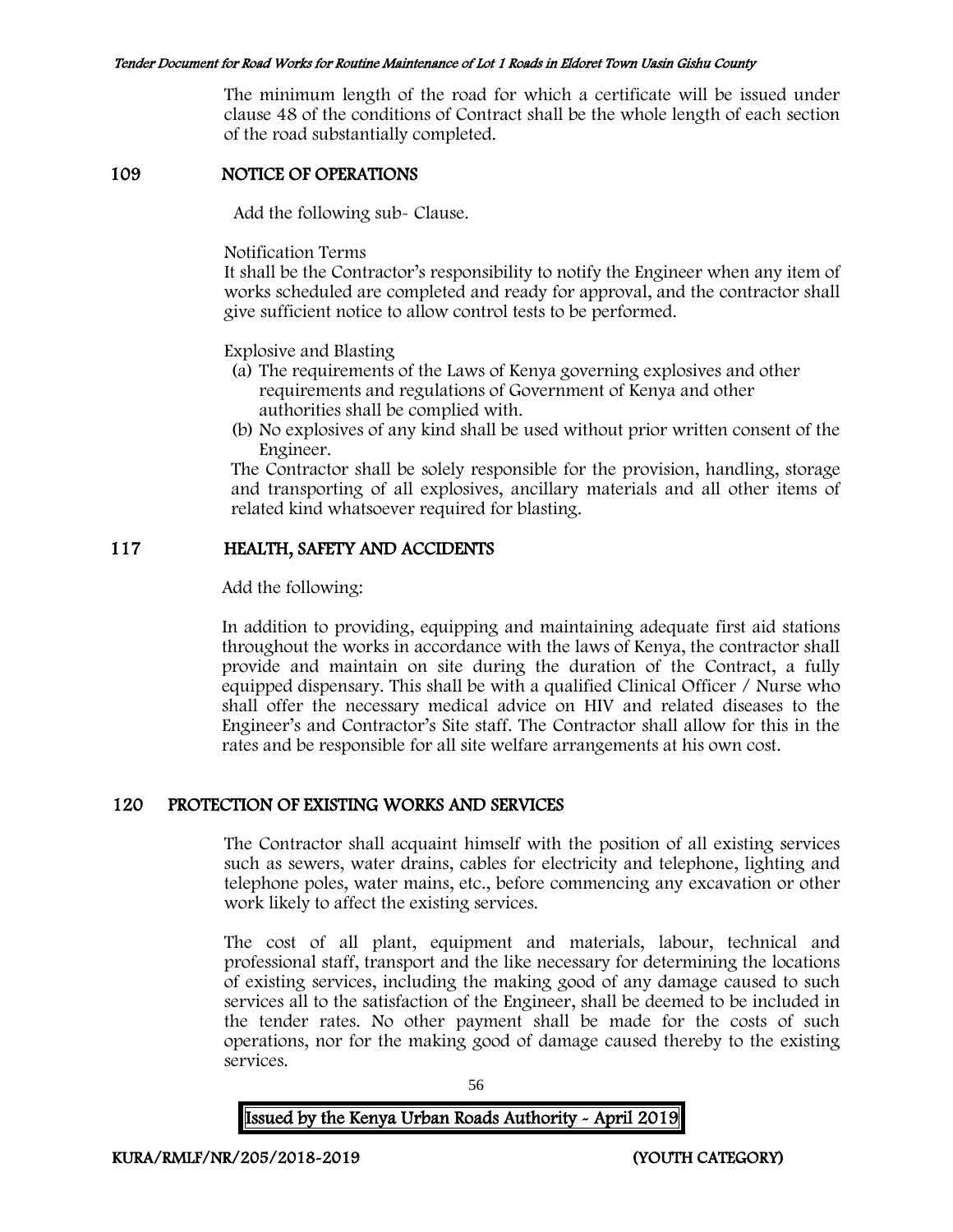The minimum length of the road for which a certificate will be issued under clause 48 of the conditions of Contract shall be the whole length of each section of the road substantially completed.

## 109 NOTICE OF OPERATIONS

Add the following sub- Clause.

Notification Terms

It shall be the Contractor's responsibility to notify the Engineer when any item of works scheduled are completed and ready for approval, and the contractor shall give sufficient notice to allow control tests to be performed.

Explosive and Blasting

- (a) The requirements of the Laws of Kenya governing explosives and other requirements and regulations of Government of Kenya and other authorities shall be complied with.
- (b) No explosives of any kind shall be used without prior written consent of the Engineer.

The Contractor shall be solely responsible for the provision, handling, storage and transporting of all explosives, ancillary materials and all other items of related kind whatsoever required for blasting.

# 117 HEALTH, SAFETY AND ACCIDENTS

Add the following:

In addition to providing, equipping and maintaining adequate first aid stations throughout the works in accordance with the laws of Kenya, the contractor shall provide and maintain on site during the duration of the Contract, a fully equipped dispensary. This shall be with a qualified Clinical Officer / Nurse who shall offer the necessary medical advice on HIV and related diseases to the Engineer's and Contractor's Site staff. The Contractor shall allow for this in the rates and be responsible for all site welfare arrangements at his own cost.

# 120 PROTECTION OF EXISTING WORKS AND SERVICES

The Contractor shall acquaint himself with the position of all existing services such as sewers, water drains, cables for electricity and telephone, lighting and telephone poles, water mains, etc., before commencing any excavation or other work likely to affect the existing services.

The cost of all plant, equipment and materials, labour, technical and professional staff, transport and the like necessary for determining the locations of existing services, including the making good of any damage caused to such services all to the satisfaction of the Engineer, shall be deemed to be included in the tender rates. No other payment shall be made for the costs of such operations, nor for the making good of damage caused thereby to the existing services.

56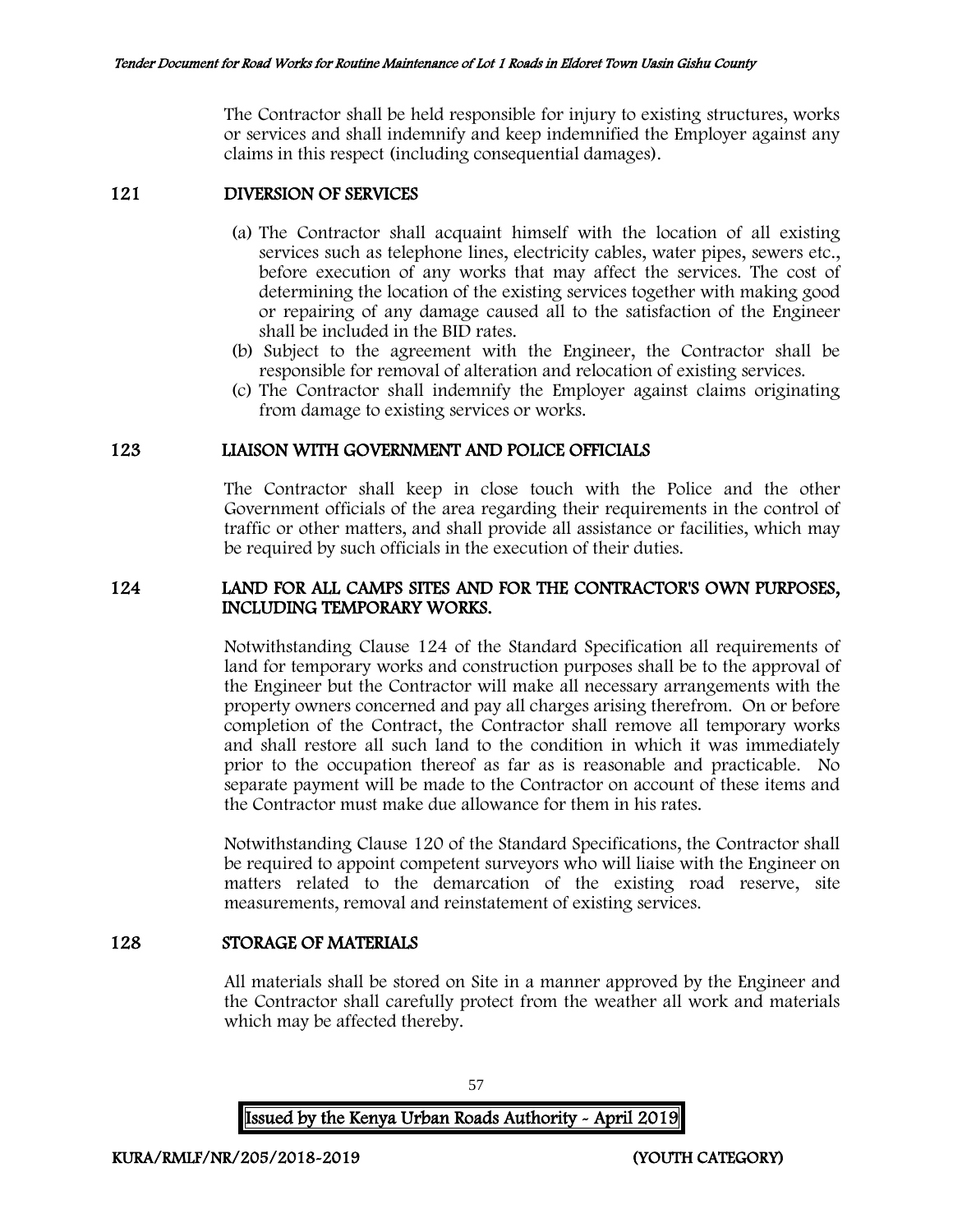The Contractor shall be held responsible for injury to existing structures, works or services and shall indemnify and keep indemnified the Employer against any claims in this respect (including consequential damages).

#### 121 DIVERSION OF SERVICES

- (a) The Contractor shall acquaint himself with the location of all existing services such as telephone lines, electricity cables, water pipes, sewers etc., before execution of any works that may affect the services. The cost of determining the location of the existing services together with making good or repairing of any damage caused all to the satisfaction of the Engineer shall be included in the BID rates.
- (b) Subject to the agreement with the Engineer, the Contractor shall be responsible for removal of alteration and relocation of existing services.
- (c) The Contractor shall indemnify the Employer against claims originating from damage to existing services or works.

#### 123 LIAISON WITH GOVERNMENT AND POLICE OFFICIALS

The Contractor shall keep in close touch with the Police and the other Government officials of the area regarding their requirements in the control of traffic or other matters, and shall provide all assistance or facilities, which may be required by such officials in the execution of their duties.

### 124 LAND FOR ALL CAMPS SITES AND FOR THE CONTRACTOR'S OWN PURPOSES, INCLUDING TEMPORARY WORKS.

Notwithstanding Clause 124 of the Standard Specification all requirements of land for temporary works and construction purposes shall be to the approval of the Engineer but the Contractor will make all necessary arrangements with the property owners concerned and pay all charges arising therefrom. On or before completion of the Contract, the Contractor shall remove all temporary works and shall restore all such land to the condition in which it was immediately prior to the occupation thereof as far as is reasonable and practicable. No separate payment will be made to the Contractor on account of these items and the Contractor must make due allowance for them in his rates.

Notwithstanding Clause 120 of the Standard Specifications, the Contractor shall be required to appoint competent surveyors who will liaise with the Engineer on matters related to the demarcation of the existing road reserve, site measurements, removal and reinstatement of existing services.

### 128 STORAGE OF MATERIALS

All materials shall be stored on Site in a manner approved by the Engineer and the Contractor shall carefully protect from the weather all work and materials which may be affected thereby.

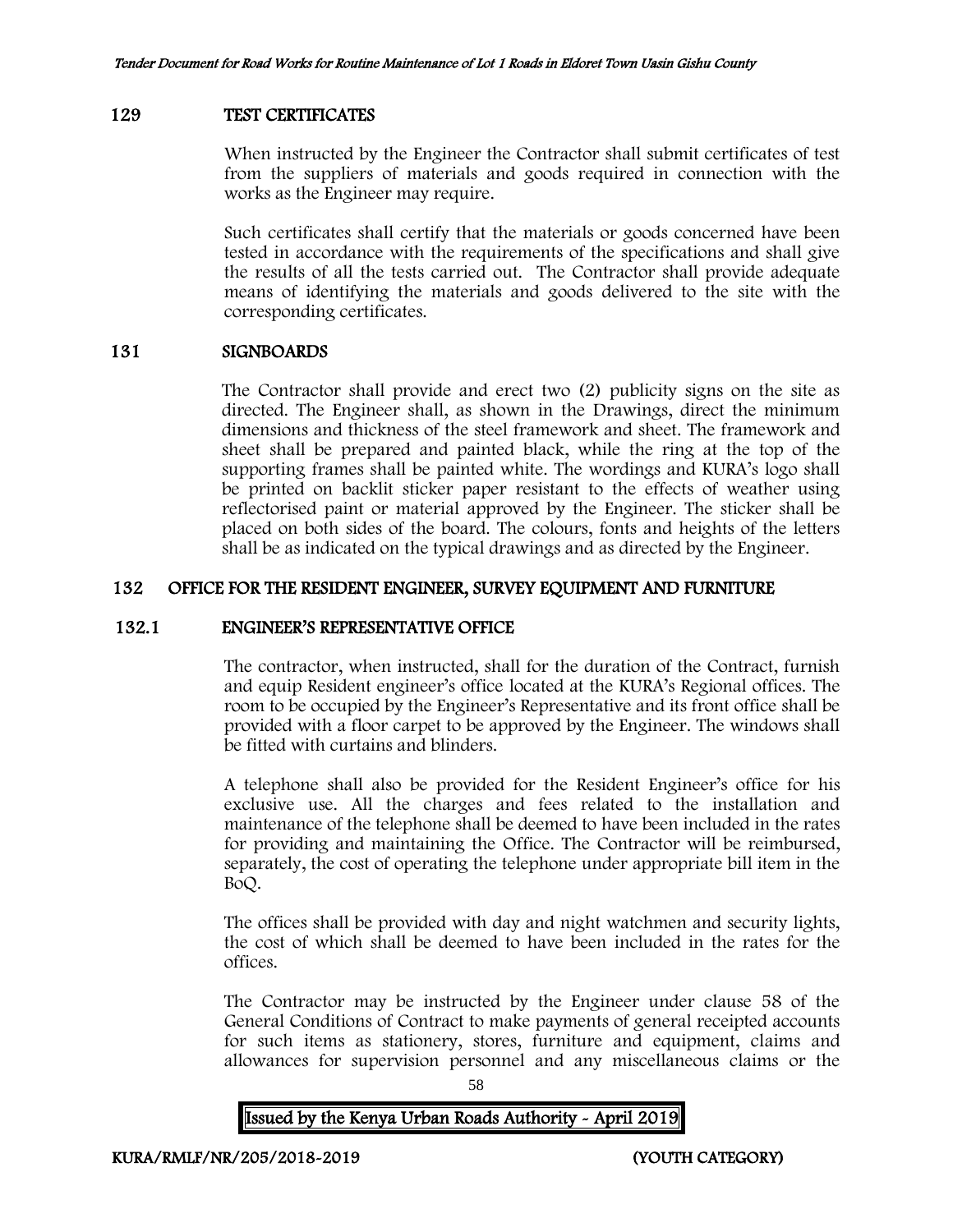#### 129 TEST CERTIFICATES

When instructed by the Engineer the Contractor shall submit certificates of test from the suppliers of materials and goods required in connection with the works as the Engineer may require.

Such certificates shall certify that the materials or goods concerned have been tested in accordance with the requirements of the specifications and shall give the results of all the tests carried out. The Contractor shall provide adequate means of identifying the materials and goods delivered to the site with the corresponding certificates.

#### 131 SIGNBOARDS

The Contractor shall provide and erect two (2) publicity signs on the site as directed. The Engineer shall, as shown in the Drawings, direct the minimum dimensions and thickness of the steel framework and sheet. The framework and sheet shall be prepared and painted black, while the ring at the top of the supporting frames shall be painted white. The wordings and KURA's logo shall be printed on backlit sticker paper resistant to the effects of weather using reflectorised paint or material approved by the Engineer. The sticker shall be placed on both sides of the board. The colours, fonts and heights of the letters shall be as indicated on the typical drawings and as directed by the Engineer.

#### 132 OFFICE FOR THE RESIDENT ENGINEER, SURVEY EQUIPMENT AND FURNITURE

#### 132.1 ENGINEER'S REPRESENTATIVE OFFICE

The contractor, when instructed, shall for the duration of the Contract, furnish and equip Resident engineer's office located at the KURA's Regional offices. The room to be occupied by the Engineer's Representative and its front office shall be provided with a floor carpet to be approved by the Engineer. The windows shall be fitted with curtains and blinders.

A telephone shall also be provided for the Resident Engineer's office for his exclusive use. All the charges and fees related to the installation and maintenance of the telephone shall be deemed to have been included in the rates for providing and maintaining the Office. The Contractor will be reimbursed, separately, the cost of operating the telephone under appropriate bill item in the BoQ.

The offices shall be provided with day and night watchmen and security lights, the cost of which shall be deemed to have been included in the rates for the offices.

The Contractor may be instructed by the Engineer under clause 58 of the General Conditions of Contract to make payments of general receipted accounts for such items as stationery, stores, furniture and equipment, claims and allowances for supervision personnel and any miscellaneous claims or the

58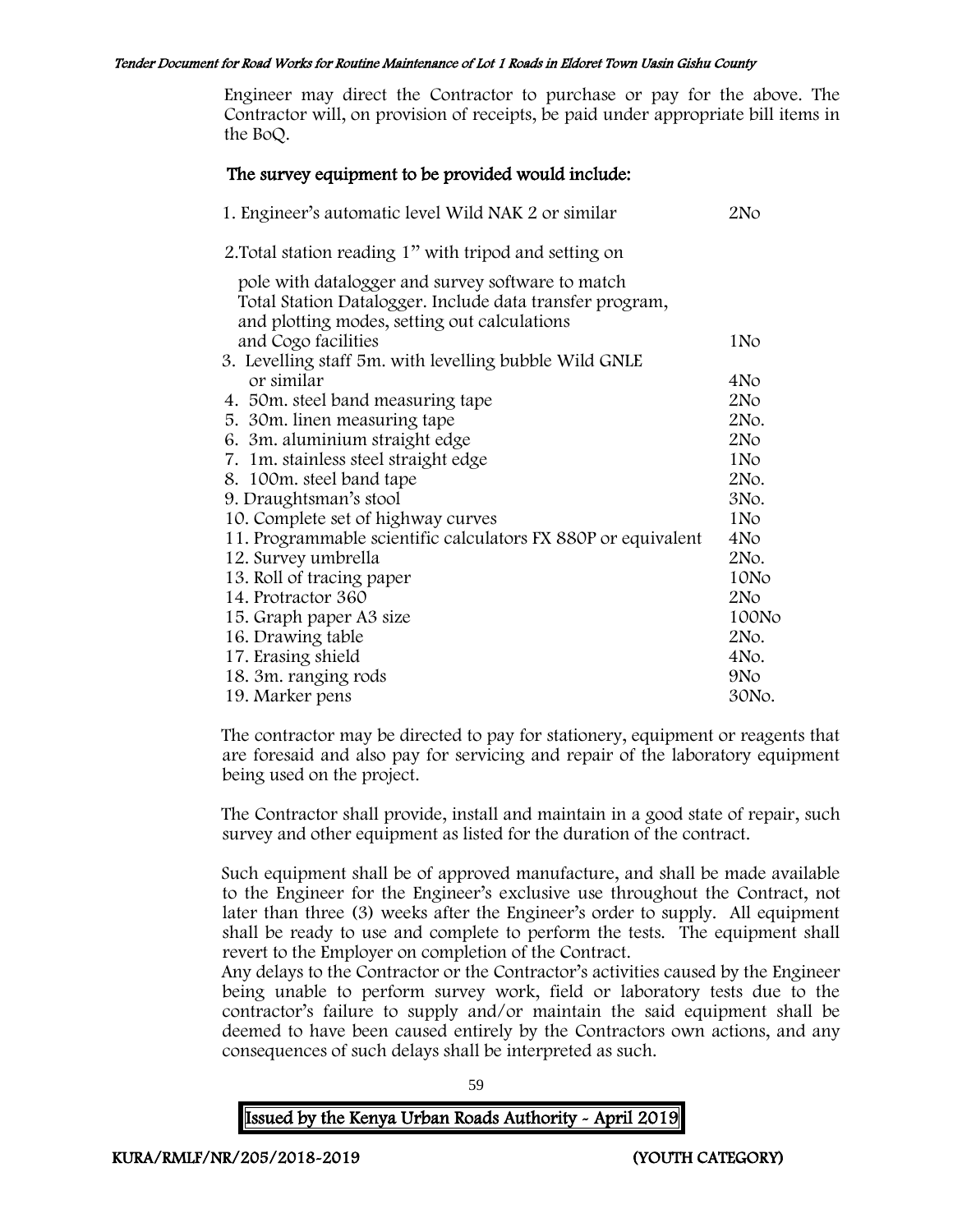Engineer may direct the Contractor to purchase or pay for the above. The Contractor will, on provision of receipts, be paid under appropriate bill items in the BoQ.

### The survey equipment to be provided would include:

| 1. Engineer's automatic level Wild NAK 2 or similar                                                                                                           | 2No             |
|---------------------------------------------------------------------------------------------------------------------------------------------------------------|-----------------|
| 2. Total station reading 1" with tripod and setting on                                                                                                        |                 |
| pole with datalogger and survey software to match<br>Total Station Datalogger. Include data transfer program,<br>and plotting modes, setting out calculations |                 |
| and Cogo facilities                                                                                                                                           | 1N <sub>o</sub> |
| 3. Levelling staff 5m. with levelling bubble Wild GNLE                                                                                                        |                 |
| or similar                                                                                                                                                    | 4No             |
| 4. 50 m. steel band measuring tape                                                                                                                            | 2N <sub>O</sub> |
| 5. 30m. linen measuring tape                                                                                                                                  | 2No.            |
| 6. 3m. aluminium straight edge                                                                                                                                | 2N <sub>O</sub> |
| 7. 1m. stainless steel straight edge                                                                                                                          | 1N <sub>o</sub> |
| 8. 100m. steel band tape                                                                                                                                      | 2No.            |
| 9. Draughtsman's stool                                                                                                                                        | 3No.            |
| 10. Complete set of highway curves                                                                                                                            | 1N <sub>o</sub> |
| 11. Programmable scientific calculators FX 880P or equivalent                                                                                                 | 4No             |
| 12. Survey umbrella                                                                                                                                           | 2No.            |
| 13. Roll of tracing paper                                                                                                                                     | 10No            |
| 14. Protractor 360                                                                                                                                            | 2N <sub>O</sub> |
| 15. Graph paper A3 size                                                                                                                                       | 100No           |
| 16. Drawing table                                                                                                                                             | 2No.            |
| 17. Erasing shield                                                                                                                                            | 4No.            |
| 18. 3m. ranging rods                                                                                                                                          | 9N <sub>o</sub> |
| 19. Marker pens                                                                                                                                               | 30No.           |

The contractor may be directed to pay for stationery, equipment or reagents that are foresaid and also pay for servicing and repair of the laboratory equipment being used on the project.

The Contractor shall provide, install and maintain in a good state of repair, such survey and other equipment as listed for the duration of the contract.

Such equipment shall be of approved manufacture, and shall be made available to the Engineer for the Engineer's exclusive use throughout the Contract, not later than three (3) weeks after the Engineer's order to supply. All equipment shall be ready to use and complete to perform the tests. The equipment shall revert to the Employer on completion of the Contract.

Any delays to the Contractor or the Contractor's activities caused by the Engineer being unable to perform survey work, field or laboratory tests due to the contractor's failure to supply and/or maintain the said equipment shall be deemed to have been caused entirely by the Contractors own actions, and any consequences of such delays shall be interpreted as such.

59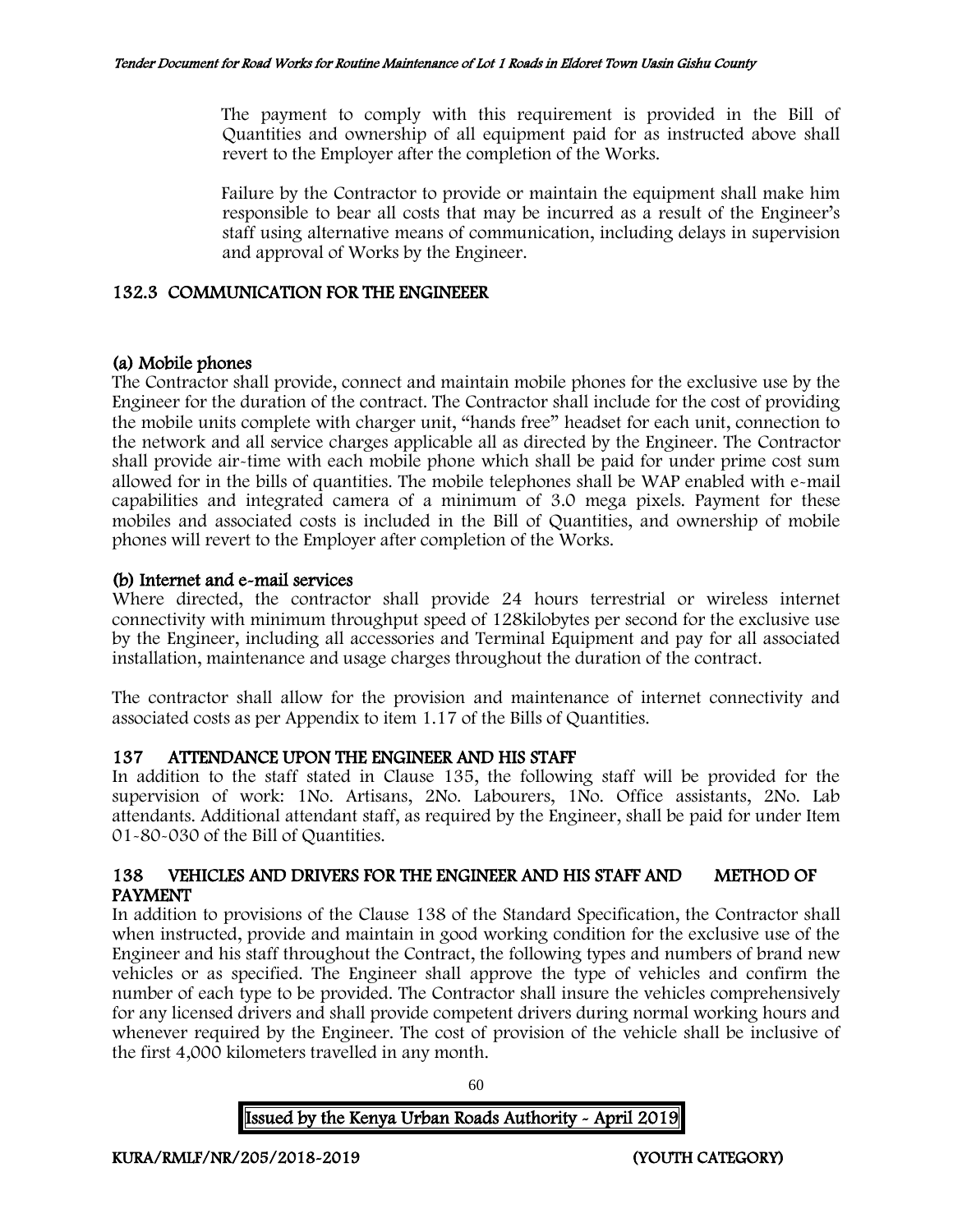The payment to comply with this requirement is provided in the Bill of Quantities and ownership of all equipment paid for as instructed above shall revert to the Employer after the completion of the Works.

Failure by the Contractor to provide or maintain the equipment shall make him responsible to bear all costs that may be incurred as a result of the Engineer's staff using alternative means of communication, including delays in supervision and approval of Works by the Engineer.

# 132.3 COMMUNICATION FOR THE ENGINEEER

# (a) Mobile phones

The Contractor shall provide, connect and maintain mobile phones for the exclusive use by the Engineer for the duration of the contract. The Contractor shall include for the cost of providing the mobile units complete with charger unit, "hands free" headset for each unit, connection to the network and all service charges applicable all as directed by the Engineer. The Contractor shall provide air-time with each mobile phone which shall be paid for under prime cost sum allowed for in the bills of quantities. The mobile telephones shall be WAP enabled with e-mail capabilities and integrated camera of a minimum of 3.0 mega pixels. Payment for these mobiles and associated costs is included in the Bill of Quantities, and ownership of mobile phones will revert to the Employer after completion of the Works.

# (b) Internet and e-mail services

Where directed, the contractor shall provide 24 hours terrestrial or wireless internet connectivity with minimum throughput speed of 128kilobytes per second for the exclusive use by the Engineer, including all accessories and Terminal Equipment and pay for all associated installation, maintenance and usage charges throughout the duration of the contract.

The contractor shall allow for the provision and maintenance of internet connectivity and associated costs as per Appendix to item 1.17 of the Bills of Quantities.

# 137 ATTENDANCE UPON THE ENGINEER AND HIS STAFF

In addition to the staff stated in Clause 135, the following staff will be provided for the supervision of work: 1No. Artisans, 2No. Labourers, 1No. Office assistants, 2No. Lab attendants. Additional attendant staff, as required by the Engineer, shall be paid for under Item 01-80-030 of the Bill of Quantities.

# 138 VEHICLES AND DRIVERS FOR THE ENGINEER AND HIS STAFF AND METHOD OF PAYMENT

In addition to provisions of the Clause 138 of the Standard Specification, the Contractor shall when instructed, provide and maintain in good working condition for the exclusive use of the Engineer and his staff throughout the Contract, the following types and numbers of brand new vehicles or as specified. The Engineer shall approve the type of vehicles and confirm the number of each type to be provided. The Contractor shall insure the vehicles comprehensively for any licensed drivers and shall provide competent drivers during normal working hours and whenever required by the Engineer. The cost of provision of the vehicle shall be inclusive of the first 4,000 kilometers travelled in any month.

60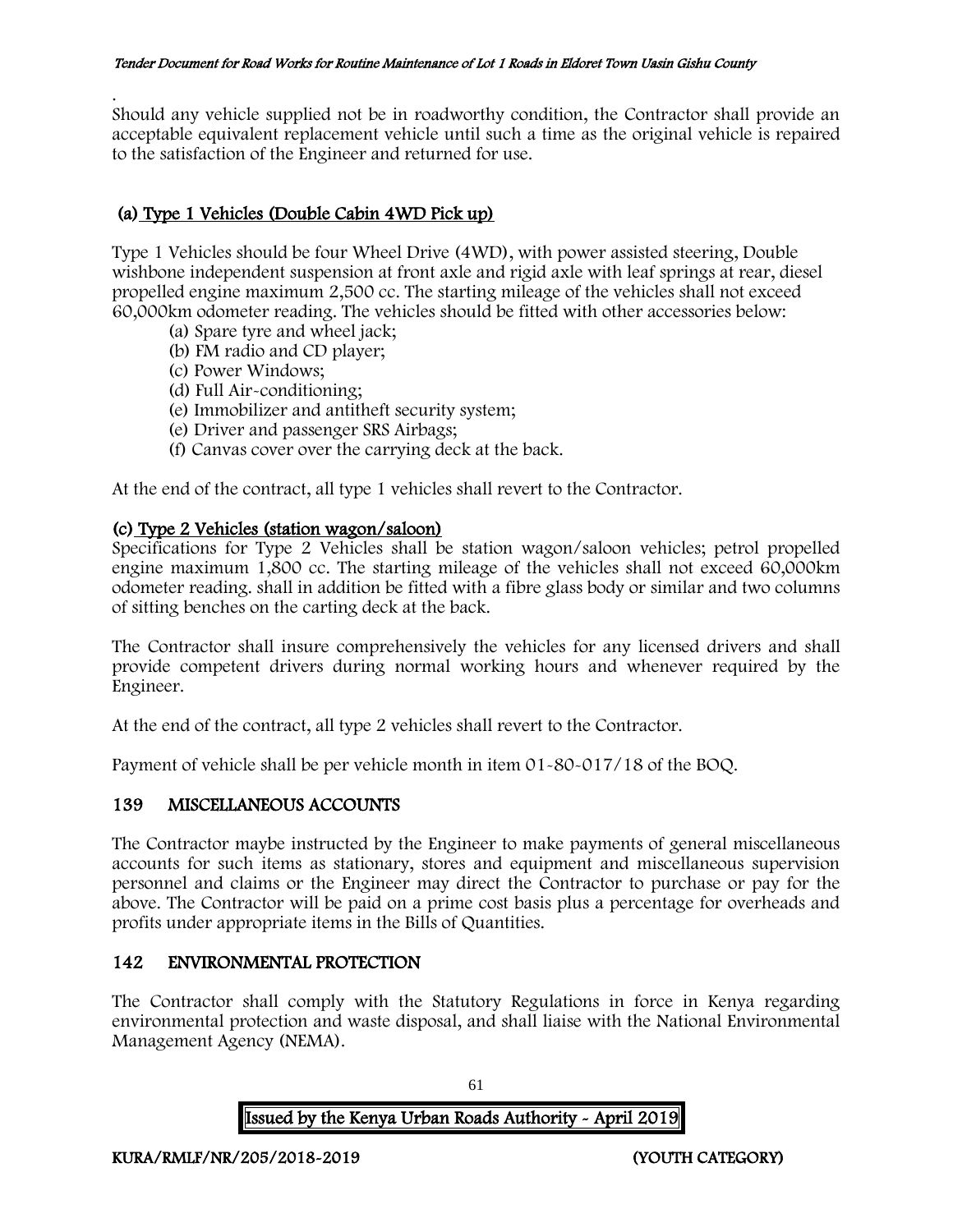. Should any vehicle supplied not be in roadworthy condition, the Contractor shall provide an acceptable equivalent replacement vehicle until such a time as the original vehicle is repaired to the satisfaction of the Engineer and returned for use.

# (a) Type 1 Vehicles (Double Cabin 4WD Pick up)

Type 1 Vehicles should be four Wheel Drive (4WD), with power assisted steering, Double wishbone independent suspension at front axle and rigid axle with leaf springs at rear, diesel propelled engine maximum 2,500 cc. The starting mileage of the vehicles shall not exceed 60,000km odometer reading. The vehicles should be fitted with other accessories below:

- (a) Spare tyre and wheel jack;
- (b) FM radio and CD player;
- (c) Power Windows;
- (d) Full Air-conditioning;
- (e) Immobilizer and antitheft security system;
- (e) Driver and passenger SRS Airbags;
- (f) Canvas cover over the carrying deck at the back.

At the end of the contract, all type 1 vehicles shall revert to the Contractor.

## (c) Type 2 Vehicles (station wagon/saloon)

Specifications for Type 2 Vehicles shall be station wagon/saloon vehicles; petrol propelled engine maximum 1,800 cc. The starting mileage of the vehicles shall not exceed 60,000km odometer reading. shall in addition be fitted with a fibre glass body or similar and two columns of sitting benches on the carting deck at the back.

The Contractor shall insure comprehensively the vehicles for any licensed drivers and shall provide competent drivers during normal working hours and whenever required by the Engineer.

At the end of the contract, all type 2 vehicles shall revert to the Contractor.

Payment of vehicle shall be per vehicle month in item 01-80-017/18 of the BOQ.

# 139 MISCELLANEOUS ACCOUNTS

The Contractor maybe instructed by the Engineer to make payments of general miscellaneous accounts for such items as stationary, stores and equipment and miscellaneous supervision personnel and claims or the Engineer may direct the Contractor to purchase or pay for the above. The Contractor will be paid on a prime cost basis plus a percentage for overheads and profits under appropriate items in the Bills of Quantities.

# 142 ENVIRONMENTAL PROTECTION

The Contractor shall comply with the Statutory Regulations in force in Kenya regarding environmental protection and waste disposal, and shall liaise with the National Environmental Management Agency (NEMA).

Issued by the Kenya Urban Roads Authority - April 2019

61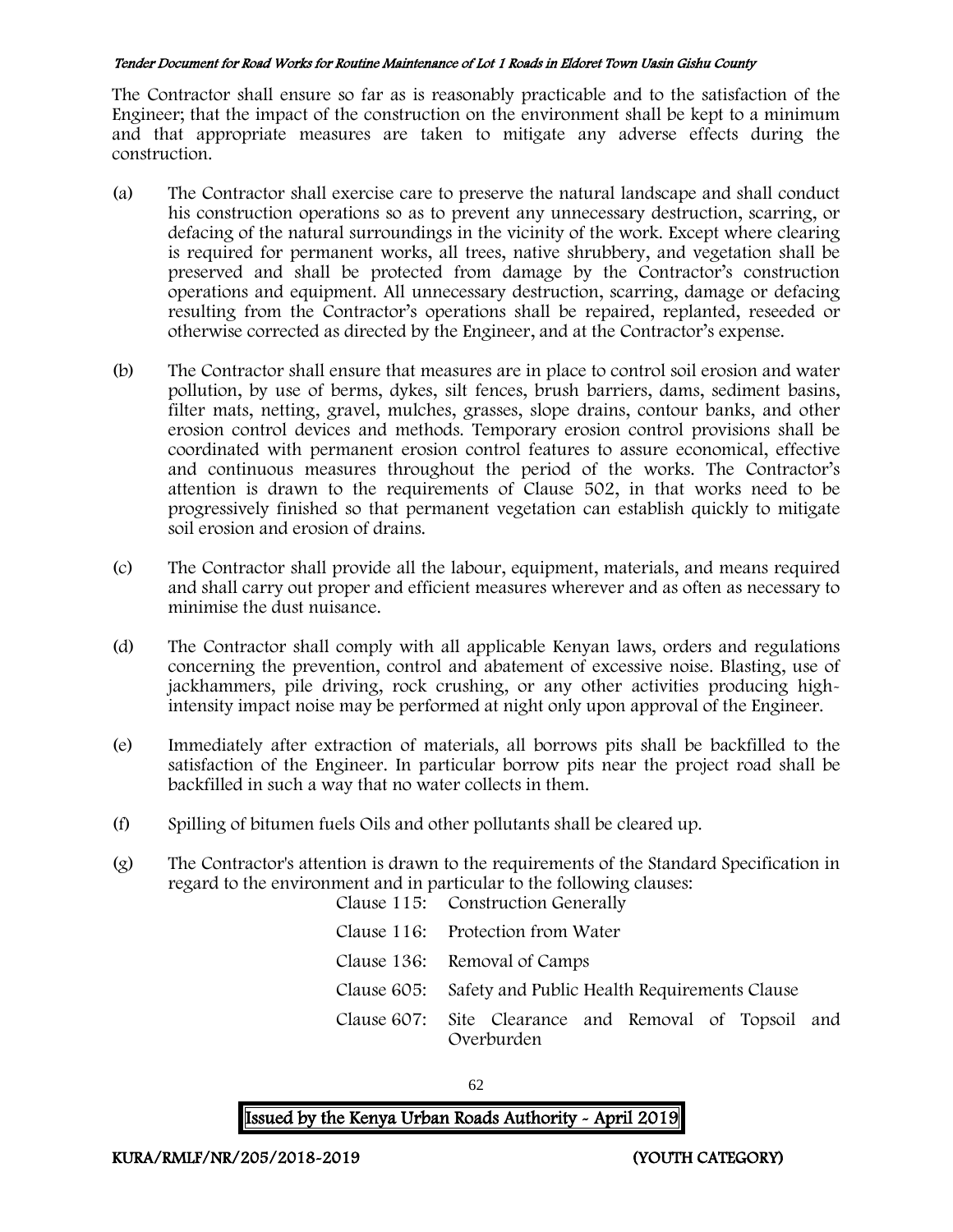The Contractor shall ensure so far as is reasonably practicable and to the satisfaction of the Engineer; that the impact of the construction on the environment shall be kept to a minimum and that appropriate measures are taken to mitigate any adverse effects during the construction.

- (a) The Contractor shall exercise care to preserve the natural landscape and shall conduct his construction operations so as to prevent any unnecessary destruction, scarring, or defacing of the natural surroundings in the vicinity of the work. Except where clearing is required for permanent works, all trees, native shrubbery, and vegetation shall be preserved and shall be protected from damage by the Contractor's construction operations and equipment. All unnecessary destruction, scarring, damage or defacing resulting from the Contractor's operations shall be repaired, replanted, reseeded or otherwise corrected as directed by the Engineer, and at the Contractor's expense.
- (b) The Contractor shall ensure that measures are in place to control soil erosion and water pollution, by use of berms, dykes, silt fences, brush barriers, dams, sediment basins, filter mats, netting, gravel, mulches, grasses, slope drains, contour banks, and other erosion control devices and methods. Temporary erosion control provisions shall be coordinated with permanent erosion control features to assure economical, effective and continuous measures throughout the period of the works. The Contractor's attention is drawn to the requirements of Clause 502, in that works need to be progressively finished so that permanent vegetation can establish quickly to mitigate soil erosion and erosion of drains.
- (c) The Contractor shall provide all the labour, equipment, materials, and means required and shall carry out proper and efficient measures wherever and as often as necessary to minimise the dust nuisance.
- (d) The Contractor shall comply with all applicable Kenyan laws, orders and regulations concerning the prevention, control and abatement of excessive noise. Blasting, use of jackhammers, pile driving, rock crushing, or any other activities producing highintensity impact noise may be performed at night only upon approval of the Engineer.
- (e) Immediately after extraction of materials, all borrows pits shall be backfilled to the satisfaction of the Engineer. In particular borrow pits near the project road shall be backfilled in such a way that no water collects in them.
- (f) Spilling of bitumen fuels Oils and other pollutants shall be cleared up.
- (g) The Contractor's attention is drawn to the requirements of the Standard Specification in regard to the environment and in particular to the following clauses: Clause 115: Construction Generally

| Clause 115. Construction Generally                                  |  |  |
|---------------------------------------------------------------------|--|--|
| Clause 116: Protection from Water                                   |  |  |
| Clause 136: Removal of Camps                                        |  |  |
| Clause 605: Safety and Public Health Requirements Clause            |  |  |
| Clause 607: Site Clearance and Removal of Topsoil and<br>Overburden |  |  |

62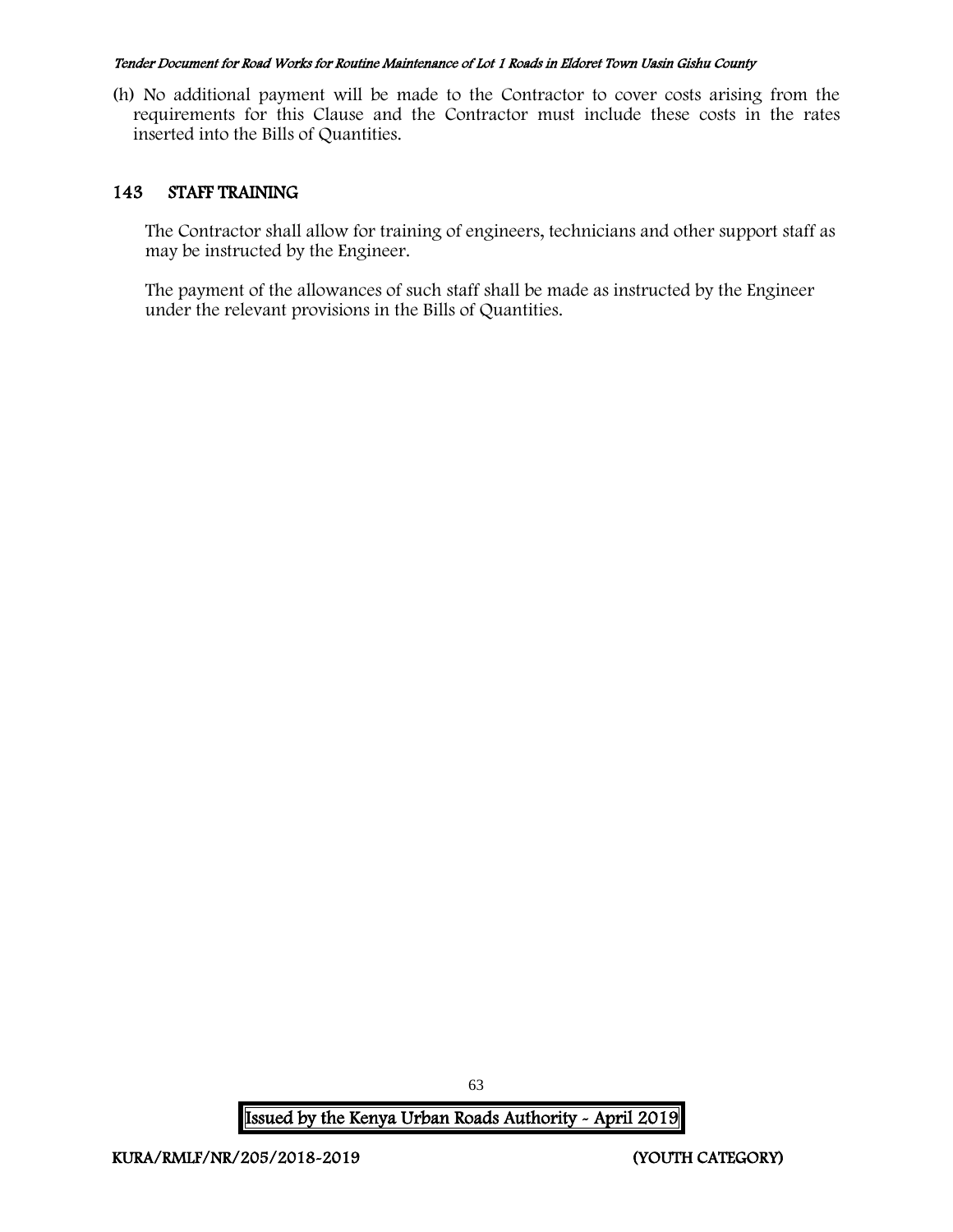(h) No additional payment will be made to the Contractor to cover costs arising from the requirements for this Clause and the Contractor must include these costs in the rates inserted into the Bills of Quantities.

## 143 STAFF TRAINING

The Contractor shall allow for training of engineers, technicians and other support staff as may be instructed by the Engineer.

The payment of the allowances of such staff shall be made as instructed by the Engineer under the relevant provisions in the Bills of Quantities.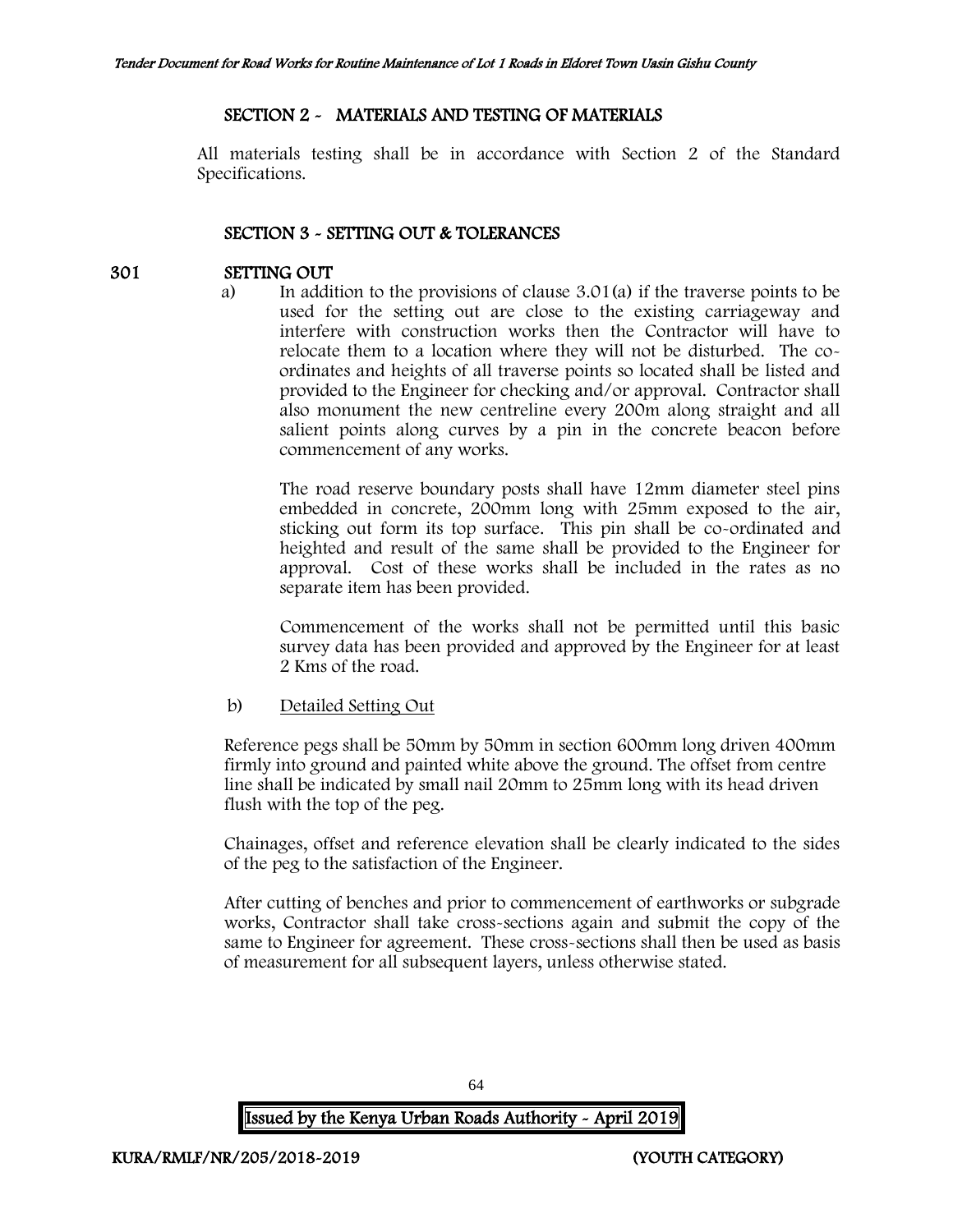# SECTION 2 - MATERIALS AND TESTING OF MATERIALS

All materials testing shall be in accordance with Section 2 of the Standard Specifications.

# SECTION 3 - SETTING OUT & TOLERANCES

## 301 SETTING OUT

a) In addition to the provisions of clause 3.01(a) if the traverse points to be used for the setting out are close to the existing carriageway and interfere with construction works then the Contractor will have to relocate them to a location where they will not be disturbed. The coordinates and heights of all traverse points so located shall be listed and provided to the Engineer for checking and/or approval. Contractor shall also monument the new centreline every 200m along straight and all salient points along curves by a pin in the concrete beacon before commencement of any works.

The road reserve boundary posts shall have 12mm diameter steel pins embedded in concrete, 200mm long with 25mm exposed to the air, sticking out form its top surface. This pin shall be co-ordinated and heighted and result of the same shall be provided to the Engineer for approval. Cost of these works shall be included in the rates as no separate item has been provided.

Commencement of the works shall not be permitted until this basic survey data has been provided and approved by the Engineer for at least 2 Kms of the road.

#### b) Detailed Setting Out

Reference pegs shall be 50mm by 50mm in section 600mm long driven 400mm firmly into ground and painted white above the ground. The offset from centre line shall be indicated by small nail 20mm to 25mm long with its head driven flush with the top of the peg.

Chainages, offset and reference elevation shall be clearly indicated to the sides of the peg to the satisfaction of the Engineer.

After cutting of benches and prior to commencement of earthworks or subgrade works, Contractor shall take cross-sections again and submit the copy of the same to Engineer for agreement. These cross-sections shall then be used as basis of measurement for all subsequent layers, unless otherwise stated.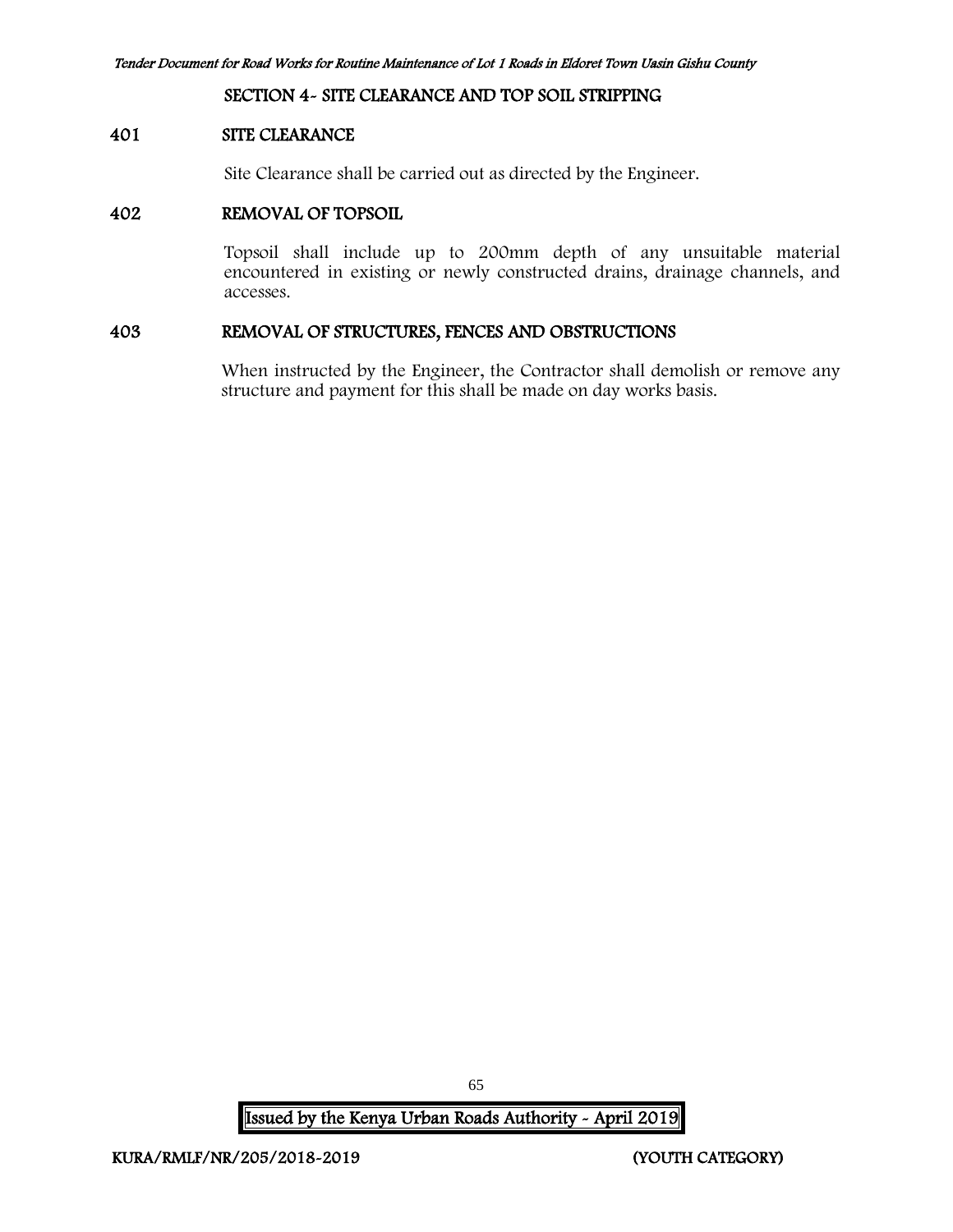#### SECTION 4- SITE CLEARANCE AND TOP SOIL STRIPPING

#### 401 SITE CLEARANCE

Site Clearance shall be carried out as directed by the Engineer.

#### 402 REMOVAL OF TOPSOIL

Topsoil shall include up to 200mm depth of any unsuitable material encountered in existing or newly constructed drains, drainage channels, and accesses.

#### 403 REMOVAL OF STRUCTURES, FENCES AND OBSTRUCTIONS

When instructed by the Engineer, the Contractor shall demolish or remove any structure and payment for this shall be made on day works basis.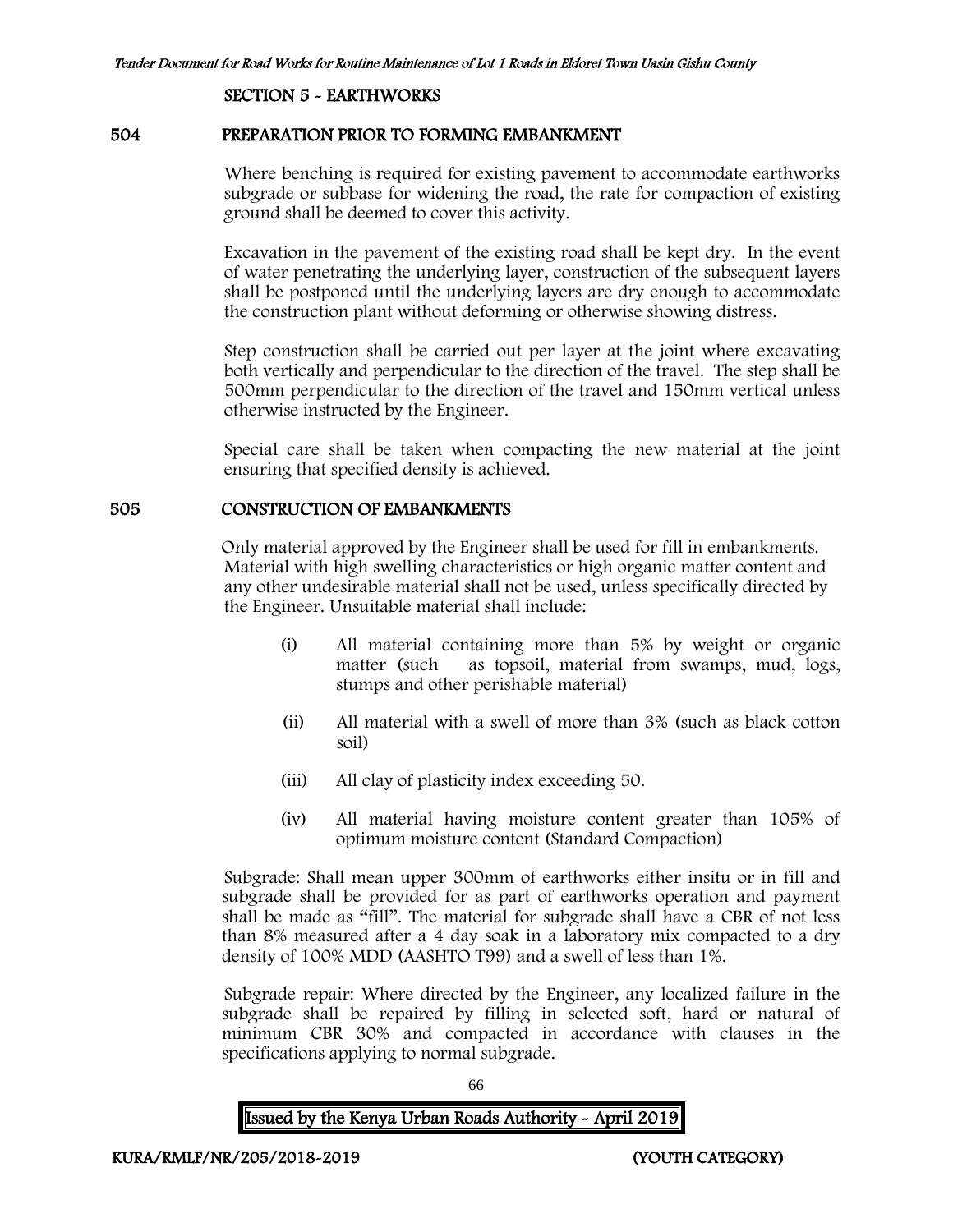#### SECTION 5 - EARTHWORKS

#### 504 PREPARATION PRIOR TO FORMING EMBANKMENT

Where benching is required for existing pavement to accommodate earthworks subgrade or subbase for widening the road, the rate for compaction of existing ground shall be deemed to cover this activity.

Excavation in the pavement of the existing road shall be kept dry. In the event of water penetrating the underlying layer, construction of the subsequent layers shall be postponed until the underlying layers are dry enough to accommodate the construction plant without deforming or otherwise showing distress.

Step construction shall be carried out per layer at the joint where excavating both vertically and perpendicular to the direction of the travel. The step shall be 500mm perpendicular to the direction of the travel and 150mm vertical unless otherwise instructed by the Engineer.

Special care shall be taken when compacting the new material at the joint ensuring that specified density is achieved.

#### 505 CONSTRUCTION OF EMBANKMENTS

Only material approved by the Engineer shall be used for fill in embankments. Material with high swelling characteristics or high organic matter content and any other undesirable material shall not be used, unless specifically directed by the Engineer. Unsuitable material shall include:

- (i) All material containing more than 5% by weight or organic matter (such as topsoil, material from swamps, mud, logs, stumps and other perishable material)
- (ii) All material with a swell of more than 3% (such as black cotton soil)
- (iii) All clay of plasticity index exceeding 50.
- (iv) All material having moisture content greater than 105% of optimum moisture content (Standard Compaction)

Subgrade: Shall mean upper 300mm of earthworks either insitu or in fill and subgrade shall be provided for as part of earthworks operation and payment shall be made as "fill". The material for subgrade shall have a CBR of not less than 8% measured after a 4 day soak in a laboratory mix compacted to a dry density of 100% MDD (AASHTO T99) and a swell of less than 1%.

Subgrade repair: Where directed by the Engineer, any localized failure in the subgrade shall be repaired by filling in selected soft, hard or natural of minimum CBR 30% and compacted in accordance with clauses in the specifications applying to normal subgrade.

66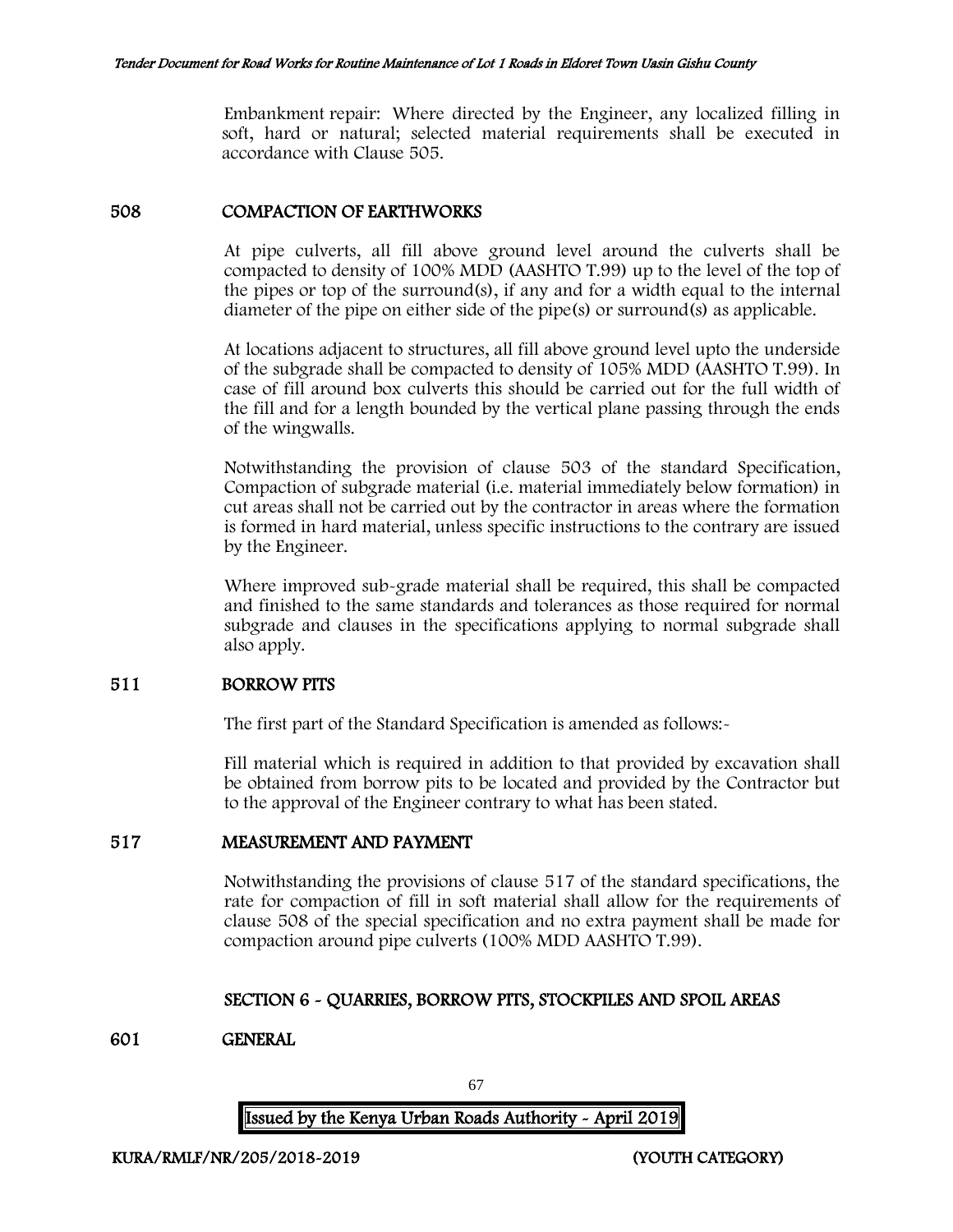Embankment repair: Where directed by the Engineer, any localized filling in soft, hard or natural; selected material requirements shall be executed in accordance with Clause 505.

## 508 COMPACTION OF EARTHWORKS

At pipe culverts, all fill above ground level around the culverts shall be compacted to density of 100% MDD (AASHTO T.99) up to the level of the top of the pipes or top of the surround(s), if any and for a width equal to the internal diameter of the pipe on either side of the pipe(s) or surround(s) as applicable.

At locations adjacent to structures, all fill above ground level upto the underside of the subgrade shall be compacted to density of 105% MDD (AASHTO T.99). In case of fill around box culverts this should be carried out for the full width of the fill and for a length bounded by the vertical plane passing through the ends of the wingwalls.

Notwithstanding the provision of clause 503 of the standard Specification, Compaction of subgrade material (i.e. material immediately below formation) in cut areas shall not be carried out by the contractor in areas where the formation is formed in hard material, unless specific instructions to the contrary are issued by the Engineer.

Where improved sub-grade material shall be required, this shall be compacted and finished to the same standards and tolerances as those required for normal subgrade and clauses in the specifications applying to normal subgrade shall also apply.

## 511 BORROW PITS

The first part of the Standard Specification is amended as follows:-

Fill material which is required in addition to that provided by excavation shall be obtained from borrow pits to be located and provided by the Contractor but to the approval of the Engineer contrary to what has been stated.

# 517 MEASUREMENT AND PAYMENT

Notwithstanding the provisions of clause 517 of the standard specifications, the rate for compaction of fill in soft material shall allow for the requirements of clause 508 of the special specification and no extra payment shall be made for compaction around pipe culverts (100% MDD AASHTO T.99).

# SECTION 6 - QUARRIES, BORROW PITS, STOCKPILES AND SPOIL AREAS

#### 601 GENERAL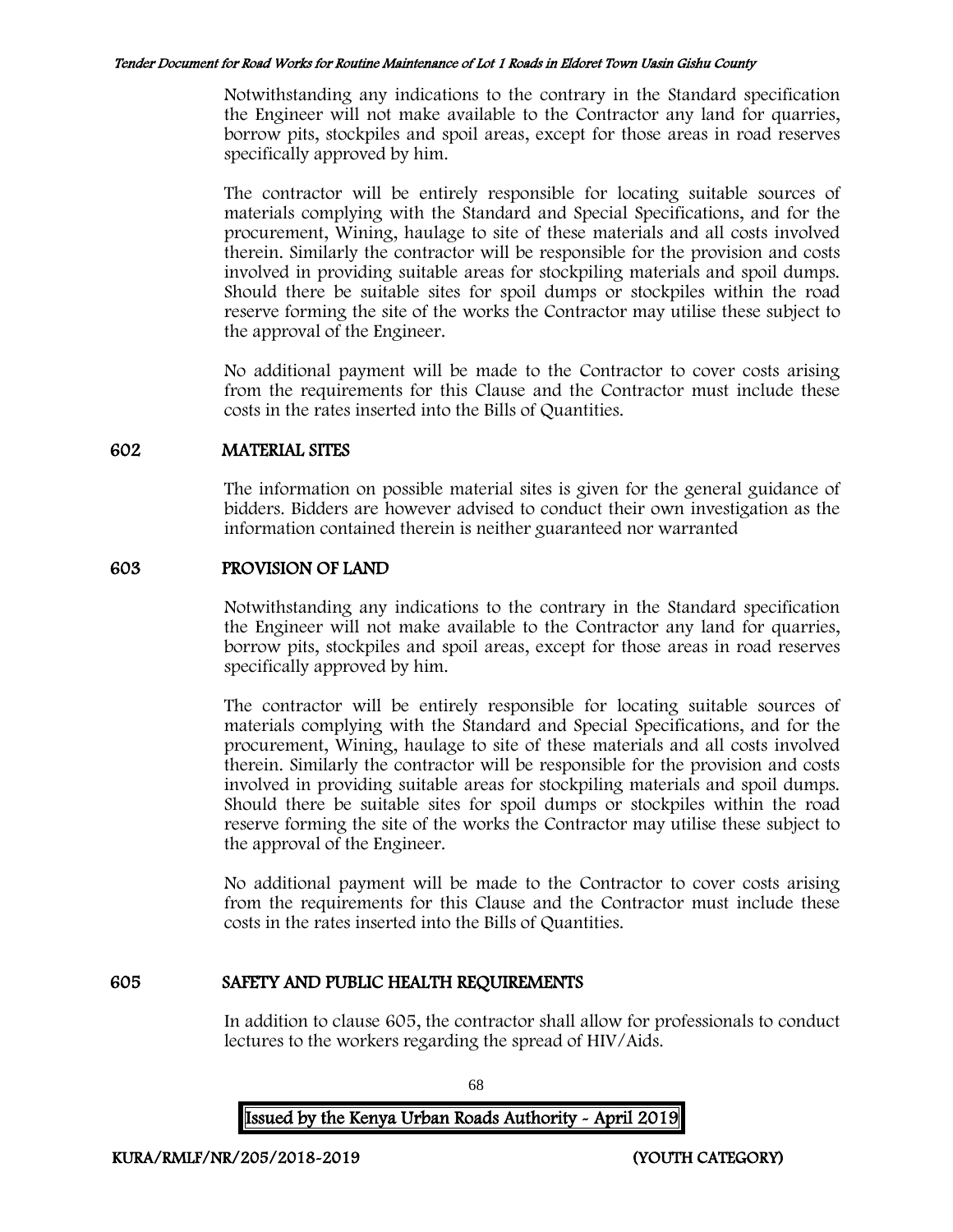Notwithstanding any indications to the contrary in the Standard specification the Engineer will not make available to the Contractor any land for quarries, borrow pits, stockpiles and spoil areas, except for those areas in road reserves specifically approved by him.

The contractor will be entirely responsible for locating suitable sources of materials complying with the Standard and Special Specifications, and for the procurement, Wining, haulage to site of these materials and all costs involved therein. Similarly the contractor will be responsible for the provision and costs involved in providing suitable areas for stockpiling materials and spoil dumps. Should there be suitable sites for spoil dumps or stockpiles within the road reserve forming the site of the works the Contractor may utilise these subject to the approval of the Engineer.

No additional payment will be made to the Contractor to cover costs arising from the requirements for this Clause and the Contractor must include these costs in the rates inserted into the Bills of Quantities.

## 602 MATERIAL SITES

The information on possible material sites is given for the general guidance of bidders. Bidders are however advised to conduct their own investigation as the information contained therein is neither guaranteed nor warranted

## 603 PROVISION OF LAND

Notwithstanding any indications to the contrary in the Standard specification the Engineer will not make available to the Contractor any land for quarries, borrow pits, stockpiles and spoil areas, except for those areas in road reserves specifically approved by him.

The contractor will be entirely responsible for locating suitable sources of materials complying with the Standard and Special Specifications, and for the procurement, Wining, haulage to site of these materials and all costs involved therein. Similarly the contractor will be responsible for the provision and costs involved in providing suitable areas for stockpiling materials and spoil dumps. Should there be suitable sites for spoil dumps or stockpiles within the road reserve forming the site of the works the Contractor may utilise these subject to the approval of the Engineer.

No additional payment will be made to the Contractor to cover costs arising from the requirements for this Clause and the Contractor must include these costs in the rates inserted into the Bills of Quantities.

# 605 SAFETY AND PUBLIC HEALTH REQUIREMENTS

In addition to clause 605, the contractor shall allow for professionals to conduct lectures to the workers regarding the spread of HIV/Aids.

Issued by the Kenya Urban Roads Authority - April 2019

68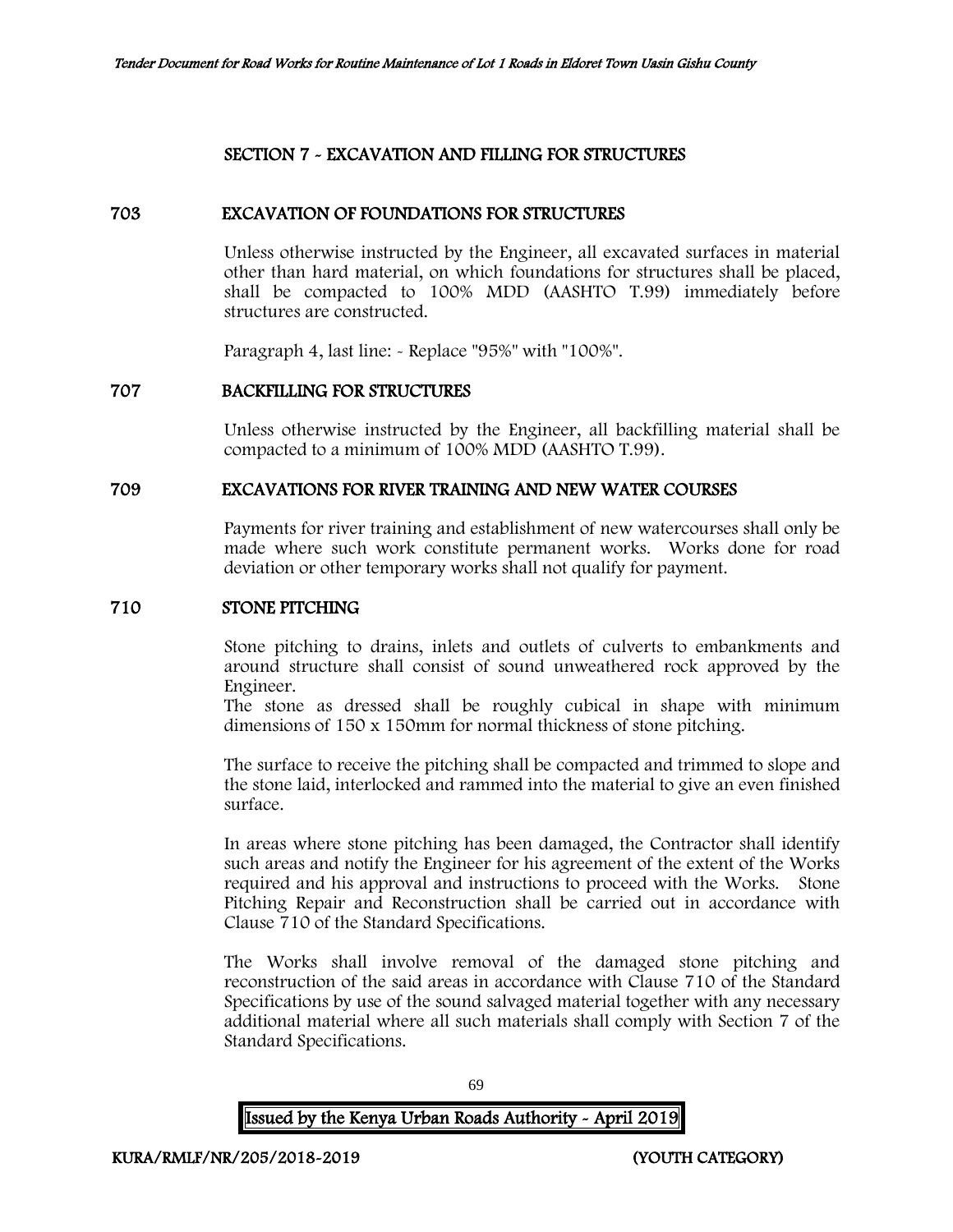# SECTION 7 - EXCAVATION AND FILLING FOR STRUCTURES

## 703 EXCAVATION OF FOUNDATIONS FOR STRUCTURES

Unless otherwise instructed by the Engineer, all excavated surfaces in material other than hard material, on which foundations for structures shall be placed, shall be compacted to 100% MDD (AASHTO T.99) immediately before structures are constructed.

Paragraph 4, last line: - Replace "95%" with "100%".

## 707 BACKFILLING FOR STRUCTURES

Unless otherwise instructed by the Engineer, all backfilling material shall be compacted to a minimum of 100% MDD (AASHTO T.99).

#### 709 EXCAVATIONS FOR RIVER TRAINING AND NEW WATER COURSES

Payments for river training and establishment of new watercourses shall only be made where such work constitute permanent works. Works done for road deviation or other temporary works shall not qualify for payment.

## 710 STONE PITCHING

Stone pitching to drains, inlets and outlets of culverts to embankments and around structure shall consist of sound unweathered rock approved by the Engineer.

The stone as dressed shall be roughly cubical in shape with minimum dimensions of 150 x 150mm for normal thickness of stone pitching.

The surface to receive the pitching shall be compacted and trimmed to slope and the stone laid, interlocked and rammed into the material to give an even finished surface.

In areas where stone pitching has been damaged, the Contractor shall identify such areas and notify the Engineer for his agreement of the extent of the Works required and his approval and instructions to proceed with the Works. Stone Pitching Repair and Reconstruction shall be carried out in accordance with Clause 710 of the Standard Specifications.

The Works shall involve removal of the damaged stone pitching and reconstruction of the said areas in accordance with Clause 710 of the Standard Specifications by use of the sound salvaged material together with any necessary additional material where all such materials shall comply with Section 7 of the Standard Specifications.

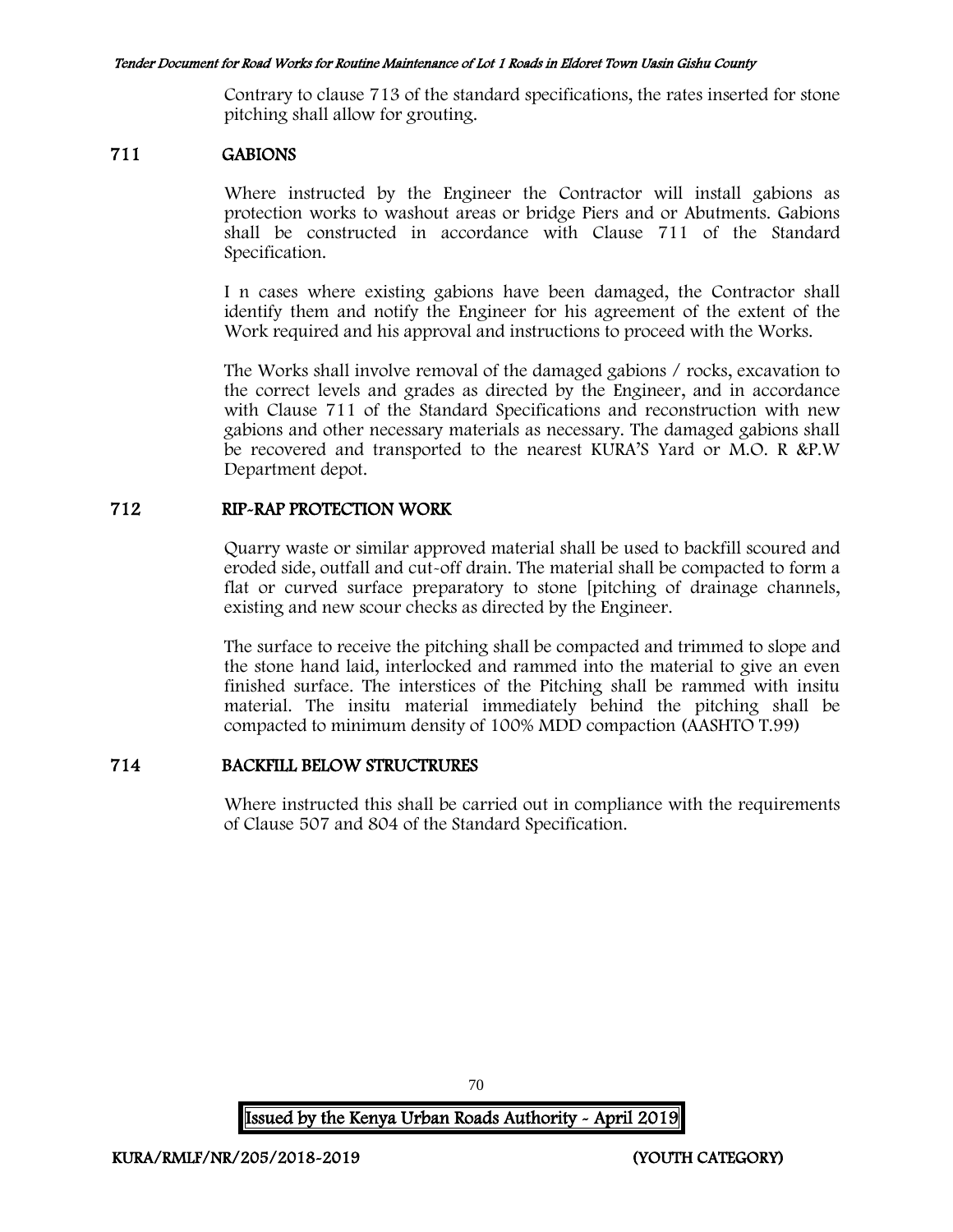Contrary to clause 713 of the standard specifications, the rates inserted for stone pitching shall allow for grouting.

#### 711 GABIONS

Where instructed by the Engineer the Contractor will install gabions as protection works to washout areas or bridge Piers and or Abutments. Gabions shall be constructed in accordance with Clause 711 of the Standard Specification.

I n cases where existing gabions have been damaged, the Contractor shall identify them and notify the Engineer for his agreement of the extent of the Work required and his approval and instructions to proceed with the Works.

The Works shall involve removal of the damaged gabions / rocks, excavation to the correct levels and grades as directed by the Engineer, and in accordance with Clause 711 of the Standard Specifications and reconstruction with new gabions and other necessary materials as necessary. The damaged gabions shall be recovered and transported to the nearest KURA'S Yard or M.O. R &P.W Department depot.

### 712 RIP-RAP PROTECTION WORK

Quarry waste or similar approved material shall be used to backfill scoured and eroded side, outfall and cut-off drain. The material shall be compacted to form a flat or curved surface preparatory to stone [pitching of drainage channels, existing and new scour checks as directed by the Engineer.

The surface to receive the pitching shall be compacted and trimmed to slope and the stone hand laid, interlocked and rammed into the material to give an even finished surface. The interstices of the Pitching shall be rammed with insitu material. The insitu material immediately behind the pitching shall be compacted to minimum density of 100% MDD compaction (AASHTO T.99)

#### 714 BACKFILL BELOW STRUCTRURES

Where instructed this shall be carried out in compliance with the requirements of Clause 507 and 804 of the Standard Specification.

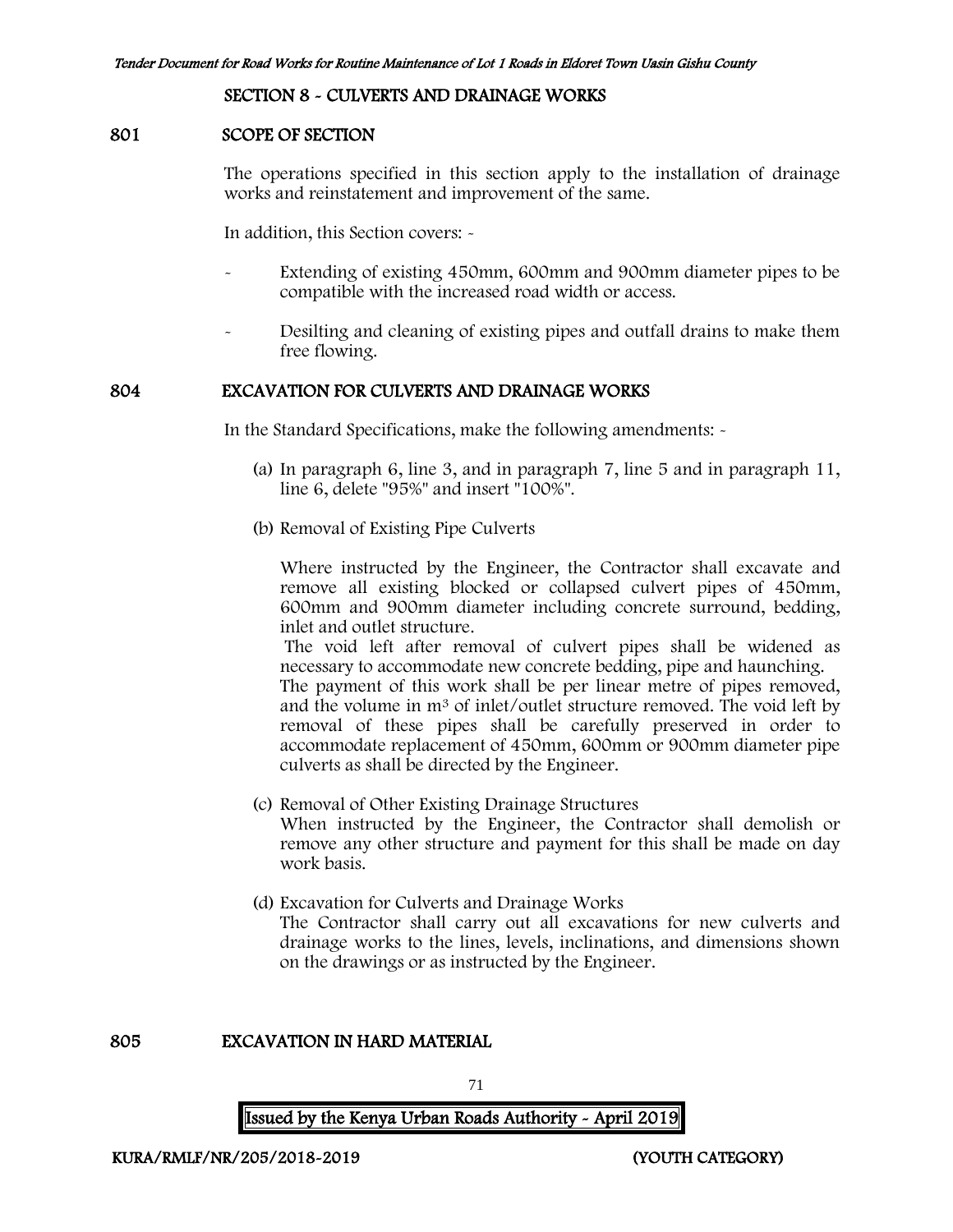#### SECTION 8 - CULVERTS AND DRAINAGE WORKS

#### 801 SCOPE OF SECTION

The operations specified in this section apply to the installation of drainage works and reinstatement and improvement of the same.

In addition, this Section covers: -

- Extending of existing 450mm, 600mm and 900mm diameter pipes to be compatible with the increased road width or access.
- Desilting and cleaning of existing pipes and outfall drains to make them free flowing.

#### 804 EXCAVATION FOR CULVERTS AND DRAINAGE WORKS

In the Standard Specifications, make the following amendments: -

- (a) In paragraph 6, line 3, and in paragraph 7, line 5 and in paragraph 11, line 6, delete "95%" and insert "100%".
- (b) Removal of Existing Pipe Culverts

Where instructed by the Engineer, the Contractor shall excavate and remove all existing blocked or collapsed culvert pipes of 450mm, 600mm and 900mm diameter including concrete surround, bedding, inlet and outlet structure.

The void left after removal of culvert pipes shall be widened as necessary to accommodate new concrete bedding, pipe and haunching.

The payment of this work shall be per linear metre of pipes removed, and the volume in m<sup>3</sup> of inlet/outlet structure removed. The void left by removal of these pipes shall be carefully preserved in order to accommodate replacement of 450mm, 600mm or 900mm diameter pipe culverts as shall be directed by the Engineer.

- (c) Removal of Other Existing Drainage Structures When instructed by the Engineer, the Contractor shall demolish or remove any other structure and payment for this shall be made on day work basis.
- (d) Excavation for Culverts and Drainage Works The Contractor shall carry out all excavations for new culverts and drainage works to the lines, levels, inclinations, and dimensions shown on the drawings or as instructed by the Engineer.

805 EXCAVATION IN HARD MATERIAL

71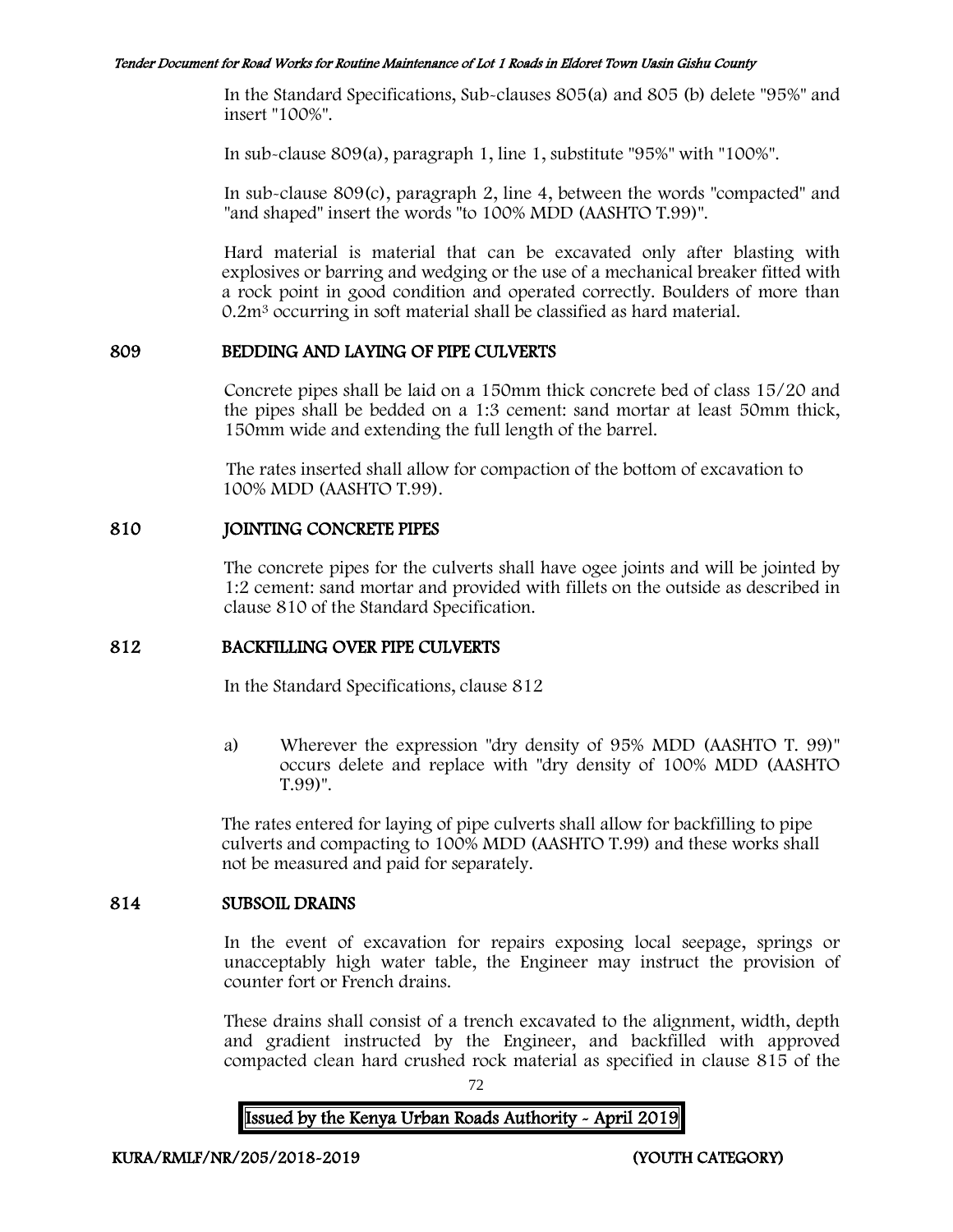In the Standard Specifications, Sub-clauses 805(a) and 805 (b) delete "95%" and insert "100%".

In sub-clause 809(a), paragraph 1, line 1, substitute "95%" with "100%".

In sub-clause 809(c), paragraph 2, line 4, between the words "compacted" and "and shaped" insert the words "to 100% MDD (AASHTO T.99)".

Hard material is material that can be excavated only after blasting with explosives or barring and wedging or the use of a mechanical breaker fitted with a rock point in good condition and operated correctly. Boulders of more than 0.2m<sup>3</sup> occurring in soft material shall be classified as hard material.

#### 809 BEDDING AND LAYING OF PIPE CULVERTS

Concrete pipes shall be laid on a 150mm thick concrete bed of class 15/20 and the pipes shall be bedded on a 1:3 cement: sand mortar at least 50mm thick, 150mm wide and extending the full length of the barrel.

The rates inserted shall allow for compaction of the bottom of excavation to 100% MDD (AASHTO T.99).

#### 810 JOINTING CONCRETE PIPES

The concrete pipes for the culverts shall have ogee joints and will be jointed by 1:2 cement: sand mortar and provided with fillets on the outside as described in clause 810 of the Standard Specification.

#### 812 BACKFILLING OVER PIPE CULVERTS

In the Standard Specifications, clause 812

a) Wherever the expression "dry density of 95% MDD (AASHTO T. 99)" occurs delete and replace with "dry density of 100% MDD (AASHTO T.99)".

The rates entered for laying of pipe culverts shall allow for backfilling to pipe culverts and compacting to 100% MDD (AASHTO T.99) and these works shall not be measured and paid for separately.

#### 814 SUBSOIL DRAINS

In the event of excavation for repairs exposing local seepage, springs or unacceptably high water table, the Engineer may instruct the provision of counter fort or French drains.

These drains shall consist of a trench excavated to the alignment, width, depth and gradient instructed by the Engineer, and backfilled with approved compacted clean hard crushed rock material as specified in clause 815 of the

72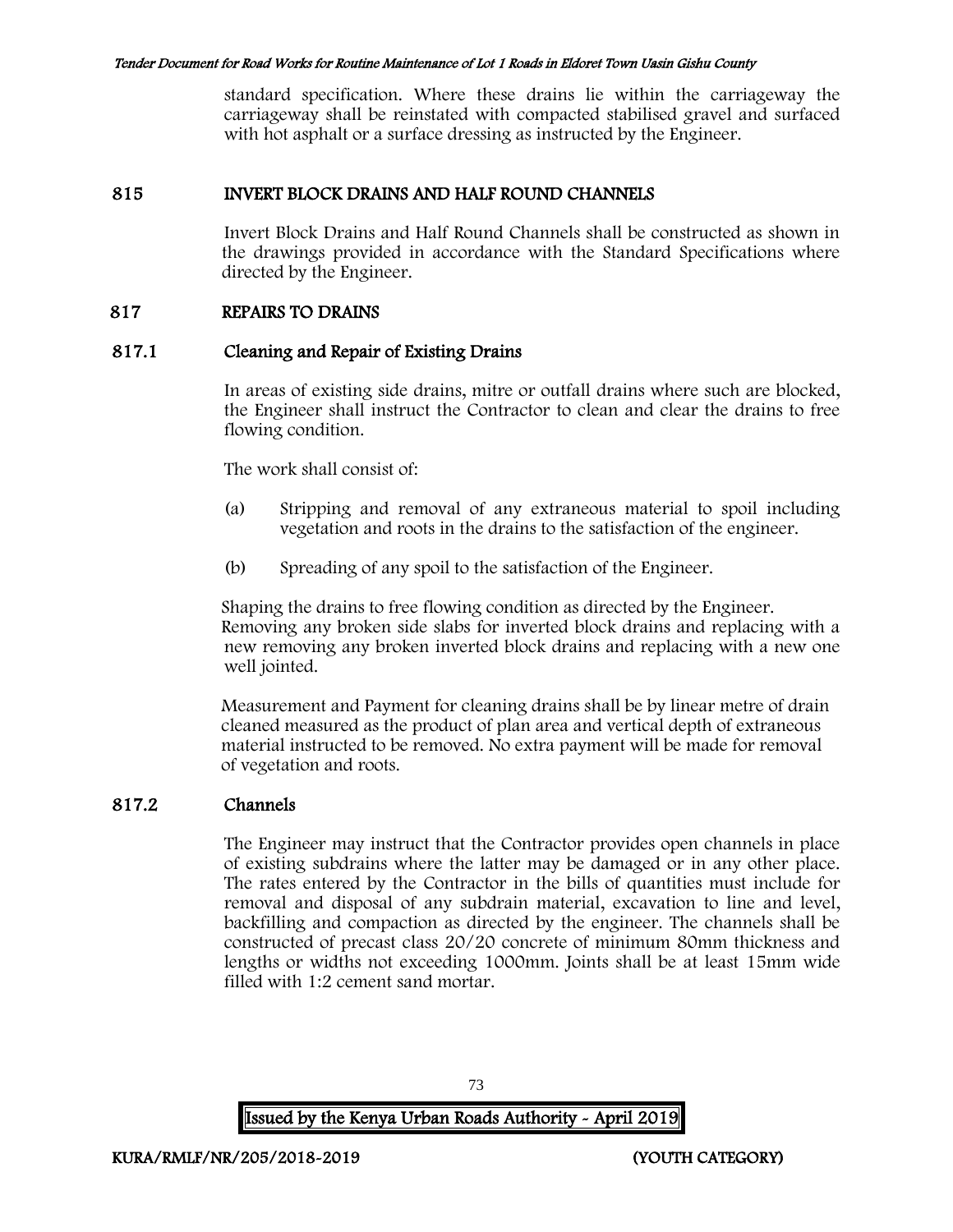standard specification. Where these drains lie within the carriageway the carriageway shall be reinstated with compacted stabilised gravel and surfaced with hot asphalt or a surface dressing as instructed by the Engineer.

## 815 INVERT BLOCK DRAINS AND HALF ROUND CHANNELS

Invert Block Drains and Half Round Channels shall be constructed as shown in the drawings provided in accordance with the Standard Specifications where directed by the Engineer.

## 817 REPAIRS TO DRAINS

## 817.1 Cleaning and Repair of Existing Drains

In areas of existing side drains, mitre or outfall drains where such are blocked, the Engineer shall instruct the Contractor to clean and clear the drains to free flowing condition.

The work shall consist of:

- (a) Stripping and removal of any extraneous material to spoil including vegetation and roots in the drains to the satisfaction of the engineer.
- (b) Spreading of any spoil to the satisfaction of the Engineer.

Shaping the drains to free flowing condition as directed by the Engineer. Removing any broken side slabs for inverted block drains and replacing with a new removing any broken inverted block drains and replacing with a new one well jointed.

Measurement and Payment for cleaning drains shall be by linear metre of drain cleaned measured as the product of plan area and vertical depth of extraneous material instructed to be removed. No extra payment will be made for removal of vegetation and roots.

# 817.2 Channels

The Engineer may instruct that the Contractor provides open channels in place of existing subdrains where the latter may be damaged or in any other place. The rates entered by the Contractor in the bills of quantities must include for removal and disposal of any subdrain material, excavation to line and level, backfilling and compaction as directed by the engineer. The channels shall be constructed of precast class 20/20 concrete of minimum 80mm thickness and lengths or widths not exceeding 1000mm. Joints shall be at least 15mm wide filled with 1:2 cement sand mortar.

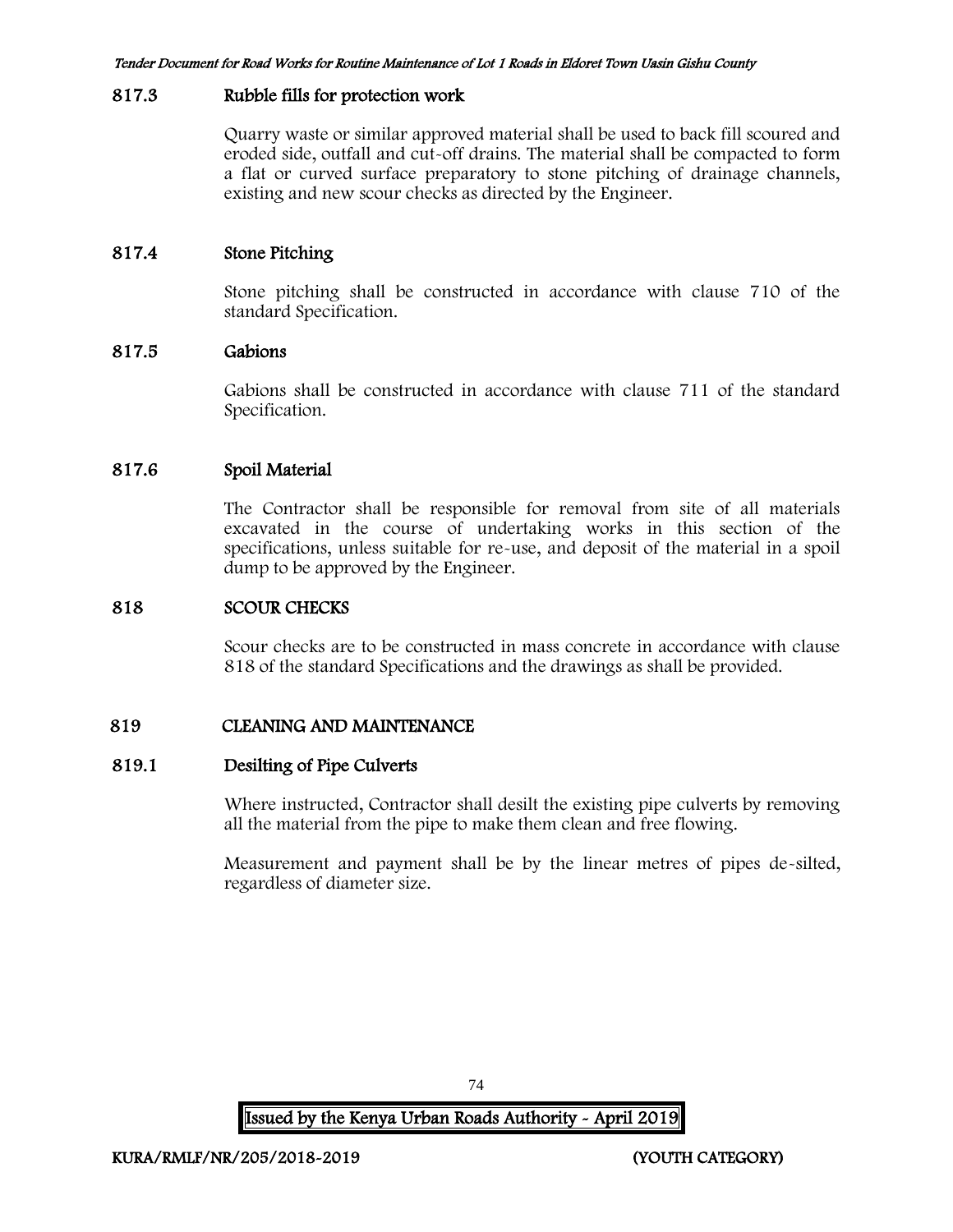#### 817.3 Rubble fills for protection work

Quarry waste or similar approved material shall be used to back fill scoured and eroded side, outfall and cut-off drains. The material shall be compacted to form a flat or curved surface preparatory to stone pitching of drainage channels, existing and new scour checks as directed by the Engineer.

# 817.4 Stone Pitching

Stone pitching shall be constructed in accordance with clause 710 of the standard Specification.

## 817.5 Gabions

Gabions shall be constructed in accordance with clause 711 of the standard Specification.

## 817.6 Spoil Material

The Contractor shall be responsible for removal from site of all materials excavated in the course of undertaking works in this section of the specifications, unless suitable for re-use, and deposit of the material in a spoil dump to be approved by the Engineer.

#### 818 SCOUR CHECKS

Scour checks are to be constructed in mass concrete in accordance with clause 818 of the standard Specifications and the drawings as shall be provided.

# 819 CLEANING AND MAINTENANCE

#### 819.1 Desilting of Pipe Culverts

Where instructed, Contractor shall desilt the existing pipe culverts by removing all the material from the pipe to make them clean and free flowing.

Measurement and payment shall be by the linear metres of pipes de-silted, regardless of diameter size.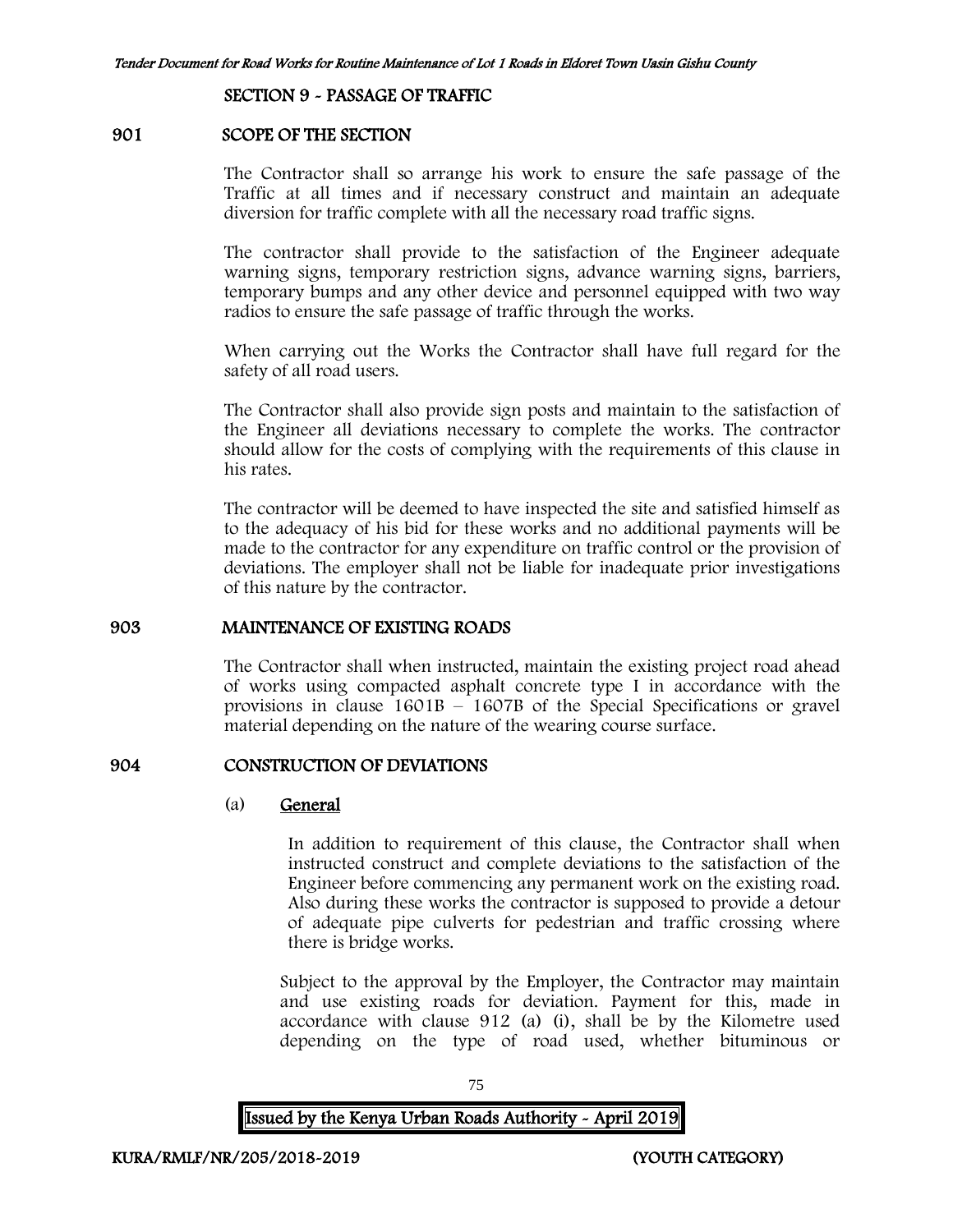SECTION 9 - PASSAGE OF TRAFFIC

#### 901 SCOPE OF THE SECTION

The Contractor shall so arrange his work to ensure the safe passage of the Traffic at all times and if necessary construct and maintain an adequate diversion for traffic complete with all the necessary road traffic signs.

The contractor shall provide to the satisfaction of the Engineer adequate warning signs, temporary restriction signs, advance warning signs, barriers, temporary bumps and any other device and personnel equipped with two way radios to ensure the safe passage of traffic through the works.

When carrying out the Works the Contractor shall have full regard for the safety of all road users.

The Contractor shall also provide sign posts and maintain to the satisfaction of the Engineer all deviations necessary to complete the works. The contractor should allow for the costs of complying with the requirements of this clause in his rates.

The contractor will be deemed to have inspected the site and satisfied himself as to the adequacy of his bid for these works and no additional payments will be made to the contractor for any expenditure on traffic control or the provision of deviations. The employer shall not be liable for inadequate prior investigations of this nature by the contractor.

#### 903 MAINTENANCE OF EXISTING ROADS

The Contractor shall when instructed, maintain the existing project road ahead of works using compacted asphalt concrete type I in accordance with the provisions in clause 1601B – 1607B of the Special Specifications or gravel material depending on the nature of the wearing course surface.

# 904 CONSTRUCTION OF DEVIATIONS

#### (a) General

In addition to requirement of this clause, the Contractor shall when instructed construct and complete deviations to the satisfaction of the Engineer before commencing any permanent work on the existing road. Also during these works the contractor is supposed to provide a detour of adequate pipe culverts for pedestrian and traffic crossing where there is bridge works.

Subject to the approval by the Employer, the Contractor may maintain and use existing roads for deviation. Payment for this, made in accordance with clause 912 (a) (i), shall be by the Kilometre used depending on the type of road used, whether bituminous or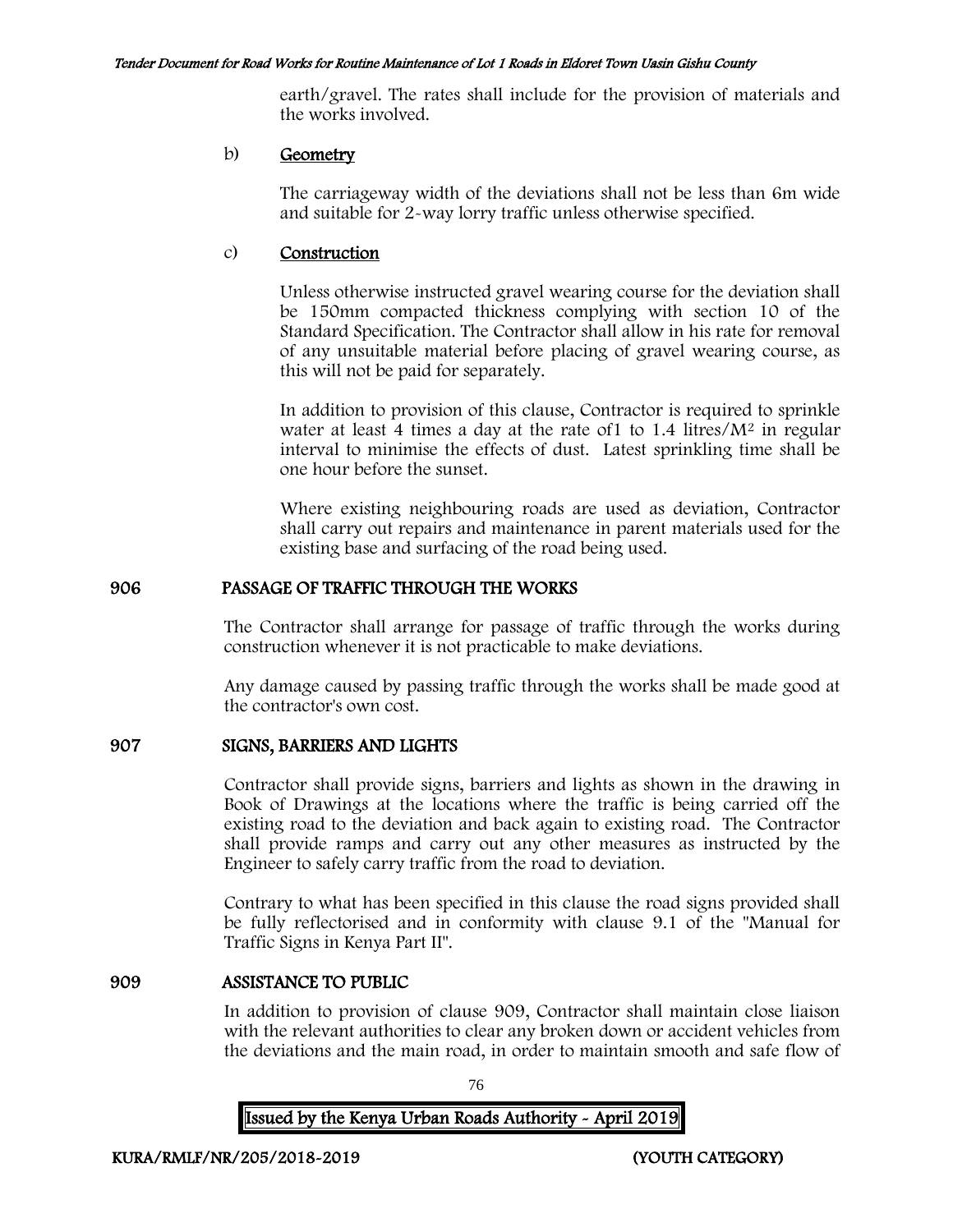earth/gravel. The rates shall include for the provision of materials and the works involved.

#### b) Geometry

The carriageway width of the deviations shall not be less than 6m wide and suitable for 2-way lorry traffic unless otherwise specified.

#### c) Construction

Unless otherwise instructed gravel wearing course for the deviation shall be 150mm compacted thickness complying with section 10 of the Standard Specification. The Contractor shall allow in his rate for removal of any unsuitable material before placing of gravel wearing course, as this will not be paid for separately.

In addition to provision of this clause, Contractor is required to sprinkle water at least 4 times a day at the rate of  $1$  to  $1.4$  litres/ $M<sup>2</sup>$  in regular interval to minimise the effects of dust. Latest sprinkling time shall be one hour before the sunset.

Where existing neighbouring roads are used as deviation, Contractor shall carry out repairs and maintenance in parent materials used for the existing base and surfacing of the road being used.

## 906 PASSAGE OF TRAFFIC THROUGH THE WORKS

The Contractor shall arrange for passage of traffic through the works during construction whenever it is not practicable to make deviations.

Any damage caused by passing traffic through the works shall be made good at the contractor's own cost.

# 907 SIGNS, BARRIERS AND LIGHTS

Contractor shall provide signs, barriers and lights as shown in the drawing in Book of Drawings at the locations where the traffic is being carried off the existing road to the deviation and back again to existing road. The Contractor shall provide ramps and carry out any other measures as instructed by the Engineer to safely carry traffic from the road to deviation.

Contrary to what has been specified in this clause the road signs provided shall be fully reflectorised and in conformity with clause 9.1 of the "Manual for Traffic Signs in Kenya Part II".

#### 909 ASSISTANCE TO PUBLIC

In addition to provision of clause 909, Contractor shall maintain close liaison with the relevant authorities to clear any broken down or accident vehicles from the deviations and the main road, in order to maintain smooth and safe flow of

76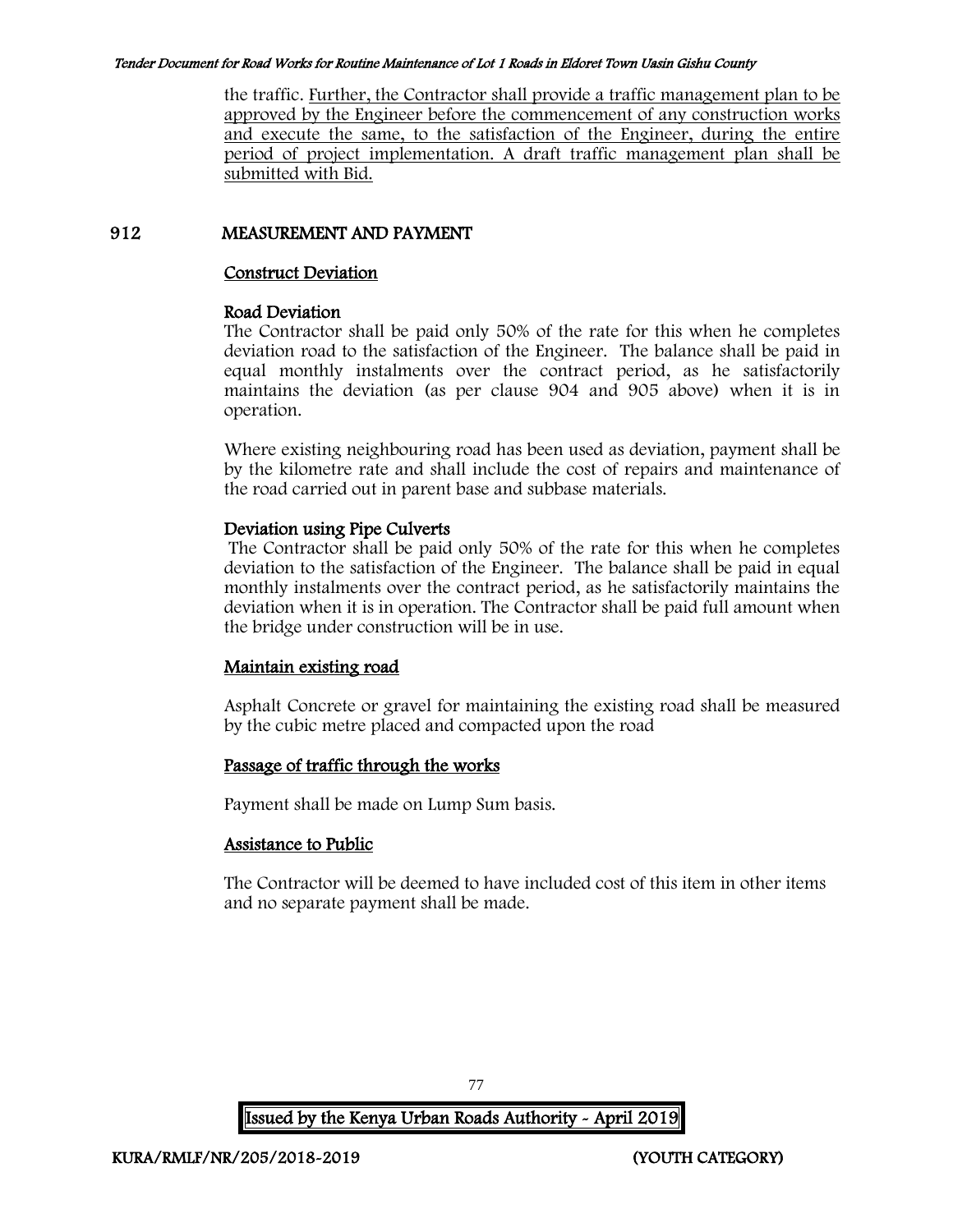the traffic. Further, the Contractor shall provide a traffic management plan to be approved by the Engineer before the commencement of any construction works and execute the same, to the satisfaction of the Engineer, during the entire period of project implementation. A draft traffic management plan shall be submitted with Bid.

# 912 MEASUREMENT AND PAYMENT

# Construct Deviation

## Road Deviation

The Contractor shall be paid only 50% of the rate for this when he completes deviation road to the satisfaction of the Engineer. The balance shall be paid in equal monthly instalments over the contract period, as he satisfactorily maintains the deviation (as per clause 904 and 905 above) when it is in operation.

Where existing neighbouring road has been used as deviation, payment shall be by the kilometre rate and shall include the cost of repairs and maintenance of the road carried out in parent base and subbase materials.

# Deviation using Pipe Culverts

The Contractor shall be paid only 50% of the rate for this when he completes deviation to the satisfaction of the Engineer. The balance shall be paid in equal monthly instalments over the contract period, as he satisfactorily maintains the deviation when it is in operation. The Contractor shall be paid full amount when the bridge under construction will be in use.

# Maintain existing road

Asphalt Concrete or gravel for maintaining the existing road shall be measured by the cubic metre placed and compacted upon the road

# Passage of traffic through the works

Payment shall be made on Lump Sum basis.

# Assistance to Public

The Contractor will be deemed to have included cost of this item in other items and no separate payment shall be made.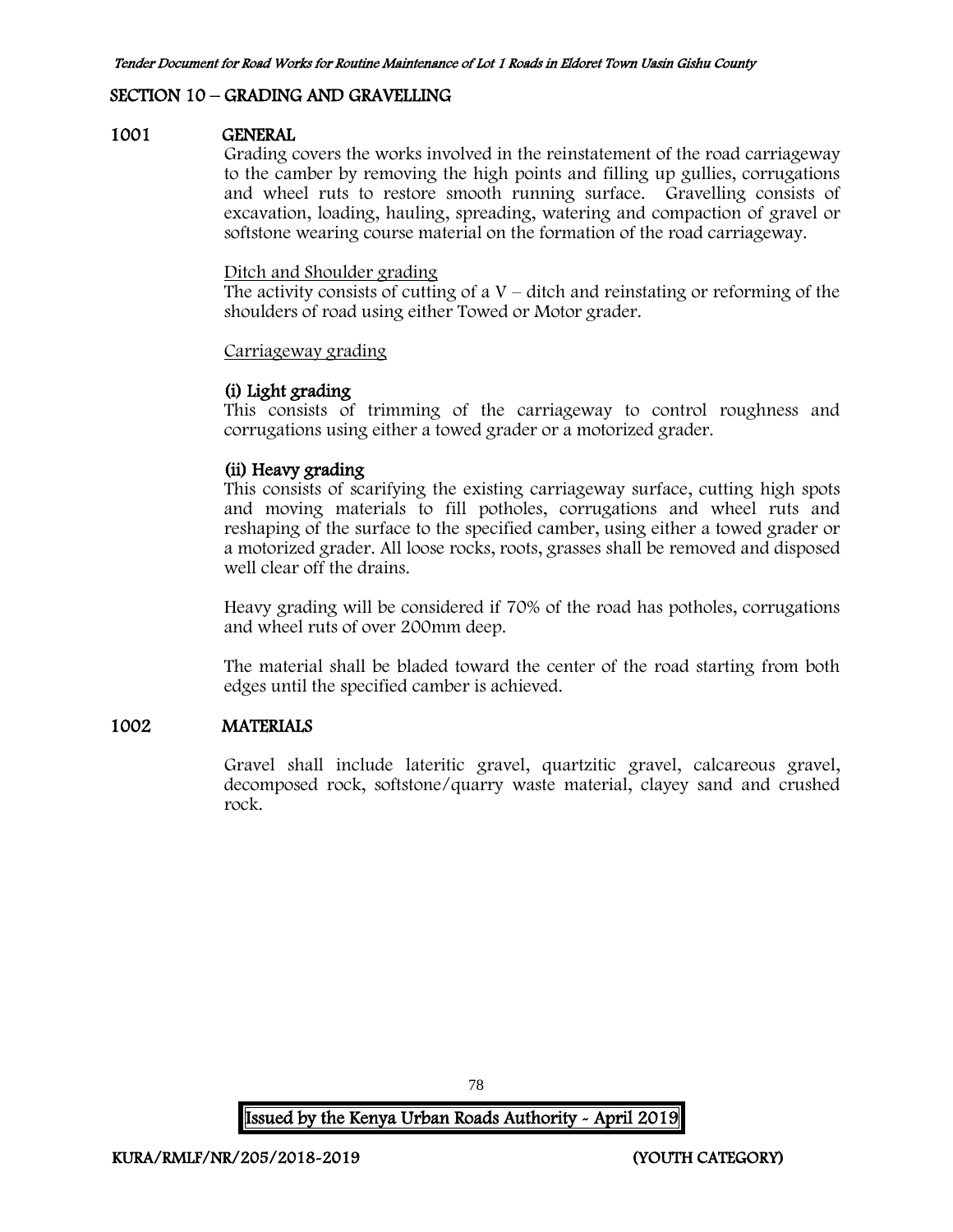# SECTION 10 – GRADING AND GRAVELLING

#### 1001 GENERAL

Grading covers the works involved in the reinstatement of the road carriageway to the camber by removing the high points and filling up gullies, corrugations and wheel ruts to restore smooth running surface. Gravelling consists of excavation, loading, hauling, spreading, watering and compaction of gravel or softstone wearing course material on the formation of the road carriageway.

#### Ditch and Shoulder grading

The activity consists of cutting of a  $V$  – ditch and reinstating or reforming of the shoulders of road using either Towed or Motor grader.

#### Carriageway grading

#### (i) Light grading

This consists of trimming of the carriageway to control roughness and corrugations using either a towed grader or a motorized grader.

## (ii) Heavy grading

This consists of scarifying the existing carriageway surface, cutting high spots and moving materials to fill potholes, corrugations and wheel ruts and reshaping of the surface to the specified camber, using either a towed grader or a motorized grader. All loose rocks, roots, grasses shall be removed and disposed well clear off the drains.

Heavy grading will be considered if 70% of the road has potholes, corrugations and wheel ruts of over 200mm deep.

The material shall be bladed toward the center of the road starting from both edges until the specified camber is achieved.

#### 1002 MATERIALS

Gravel shall include lateritic gravel, quartzitic gravel, calcareous gravel, decomposed rock, softstone/quarry waste material, clayey sand and crushed rock.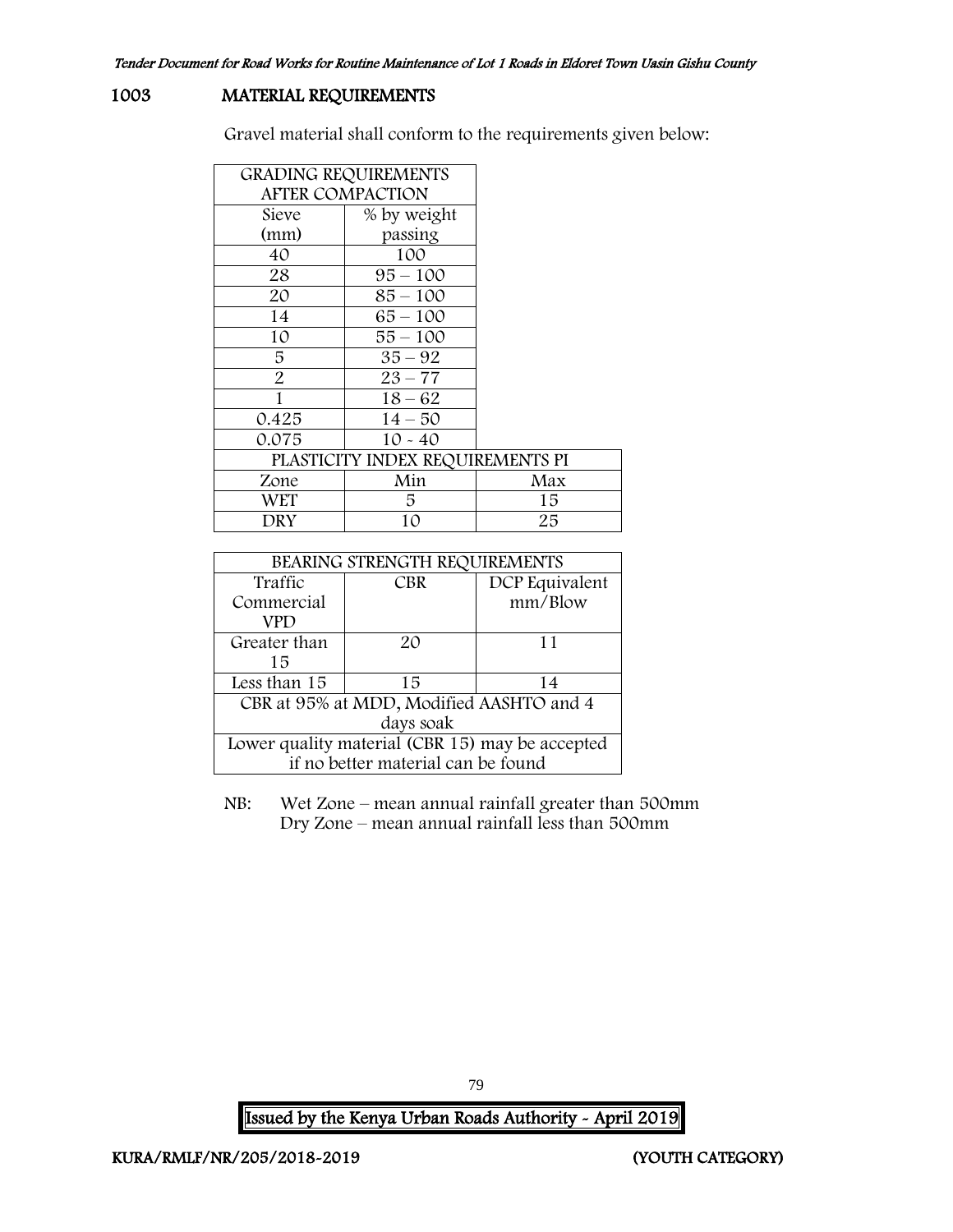# 1003 MATERIAL REQUIREMENTS

Gravel material shall conform to the requirements given below:

| <b>GRADING REQUIREMENTS</b>      |             |     |  |  |  |
|----------------------------------|-------------|-----|--|--|--|
| <b>AFTER COMPACTION</b>          |             |     |  |  |  |
| Sieve                            | % by weight |     |  |  |  |
| (mm)                             | passing     |     |  |  |  |
| 40                               | 100         |     |  |  |  |
| 28                               | $95 - 100$  |     |  |  |  |
| 20                               | $85 - 100$  |     |  |  |  |
| 14                               | 65 – 100    |     |  |  |  |
| 10                               | 55 – 100    |     |  |  |  |
| 5                                | $35 - 92$   |     |  |  |  |
| 2                                | $23 - 77$   |     |  |  |  |
| 1                                | $18 - 62$   |     |  |  |  |
| 0.425                            | $14 - 50$   |     |  |  |  |
| 0.075                            | $10 - 40$   |     |  |  |  |
| PLASTICITY INDEX REQUIREMENTS PI |             |     |  |  |  |
| Zone                             | Min         | Max |  |  |  |
| WET                              | 5           | 15  |  |  |  |
| DRY                              | 10          | 25  |  |  |  |

| BEARING STRENGTH REQUIREMENTS                   |            |                |  |  |
|-------------------------------------------------|------------|----------------|--|--|
| Traffic                                         | <b>CBR</b> | DCP Equivalent |  |  |
| Commercial                                      |            |                |  |  |
| VPD                                             |            |                |  |  |
| Greater than                                    | 20         | 11             |  |  |
| 15                                              |            |                |  |  |
| Less than 15                                    | 15         | 14             |  |  |
| CBR at 95% at MDD, Modified AASHTO and 4        |            |                |  |  |
| days soak                                       |            |                |  |  |
| Lower quality material (CBR 15) may be accepted |            |                |  |  |
| if no better material can be found              |            |                |  |  |

NB: Wet Zone – mean annual rainfall greater than 500mm Dry Zone – mean annual rainfall less than 500mm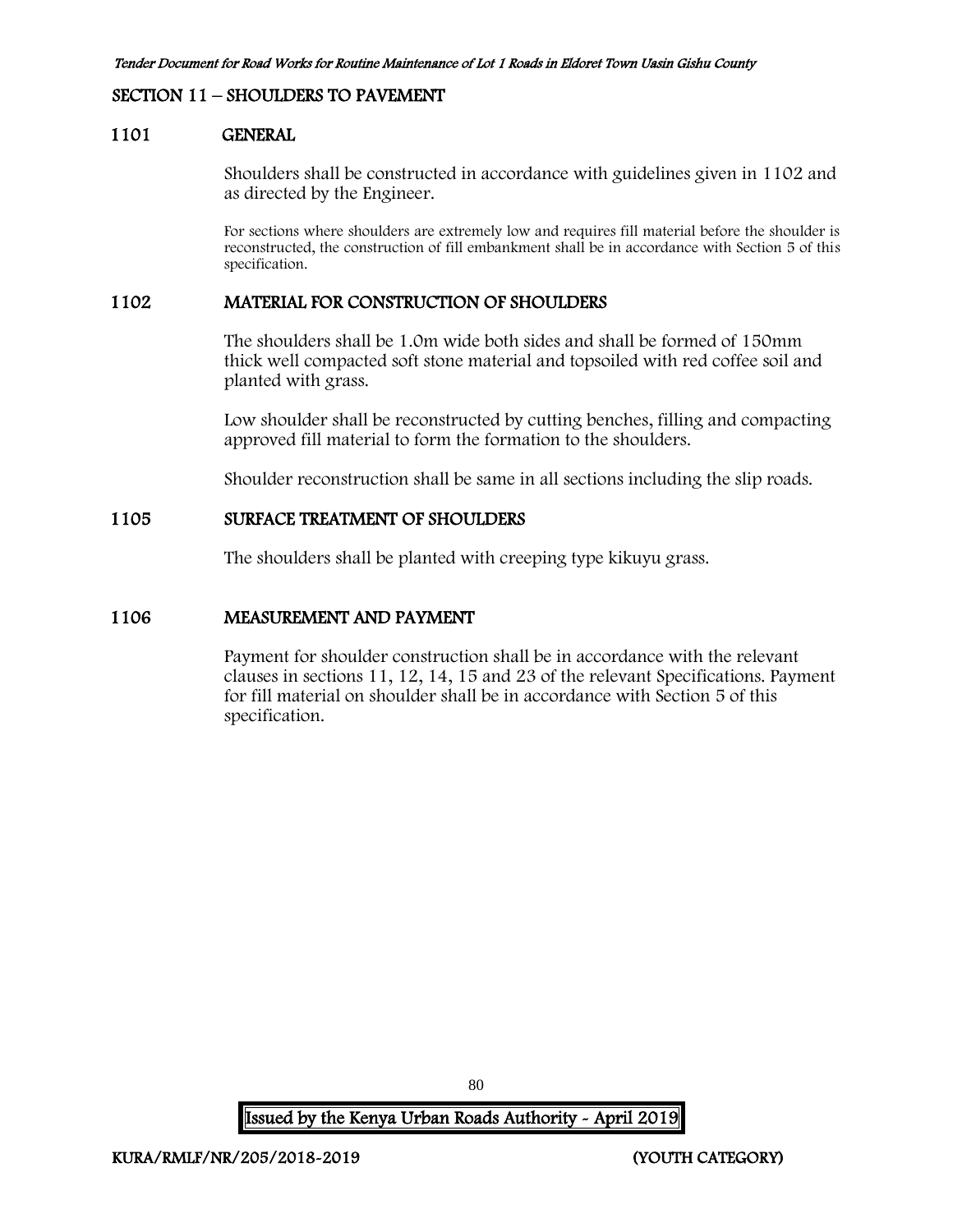#### SECTION 11 – SHOULDERS TO PAVEMENT

#### 1101 GENERAL

Shoulders shall be constructed in accordance with guidelines given in 1102 and as directed by the Engineer.

For sections where shoulders are extremely low and requires fill material before the shoulder is reconstructed, the construction of fill embankment shall be in accordance with Section 5 of this specification.

#### 1102 MATERIAL FOR CONSTRUCTION OF SHOULDERS

The shoulders shall be 1.0m wide both sides and shall be formed of 150mm thick well compacted soft stone material and topsoiled with red coffee soil and planted with grass.

Low shoulder shall be reconstructed by cutting benches, filling and compacting approved fill material to form the formation to the shoulders.

Shoulder reconstruction shall be same in all sections including the slip roads.

#### 1105 SURFACE TREATMENT OF SHOULDERS

The shoulders shall be planted with creeping type kikuyu grass.

#### 1106 MEASUREMENT AND PAYMENT

Payment for shoulder construction shall be in accordance with the relevant clauses in sections 11, 12, 14, 15 and 23 of the relevant Specifications. Payment for fill material on shoulder shall be in accordance with Section 5 of this specification.

Issued by the Kenya Urban Roads Authority - April 2019

80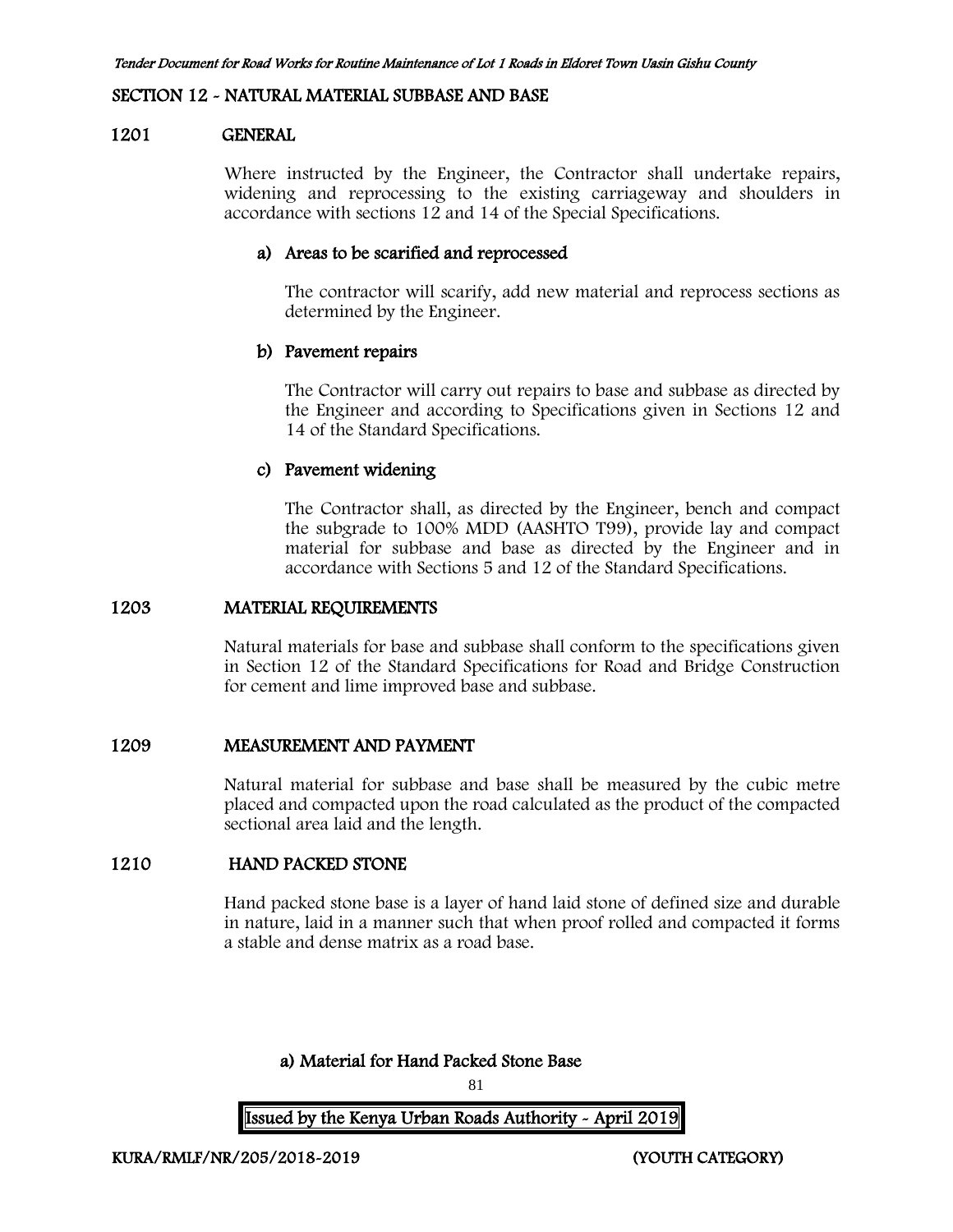#### SECTION 12 - NATURAL MATERIAL SUBBASE AND BASE

#### 1201 GENERAL

Where instructed by the Engineer, the Contractor shall undertake repairs, widening and reprocessing to the existing carriageway and shoulders in accordance with sections 12 and 14 of the Special Specifications.

#### a) Areas to be scarified and reprocessed

The contractor will scarify, add new material and reprocess sections as determined by the Engineer.

#### b) Pavement repairs

The Contractor will carry out repairs to base and subbase as directed by the Engineer and according to Specifications given in Sections 12 and 14 of the Standard Specifications.

#### c) Pavement widening

The Contractor shall, as directed by the Engineer, bench and compact the subgrade to 100% MDD (AASHTO T99), provide lay and compact material for subbase and base as directed by the Engineer and in accordance with Sections 5 and 12 of the Standard Specifications.

#### 1203 MATERIAL REQUIREMENTS

Natural materials for base and subbase shall conform to the specifications given in Section 12 of the Standard Specifications for Road and Bridge Construction for cement and lime improved base and subbase.

#### 1209 MEASUREMENT AND PAYMENT

Natural material for subbase and base shall be measured by the cubic metre placed and compacted upon the road calculated as the product of the compacted sectional area laid and the length.

#### 1210 HAND PACKED STONE

Hand packed stone base is a layer of hand laid stone of defined size and durable in nature, laid in a manner such that when proof rolled and compacted it forms a stable and dense matrix as a road base.

# a) Material for Hand Packed Stone Base

81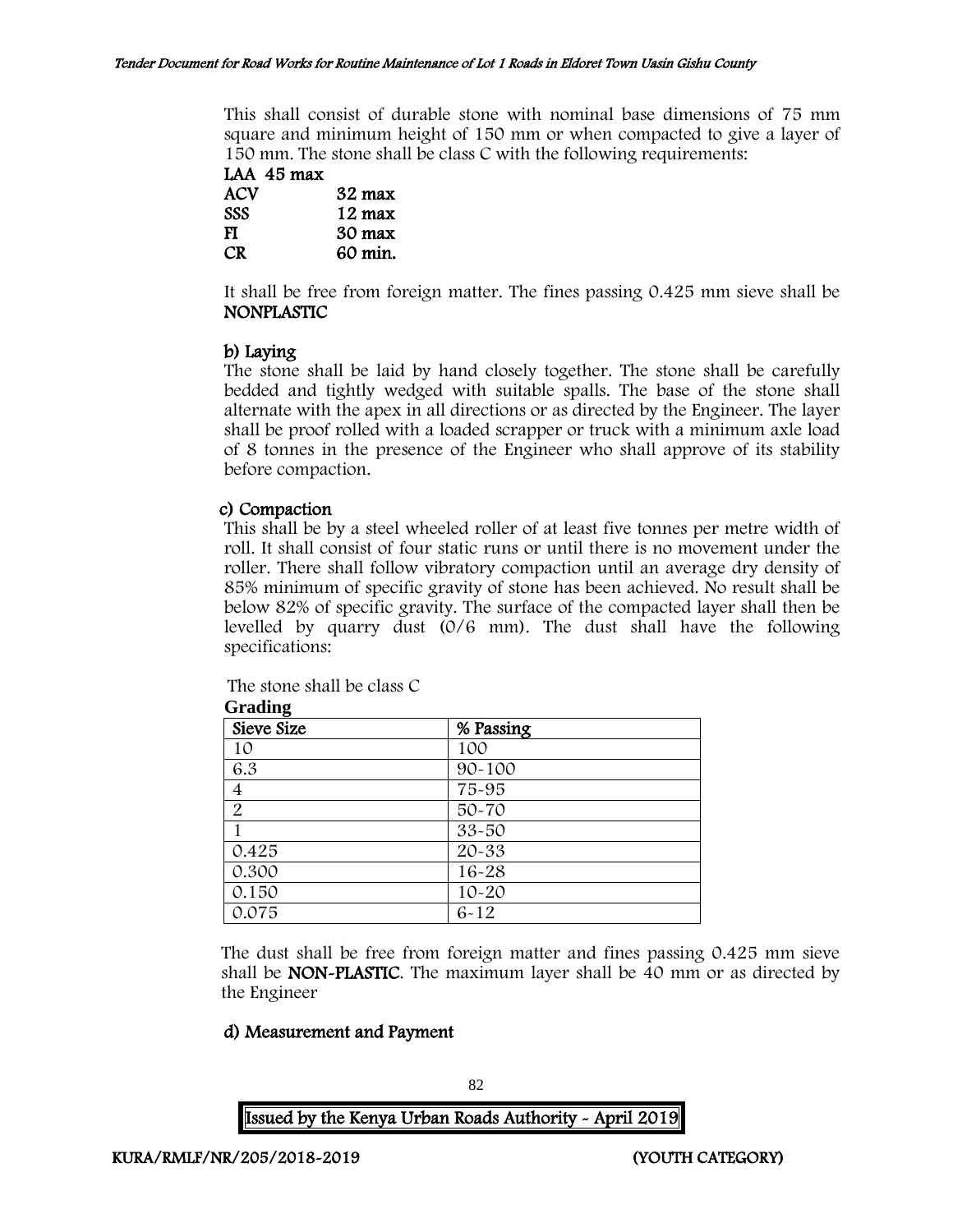This shall consist of durable stone with nominal base dimensions of 75 mm square and minimum height of 150 mm or when compacted to give a layer of 150 mm. The stone shall be class C with the following requirements:

LAA 45 max ACV 32 max SSS 12 max FI 30 max CR 60 min.

It shall be free from foreign matter. The fines passing 0.425 mm sieve shall be NONPLASTIC

# b) Laying

The stone shall be laid by hand closely together. The stone shall be carefully bedded and tightly wedged with suitable spalls. The base of the stone shall alternate with the apex in all directions or as directed by the Engineer. The layer shall be proof rolled with a loaded scrapper or truck with a minimum axle load of 8 tonnes in the presence of the Engineer who shall approve of its stability before compaction.

## c) Compaction

**Grading**

This shall be by a steel wheeled roller of at least five tonnes per metre width of roll. It shall consist of four static runs or until there is no movement under the roller. There shall follow vibratory compaction until an average dry density of 85% minimum of specific gravity of stone has been achieved. No result shall be below 82% of specific gravity. The surface of the compacted layer shall then be levelled by quarry dust (0/6 mm). The dust shall have the following specifications:

| The stone shall be class C |  |
|----------------------------|--|
|----------------------------|--|

| Sieve Size     | % Passing  |  |
|----------------|------------|--|
| 10             | 100        |  |
| 6.3            | $90 - 100$ |  |
| 4              | 75-95      |  |
| $\overline{2}$ | 50-70      |  |
|                | 33-50      |  |
| 0.425          | 20-33      |  |
| 0.300          | 16-28      |  |
| 0.150          | $10 - 20$  |  |
| 0.075          | $6 - 12$   |  |

The dust shall be free from foreign matter and fines passing 0.425 mm sieve shall be NON-PLASTIC. The maximum layer shall be 40 mm or as directed by the Engineer

#### d) Measurement and Payment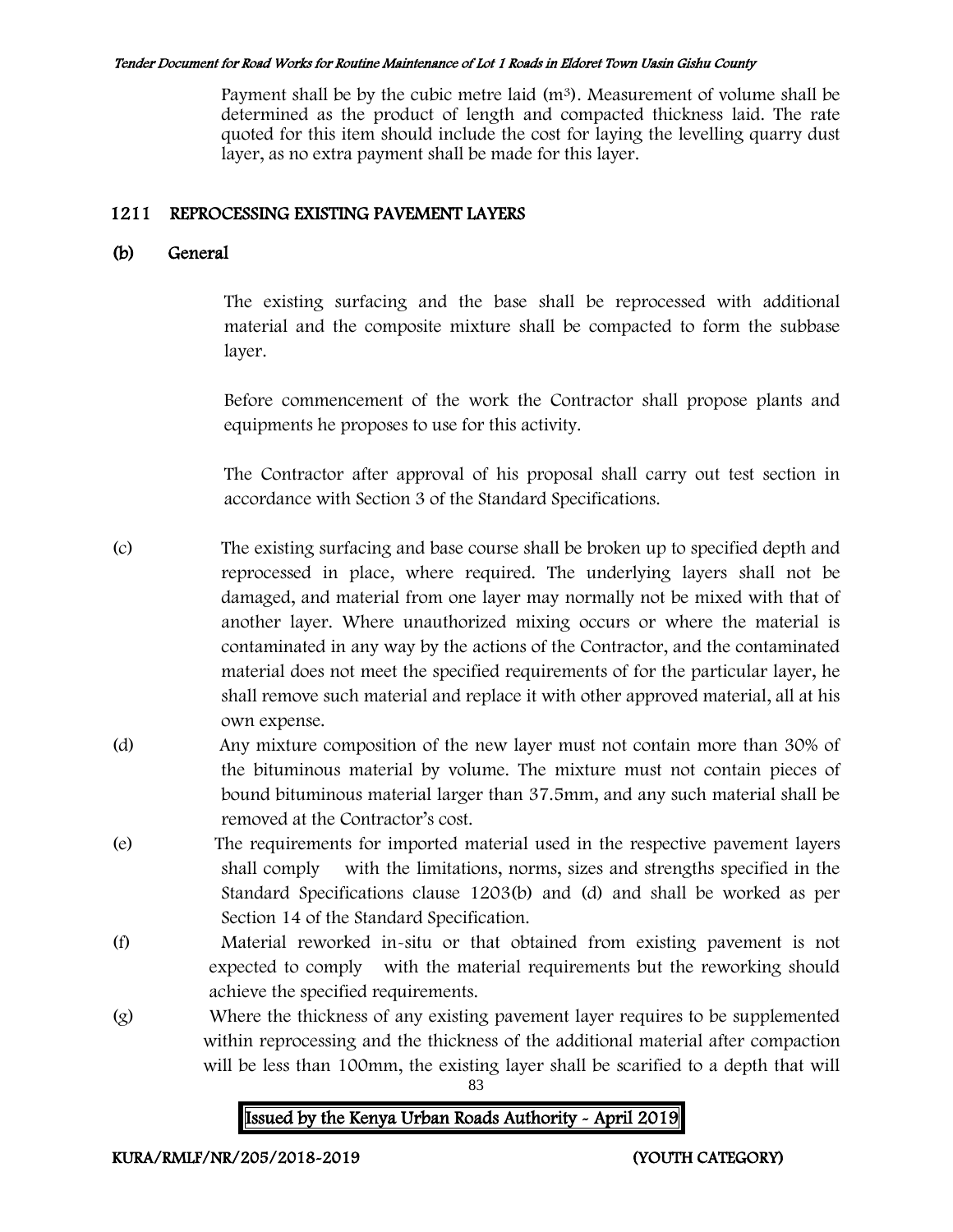Payment shall be by the cubic metre laid  $(m<sup>3</sup>)$ . Measurement of volume shall be determined as the product of length and compacted thickness laid. The rate quoted for this item should include the cost for laying the levelling quarry dust layer, as no extra payment shall be made for this layer.

# 1211 REPROCESSING EXISTING PAVEMENT LAYERS

# (b) General

The existing surfacing and the base shall be reprocessed with additional material and the composite mixture shall be compacted to form the subbase layer.

Before commencement of the work the Contractor shall propose plants and equipments he proposes to use for this activity.

The Contractor after approval of his proposal shall carry out test section in accordance with Section 3 of the Standard Specifications.

(c) The existing surfacing and base course shall be broken up to specified depth and reprocessed in place, where required. The underlying layers shall not be damaged, and material from one layer may normally not be mixed with that of another layer. Where unauthorized mixing occurs or where the material is contaminated in any way by the actions of the Contractor, and the contaminated material does not meet the specified requirements of for the particular layer, he shall remove such material and replace it with other approved material, all at his own expense.

- (d) Any mixture composition of the new layer must not contain more than 30% of the bituminous material by volume. The mixture must not contain pieces of bound bituminous material larger than 37.5mm, and any such material shall be removed at the Contractor's cost.
- (e) The requirements for imported material used in the respective pavement layers shall comply with the limitations, norms, sizes and strengths specified in the Standard Specifications clause 1203(b) and (d) and shall be worked as per Section 14 of the Standard Specification.
- (f) Material reworked in-situ or that obtained from existing pavement is not expected to comply with the material requirements but the reworking should achieve the specified requirements.
- (g) Where the thickness of any existing pavement layer requires to be supplemented within reprocessing and the thickness of the additional material after compaction will be less than 100mm, the existing layer shall be scarified to a depth that will

83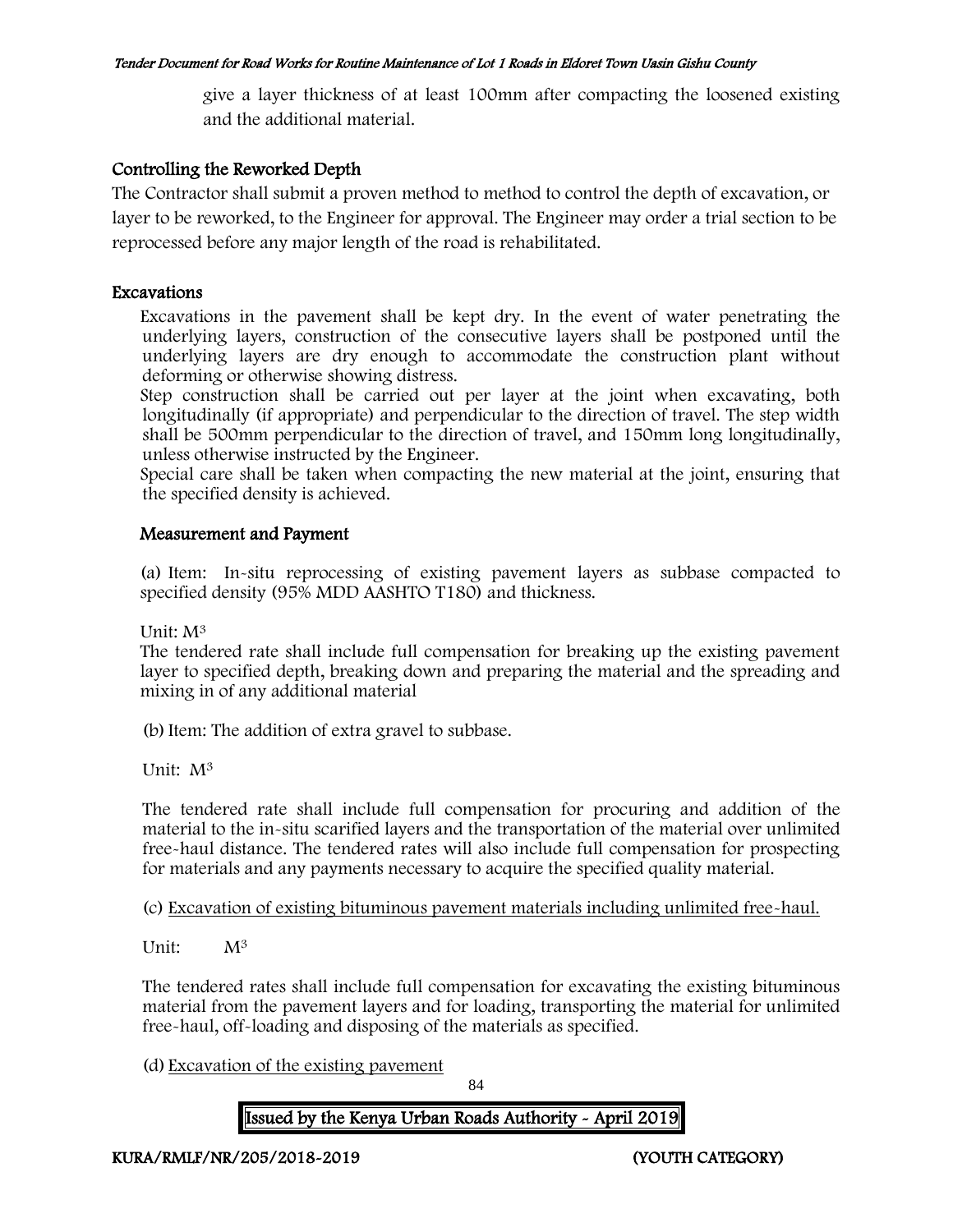give a layer thickness of at least 100mm after compacting the loosened existing and the additional material.

# Controlling the Reworked Depth

The Contractor shall submit a proven method to method to control the depth of excavation, or layer to be reworked, to the Engineer for approval. The Engineer may order a trial section to be reprocessed before any major length of the road is rehabilitated.

#### Excavations

Excavations in the pavement shall be kept dry. In the event of water penetrating the underlying layers, construction of the consecutive layers shall be postponed until the underlying layers are dry enough to accommodate the construction plant without deforming or otherwise showing distress.

Step construction shall be carried out per layer at the joint when excavating, both longitudinally (if appropriate) and perpendicular to the direction of travel. The step width shall be 500mm perpendicular to the direction of travel, and 150mm long longitudinally, unless otherwise instructed by the Engineer.

Special care shall be taken when compacting the new material at the joint, ensuring that the specified density is achieved.

## Measurement and Payment

(a) Item: In-situ reprocessing of existing pavement layers as subbase compacted to specified density (95% MDD AASHTO T180) and thickness.

Unit: M<sup>3</sup>

The tendered rate shall include full compensation for breaking up the existing pavement layer to specified depth, breaking down and preparing the material and the spreading and mixing in of any additional material

(b)Item: The addition of extra gravel to subbase.

Unit: M<sup>3</sup>

The tendered rate shall include full compensation for procuring and addition of the material to the in-situ scarified layers and the transportation of the material over unlimited free-haul distance. The tendered rates will also include full compensation for prospecting for materials and any payments necessary to acquire the specified quality material.

(c) Excavation of existing bituminous pavement materials including unlimited free-haul.

Unit: M<sup>3</sup>

The tendered rates shall include full compensation for excavating the existing bituminous material from the pavement layers and for loading, transporting the material for unlimited free-haul, off-loading and disposing of the materials as specified.

(d) Excavation of the existing pavement

84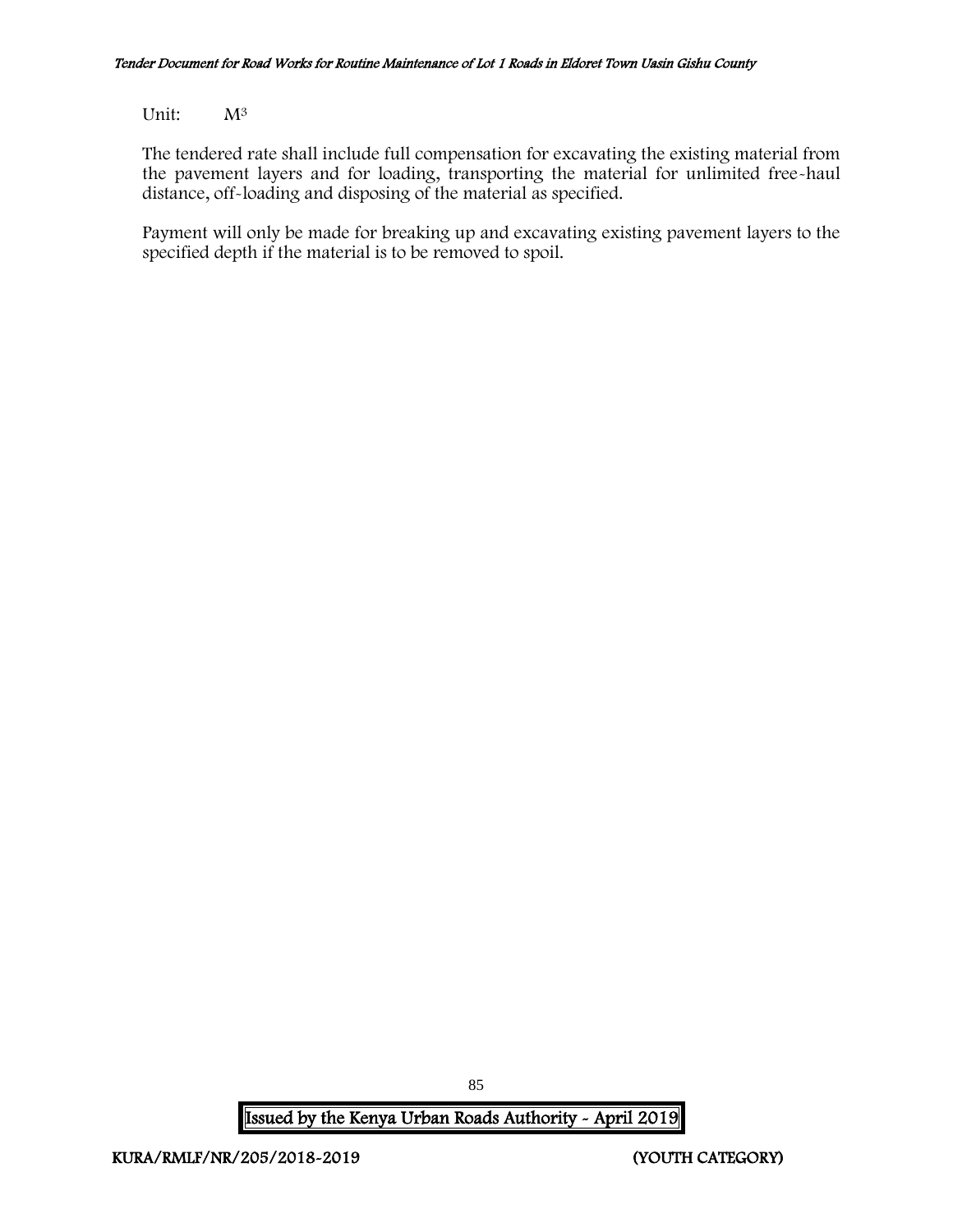Unit: M<sup>3</sup>

The tendered rate shall include full compensation for excavating the existing material from the pavement layers and for loading, transporting the material for unlimited free-haul distance, off-loading and disposing of the material as specified.

Payment will only be made for breaking up and excavating existing pavement layers to the specified depth if the material is to be removed to spoil.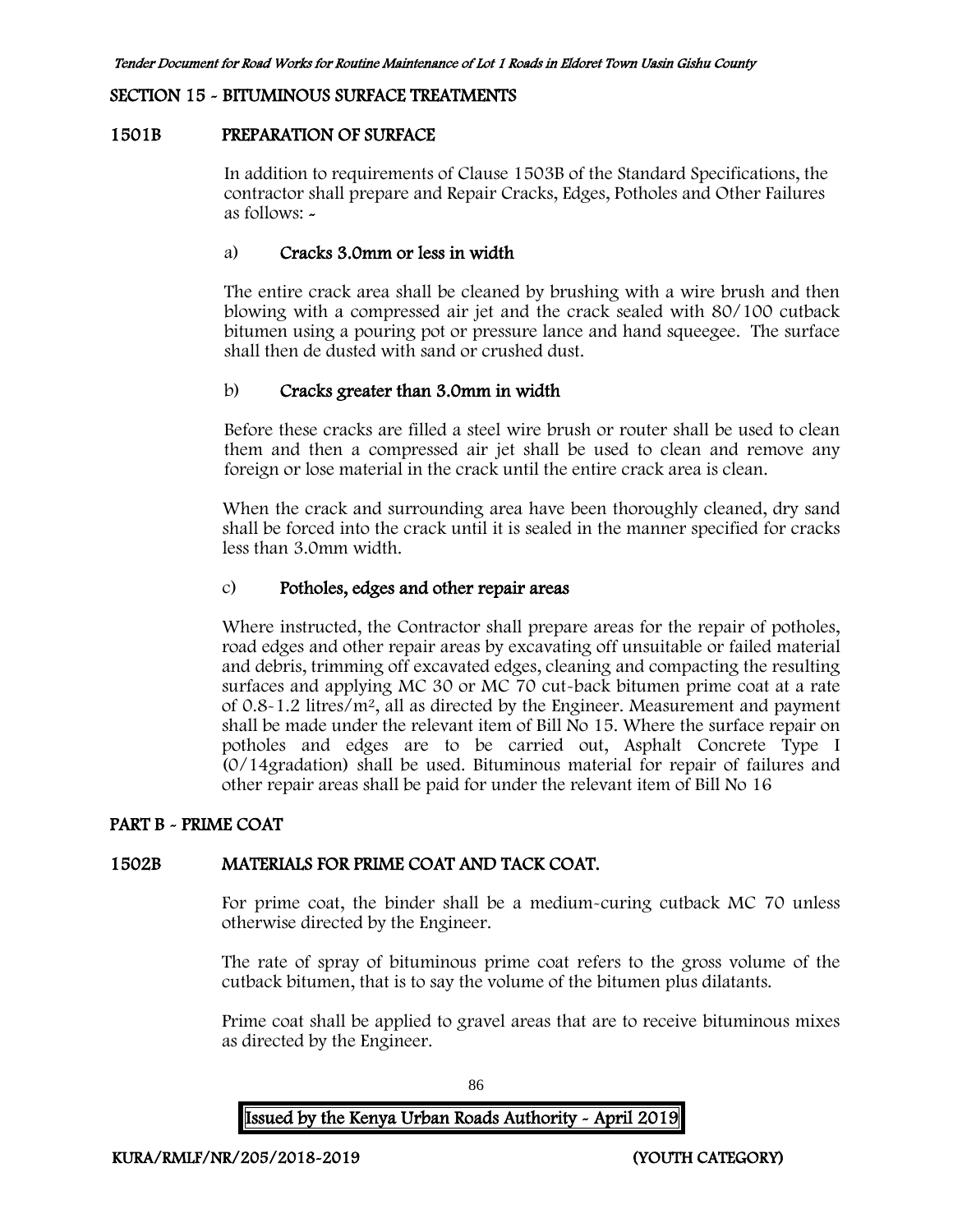#### SECTION 15 - BITUMINOUS SURFACE TREATMENTS

#### 1501B PREPARATION OF SURFACE

In addition to requirements of Clause 1503B of the Standard Specifications, the contractor shall prepare and Repair Cracks, Edges, Potholes and Other Failures as follows: -

#### a) Cracks 3.0mm or less in width

The entire crack area shall be cleaned by brushing with a wire brush and then blowing with a compressed air jet and the crack sealed with 80/100 cutback bitumen using a pouring pot or pressure lance and hand squeegee. The surface shall then de dusted with sand or crushed dust.

#### b) Cracks greater than 3.0mm in width

Before these cracks are filled a steel wire brush or router shall be used to clean them and then a compressed air jet shall be used to clean and remove any foreign or lose material in the crack until the entire crack area is clean.

When the crack and surrounding area have been thoroughly cleaned, dry sand shall be forced into the crack until it is sealed in the manner specified for cracks less than 3.0mm width.

#### c) Potholes, edges and other repair areas

Where instructed, the Contractor shall prepare areas for the repair of potholes, road edges and other repair areas by excavating off unsuitable or failed material and debris, trimming off excavated edges, cleaning and compacting the resulting surfaces and applying MC 30 or MC 70 cut-back bitumen prime coat at a rate of 0.8-1.2 litres/m<sup>2</sup>, all as directed by the Engineer. Measurement and payment shall be made under the relevant item of Bill No 15. Where the surface repair on potholes and edges are to be carried out, Asphalt Concrete Type I (0/14gradation) shall be used. Bituminous material for repair of failures and other repair areas shall be paid for under the relevant item of Bill No 16

#### PART B - PRIME COAT

#### 1502B MATERIALS FOR PRIME COAT AND TACK COAT.

For prime coat, the binder shall be a medium-curing cutback MC 70 unless otherwise directed by the Engineer.

The rate of spray of bituminous prime coat refers to the gross volume of the cutback bitumen, that is to say the volume of the bitumen plus dilatants.

Prime coat shall be applied to gravel areas that are to receive bituminous mixes as directed by the Engineer.

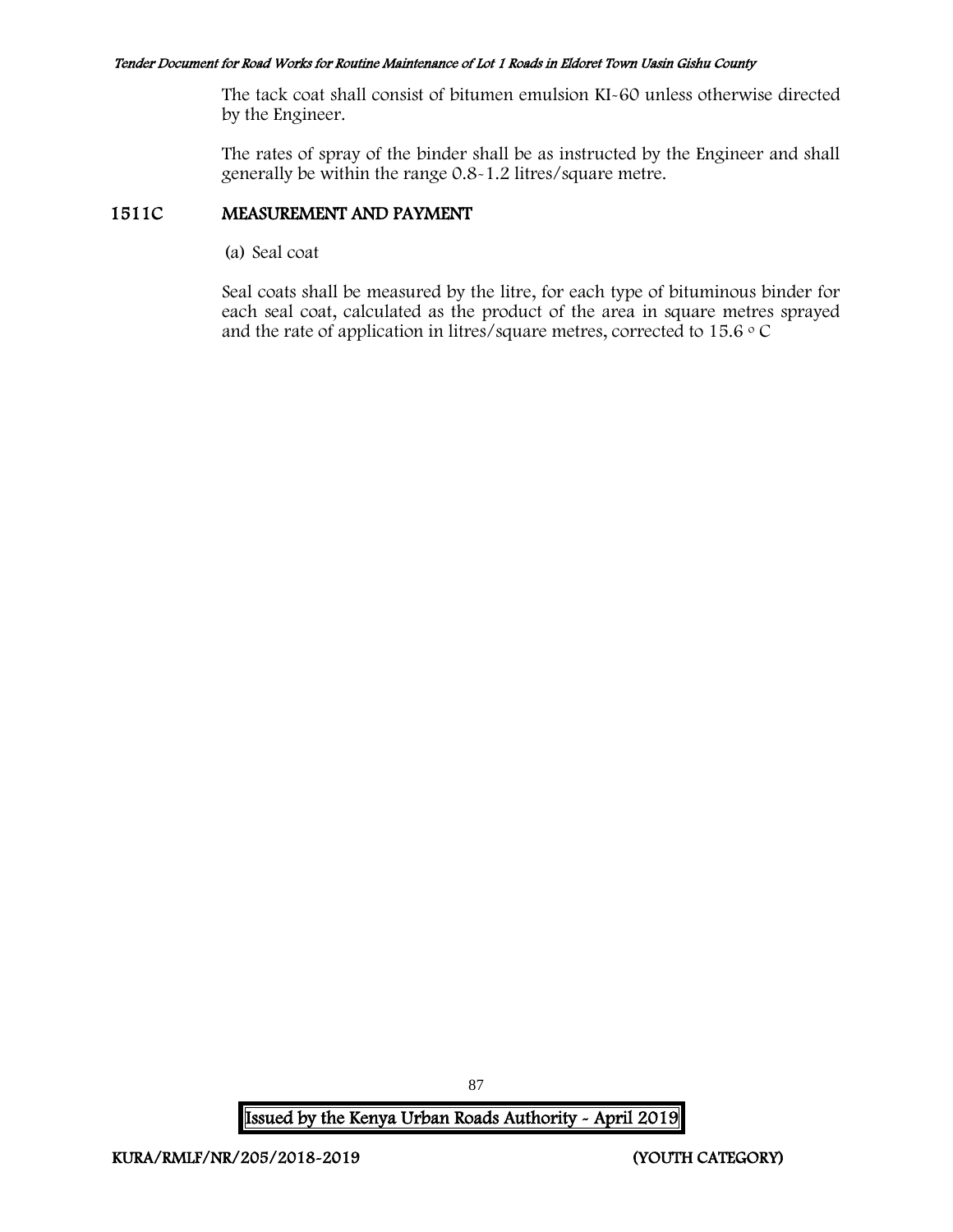The tack coat shall consist of bitumen emulsion KI-60 unless otherwise directed by the Engineer.

The rates of spray of the binder shall be as instructed by the Engineer and shall generally be within the range 0.8-1.2 litres/square metre.

## 1511C MEASUREMENT AND PAYMENT

(a) Seal coat

Seal coats shall be measured by the litre, for each type of bituminous binder for each seal coat, calculated as the product of the area in square metres sprayed and the rate of application in litres/square metres, corrected to 15.6  $\circ$  C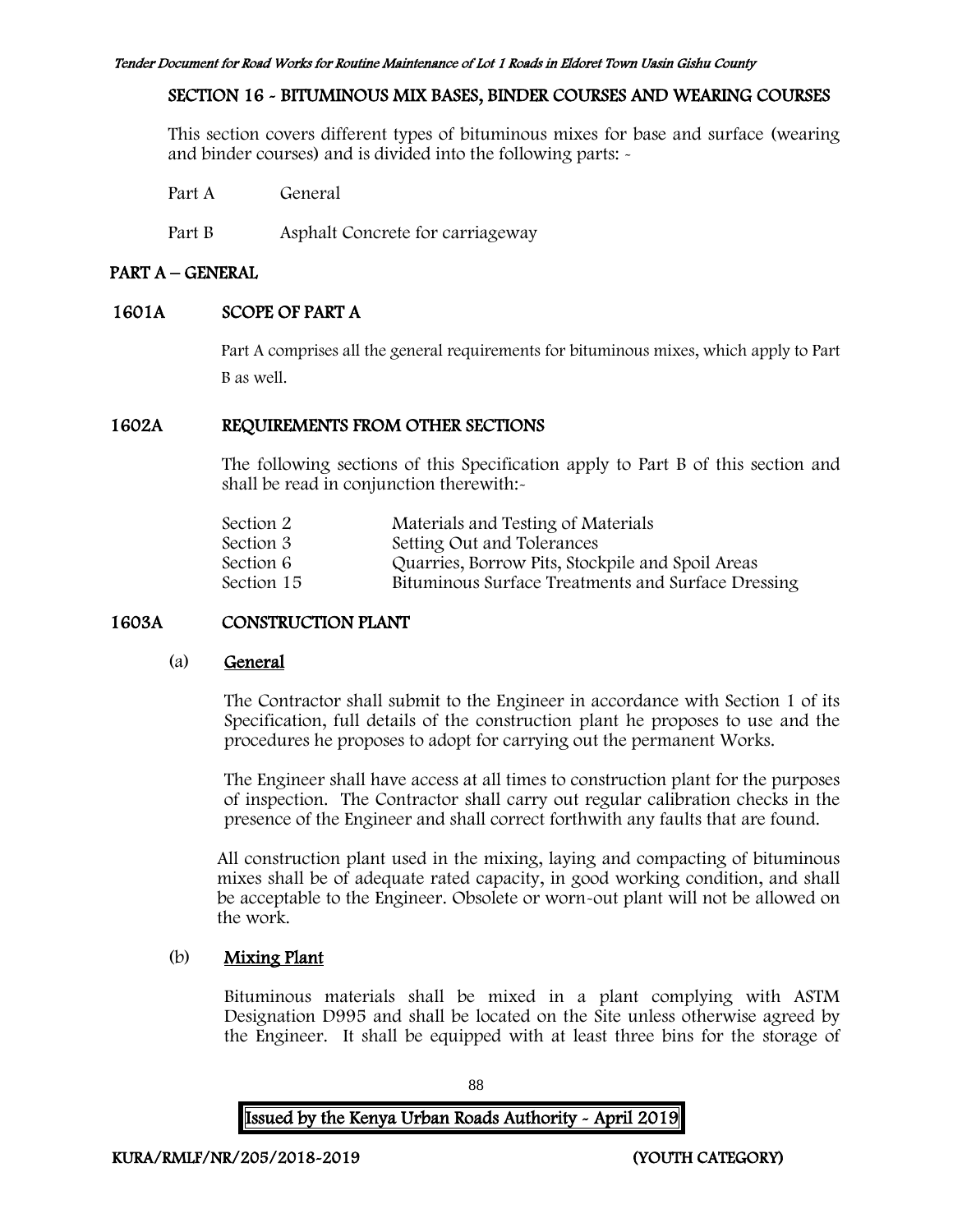# SECTION 16 - BITUMINOUS MIX BASES, BINDER COURSES AND WEARING COURSES

This section covers different types of bituminous mixes for base and surface (wearing and binder courses) and is divided into the following parts: -

Part A General

Part B Asphalt Concrete for carriageway

# PART A – GENERAL

# 1601A SCOPE OF PART A

Part A comprises all the general requirements for bituminous mixes, which apply to Part B as well.

## 1602A REQUIREMENTS FROM OTHER SECTIONS

The following sections of this Specification apply to Part B of this section and shall be read in conjunction therewith:-

| Section 2  | Materials and Testing of Materials                 |
|------------|----------------------------------------------------|
| Section 3  | Setting Out and Tolerances                         |
| Section 6  | Quarries, Borrow Pits, Stockpile and Spoil Areas   |
| Section 15 | Bituminous Surface Treatments and Surface Dressing |
|            |                                                    |

# 1603A CONSTRUCTION PLANT

# (a) General

The Contractor shall submit to the Engineer in accordance with Section 1 of its Specification, full details of the construction plant he proposes to use and the procedures he proposes to adopt for carrying out the permanent Works.

The Engineer shall have access at all times to construction plant for the purposes of inspection. The Contractor shall carry out regular calibration checks in the presence of the Engineer and shall correct forthwith any faults that are found.

All construction plant used in the mixing, laying and compacting of bituminous mixes shall be of adequate rated capacity, in good working condition, and shall be acceptable to the Engineer. Obsolete or worn-out plant will not be allowed on the work.

# (b) Mixing Plant

Bituminous materials shall be mixed in a plant complying with ASTM Designation D995 and shall be located on the Site unless otherwise agreed by the Engineer. It shall be equipped with at least three bins for the storage of

88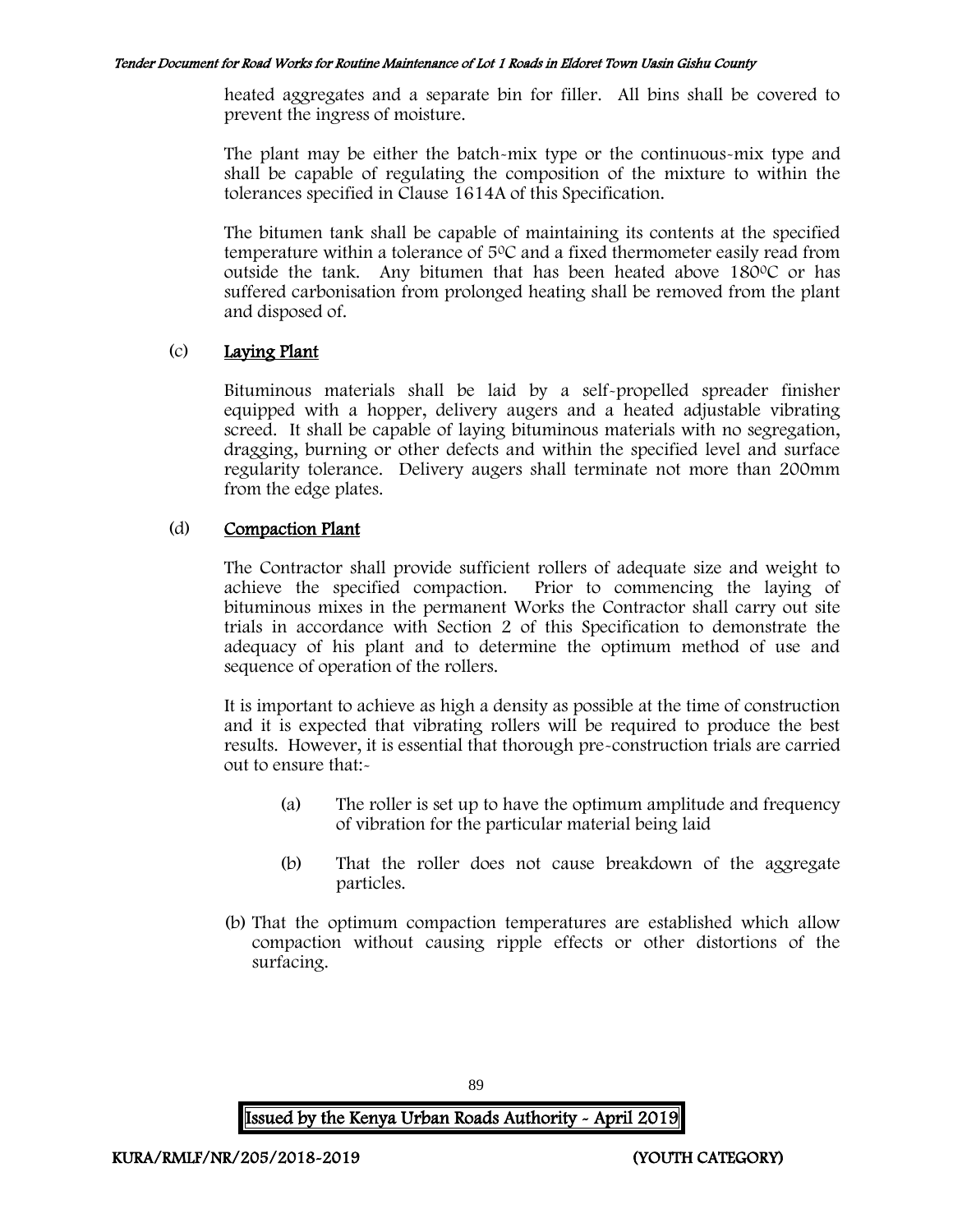heated aggregates and a separate bin for filler. All bins shall be covered to prevent the ingress of moisture.

The plant may be either the batch-mix type or the continuous-mix type and shall be capable of regulating the composition of the mixture to within the tolerances specified in Clause 1614A of this Specification.

The bitumen tank shall be capable of maintaining its contents at the specified temperature within a tolerance of  $5^{\circ}$ C and a fixed thermometer easily read from outside the tank. Any bitumen that has been heated above  $180^{\circ}$ C or has suffered carbonisation from prolonged heating shall be removed from the plant and disposed of.

# (c) Laying Plant

Bituminous materials shall be laid by a self-propelled spreader finisher equipped with a hopper, delivery augers and a heated adjustable vibrating screed. It shall be capable of laying bituminous materials with no segregation, dragging, burning or other defects and within the specified level and surface regularity tolerance. Delivery augers shall terminate not more than 200mm from the edge plates.

# (d) Compaction Plant

The Contractor shall provide sufficient rollers of adequate size and weight to achieve the specified compaction. Prior to commencing the laying of bituminous mixes in the permanent Works the Contractor shall carry out site trials in accordance with Section 2 of this Specification to demonstrate the adequacy of his plant and to determine the optimum method of use and sequence of operation of the rollers.

It is important to achieve as high a density as possible at the time of construction and it is expected that vibrating rollers will be required to produce the best results. However, it is essential that thorough pre-construction trials are carried out to ensure that:-

- (a) The roller is set up to have the optimum amplitude and frequency of vibration for the particular material being laid
- (b) That the roller does not cause breakdown of the aggregate particles.
- (b) That the optimum compaction temperatures are established which allow compaction without causing ripple effects or other distortions of the surfacing.

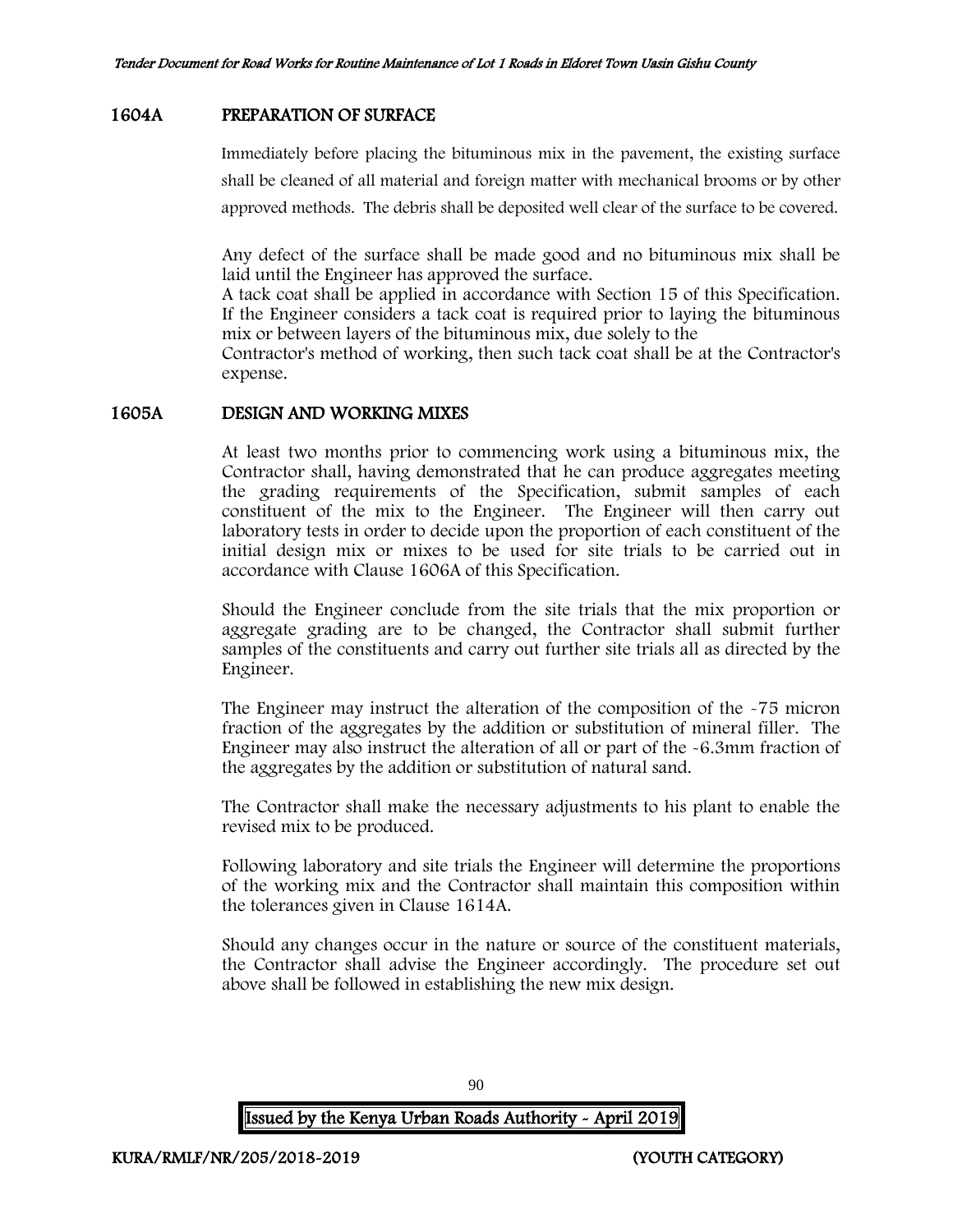# 1604A PREPARATION OF SURFACE

Immediately before placing the bituminous mix in the pavement, the existing surface shall be cleaned of all material and foreign matter with mechanical brooms or by other approved methods. The debris shall be deposited well clear of the surface to be covered.

Any defect of the surface shall be made good and no bituminous mix shall be laid until the Engineer has approved the surface.

A tack coat shall be applied in accordance with Section 15 of this Specification. If the Engineer considers a tack coat is required prior to laying the bituminous mix or between layers of the bituminous mix, due solely to the

Contractor's method of working, then such tack coat shall be at the Contractor's expense.

#### 1605A DESIGN AND WORKING MIXES

At least two months prior to commencing work using a bituminous mix, the Contractor shall, having demonstrated that he can produce aggregates meeting the grading requirements of the Specification, submit samples of each constituent of the mix to the Engineer. The Engineer will then carry out laboratory tests in order to decide upon the proportion of each constituent of the initial design mix or mixes to be used for site trials to be carried out in accordance with Clause 1606A of this Specification.

Should the Engineer conclude from the site trials that the mix proportion or aggregate grading are to be changed, the Contractor shall submit further samples of the constituents and carry out further site trials all as directed by the Engineer.

The Engineer may instruct the alteration of the composition of the -75 micron fraction of the aggregates by the addition or substitution of mineral filler. The Engineer may also instruct the alteration of all or part of the -6.3mm fraction of the aggregates by the addition or substitution of natural sand.

The Contractor shall make the necessary adjustments to his plant to enable the revised mix to be produced.

Following laboratory and site trials the Engineer will determine the proportions of the working mix and the Contractor shall maintain this composition within the tolerances given in Clause 1614A.

Should any changes occur in the nature or source of the constituent materials, the Contractor shall advise the Engineer accordingly. The procedure set out above shall be followed in establishing the new mix design.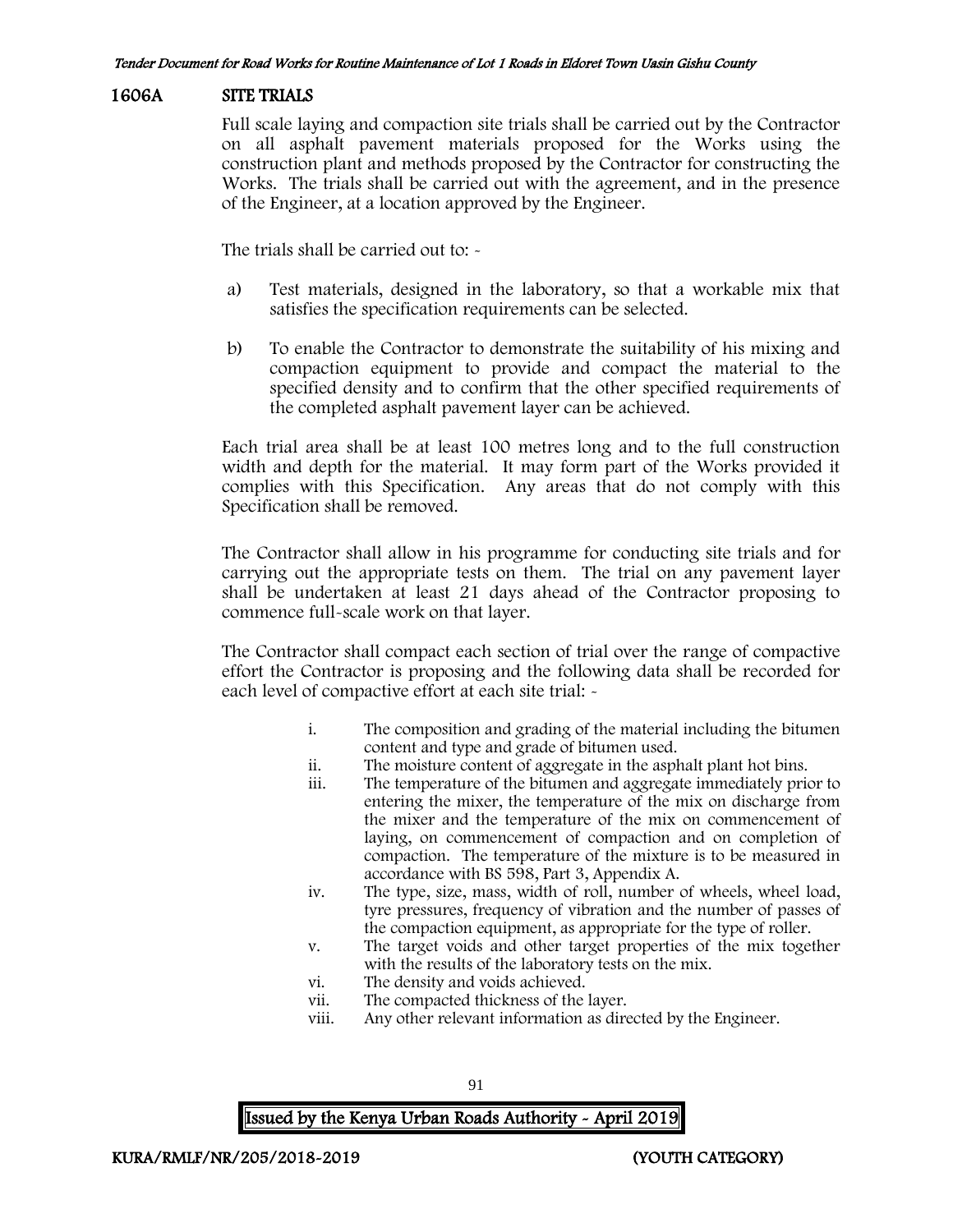## 1606A SITE TRIALS

Full scale laying and compaction site trials shall be carried out by the Contractor on all asphalt pavement materials proposed for the Works using the construction plant and methods proposed by the Contractor for constructing the Works. The trials shall be carried out with the agreement, and in the presence of the Engineer, at a location approved by the Engineer.

The trials shall be carried out to: -

- a) Test materials, designed in the laboratory, so that a workable mix that satisfies the specification requirements can be selected.
- b) To enable the Contractor to demonstrate the suitability of his mixing and compaction equipment to provide and compact the material to the specified density and to confirm that the other specified requirements of the completed asphalt pavement layer can be achieved.

Each trial area shall be at least 100 metres long and to the full construction width and depth for the material. It may form part of the Works provided it complies with this Specification. Any areas that do not comply with this Specification shall be removed.

The Contractor shall allow in his programme for conducting site trials and for carrying out the appropriate tests on them. The trial on any pavement layer shall be undertaken at least 21 days ahead of the Contractor proposing to commence full-scale work on that layer.

The Contractor shall compact each section of trial over the range of compactive effort the Contractor is proposing and the following data shall be recorded for each level of compactive effort at each site trial: -

- i. The composition and grading of the material including the bitumen content and type and grade of bitumen used.
- ii. The moisture content of aggregate in the asphalt plant hot bins.
- iii. The temperature of the bitumen and aggregate immediately prior to entering the mixer, the temperature of the mix on discharge from the mixer and the temperature of the mix on commencement of laying, on commencement of compaction and on completion of compaction. The temperature of the mixture is to be measured in accordance with BS 598, Part 3, Appendix A.
- iv. The type, size, mass, width of roll, number of wheels, wheel load, tyre pressures, frequency of vibration and the number of passes of the compaction equipment, as appropriate for the type of roller.
- v. The target voids and other target properties of the mix together with the results of the laboratory tests on the mix.
- vi. The density and voids achieved.
- vii. The compacted thickness of the layer.
- viii. Any other relevant information as directed by the Engineer.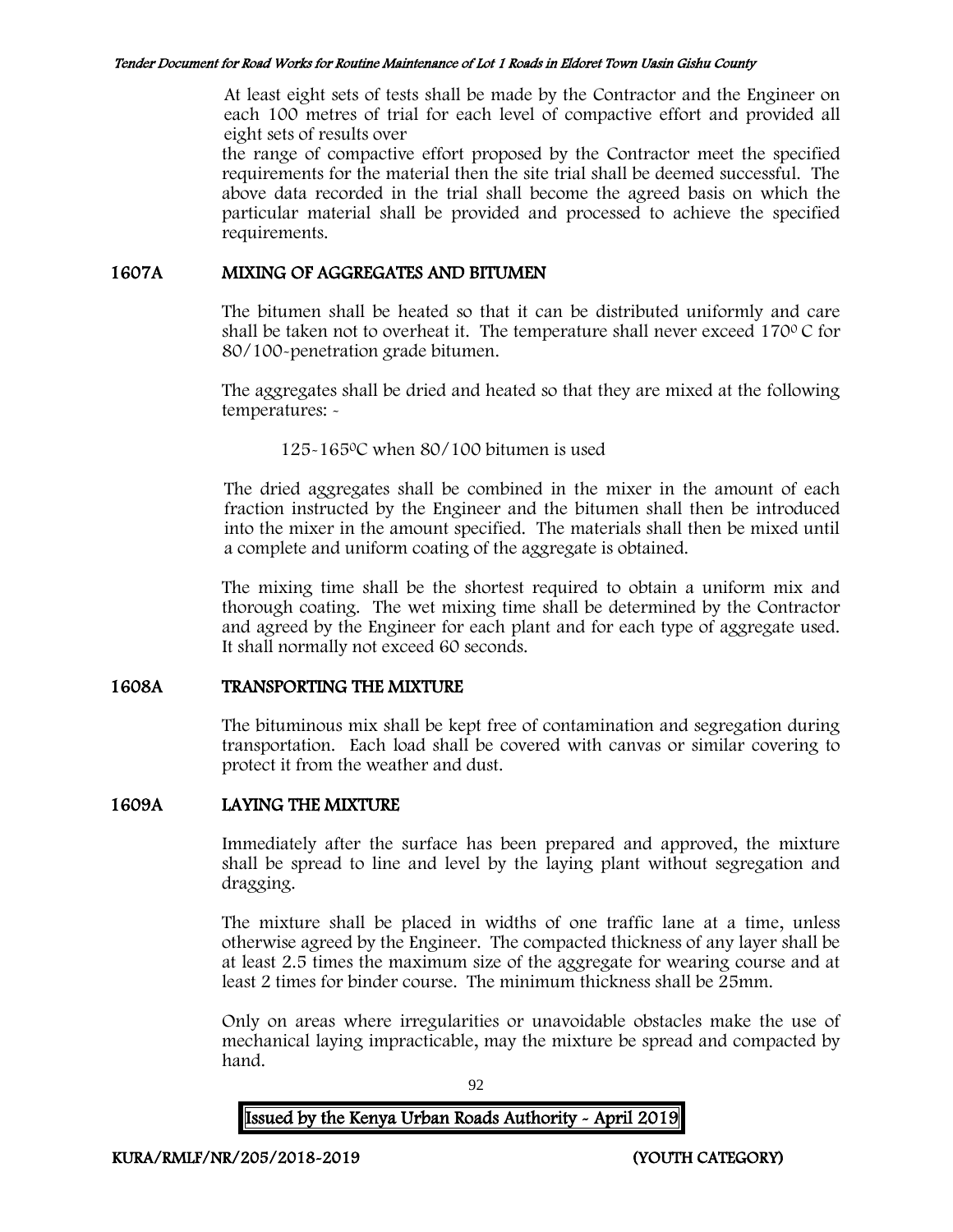At least eight sets of tests shall be made by the Contractor and the Engineer on each 100 metres of trial for each level of compactive effort and provided all eight sets of results over

the range of compactive effort proposed by the Contractor meet the specified requirements for the material then the site trial shall be deemed successful. The above data recorded in the trial shall become the agreed basis on which the particular material shall be provided and processed to achieve the specified requirements.

#### 1607A MIXING OF AGGREGATES AND BITUMEN

The bitumen shall be heated so that it can be distributed uniformly and care shall be taken not to overheat it. The temperature shall never exceed 170 $\degree$ C for 80/100-penetration grade bitumen.

The aggregates shall be dried and heated so that they are mixed at the following temperatures: -

125-165<sup>0</sup>C when 80/100 bitumen is used

The dried aggregates shall be combined in the mixer in the amount of each fraction instructed by the Engineer and the bitumen shall then be introduced into the mixer in the amount specified. The materials shall then be mixed until a complete and uniform coating of the aggregate is obtained.

The mixing time shall be the shortest required to obtain a uniform mix and thorough coating. The wet mixing time shall be determined by the Contractor and agreed by the Engineer for each plant and for each type of aggregate used. It shall normally not exceed 60 seconds.

# 1608A TRANSPORTING THE MIXTURE

The bituminous mix shall be kept free of contamination and segregation during transportation. Each load shall be covered with canvas or similar covering to protect it from the weather and dust.

# 1609A LAYING THE MIXTURE

Immediately after the surface has been prepared and approved, the mixture shall be spread to line and level by the laying plant without segregation and dragging.

The mixture shall be placed in widths of one traffic lane at a time, unless otherwise agreed by the Engineer. The compacted thickness of any layer shall be at least 2.5 times the maximum size of the aggregate for wearing course and at least 2 times for binder course. The minimum thickness shall be 25mm.

Only on areas where irregularities or unavoidable obstacles make the use of mechanical laying impracticable, may the mixture be spread and compacted by hand.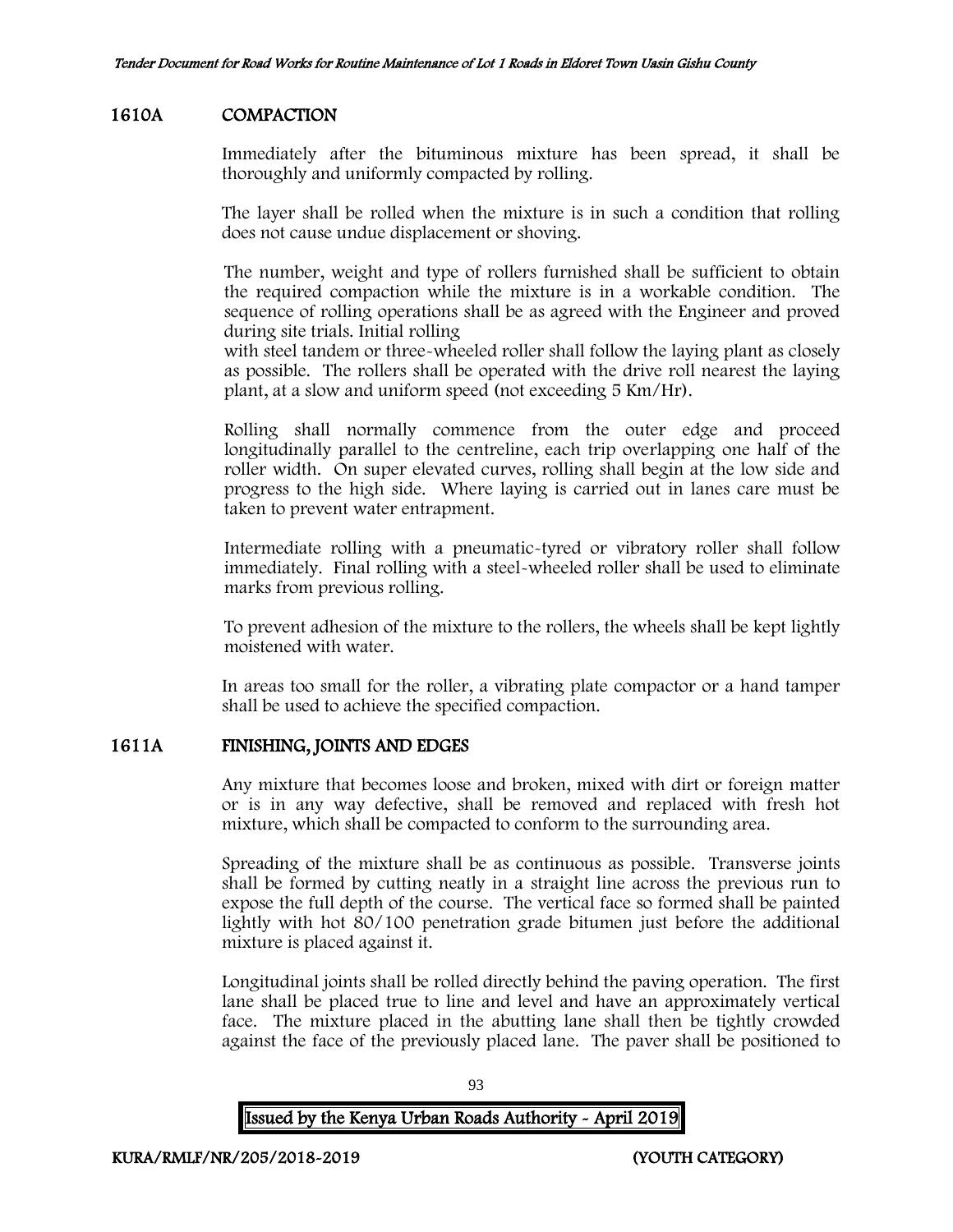## 1610A COMPACTION

Immediately after the bituminous mixture has been spread, it shall be thoroughly and uniformly compacted by rolling.

The layer shall be rolled when the mixture is in such a condition that rolling does not cause undue displacement or shoving.

The number, weight and type of rollers furnished shall be sufficient to obtain the required compaction while the mixture is in a workable condition. The sequence of rolling operations shall be as agreed with the Engineer and proved during site trials. Initial rolling

with steel tandem or three-wheeled roller shall follow the laying plant as closely as possible. The rollers shall be operated with the drive roll nearest the laying plant, at a slow and uniform speed (not exceeding 5 Km/Hr).

Rolling shall normally commence from the outer edge and proceed longitudinally parallel to the centreline, each trip overlapping one half of the roller width. On super elevated curves, rolling shall begin at the low side and progress to the high side. Where laying is carried out in lanes care must be taken to prevent water entrapment.

Intermediate rolling with a pneumatic-tyred or vibratory roller shall follow immediately. Final rolling with a steel-wheeled roller shall be used to eliminate marks from previous rolling.

To prevent adhesion of the mixture to the rollers, the wheels shall be kept lightly moistened with water.

In areas too small for the roller, a vibrating plate compactor or a hand tamper shall be used to achieve the specified compaction.

# 1611A FINISHING, JOINTS AND EDGES

Any mixture that becomes loose and broken, mixed with dirt or foreign matter or is in any way defective, shall be removed and replaced with fresh hot mixture, which shall be compacted to conform to the surrounding area.

Spreading of the mixture shall be as continuous as possible. Transverse joints shall be formed by cutting neatly in a straight line across the previous run to expose the full depth of the course. The vertical face so formed shall be painted lightly with hot 80/100 penetration grade bitumen just before the additional mixture is placed against it.

Longitudinal joints shall be rolled directly behind the paving operation. The first lane shall be placed true to line and level and have an approximately vertical face. The mixture placed in the abutting lane shall then be tightly crowded against the face of the previously placed lane. The paver shall be positioned to

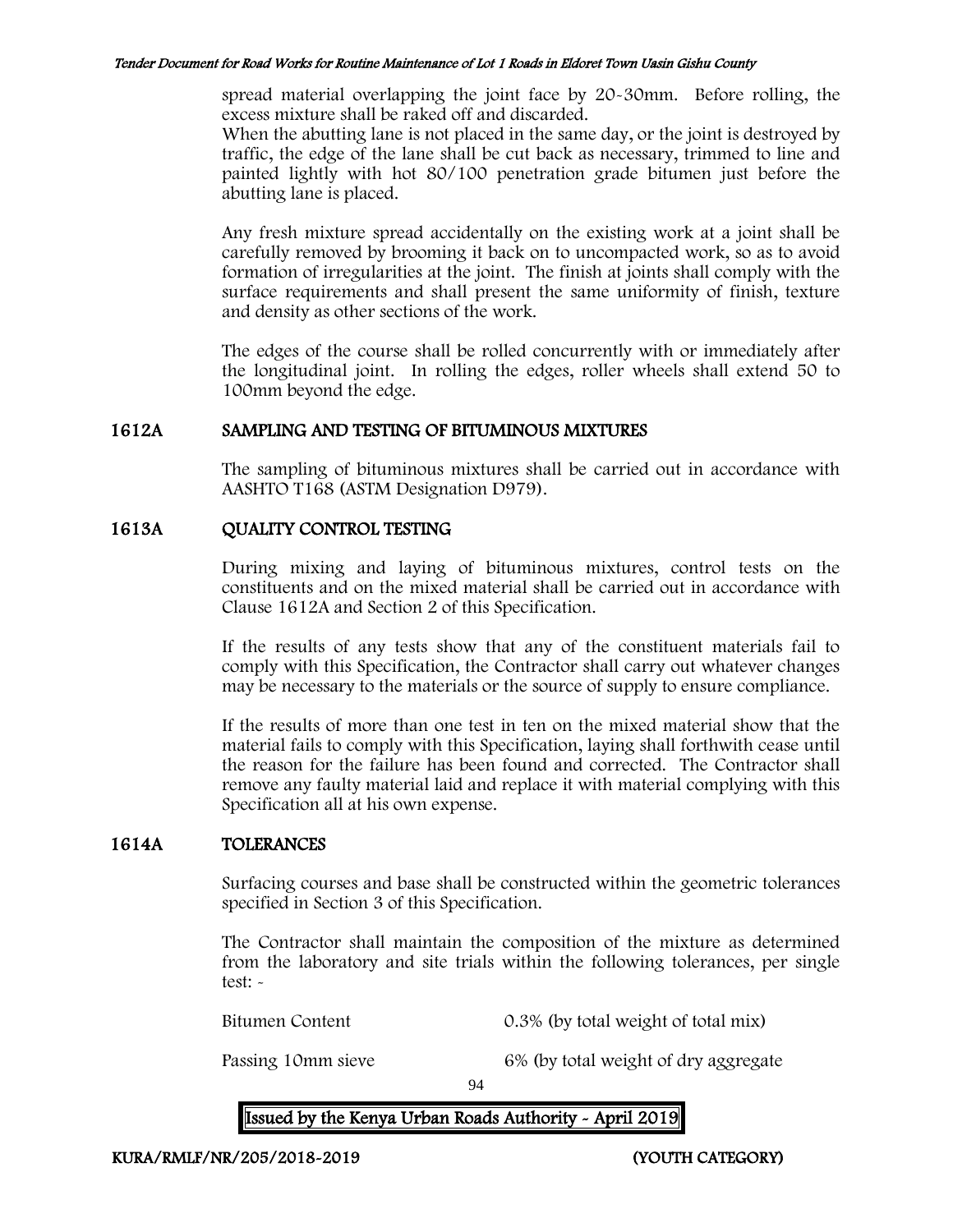spread material overlapping the joint face by 20-30mm. Before rolling, the excess mixture shall be raked off and discarded.

When the abutting lane is not placed in the same day, or the joint is destroyed by traffic, the edge of the lane shall be cut back as necessary, trimmed to line and painted lightly with hot 80/100 penetration grade bitumen just before the abutting lane is placed.

Any fresh mixture spread accidentally on the existing work at a joint shall be carefully removed by brooming it back on to uncompacted work, so as to avoid formation of irregularities at the joint. The finish at joints shall comply with the surface requirements and shall present the same uniformity of finish, texture and density as other sections of the work.

The edges of the course shall be rolled concurrently with or immediately after the longitudinal joint. In rolling the edges, roller wheels shall extend 50 to 100mm beyond the edge.

## 1612A SAMPLING AND TESTING OF BITUMINOUS MIXTURES

The sampling of bituminous mixtures shall be carried out in accordance with AASHTO T168 (ASTM Designation D979).

# 1613A QUALITY CONTROL TESTING

During mixing and laying of bituminous mixtures, control tests on the constituents and on the mixed material shall be carried out in accordance with Clause 1612A and Section 2 of this Specification.

If the results of any tests show that any of the constituent materials fail to comply with this Specification, the Contractor shall carry out whatever changes may be necessary to the materials or the source of supply to ensure compliance.

If the results of more than one test in ten on the mixed material show that the material fails to comply with this Specification, laying shall forthwith cease until the reason for the failure has been found and corrected. The Contractor shall remove any faulty material laid and replace it with material complying with this Specification all at his own expense.

# 1614A TOLERANCES

Surfacing courses and base shall be constructed within the geometric tolerances specified in Section 3 of this Specification.

The Contractor shall maintain the composition of the mixture as determined from the laboratory and site trials within the following tolerances, per single test: -

Bitumen Content 0.3% (by total weight of total mix)

Passing 10mm sieve 6% (by total weight of dry aggregate

94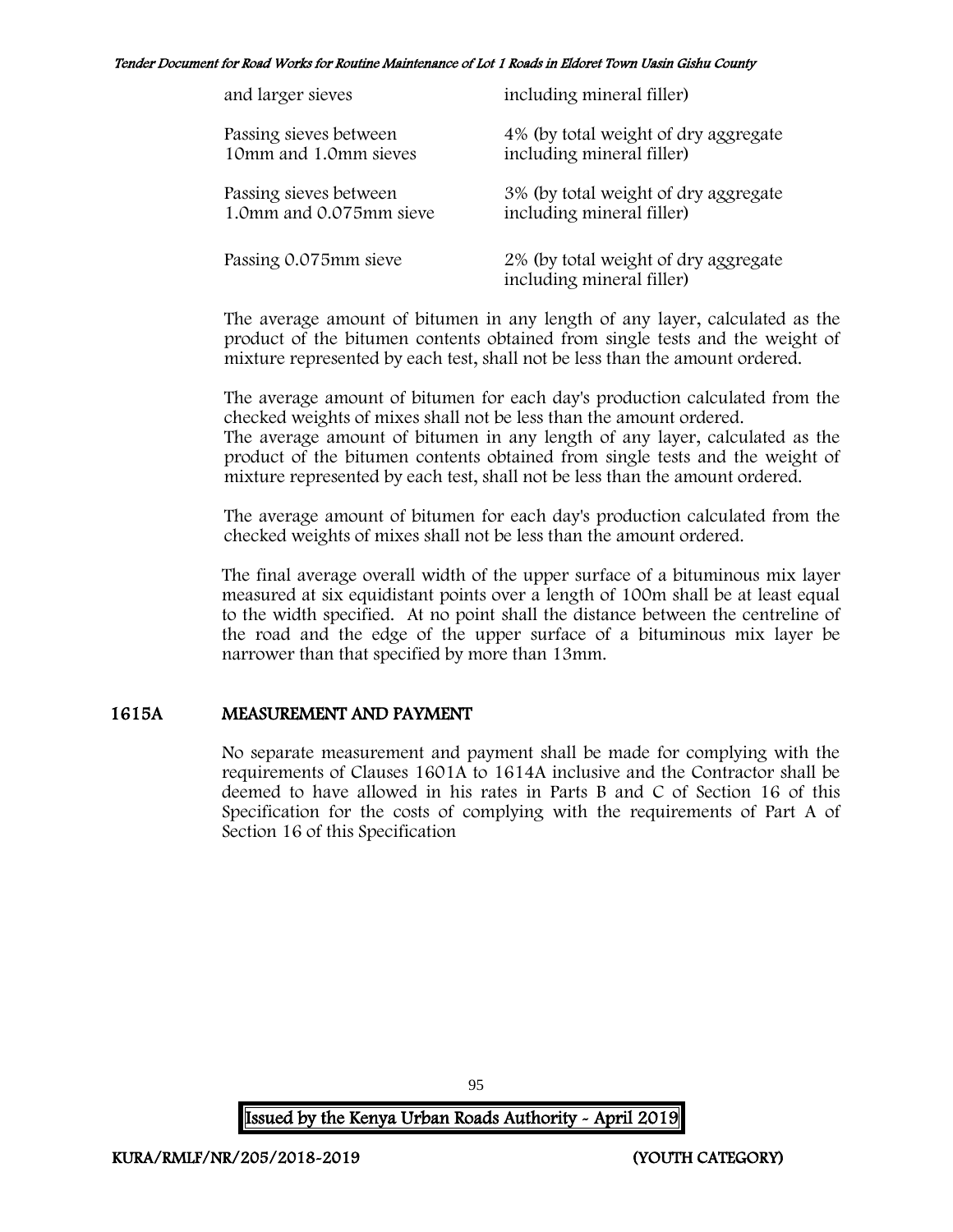| and larger sieves       | including mineral filler)                                         |
|-------------------------|-------------------------------------------------------------------|
| Passing sieves between  | 4% (by total weight of dry aggregate                              |
| 10mm and 1.0mm sieves   | including mineral filler)                                         |
| Passing sieves between  | 3% (by total weight of dry aggregate                              |
| 1.0mm and 0.075mm sieve | including mineral filler)                                         |
| Passing 0.075mm sieve   | 2% (by total weight of dry aggregate<br>including mineral filler) |

The average amount of bitumen in any length of any layer, calculated as the product of the bitumen contents obtained from single tests and the weight of mixture represented by each test, shall not be less than the amount ordered.

The average amount of bitumen for each day's production calculated from the checked weights of mixes shall not be less than the amount ordered. The average amount of bitumen in any length of any layer, calculated as the product of the bitumen contents obtained from single tests and the weight of

The average amount of bitumen for each day's production calculated from the checked weights of mixes shall not be less than the amount ordered.

mixture represented by each test, shall not be less than the amount ordered.

The final average overall width of the upper surface of a bituminous mix layer measured at six equidistant points over a length of 100m shall be at least equal to the width specified. At no point shall the distance between the centreline of the road and the edge of the upper surface of a bituminous mix layer be narrower than that specified by more than 13mm.

# 1615A MEASUREMENT AND PAYMENT

No separate measurement and payment shall be made for complying with the requirements of Clauses 1601A to 1614A inclusive and the Contractor shall be deemed to have allowed in his rates in Parts B and C of Section 16 of this Specification for the costs of complying with the requirements of Part A of Section 16 of this Specification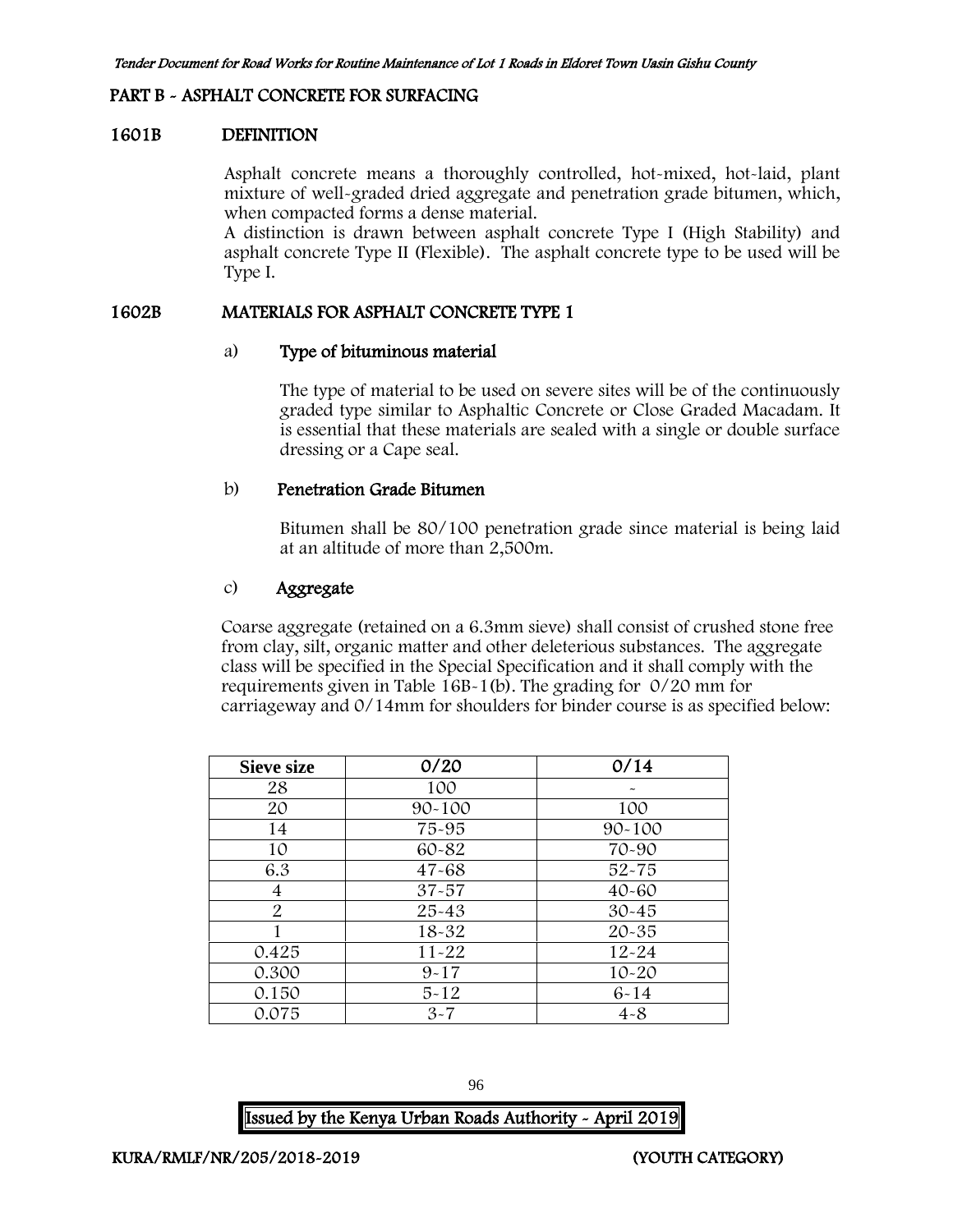#### PART B - ASPHALT CONCRETE FOR SURFACING

#### 1601B DEFINITION

Asphalt concrete means a thoroughly controlled, hot-mixed, hot-laid, plant mixture of well-graded dried aggregate and penetration grade bitumen, which, when compacted forms a dense material.

A distinction is drawn between asphalt concrete Type I (High Stability) and asphalt concrete Type II (Flexible). The asphalt concrete type to be used will be Type I.

#### 1602B MATERIALS FOR ASPHALT CONCRETE TYPE 1

#### a) Type of bituminous material

The type of material to be used on severe sites will be of the continuously graded type similar to Asphaltic Concrete or Close Graded Macadam. It is essential that these materials are sealed with a single or double surface dressing or a Cape seal.

#### b) Penetration Grade Bitumen

Bitumen shall be 80/100 penetration grade since material is being laid at an altitude of more than 2,500m.

## c) Aggregate

Coarse aggregate (retained on a 6.3mm sieve) shall consist of crushed stone free from clay, silt, organic matter and other deleterious substances. The aggregate class will be specified in the Special Specification and it shall comply with the requirements given in Table 16B-1(b). The grading for 0/20 mm for carriageway and 0/14mm for shoulders for binder course is as specified below:

| <b>Sieve size</b> | 0/20       | 0/14                  |
|-------------------|------------|-----------------------|
| 28                | 100        | $\tilde{\phantom{a}}$ |
| 20                | $90 - 100$ | 100                   |
| 14                | 75-95      | $90 - 100$            |
| 10                | 60-82      | 70-90                 |
| 6.3               | $47 - 68$  | $52 - 75$             |
| 4                 | $37 - 57$  | $40 - 60$             |
| $\overline{2}$    | $25 - 43$  | $30 - 45$             |
|                   | $18 - 32$  | $20 - 35$             |
| 0.425             | $11 - 22$  | $12 - 24$             |
| 0.300             | $9 - 17$   | $10 - 20$             |
| 0.150             | $5 - 12$   | $6 - 14$              |
| 0.075             | $3 - 7$    | $4 - 8$               |

96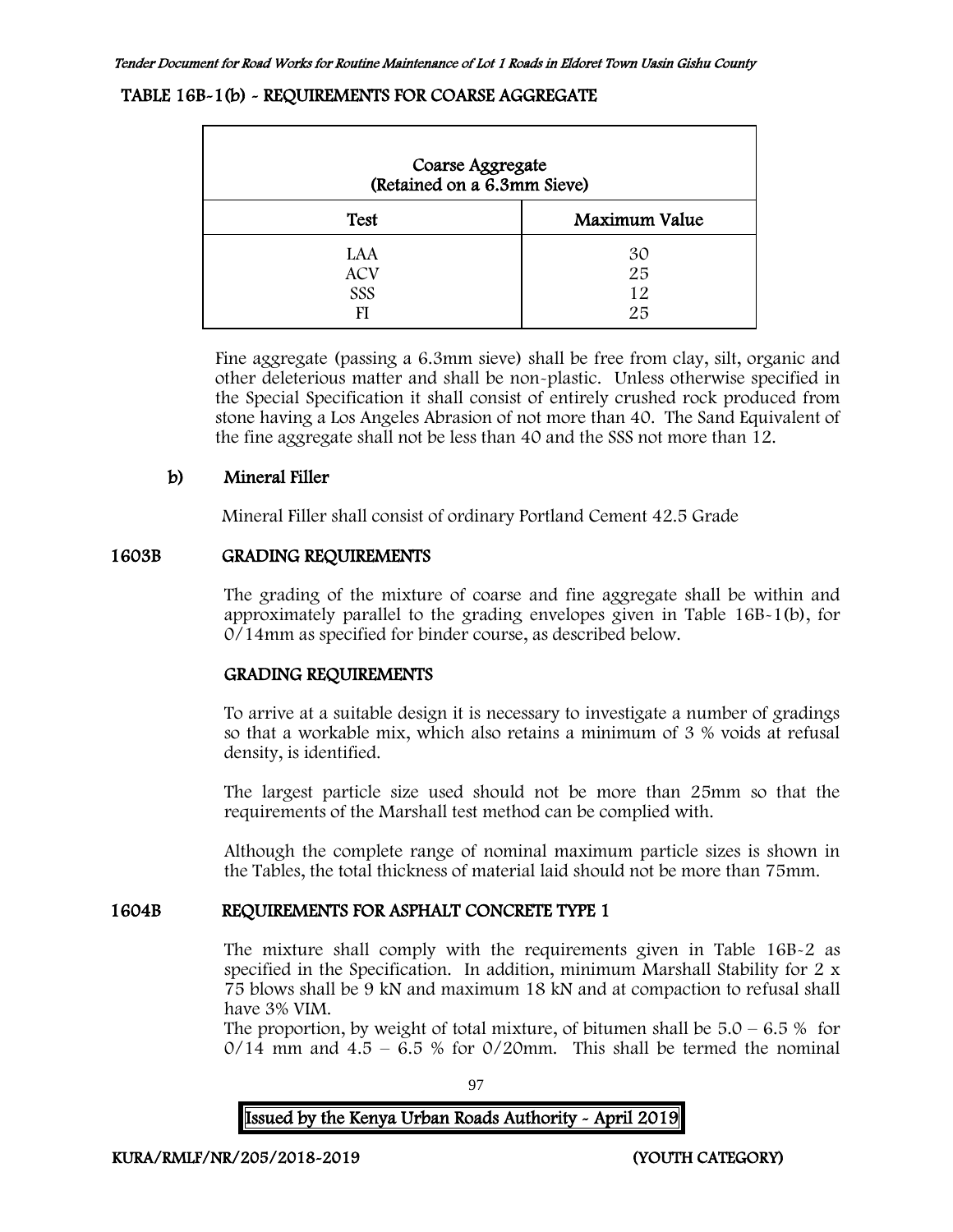#### TABLE 16B-1(b) - REQUIREMENTS FOR COARSE AGGREGATE

| Coarse Aggregate<br>(Retained on a 6.3mm Sieve) |                      |  |  |  |
|-------------------------------------------------|----------------------|--|--|--|
| Maximum Value<br><b>Test</b>                    |                      |  |  |  |
| LAA<br><b>ACV</b><br>SSS<br>FI                  | 30<br>25<br>12<br>25 |  |  |  |

Fine aggregate (passing a 6.3mm sieve) shall be free from clay, silt, organic and other deleterious matter and shall be non-plastic. Unless otherwise specified in the Special Specification it shall consist of entirely crushed rock produced from stone having a Los Angeles Abrasion of not more than 40. The Sand Equivalent of the fine aggregate shall not be less than 40 and the SSS not more than 12.

## b) Mineral Filler

Mineral Filler shall consist of ordinary Portland Cement 42.5 Grade

## 1603B GRADING REQUIREMENTS

The grading of the mixture of coarse and fine aggregate shall be within and approximately parallel to the grading envelopes given in Table 16B-1(b), for 0/14mm as specified for binder course, as described below.

# GRADING REQUIREMENTS

To arrive at a suitable design it is necessary to investigate a number of gradings so that a workable mix, which also retains a minimum of 3 % voids at refusal density, is identified.

The largest particle size used should not be more than 25mm so that the requirements of the Marshall test method can be complied with.

Although the complete range of nominal maximum particle sizes is shown in the Tables, the total thickness of material laid should not be more than 75mm.

# 1604B REQUIREMENTS FOR ASPHALT CONCRETE TYPE 1

The mixture shall comply with the requirements given in Table 16B-2 as specified in the Specification. In addition, minimum Marshall Stability for 2 x 75 blows shall be 9 kN and maximum 18 kN and at compaction to refusal shall have 3% VIM.

The proportion, by weight of total mixture, of bitumen shall be  $5.0 - 6.5\%$  for  $0/14$  mm and  $4.5 - 6.5$  % for  $0/20$ mm. This shall be termed the nominal

97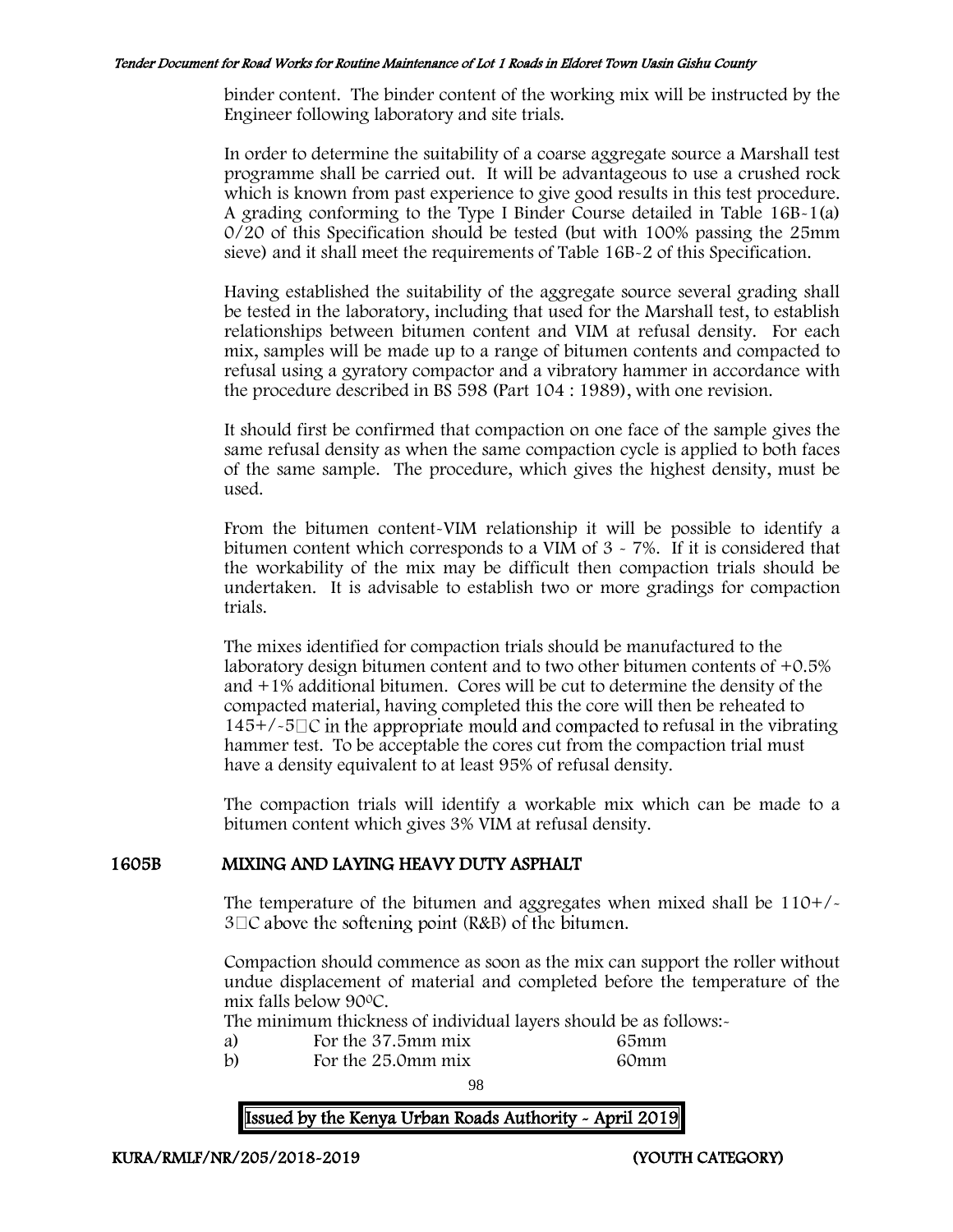binder content. The binder content of the working mix will be instructed by the Engineer following laboratory and site trials.

In order to determine the suitability of a coarse aggregate source a Marshall test programme shall be carried out. It will be advantageous to use a crushed rock which is known from past experience to give good results in this test procedure. A grading conforming to the Type I Binder Course detailed in Table 16B-1(a) 0/20 of this Specification should be tested (but with 100% passing the 25mm sieve) and it shall meet the requirements of Table 16B-2 of this Specification.

Having established the suitability of the aggregate source several grading shall be tested in the laboratory, including that used for the Marshall test, to establish relationships between bitumen content and VIM at refusal density. For each mix, samples will be made up to a range of bitumen contents and compacted to refusal using a gyratory compactor and a vibratory hammer in accordance with the procedure described in BS 598 (Part 104 : 1989), with one revision.

It should first be confirmed that compaction on one face of the sample gives the same refusal density as when the same compaction cycle is applied to both faces of the same sample. The procedure, which gives the highest density, must be used.

From the bitumen content-VIM relationship it will be possible to identify a bitumen content which corresponds to a VIM of 3 - 7%. If it is considered that the workability of the mix may be difficult then compaction trials should be undertaken. It is advisable to establish two or more gradings for compaction trials.

The mixes identified for compaction trials should be manufactured to the laboratory design bitumen content and to two other bitumen contents of  $+0.5\%$ and +1% additional bitumen. Cores will be cut to determine the density of the compacted material, having completed this the core will then be reheated to  $145+/-5\degree$  in the appropriate mould and compacted to refusal in the vibrating hammer test. To be acceptable the cores cut from the compaction trial must have a density equivalent to at least 95% of refusal density.

The compaction trials will identify a workable mix which can be made to a bitumen content which gives 3% VIM at refusal density.

#### 1605B MIXING AND LAYING HEAVY DUTY ASPHALT

The temperature of the bitumen and aggregates when mixed shall be  $110+/$  $3\Box C$  above the softening point (R&B) of the bitumen.

Compaction should commence as soon as the mix can support the roller without undue displacement of material and completed before the temperature of the mix falls below 90<sup>0</sup>C.

The minimum thickness of individual layers should be as follows:-

- 
- a) For the 37.5mm mix 65mm<br>b) For the 25.0mm mix 60mm For the  $25.0$  mm mix

98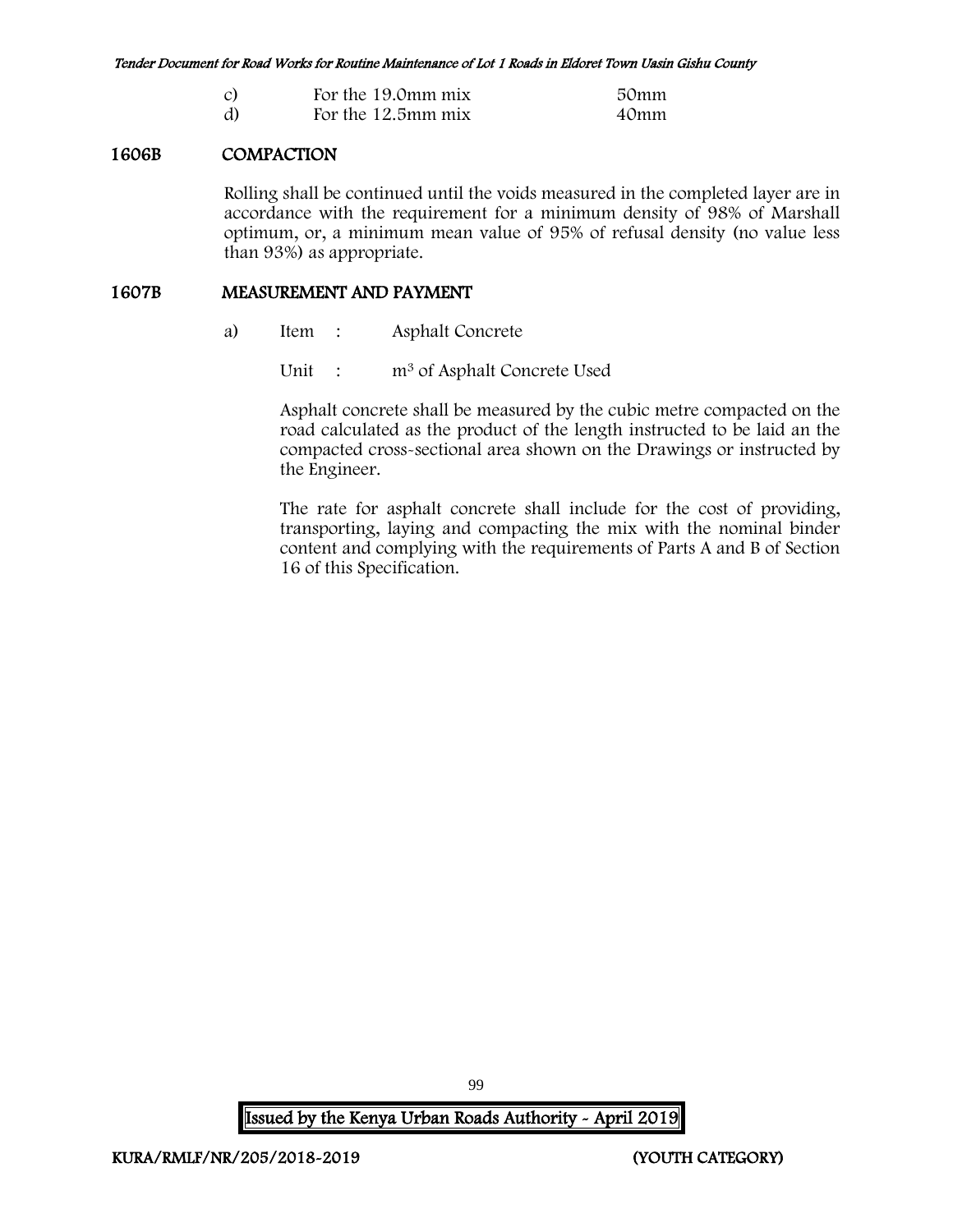| $\overline{c}$ | For the 19.0mm mix | 50mm |
|----------------|--------------------|------|
| d)             | For the 12.5mm mix | 40mm |

## 1606B COMPACTION

Rolling shall be continued until the voids measured in the completed layer are in accordance with the requirement for a minimum density of 98% of Marshall optimum, or, a minimum mean value of 95% of refusal density (no value less than 93%) as appropriate.

#### 1607B MEASUREMENT AND PAYMENT

a) Item : Asphalt Concrete

Unit : m<sup>3</sup> of Asphalt Concrete Used

Asphalt concrete shall be measured by the cubic metre compacted on the road calculated as the product of the length instructed to be laid an the compacted cross-sectional area shown on the Drawings or instructed by the Engineer.

The rate for asphalt concrete shall include for the cost of providing, transporting, laying and compacting the mix with the nominal binder content and complying with the requirements of Parts A and B of Section 16 of this Specification.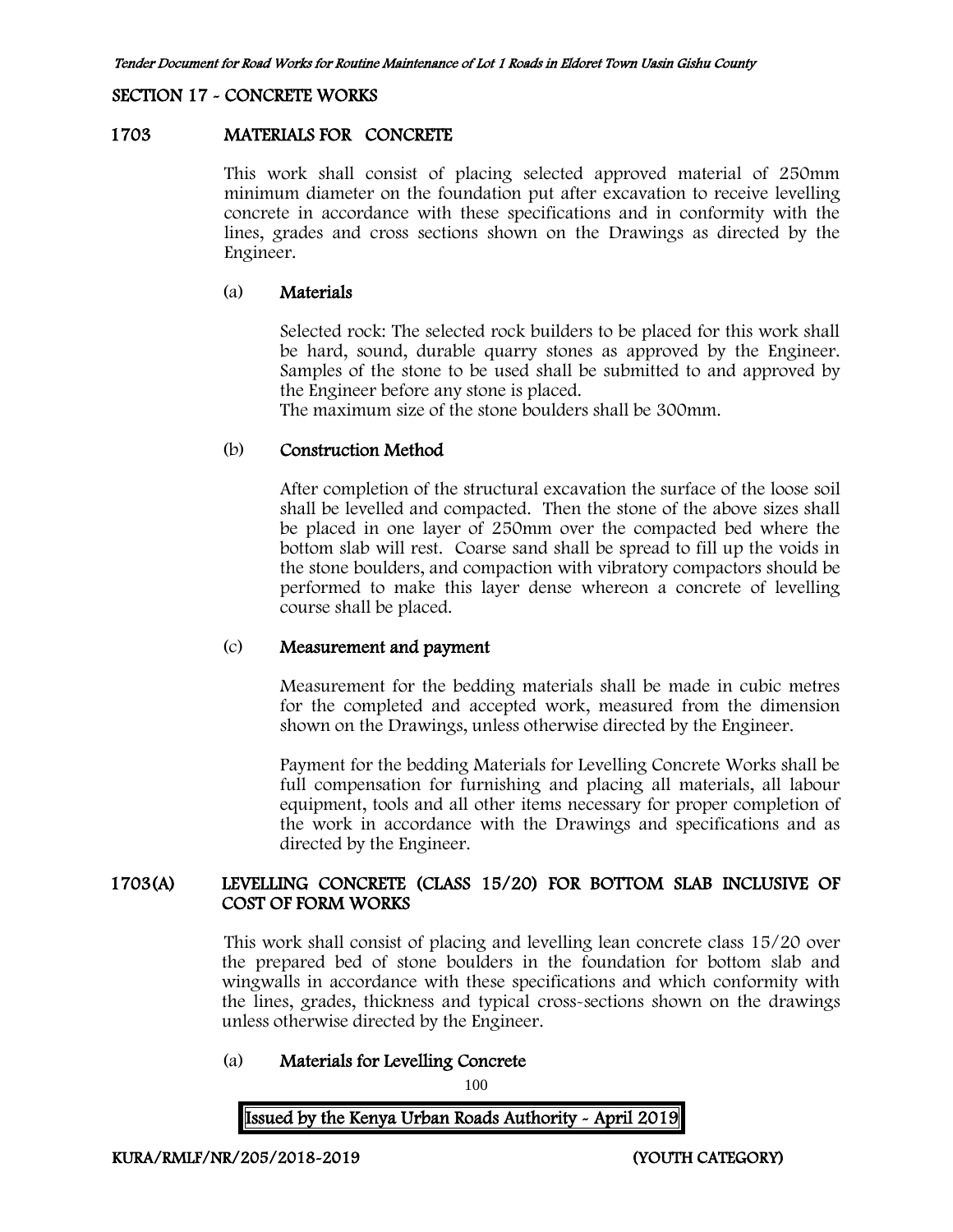#### SECTION 17 - CONCRETE WORKS

#### 1703 MATERIALS FOR CONCRETE

This work shall consist of placing selected approved material of 250mm minimum diameter on the foundation put after excavation to receive levelling concrete in accordance with these specifications and in conformity with the lines, grades and cross sections shown on the Drawings as directed by the Engineer.

#### (a) Materials

Selected rock: The selected rock builders to be placed for this work shall be hard, sound, durable quarry stones as approved by the Engineer. Samples of the stone to be used shall be submitted to and approved by the Engineer before any stone is placed.

The maximum size of the stone boulders shall be 300mm.

#### (b) Construction Method

After completion of the structural excavation the surface of the loose soil shall be levelled and compacted. Then the stone of the above sizes shall be placed in one layer of 250mm over the compacted bed where the bottom slab will rest. Coarse sand shall be spread to fill up the voids in the stone boulders, and compaction with vibratory compactors should be performed to make this layer dense whereon a concrete of levelling course shall be placed.

#### (c) Measurement and payment

Measurement for the bedding materials shall be made in cubic metres for the completed and accepted work, measured from the dimension shown on the Drawings, unless otherwise directed by the Engineer.

Payment for the bedding Materials for Levelling Concrete Works shall be full compensation for furnishing and placing all materials, all labour equipment, tools and all other items necessary for proper completion of the work in accordance with the Drawings and specifications and as directed by the Engineer.

# 1703(A) LEVELLING CONCRETE (CLASS 15/20) FOR BOTTOM SLAB INCLUSIVE OF COST OF FORM WORKS

This work shall consist of placing and levelling lean concrete class 15/20 over the prepared bed of stone boulders in the foundation for bottom slab and wingwalls in accordance with these specifications and which conformity with the lines, grades, thickness and typical cross-sections shown on the drawings unless otherwise directed by the Engineer.

#### (a) Materials for Levelling Concrete

100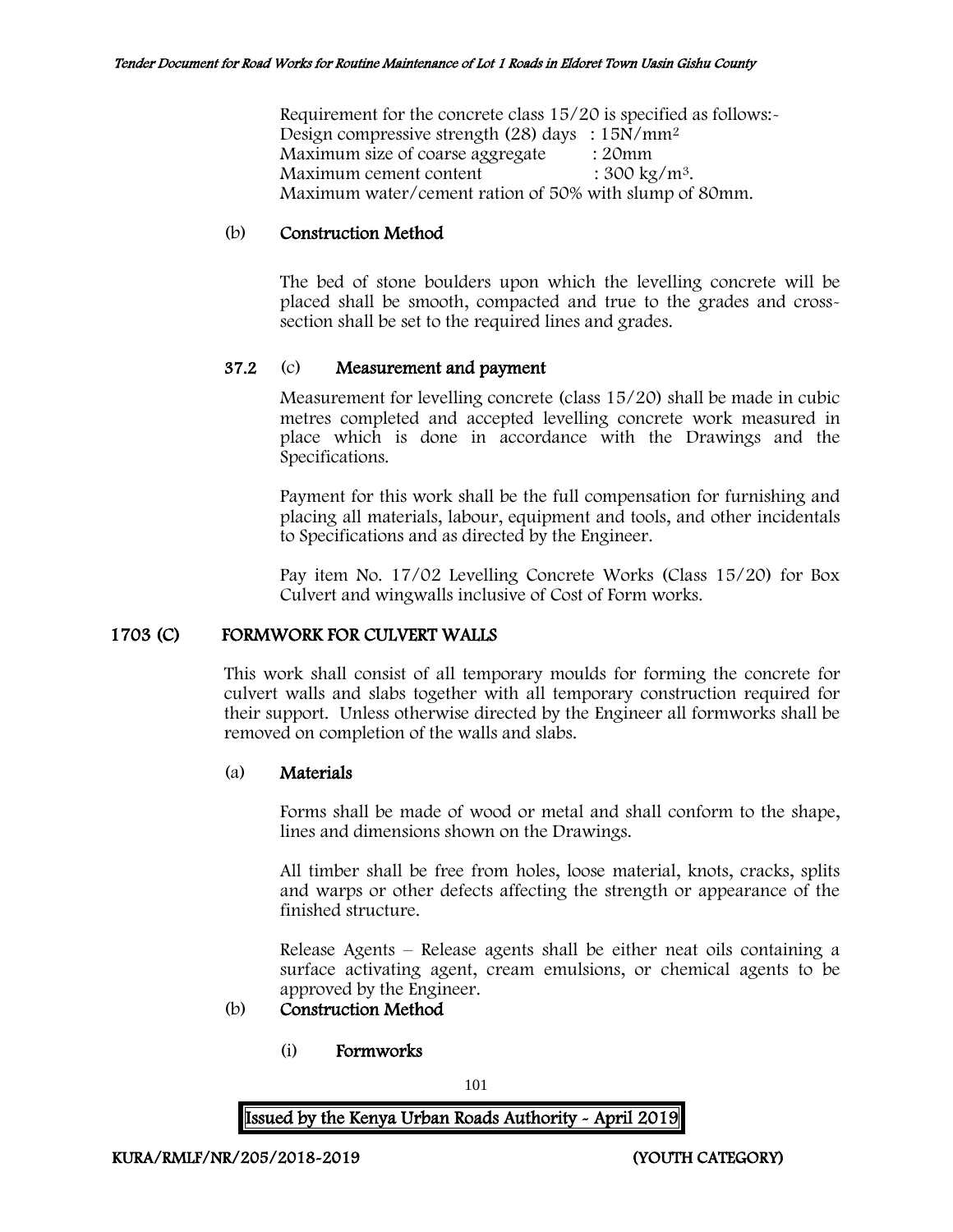Requirement for the concrete class 15/20 is specified as follows:- Design compressive strength (28) days :  $15N/mm^2$ Maximum size of coarse aggregate : 20mm Maximum cement content  $: 300 \text{ kg/m}^3$ . Maximum water/cement ration of 50% with slump of 80mm.

#### (b) Construction Method

The bed of stone boulders upon which the levelling concrete will be placed shall be smooth, compacted and true to the grades and crosssection shall be set to the required lines and grades.

## 37.2 (c) Measurement and payment

Measurement for levelling concrete (class 15/20) shall be made in cubic metres completed and accepted levelling concrete work measured in place which is done in accordance with the Drawings and the Specifications.

Payment for this work shall be the full compensation for furnishing and placing all materials, labour, equipment and tools, and other incidentals to Specifications and as directed by the Engineer.

Pay item No. 17/02 Levelling Concrete Works (Class 15/20) for Box Culvert and wingwalls inclusive of Cost of Form works.

# 1703 (C) FORMWORK FOR CULVERT WALLS

This work shall consist of all temporary moulds for forming the concrete for culvert walls and slabs together with all temporary construction required for their support. Unless otherwise directed by the Engineer all formworks shall be removed on completion of the walls and slabs.

#### (a) Materials

Forms shall be made of wood or metal and shall conform to the shape, lines and dimensions shown on the Drawings.

All timber shall be free from holes, loose material, knots, cracks, splits and warps or other defects affecting the strength or appearance of the finished structure.

Release Agents – Release agents shall be either neat oils containing a surface activating agent, cream emulsions, or chemical agents to be approved by the Engineer.

# (b) Construction Method

(i) Formworks

101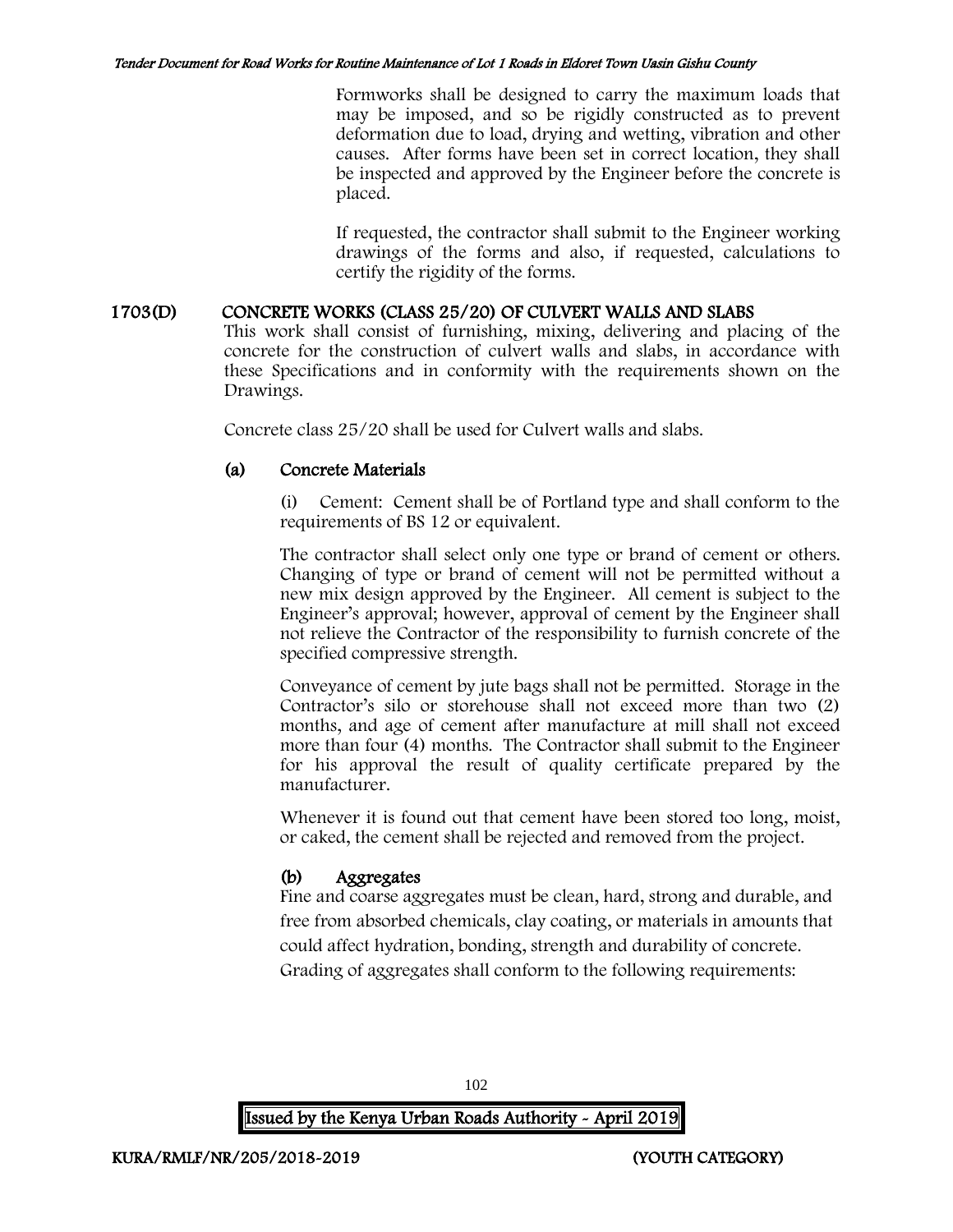Formworks shall be designed to carry the maximum loads that may be imposed, and so be rigidly constructed as to prevent deformation due to load, drying and wetting, vibration and other causes. After forms have been set in correct location, they shall be inspected and approved by the Engineer before the concrete is placed.

If requested, the contractor shall submit to the Engineer working drawings of the forms and also, if requested, calculations to certify the rigidity of the forms.

# 1703(D) CONCRETE WORKS (CLASS 25/20) OF CULVERT WALLS AND SLABS

This work shall consist of furnishing, mixing, delivering and placing of the concrete for the construction of culvert walls and slabs, in accordance with these Specifications and in conformity with the requirements shown on the Drawings.

Concrete class 25/20 shall be used for Culvert walls and slabs.

## (a) Concrete Materials

(i) Cement: Cement shall be of Portland type and shall conform to the requirements of BS 12 or equivalent.

The contractor shall select only one type or brand of cement or others. Changing of type or brand of cement will not be permitted without a new mix design approved by the Engineer. All cement is subject to the Engineer's approval; however, approval of cement by the Engineer shall not relieve the Contractor of the responsibility to furnish concrete of the specified compressive strength.

Conveyance of cement by jute bags shall not be permitted. Storage in the Contractor's silo or storehouse shall not exceed more than two (2) months, and age of cement after manufacture at mill shall not exceed more than four (4) months. The Contractor shall submit to the Engineer for his approval the result of quality certificate prepared by the manufacturer.

Whenever it is found out that cement have been stored too long, moist, or caked, the cement shall be rejected and removed from the project.

# (b) Aggregates

Fine and coarse aggregates must be clean, hard, strong and durable, and free from absorbed chemicals, clay coating, or materials in amounts that could affect hydration, bonding, strength and durability of concrete. Grading of aggregates shall conform to the following requirements:

102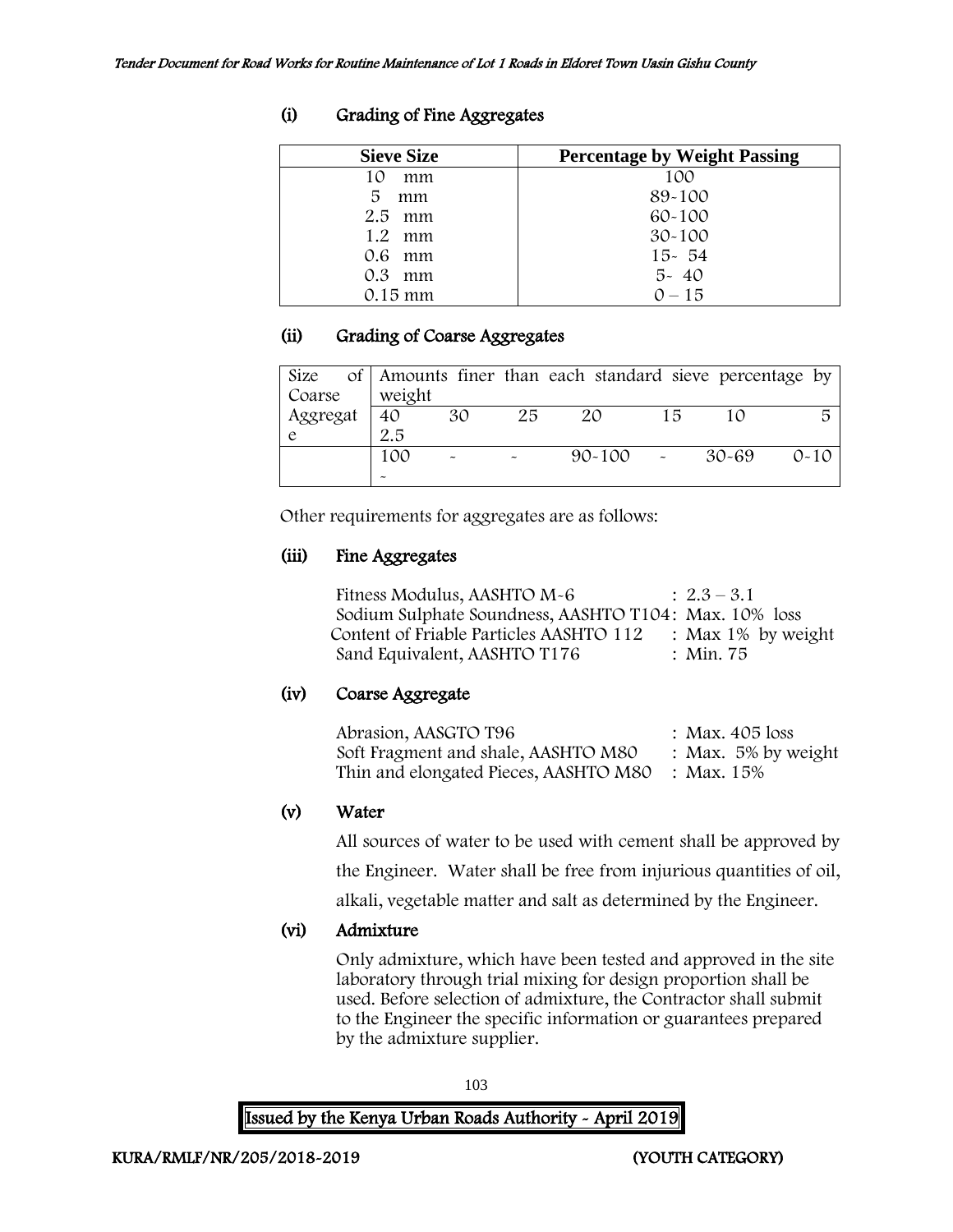| <b>Sieve Size</b> | <b>Percentage by Weight Passing</b> |
|-------------------|-------------------------------------|
| 10<br>mm          | 100                                 |
| 5<br>mm           | 89-100                              |
| $2.5$ mm          | $60 - 100$                          |
| $1.2$ mm          | $30 - 100$                          |
| $0.6$ mm          | $15 - 54$                           |
| $0.3$ mm          | $5 - 40$                            |
| $0.15$ mm         | $0 - 15$                            |

# (i) Grading of Fine Aggregates

# (ii) Grading of Coarse Aggregates

|          |        |    |    | Size of   Amounts finer than each standard sieve percentage by |    |       |          |
|----------|--------|----|----|----------------------------------------------------------------|----|-------|----------|
| Coarse   | weight |    |    |                                                                |    |       |          |
| Aggregat | 40     | 30 | 25 | 20                                                             | 15 | 10    |          |
|          | 2.5    |    |    |                                                                |    |       |          |
|          | 100    |    |    | $90 - 100$                                                     |    | 30-69 | $O - 10$ |
|          |        |    |    |                                                                |    |       |          |

Other requirements for aggregates are as follows:

# (iii) Fine Aggregates

Fitness Modulus, AASHTO  $M-6$  :  $2.3-3.1$ Sodium Sulphate Soundness, AASHTO T104: Max. 10% loss Content of Friable Particles AASHTO 112 : Max 1% by weight Sand Equivalent, AASHTO T176 : Min. 75

# (iv) Coarse Aggregate

| Abrasion, AASGTO T96                             | : Max. 405 loss        |
|--------------------------------------------------|------------------------|
| Soft Fragment and shale, AASHTO M80              | : Max. $5\%$ by weight |
| Thin and elongated Pieces, AASHTO M80 : Max. 15% |                        |

# (v) Water

All sources of water to be used with cement shall be approved by the Engineer. Water shall be free from injurious quantities of oil,

alkali, vegetable matter and salt as determined by the Engineer.

# (vi) Admixture

Only admixture, which have been tested and approved in the site laboratory through trial mixing for design proportion shall be used. Before selection of admixture, the Contractor shall submit to the Engineer the specific information or guarantees prepared by the admixture supplier.

103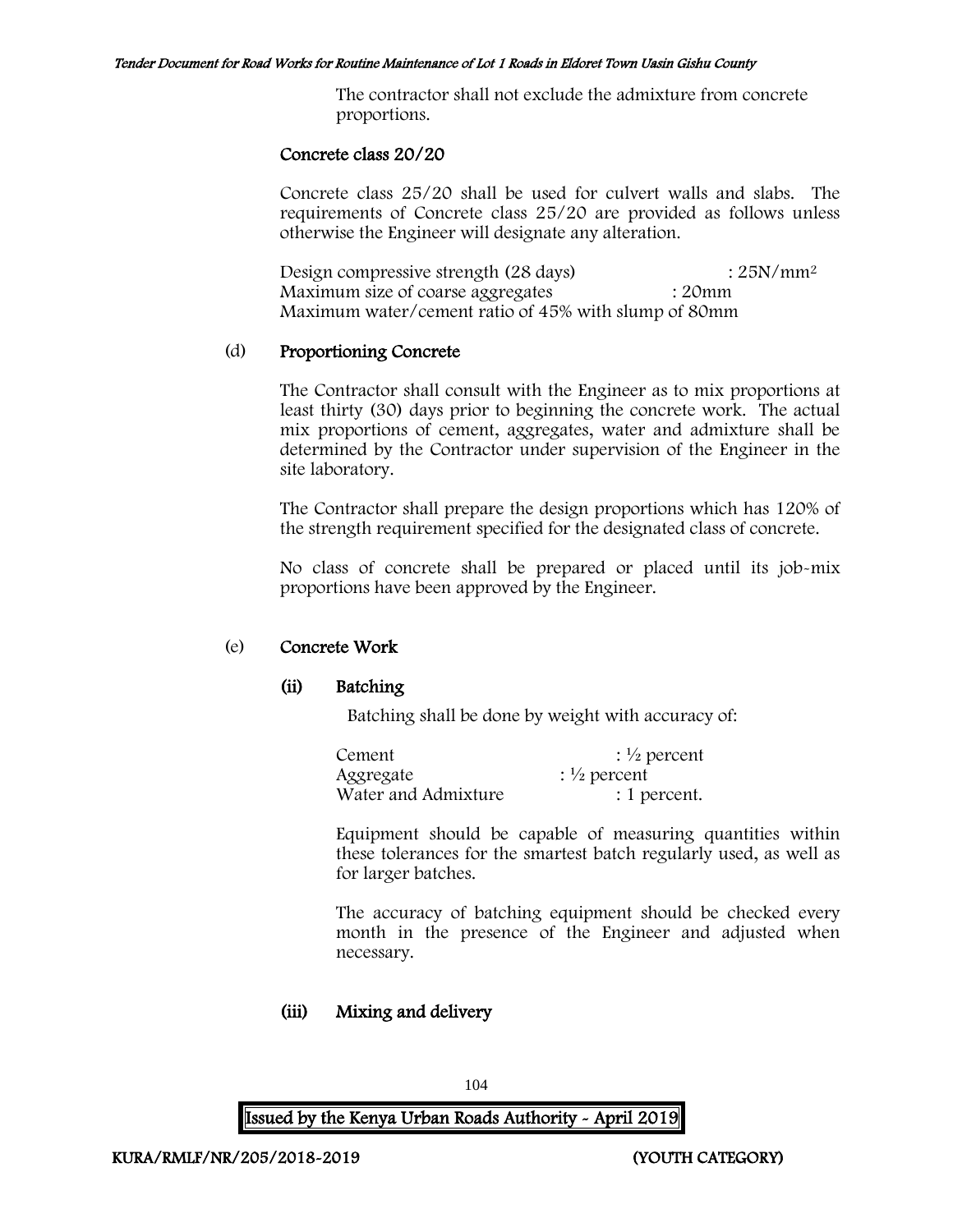The contractor shall not exclude the admixture from concrete proportions.

#### Concrete class 20/20

Concrete class 25/20 shall be used for culvert walls and slabs. The requirements of Concrete class 25/20 are provided as follows unless otherwise the Engineer will designate any alteration.

Design compressive strength (28 days) : 25N/mm<sup>2</sup> Maximum size of coarse aggregates : 20mm Maximum water/cement ratio of 45% with slump of 80mm

#### (d) Proportioning Concrete

The Contractor shall consult with the Engineer as to mix proportions at least thirty (30) days prior to beginning the concrete work. The actual mix proportions of cement, aggregates, water and admixture shall be determined by the Contractor under supervision of the Engineer in the site laboratory.

The Contractor shall prepare the design proportions which has 120% of the strength requirement specified for the designated class of concrete.

No class of concrete shall be prepared or placed until its job-mix proportions have been approved by the Engineer.

#### (e) Concrete Work

#### (ii) Batching

Batching shall be done by weight with accuracy of:

| Cement              | $\frac{1}{2}$ percent |
|---------------------|-----------------------|
| Aggregate           | $\frac{1}{2}$ percent |
| Water and Admixture | : 1 percent.          |

Equipment should be capable of measuring quantities within these tolerances for the smartest batch regularly used, as well as for larger batches.

The accuracy of batching equipment should be checked every month in the presence of the Engineer and adjusted when necessary.

# (iii) Mixing and delivery

104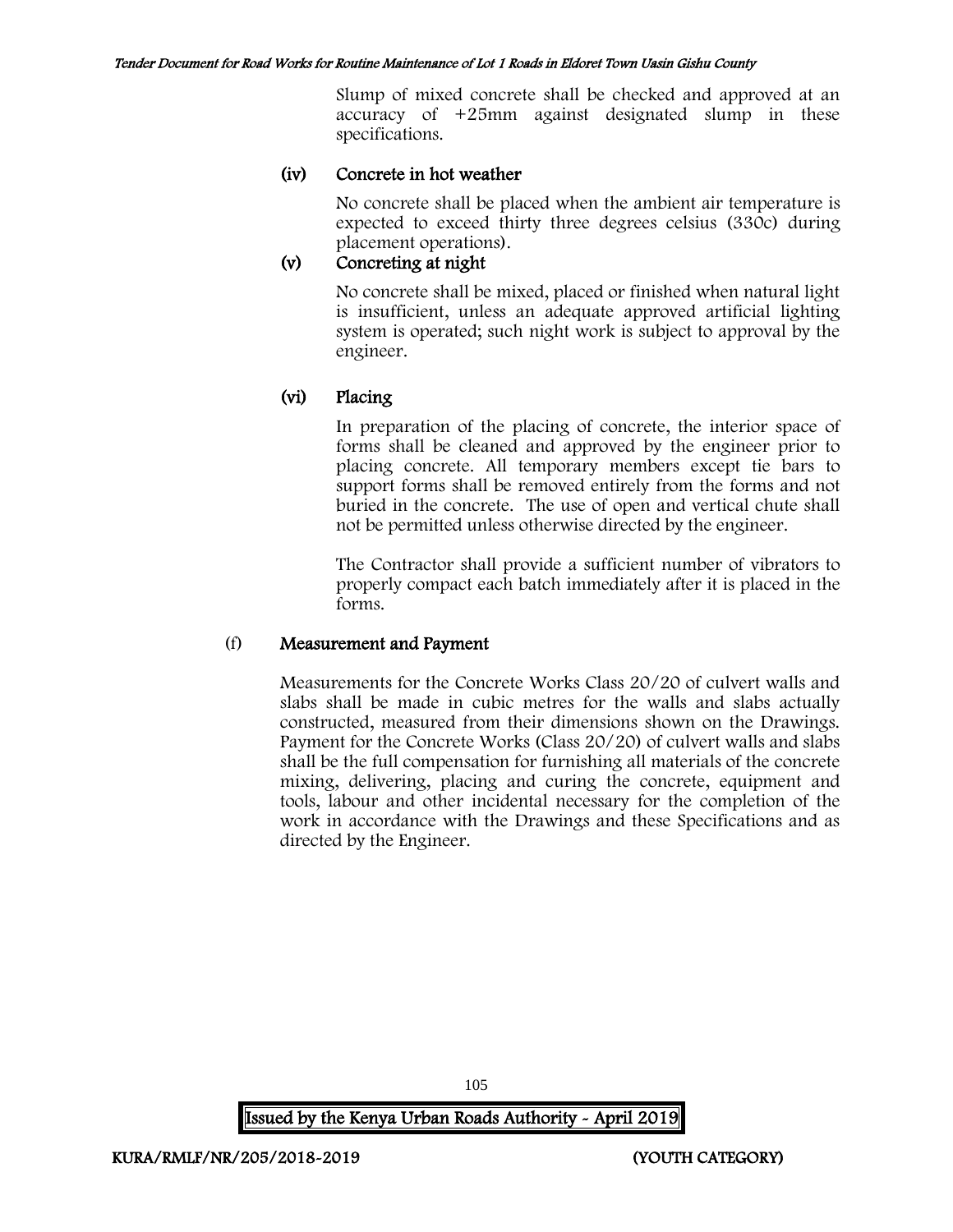Slump of mixed concrete shall be checked and approved at an accuracy of +25mm against designated slump in these specifications.

# (iv) Concrete in hot weather

No concrete shall be placed when the ambient air temperature is expected to exceed thirty three degrees celsius (330c) during placement operations).

# (v) Concreting at night

No concrete shall be mixed, placed or finished when natural light is insufficient, unless an adequate approved artificial lighting system is operated; such night work is subject to approval by the engineer.

# (vi) Placing

In preparation of the placing of concrete, the interior space of forms shall be cleaned and approved by the engineer prior to placing concrete. All temporary members except tie bars to support forms shall be removed entirely from the forms and not buried in the concrete. The use of open and vertical chute shall not be permitted unless otherwise directed by the engineer.

The Contractor shall provide a sufficient number of vibrators to properly compact each batch immediately after it is placed in the forms.

#### (f) Measurement and Payment

Measurements for the Concrete Works Class 20/20 of culvert walls and slabs shall be made in cubic metres for the walls and slabs actually constructed, measured from their dimensions shown on the Drawings. Payment for the Concrete Works (Class 20/20) of culvert walls and slabs shall be the full compensation for furnishing all materials of the concrete mixing, delivering, placing and curing the concrete, equipment and tools, labour and other incidental necessary for the completion of the work in accordance with the Drawings and these Specifications and as directed by the Engineer.

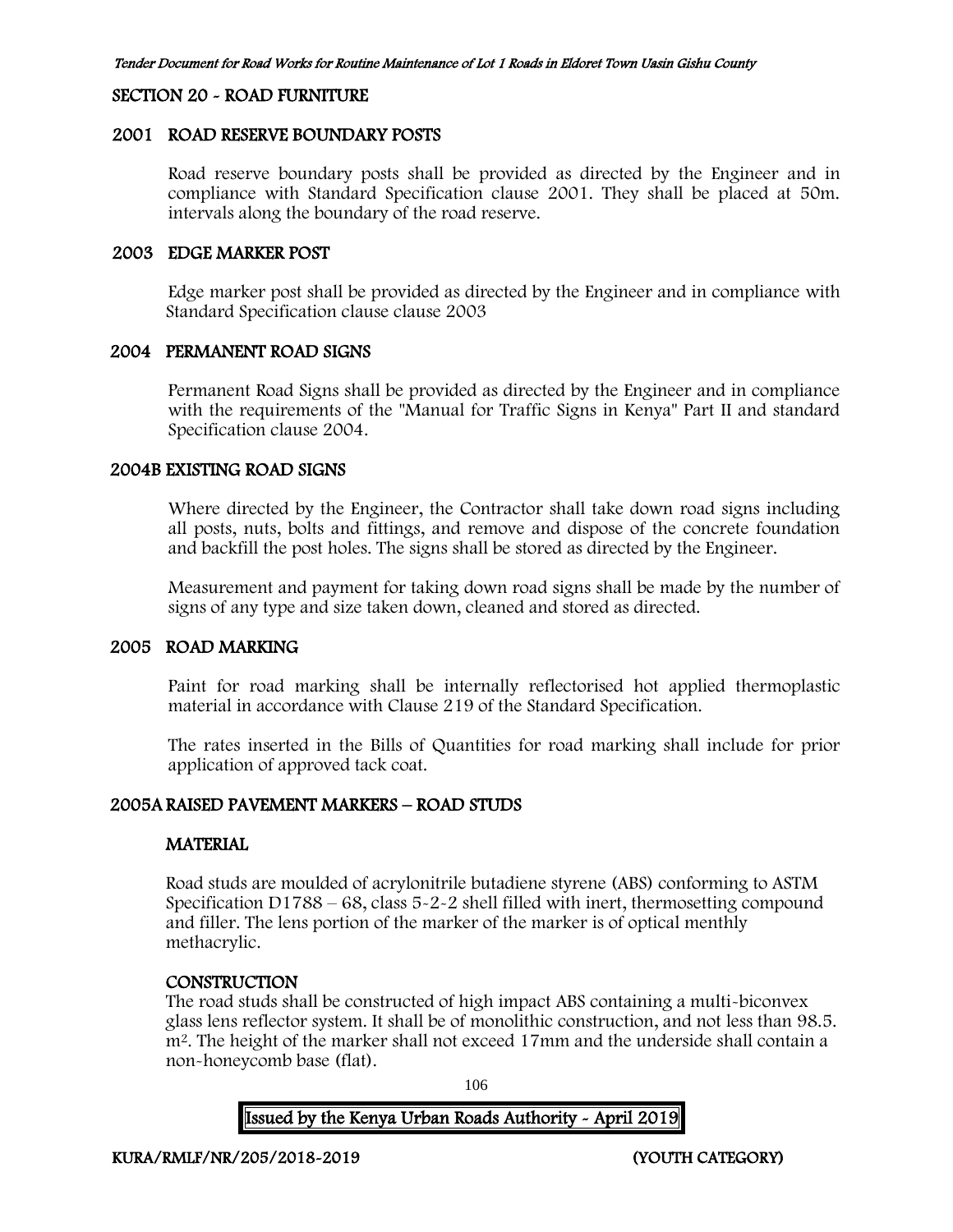#### SECTION 20 - ROAD FURNITURE

#### 2001 ROAD RESERVE BOUNDARY POSTS

Road reserve boundary posts shall be provided as directed by the Engineer and in compliance with Standard Specification clause 2001. They shall be placed at 50m. intervals along the boundary of the road reserve.

#### 2003 EDGE MARKER POST

Edge marker post shall be provided as directed by the Engineer and in compliance with Standard Specification clause clause 2003

# 2004 PERMANENT ROAD SIGNS

Permanent Road Signs shall be provided as directed by the Engineer and in compliance with the requirements of the "Manual for Traffic Signs in Kenya" Part II and standard Specification clause 2004.

#### 2004B EXISTING ROAD SIGNS

Where directed by the Engineer, the Contractor shall take down road signs including all posts, nuts, bolts and fittings, and remove and dispose of the concrete foundation and backfill the post holes. The signs shall be stored as directed by the Engineer.

Measurement and payment for taking down road signs shall be made by the number of signs of any type and size taken down, cleaned and stored as directed.

#### 2005 ROAD MARKING

Paint for road marking shall be internally reflectorised hot applied thermoplastic material in accordance with Clause 219 of the Standard Specification.

The rates inserted in the Bills of Quantities for road marking shall include for prior application of approved tack coat.

# 2005A RAISED PAVEMENT MARKERS – ROAD STUDS

#### **MATERIAL**

Road studs are moulded of acrylonitrile butadiene styrene (ABS) conforming to ASTM Specification D1788 – 68, class 5-2-2 shell filled with inert, thermosetting compound and filler. The lens portion of the marker of the marker is of optical menthly methacrylic.

#### **CONSTRUCTION**

The road studs shall be constructed of high impact ABS containing a multi-biconvex glass lens reflector system. It shall be of monolithic construction, and not less than 98.5. m<sup>2</sup>. The height of the marker shall not exceed 17mm and the underside shall contain a non-honeycomb base (flat).

106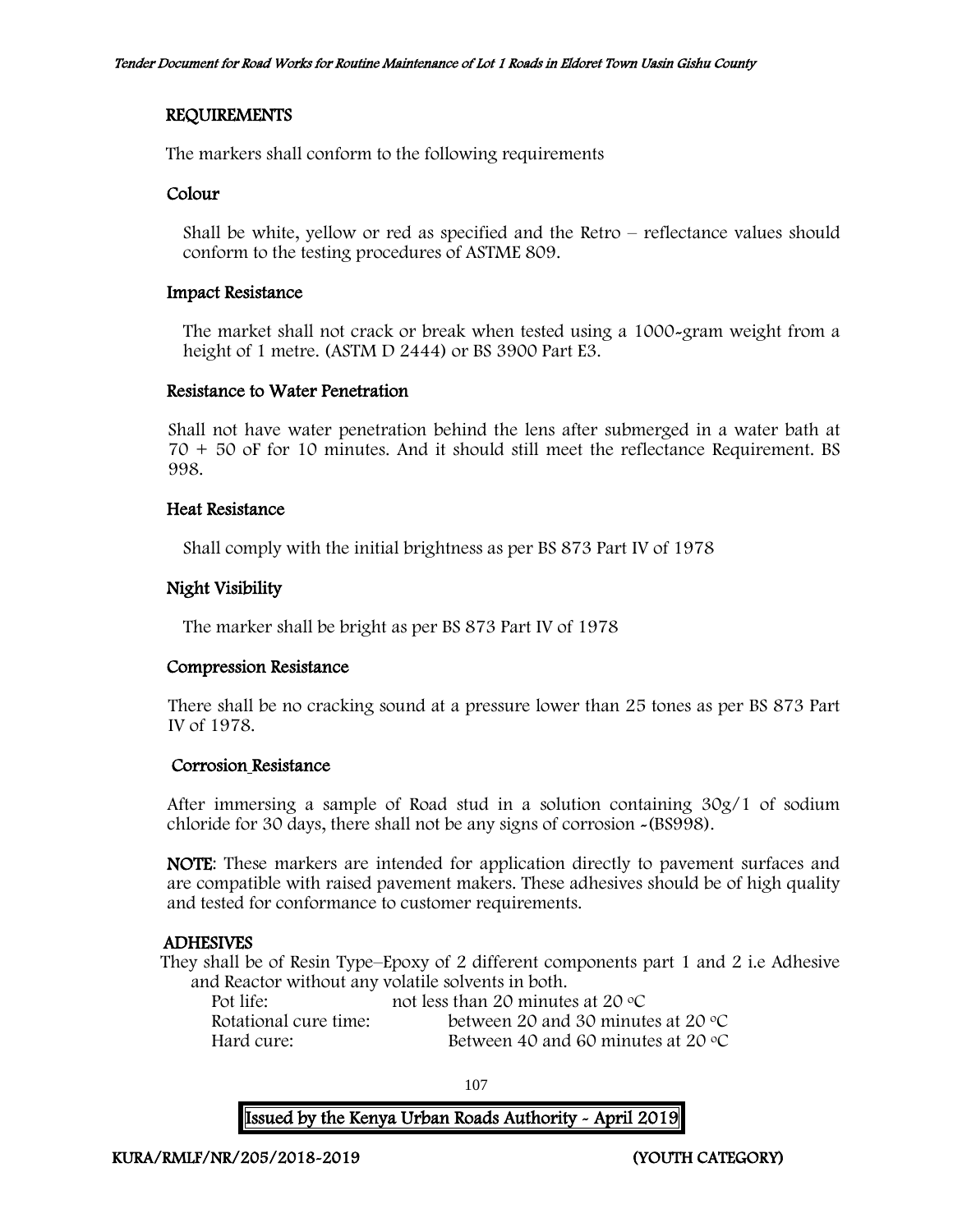# REQUIREMENTS

The markers shall conform to the following requirements

## Colour

Shall be white, yellow or red as specified and the Retro – reflectance values should conform to the testing procedures of ASTME 809.

#### Impact Resistance

The market shall not crack or break when tested using a 1000-gram weight from a height of 1 metre. (ASTM D 2444) or BS 3900 Part E3.

## Resistance to Water Penetration

Shall not have water penetration behind the lens after submerged in a water bath at 70 + 50 oF for 10 minutes. And it should still meet the reflectance Requirement. BS 998.

# Heat Resistance

Shall comply with the initial brightness as per BS 873 Part IV of 1978

# Night Visibility

The marker shall be bright as per BS 873 Part IV of 1978

#### Compression Resistance

There shall be no cracking sound at a pressure lower than 25 tones as per BS 873 Part IV of 1978.

#### Corrosion Resistance

After immersing a sample of Road stud in a solution containing 30g/1 of sodium chloride for 30 days, there shall not be any signs of corrosion -(BS998).

NOTE: These markers are intended for application directly to pavement surfaces and are compatible with raised pavement makers. These adhesives should be of high quality and tested for conformance to customer requirements.

# ADHESIVES

They shall be of Resin Type–Epoxy of 2 different components part 1 and 2 i.e Adhesive and Reactor without any volatile solvents in both.

| Pot life:             | not less than 20 minutes at 20 $\degree$ C  |
|-----------------------|---------------------------------------------|
| Rotational cure time: | between 20 and 30 minutes at 20 $\degree$ C |
| Hard cure:-           | Between 40 and 60 minutes at 20 $\degree$ C |

107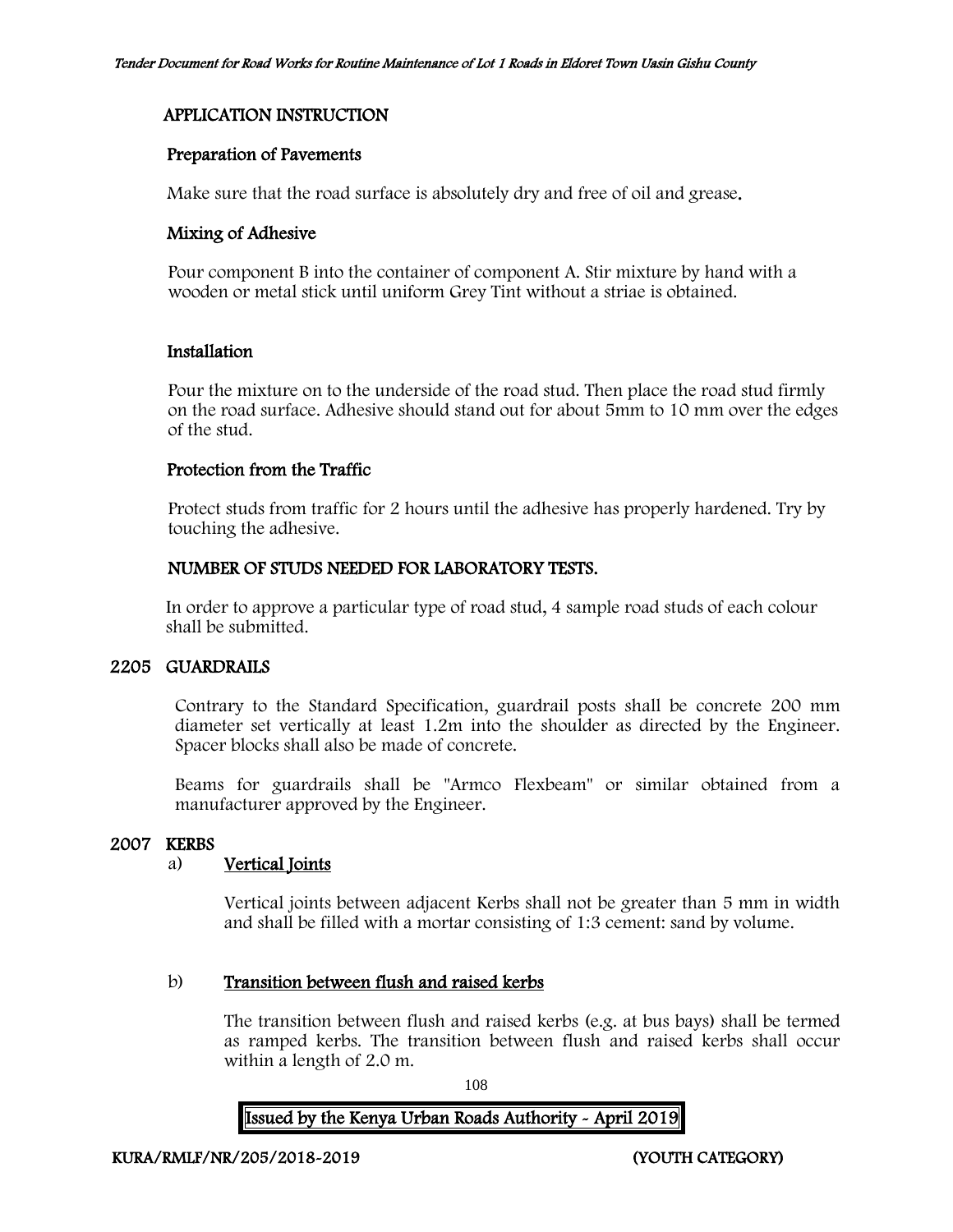## APPLICATION INSTRUCTION

## Preparation of Pavements

Make sure that the road surface is absolutely dry and free of oil and grease.

#### Mixing of Adhesive

Pour component B into the container of component A. Stir mixture by hand with a wooden or metal stick until uniform Grey Tint without a striae is obtained.

#### Installation

Pour the mixture on to the underside of the road stud. Then place the road stud firmly on the road surface. Adhesive should stand out for about 5mm to 10 mm over the edges of the stud.

#### Protection from the Traffic

Protect studs from traffic for 2 hours until the adhesive has properly hardened. Try by touching the adhesive.

## NUMBER OF STUDS NEEDED FOR LABORATORY TESTS.

In order to approve a particular type of road stud, 4 sample road studs of each colour shall be submitted.

## 2205 GUARDRAILS

Contrary to the Standard Specification, guardrail posts shall be concrete 200 mm diameter set vertically at least 1.2m into the shoulder as directed by the Engineer. Spacer blocks shall also be made of concrete.

Beams for guardrails shall be "Armco Flexbeam" or similar obtained from a manufacturer approved by the Engineer.

## 2007 KERBS

## a) Vertical Joints

Vertical joints between adjacent Kerbs shall not be greater than 5 mm in width and shall be filled with a mortar consisting of 1:3 cement: sand by volume.

## b) Transition between flush and raised kerbs

The transition between flush and raised kerbs (e.g. at bus bays) shall be termed as ramped kerbs. The transition between flush and raised kerbs shall occur within a length of 2.0 m.

108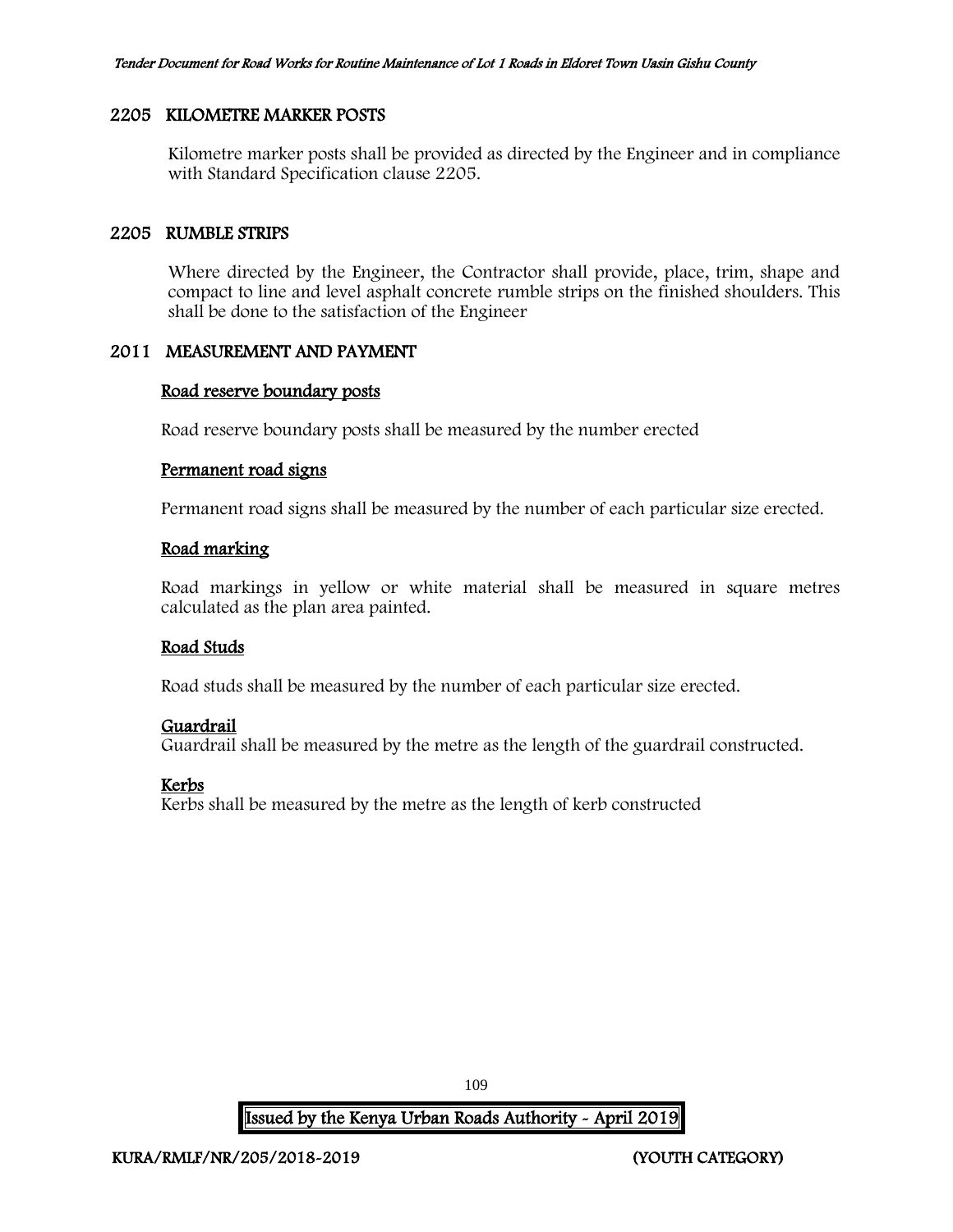#### 2205 KILOMETRE MARKER POSTS

Kilometre marker posts shall be provided as directed by the Engineer and in compliance with Standard Specification clause 2205.

#### 2205 RUMBLE STRIPS

Where directed by the Engineer, the Contractor shall provide, place, trim, shape and compact to line and level asphalt concrete rumble strips on the finished shoulders. This shall be done to the satisfaction of the Engineer

## 2011 MEASUREMENT AND PAYMENT

#### Road reserve boundary posts

Road reserve boundary posts shall be measured by the number erected

#### Permanent road signs

Permanent road signs shall be measured by the number of each particular size erected.

#### Road marking

Road markings in yellow or white material shall be measured in square metres calculated as the plan area painted.

#### Road Studs

Road studs shall be measured by the number of each particular size erected.

## Guardrail

Guardrail shall be measured by the metre as the length of the guardrail constructed.

## Kerbs

Kerbs shall be measured by the metre as the length of kerb constructed

109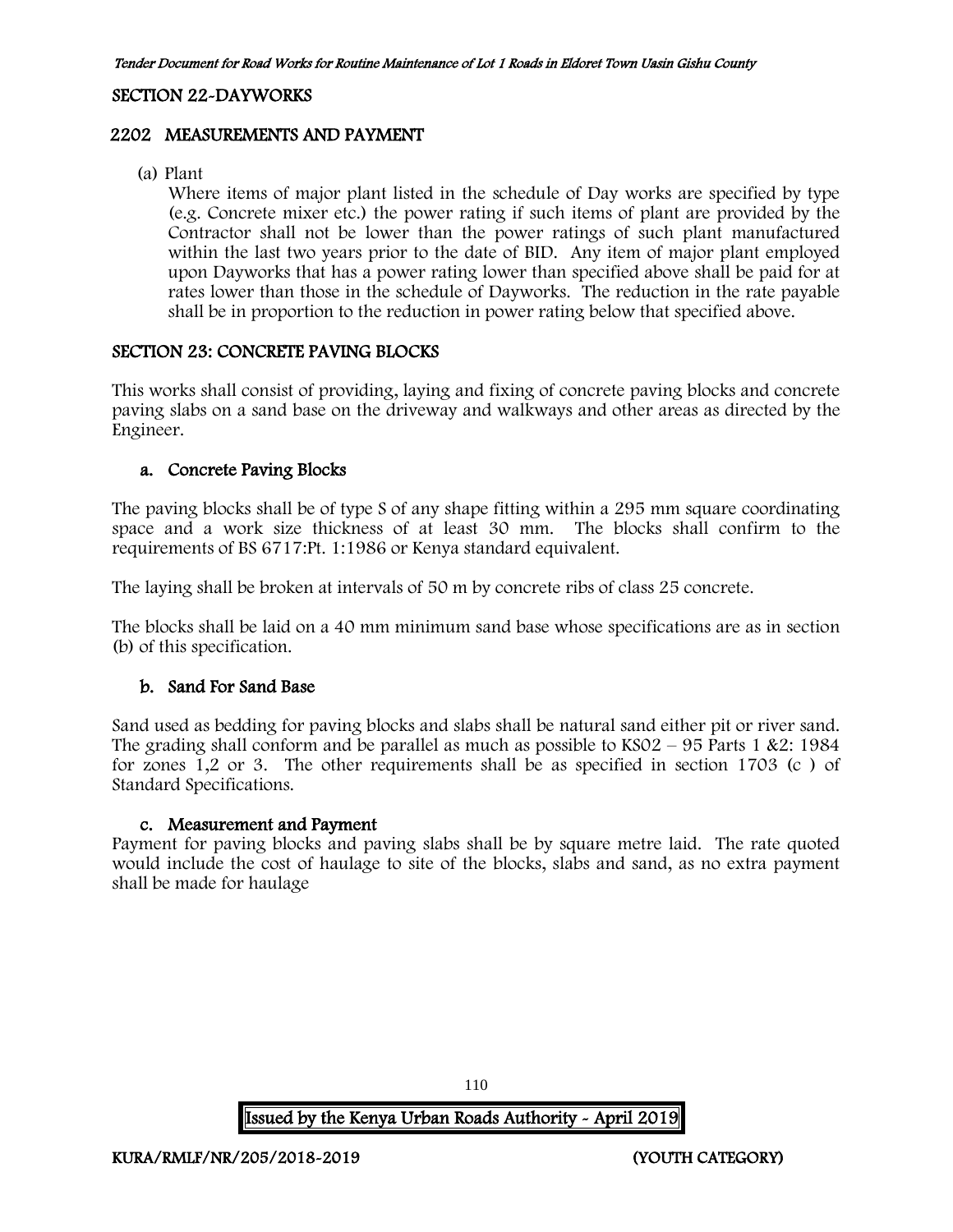#### SECTION 22-DAYWORKS

#### 2202 MEASUREMENTS AND PAYMENT

(a) Plant

Where items of major plant listed in the schedule of Day works are specified by type (e.g. Concrete mixer etc.) the power rating if such items of plant are provided by the Contractor shall not be lower than the power ratings of such plant manufactured within the last two years prior to the date of BID. Any item of major plant employed upon Dayworks that has a power rating lower than specified above shall be paid for at rates lower than those in the schedule of Dayworks. The reduction in the rate payable shall be in proportion to the reduction in power rating below that specified above.

#### SECTION 23: CONCRETE PAVING BLOCKS

This works shall consist of providing, laying and fixing of concrete paving blocks and concrete paving slabs on a sand base on the driveway and walkways and other areas as directed by the Engineer.

#### a. Concrete Paving Blocks

The paving blocks shall be of type S of any shape fitting within a 295 mm square coordinating space and a work size thickness of at least 30 mm. The blocks shall confirm to the requirements of BS 6717:Pt. 1:1986 or Kenya standard equivalent.

The laying shall be broken at intervals of 50 m by concrete ribs of class 25 concrete.

The blocks shall be laid on a 40 mm minimum sand base whose specifications are as in section (b) of this specification.

#### b. Sand For Sand Base

Sand used as bedding for paving blocks and slabs shall be natural sand either pit or river sand. The grading shall conform and be parallel as much as possible to  $KSO2 - 95$  Parts 1 &2: 1984 for zones 1,2 or 3. The other requirements shall be as specified in section 1703 (c ) of Standard Specifications.

#### c. Measurement and Payment

Payment for paving blocks and paving slabs shall be by square metre laid. The rate quoted would include the cost of haulage to site of the blocks, slabs and sand, as no extra payment shall be made for haulage

110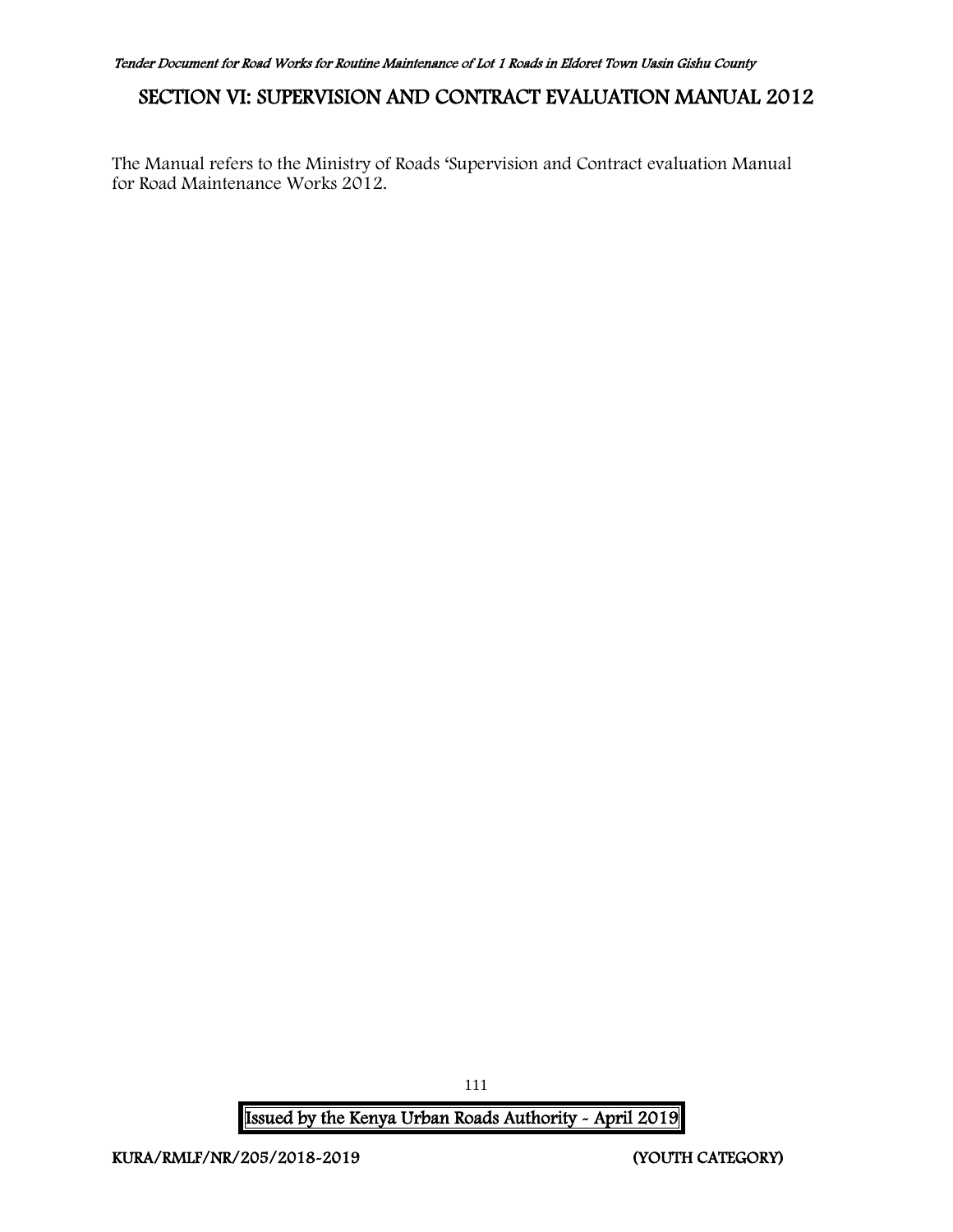# SECTION VI: SUPERVISION AND CONTRACT EVALUATION MANUAL 2012

The Manual refers to the Ministry of Roads 'Supervision and Contract evaluation Manual for Road Maintenance Works 2012.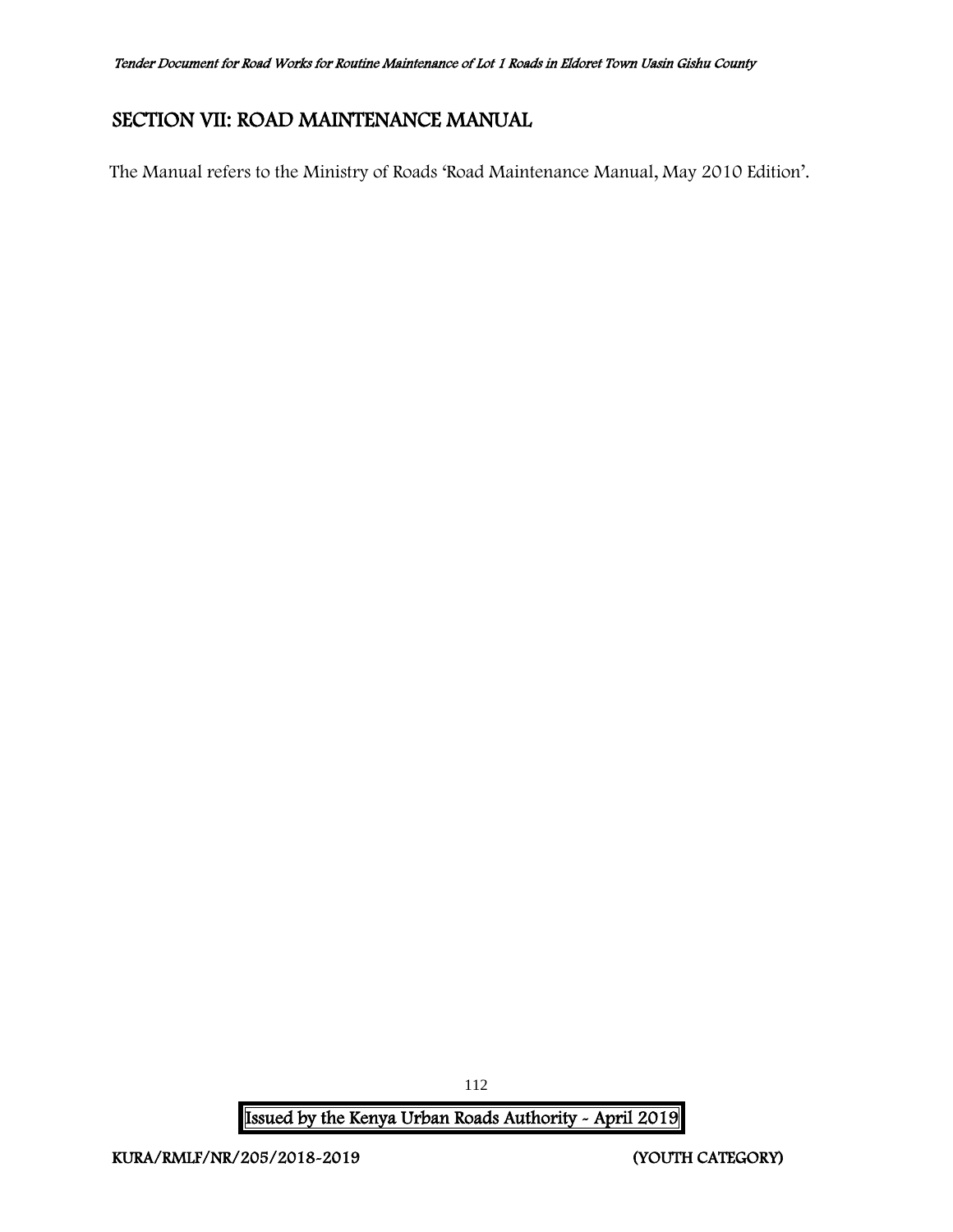# SECTION VII: ROAD MAINTENANCE MANUAL

The Manual refers to the Ministry of Roads 'Road Maintenance Manual, May 2010 Edition'.

Issued by the Kenya Urban Roads Authority - April 2019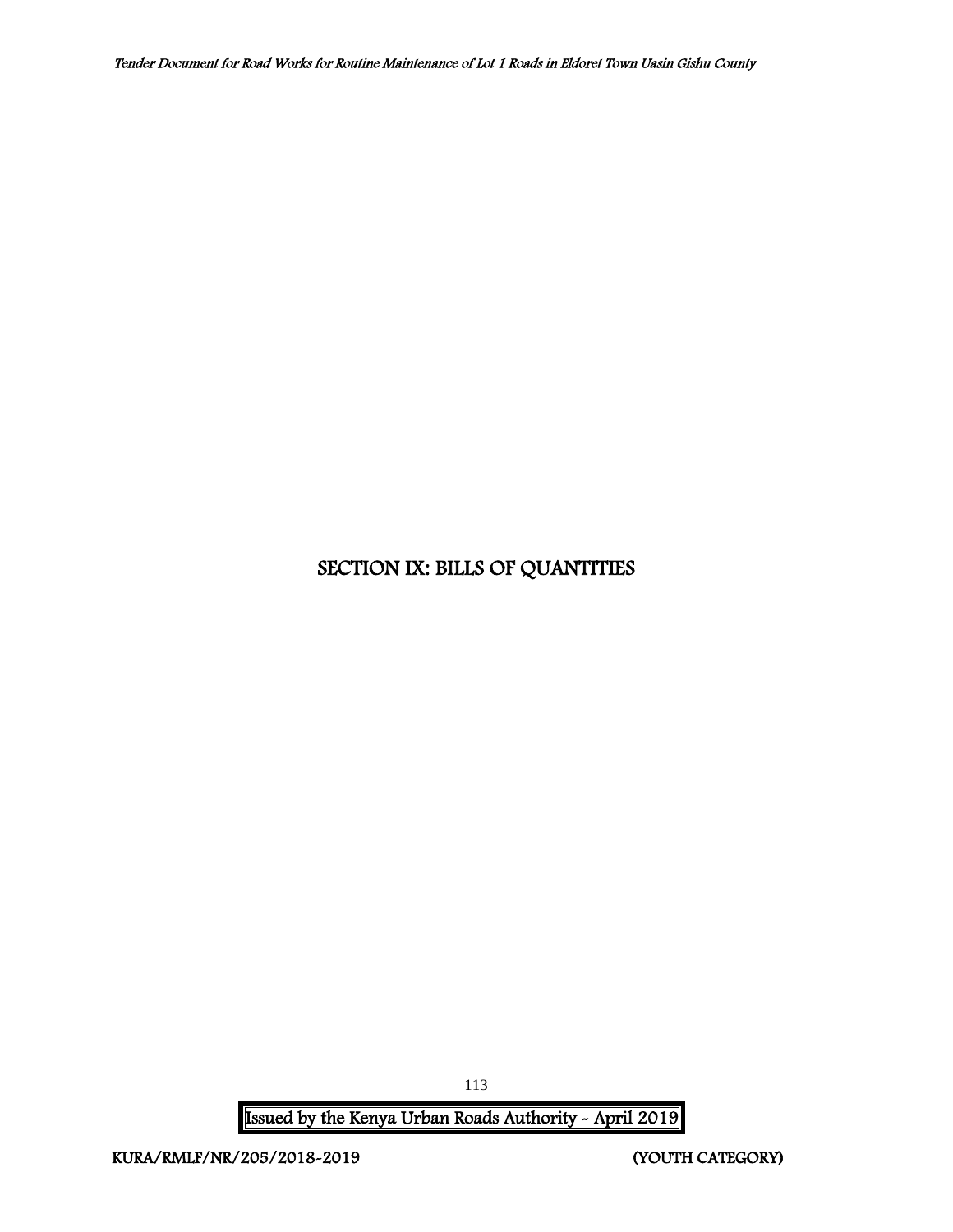# SECTION IX: BILLS OF QUANTITIES

Issued by the Kenya Urban Roads Authority - April 2019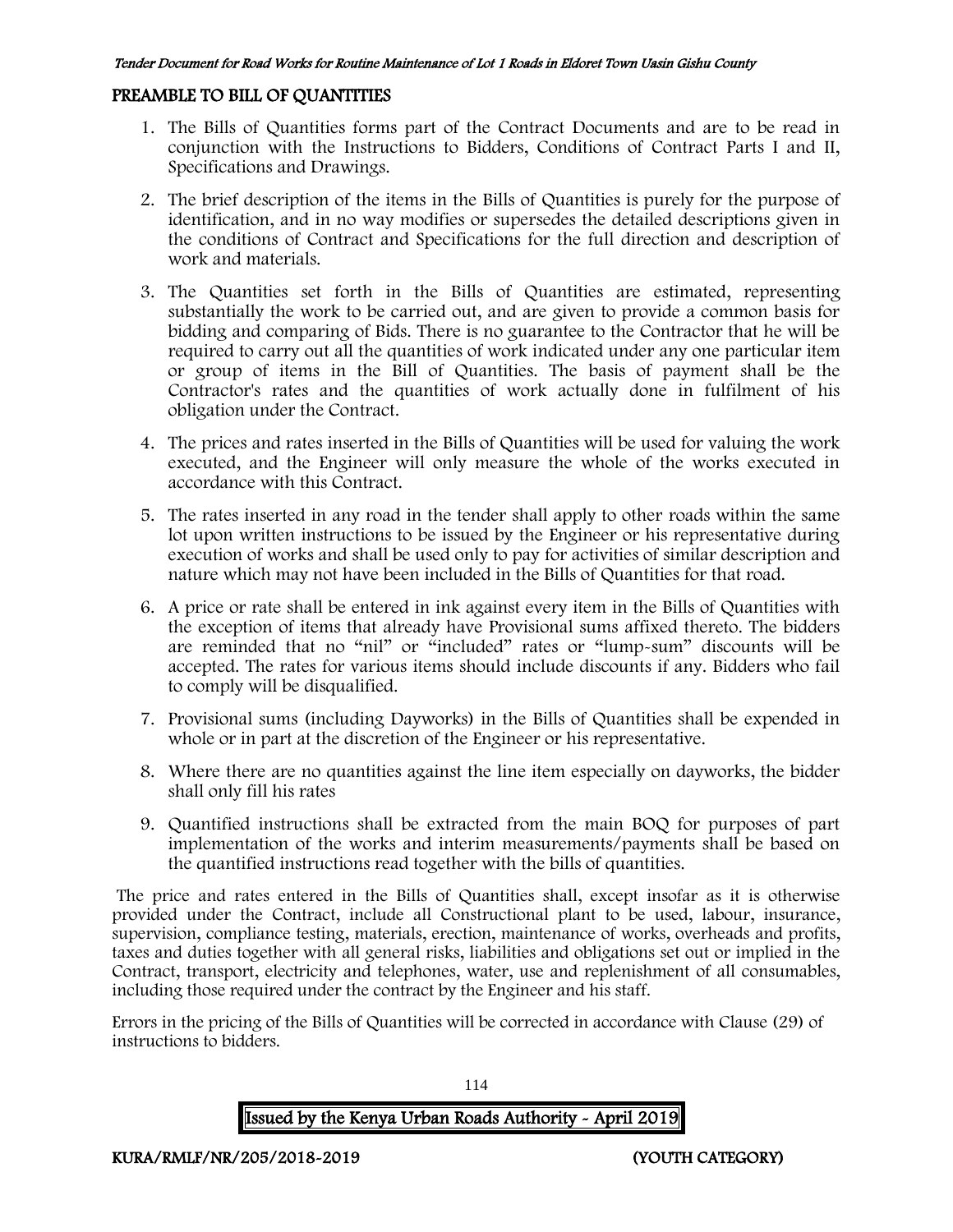#### PREAMBLE TO BILL OF QUANTITIES

- 1. The Bills of Quantities forms part of the Contract Documents and are to be read in conjunction with the Instructions to Bidders, Conditions of Contract Parts I and II, Specifications and Drawings.
- 2. The brief description of the items in the Bills of Quantities is purely for the purpose of identification, and in no way modifies or supersedes the detailed descriptions given in the conditions of Contract and Specifications for the full direction and description of work and materials.
- 3. The Quantities set forth in the Bills of Quantities are estimated, representing substantially the work to be carried out, and are given to provide a common basis for bidding and comparing of Bids. There is no guarantee to the Contractor that he will be required to carry out all the quantities of work indicated under any one particular item or group of items in the Bill of Quantities. The basis of payment shall be the Contractor's rates and the quantities of work actually done in fulfilment of his obligation under the Contract.
- 4. The prices and rates inserted in the Bills of Quantities will be used for valuing the work executed, and the Engineer will only measure the whole of the works executed in accordance with this Contract.
- 5. The rates inserted in any road in the tender shall apply to other roads within the same lot upon written instructions to be issued by the Engineer or his representative during execution of works and shall be used only to pay for activities of similar description and nature which may not have been included in the Bills of Quantities for that road.
- 6. A price or rate shall be entered in ink against every item in the Bills of Quantities with the exception of items that already have Provisional sums affixed thereto. The bidders are reminded that no "nil" or "included" rates or "lump-sum" discounts will be accepted. The rates for various items should include discounts if any. Bidders who fail to comply will be disqualified.
- 7. Provisional sums (including Dayworks) in the Bills of Quantities shall be expended in whole or in part at the discretion of the Engineer or his representative.
- 8. Where there are no quantities against the line item especially on dayworks, the bidder shall only fill his rates
- 9. Quantified instructions shall be extracted from the main BOQ for purposes of part implementation of the works and interim measurements/payments shall be based on the quantified instructions read together with the bills of quantities.

The price and rates entered in the Bills of Quantities shall, except insofar as it is otherwise provided under the Contract, include all Constructional plant to be used, labour, insurance, supervision, compliance testing, materials, erection, maintenance of works, overheads and profits, taxes and duties together with all general risks, liabilities and obligations set out or implied in the Contract, transport, electricity and telephones, water, use and replenishment of all consumables, including those required under the contract by the Engineer and his staff.

Errors in the pricing of the Bills of Quantities will be corrected in accordance with Clause (29) of instructions to bidders.

# Issued by the Kenya Urban Roads Authority - April 2019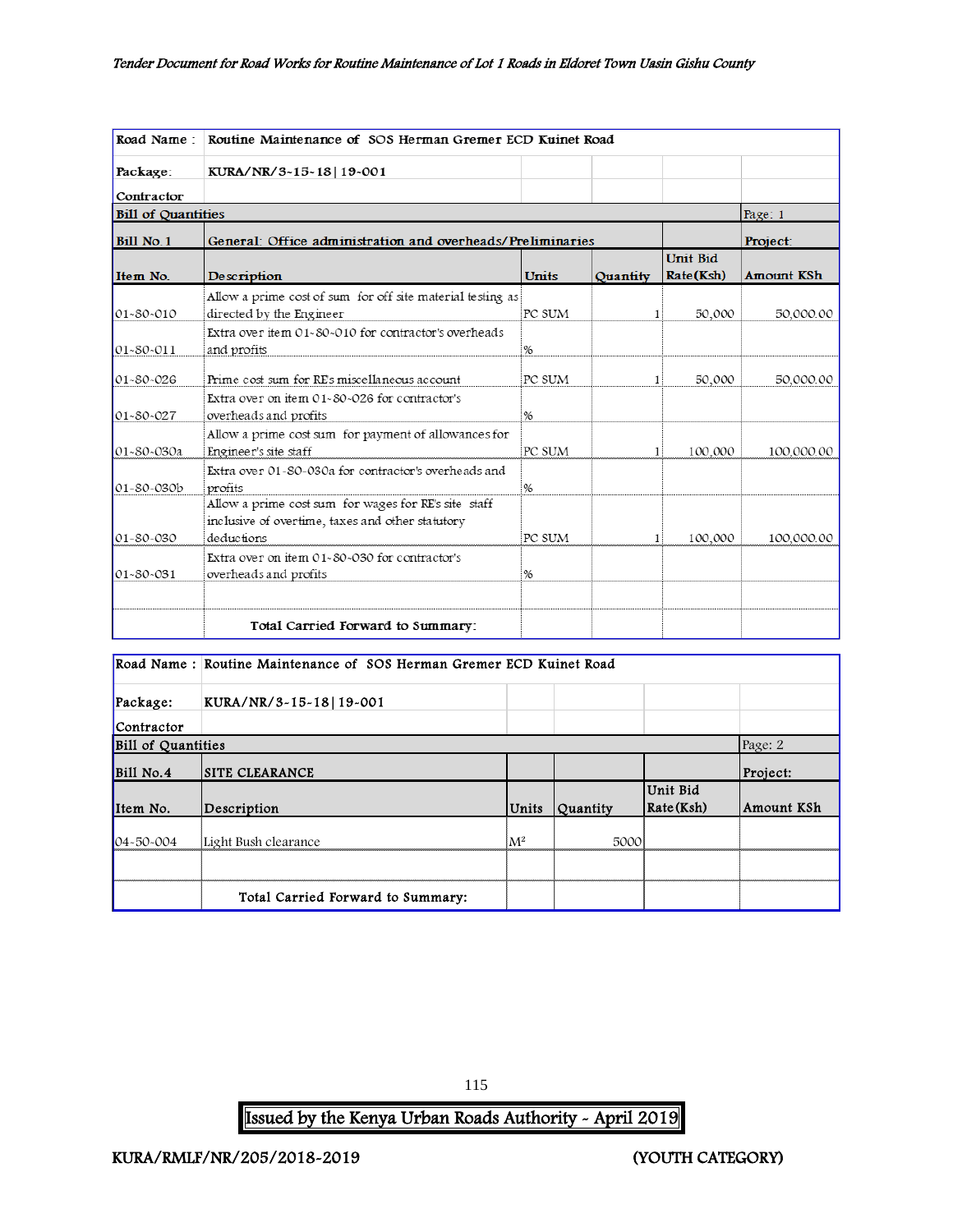| Road Name:                | Routine Maintenance of SOS Herman Gremer ECD Kuinet Road                                                 |               |              |                              |                   |  |  |
|---------------------------|----------------------------------------------------------------------------------------------------------|---------------|--------------|------------------------------|-------------------|--|--|
| Package:                  | KURA/NR/3~15~18   19~001                                                                                 |               |              |                              |                   |  |  |
| Contractor                |                                                                                                          |               |              |                              |                   |  |  |
| <b>Bill of Quantities</b> |                                                                                                          |               |              |                              | Page: 1           |  |  |
| Bill No. 1                | General: Office administration and overheads/Preliminaries                                               |               |              |                              | Project:          |  |  |
| Item No.                  | Description                                                                                              | <b>Units</b>  | Quantity     | <b>Unit Bid</b><br>Rate(Ksh) | <b>Amount KSh</b> |  |  |
|                           | Allow a prime cost of sum for off site material testing as                                               |               |              |                              |                   |  |  |
| $01 - 80 - 010$           | directed by the Engineer<br>Extra over item $01-80-010$ for contractor's overheads                       | PC SUM        | 1            | 50,000                       | 50,000.00         |  |  |
| 01~80~011                 | and profits                                                                                              | %             |              |                              |                   |  |  |
| 01~80~026                 | Prime cost sum for RE's miscellaneous account                                                            | PC SUM        | 1            | 50,000                       | 50,000.00         |  |  |
| $01 - 80 - 027$           | Extra over on item 01-80-026 for contractor's<br>overheads and profits                                   | %             |              |                              |                   |  |  |
| 01-80-030a                | Allow a prime cost sum for payment of allowances for<br>Engineer's site staff                            | PC SUM        |              | 100,000                      | 100,000.00        |  |  |
| 01~80~030b                | Extra over 01~80~030a for contractor's overheads and<br>profits                                          | $\frac{1}{6}$ |              |                              |                   |  |  |
|                           | Allow a prime cost sum for wages for RE's site staff<br>inclusive of overtime, taxes and other statutory |               |              |                              |                   |  |  |
| 01~80~030                 | deductions                                                                                               | PC SUM        | $\mathbf{1}$ | 100,000                      | 100,000.00        |  |  |
| $01 - 80 - 031$           | Extra over on item 01-80-030 for contractor's<br>overheads and profits                                   | %             |              |                              |                   |  |  |
|                           | Total Carried Forward to Summary:                                                                        |               |              |                              |                   |  |  |

|                           | Road Name: Routine Maintenance of SOS Herman Gremer ECD Kuinet Road |       |                 |                                           |            |  |  |
|---------------------------|---------------------------------------------------------------------|-------|-----------------|-------------------------------------------|------------|--|--|
| Package:                  | KURA/NR/3-15-18 19-001                                              |       |                 |                                           |            |  |  |
| Contractor                |                                                                     |       |                 |                                           |            |  |  |
| <b>Bill of Quantities</b> |                                                                     |       |                 |                                           | Page: 2    |  |  |
| Bill No.4                 | <b>SITE CLEARANCE</b>                                               |       |                 |                                           | Project:   |  |  |
| Item No.                  | Description                                                         | Units | <b>Quantity</b> | Unit Bid<br>$\mathsf{Rate}(\mathsf{Ksh})$ | Amount KSh |  |  |
| $04 - 50 - 004$           | Light Bush clearance                                                | $M^2$ | 5000            |                                           |            |  |  |
|                           |                                                                     |       |                 |                                           |            |  |  |
|                           | Total Carried Forward to Summary:                                   |       |                 |                                           |            |  |  |

115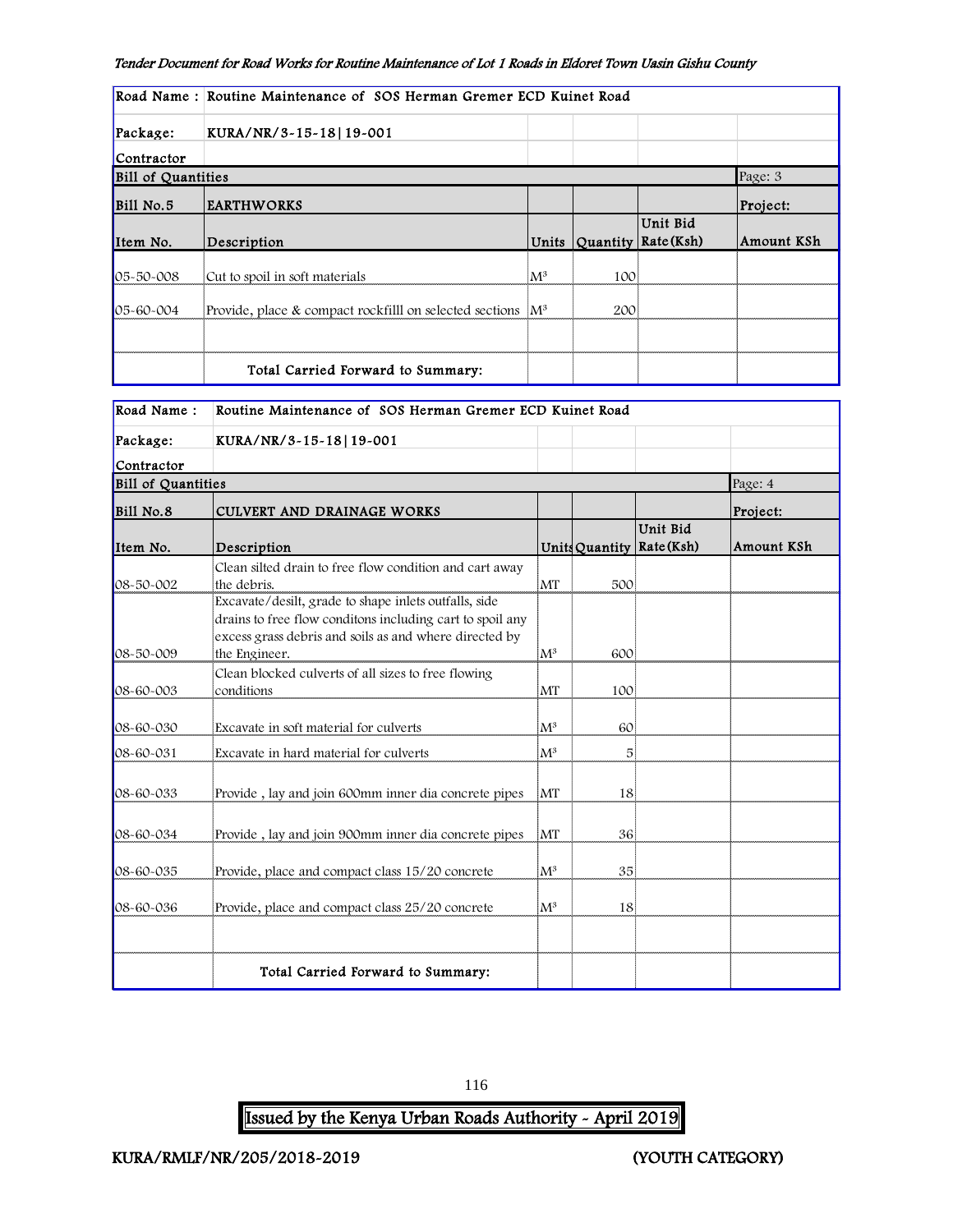|                           | Road Name: Routine Maintenance of SOS Herman Gremer ECD Kuinet Road    |       |                |                       |            |  |
|---------------------------|------------------------------------------------------------------------|-------|----------------|-----------------------|------------|--|
| Package:                  | KURA/NR/3-15-18   19-001                                               |       |                |                       |            |  |
| Contractor                |                                                                        |       |                |                       |            |  |
| <b>Bill of Quantities</b> |                                                                        |       |                |                       | Page: 3    |  |
| Bill No.5                 | <b>EARTHWORKS</b>                                                      |       |                |                       | Project:   |  |
| Item No.                  | Description                                                            |       | Units Quantity | Unit Bid<br>Rate(Ksh) | Amount KSh |  |
| 05-50-008                 | Cut to spoil in soft materials                                         | $M^3$ | 100            |                       |            |  |
| 05-60-004                 | Provide, place & compact rockfilll on selected sections $\mathbb{M}^3$ |       | 200i           |                       |            |  |
|                           | Total Carried Forward to Summary:                                      |       |                |                       |            |  |

| Road Name:                | Routine Maintenance of SOS Herman Gremer ECD Kuinet Road                                                                                                                                     |                |     |                                         |            |  |
|---------------------------|----------------------------------------------------------------------------------------------------------------------------------------------------------------------------------------------|----------------|-----|-----------------------------------------|------------|--|
| Package:                  | KURA/NR/3-15-18 19-001                                                                                                                                                                       |                |     |                                         |            |  |
| Contractor                |                                                                                                                                                                                              |                |     |                                         |            |  |
| <b>Bill of Quantities</b> |                                                                                                                                                                                              |                |     |                                         | Page: 4    |  |
| Bill No.8                 | CULVERT AND DRAINAGE WORKS                                                                                                                                                                   |                |     |                                         | Project:   |  |
| Item No.                  | Description                                                                                                                                                                                  |                |     | Unit Bid<br>Units Quantity   Rate (Ksh) | Amount KSh |  |
| 08-50-002                 | Clean silted drain to free flow condition and cart away<br>the debris.<br>Excavate/desilt, grade to shape inlets outfalls, side<br>drains to free flow conditons including cart to spoil any | MT             | 500 |                                         |            |  |
| $08 - 50 - 009$           | excess grass debris and soils as and where directed by<br>the Engineer.                                                                                                                      | $M^3$          | 600 |                                         |            |  |
| $08 - 60 - 003$           | Clean blocked culverts of all sizes to free flowing<br>conditions                                                                                                                            | MT             | 100 |                                         |            |  |
| 08-60-030                 | Excavate in soft material for culverts                                                                                                                                                       | $M^3$          | 60  |                                         |            |  |
| 08-60-031                 | Excavate in hard material for culverts                                                                                                                                                       | $M^3$          | 5   |                                         |            |  |
| 08-60-033                 | Provide, lay and join 600mm inner dia concrete pipes                                                                                                                                         | MT             | 18  |                                         |            |  |
| 08-60-034                 | Provide, lay and join 900mm inner dia concrete pipes                                                                                                                                         | MT             | 36  |                                         |            |  |
| 08-60-035                 | Provide, place and compact class 15/20 concrete                                                                                                                                              | $\mathbf{M}^3$ | 35  |                                         |            |  |
| 08-60-036                 | Provide, place and compact class 25/20 concrete                                                                                                                                              | $M^3$          | 18  |                                         |            |  |
|                           | Total Carried Forward to Summary:                                                                                                                                                            |                |     |                                         |            |  |

#### 116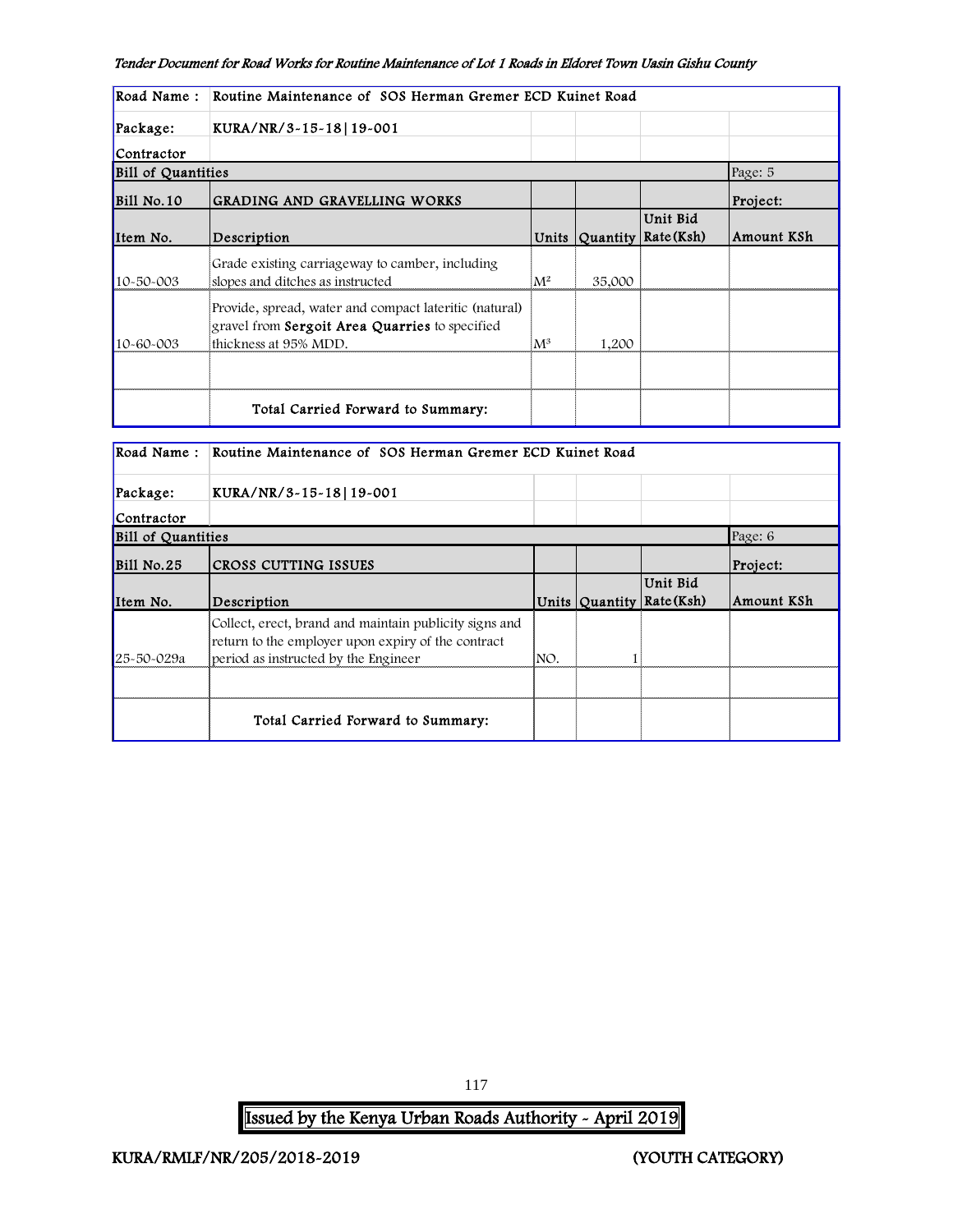| Road Name:                | Routine Maintenance of SOS Herman Gremer ECD Kuinet Road                                                                          |                |        |                                       |            |  |
|---------------------------|-----------------------------------------------------------------------------------------------------------------------------------|----------------|--------|---------------------------------------|------------|--|
| Package:                  | KURA/NR/3-15-18   19-001                                                                                                          |                |        |                                       |            |  |
| Contractor                |                                                                                                                                   |                |        |                                       |            |  |
| <b>Bill of Quantities</b> |                                                                                                                                   |                |        |                                       | Page: 5    |  |
| <b>Bill No.10</b>         | GRADING AND GRAVELLING WORKS                                                                                                      |                |        |                                       | Project:   |  |
| Item No.                  | Description                                                                                                                       |                |        | Unit Bid<br>Units Quantity Rate (Ksh) | Amount KSh |  |
| 10-50-003                 | Grade existing carriageway to camber, including<br>slopes and ditches as instructed                                               | $\mathbf{M}^2$ | 35,000 |                                       |            |  |
| 10-60-003                 | Provide, spread, water and compact lateritic (natural)<br>gravel from Sergoit Area Quarries to specified<br>thickness at 95% MDD. | $\mathbf{M}^3$ | 1,200  |                                       |            |  |
|                           | Total Carried Forward to Summary:                                                                                                 |                |        |                                       |            |  |

| Road Name:                | Routine Maintenance of SOS Herman Gremer ECD Kuinet Road                                                                                             |     |  |                                       |            |  |  |
|---------------------------|------------------------------------------------------------------------------------------------------------------------------------------------------|-----|--|---------------------------------------|------------|--|--|
| Package:                  | KURA/NR/3-15-18 19-001                                                                                                                               |     |  |                                       |            |  |  |
| Contractor                |                                                                                                                                                      |     |  |                                       |            |  |  |
| <b>Bill of Quantities</b> |                                                                                                                                                      |     |  |                                       | Page: 6    |  |  |
| $ Bi11\ No.25$            | <b>CROSS CUTTING ISSUES</b>                                                                                                                          |     |  |                                       | Project:   |  |  |
| Item No.                  | Description                                                                                                                                          |     |  | Unit Bid<br>Units Quantity Rate (Ksh) | Amount KSh |  |  |
| 25-50-029a                | Collect, erect, brand and maintain publicity signs and<br>return to the employer upon expiry of the contract<br>period as instructed by the Engineer | NO. |  |                                       |            |  |  |
|                           |                                                                                                                                                      |     |  |                                       |            |  |  |
|                           | Total Carried Forward to Summary:                                                                                                                    |     |  |                                       |            |  |  |

Issued by the Kenya Urban Roads Authority - April 2019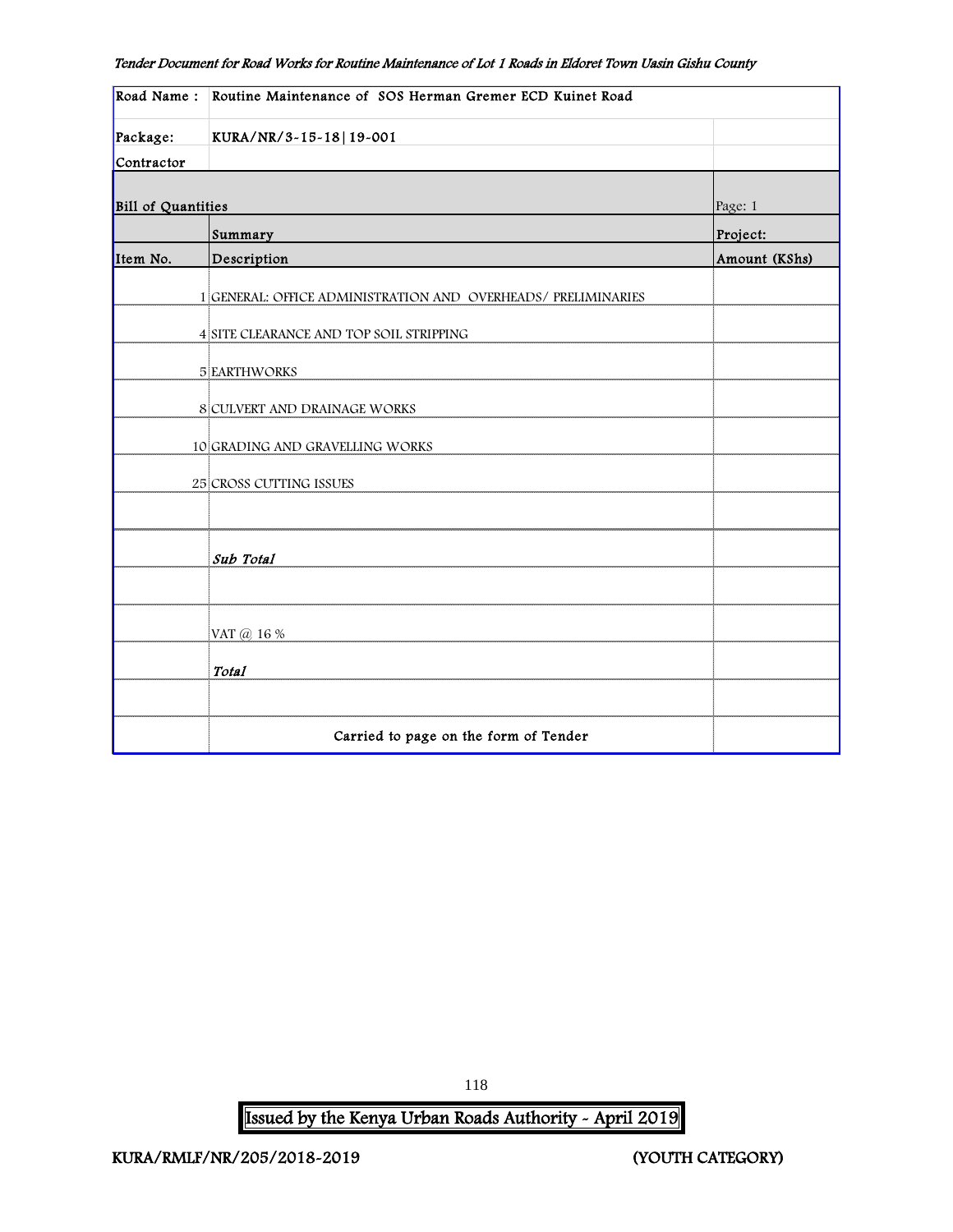| Road Name:                | Routine Maintenance of SOS Herman Gremer ECD Kuinet Road      |               |  |  |  |
|---------------------------|---------------------------------------------------------------|---------------|--|--|--|
| Package:                  | KURA/NR/3-15-18 19-001                                        |               |  |  |  |
| Contractor                |                                                               |               |  |  |  |
|                           |                                                               |               |  |  |  |
| <b>Bill of Quantities</b> |                                                               | Page: 1       |  |  |  |
|                           | Summary                                                       | Project:      |  |  |  |
| Item No.                  | Description                                                   | Amount (KShs) |  |  |  |
|                           | 1 GENERAL: OFFICE ADMINISTRATION AND OVERHEADS/ PRELIMINARIES |               |  |  |  |
|                           | 4 SITE CLEARANCE AND TOP SOIL STRIPPING                       |               |  |  |  |
|                           | <b>5 EARTHWORKS</b>                                           |               |  |  |  |
|                           | 8 CULVERT AND DRAINAGE WORKS                                  |               |  |  |  |
|                           | 10 GRADING AND GRAVELLING WORKS                               |               |  |  |  |
|                           | 25 CROSS CUTTING ISSUES                                       |               |  |  |  |
|                           |                                                               |               |  |  |  |
|                           | Sub Total                                                     |               |  |  |  |
|                           |                                                               |               |  |  |  |
|                           | VAT @ 16 %                                                    |               |  |  |  |
|                           | Total                                                         |               |  |  |  |
|                           |                                                               |               |  |  |  |
|                           | Carried to page on the form of Tender                         |               |  |  |  |

Issued by the Kenya Urban Roads Authority - April 2019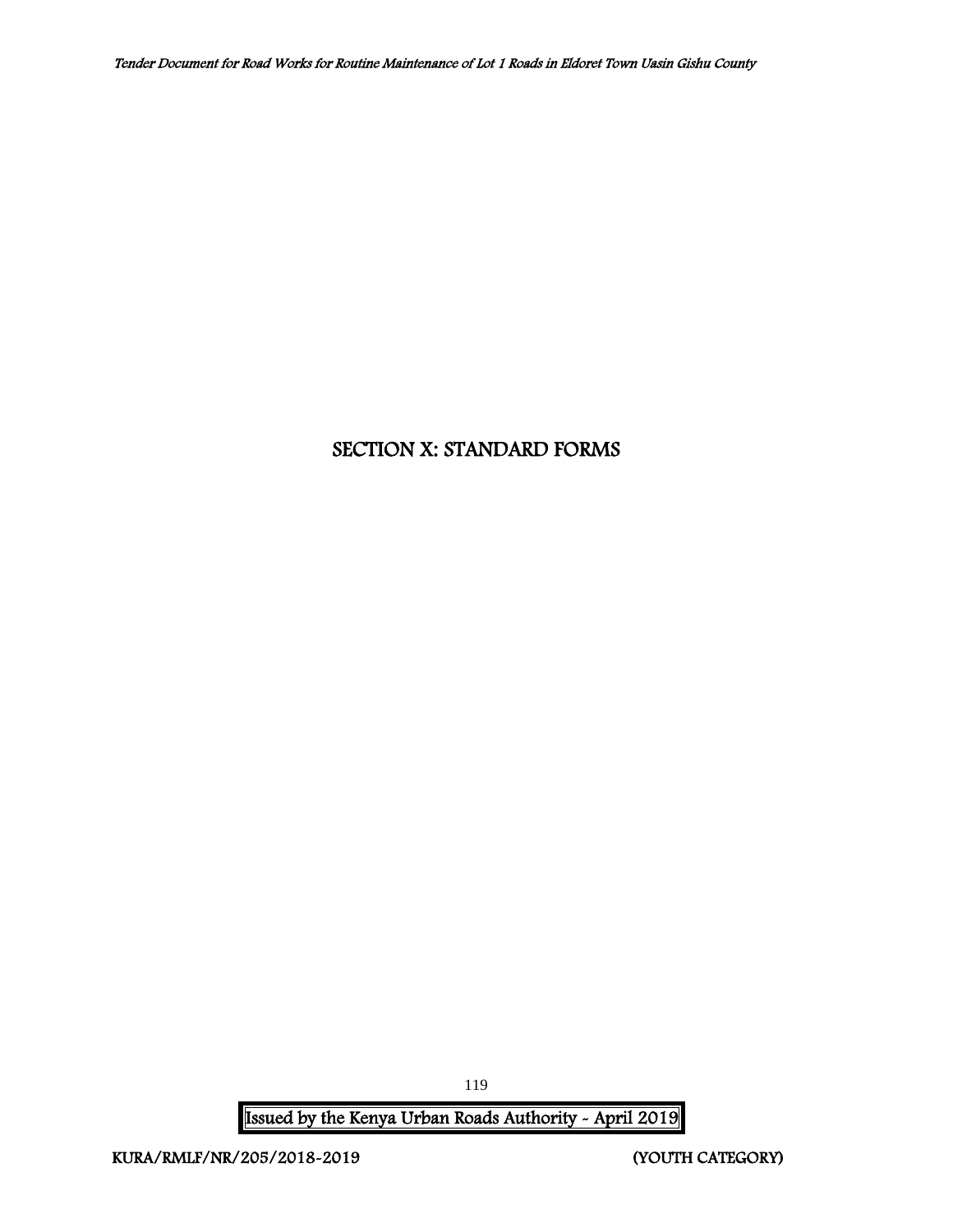# SECTION X: STANDARD FORMS

Issued by the Kenya Urban Roads Authority - April 2019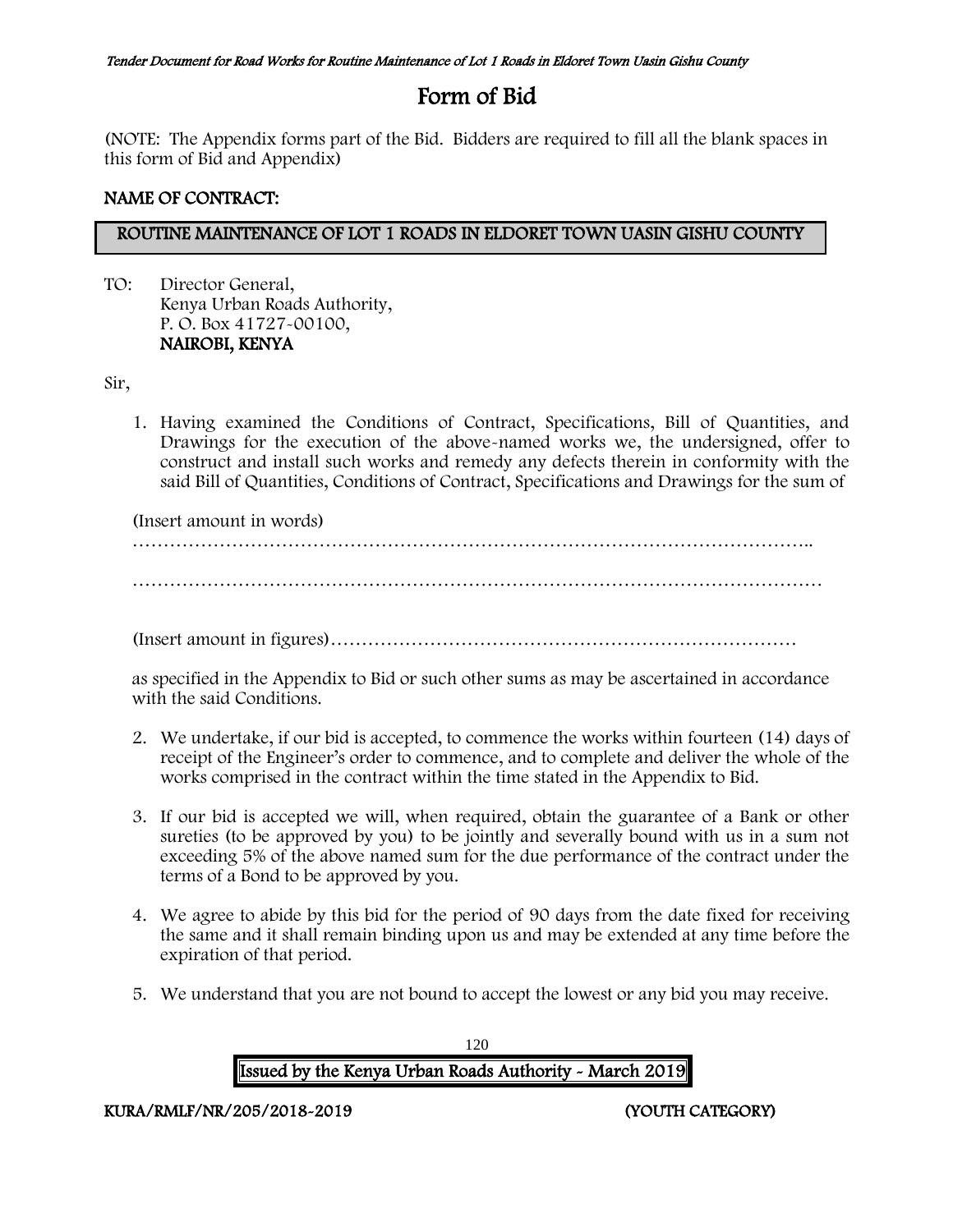# Form of Bid

(NOTE: The Appendix forms part of the Bid. Bidders are required to fill all the blank spaces in this form of Bid and Appendix)

## NAME OF CONTRACT:

## ROUTINE MAINTENANCE OF LOT 1 ROADS IN ELDORET TOWN UASIN GISHU COUNTY

TO: Director General, Kenya Urban Roads Authority, P. O. Box 41727-00100, NAIROBI, KENYA

Sir,

1. Having examined the Conditions of Contract, Specifications, Bill of Quantities, and Drawings for the execution of the above-named works we, the undersigned, offer to construct and install such works and remedy any defects therein in conformity with the said Bill of Quantities, Conditions of Contract, Specifications and Drawings for the sum of

(Insert amount in words)

………………………………………………………………………………………………..

…………………………………………………………………………………………………

(Insert amount in figures)…………………………………………………………………

as specified in the Appendix to Bid or such other sums as may be ascertained in accordance with the said Conditions.

- 2. We undertake, if our bid is accepted, to commence the works within fourteen (14) days of receipt of the Engineer's order to commence, and to complete and deliver the whole of the works comprised in the contract within the time stated in the Appendix to Bid.
- 3. If our bid is accepted we will, when required, obtain the guarantee of a Bank or other sureties (to be approved by you) to be jointly and severally bound with us in a sum not exceeding 5% of the above named sum for the due performance of the contract under the terms of a Bond to be approved by you.
- 4. We agree to abide by this bid for the period of 90 days from the date fixed for receiving the same and it shall remain binding upon us and may be extended at any time before the expiration of that period.
- 5. We understand that you are not bound to accept the lowest or any bid you may receive.

120 Issued by the Kenya Urban Roads Authority - March 2019

KURA/RMLF/NR/205/2018-2019 (YOUTH CATEGORY)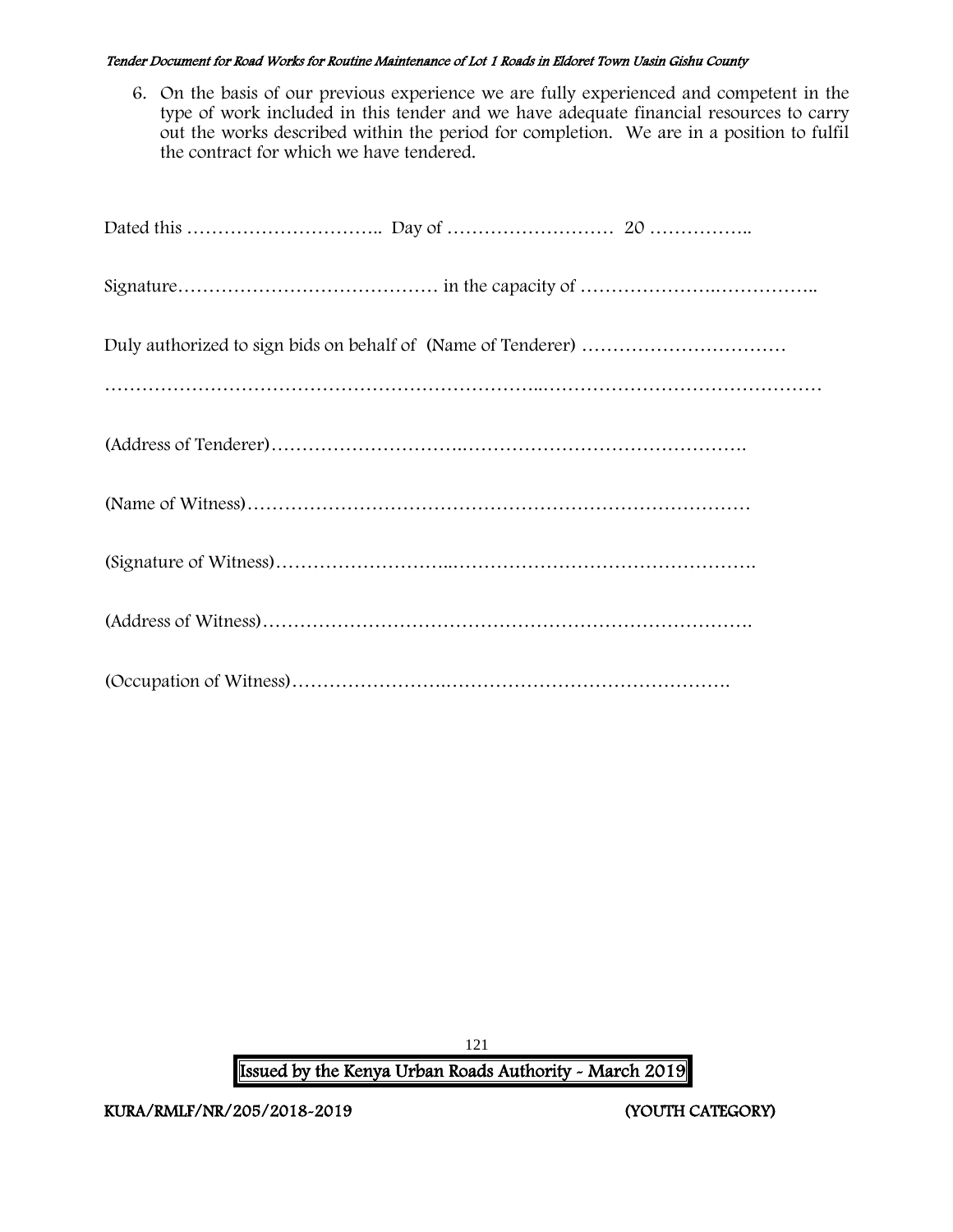6. On the basis of our previous experience we are fully experienced and competent in the type of work included in this tender and we have adequate financial resources to carry out the works described within the period for completion. We are in a position to fulfil the contract for which we have tendered.

121 Issued by the Kenya Urban Roads Authority - March 2019

KURA/RMLF/NR/205/2018-2019 (YOUTH CATEGORY)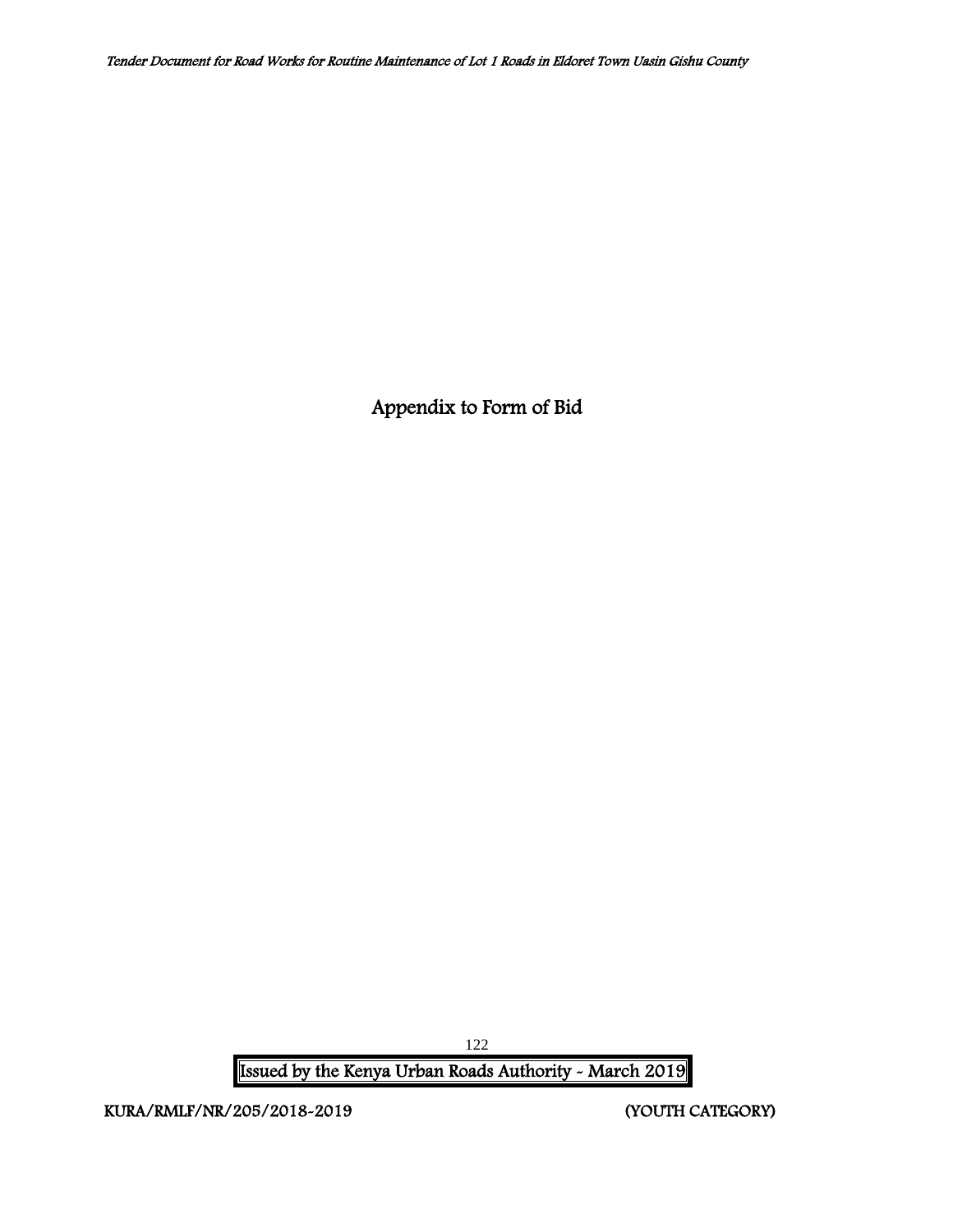Appendix to Form of Bid

Issued by the Kenya Urban Roads Authority - March 2019

KURA/RMLF/NR/205/2018-2019 (YOUTH CATEGORY)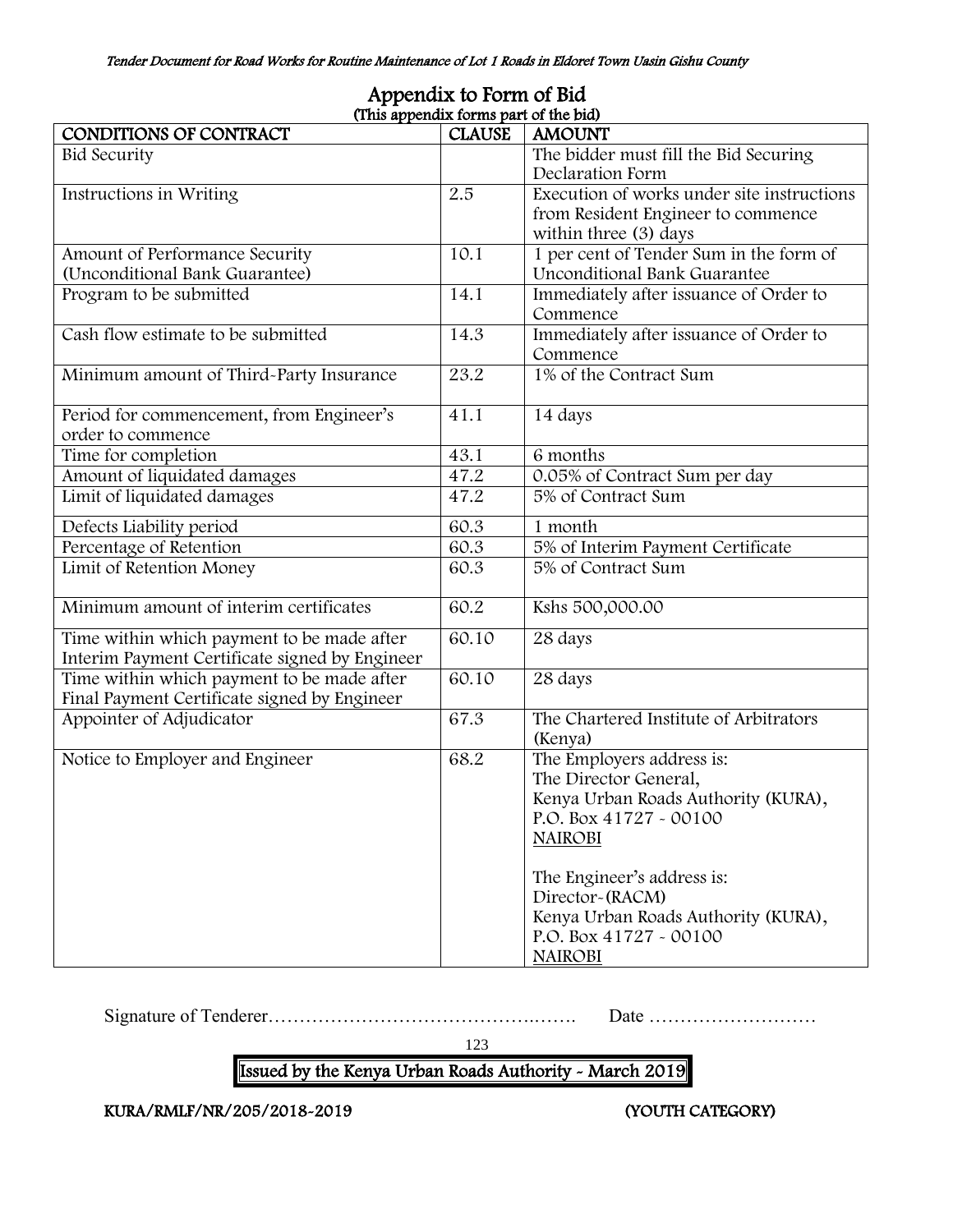|                                                | (This appendix forms part of the bid) |                                            |
|------------------------------------------------|---------------------------------------|--------------------------------------------|
| CONDITIONS OF CONTRACT                         | <b>CLAUSE</b>                         | <b>AMOUNT</b>                              |
| <b>Bid Security</b>                            |                                       | The bidder must fill the Bid Securing      |
|                                                |                                       | Declaration Form                           |
| Instructions in Writing                        | 2.5                                   | Execution of works under site instructions |
|                                                |                                       | from Resident Engineer to commence         |
|                                                |                                       | within three (3) days                      |
| Amount of Performance Security                 | 10.1                                  | 1 per cent of Tender Sum in the form of    |
| (Unconditional Bank Guarantee)                 |                                       | Unconditional Bank Guarantee               |
| Program to be submitted                        | 14.1                                  | Immediately after issuance of Order to     |
|                                                |                                       | Commence                                   |
| Cash flow estimate to be submitted             | 14.3                                  | Immediately after issuance of Order to     |
|                                                |                                       | Commence                                   |
| Minimum amount of Third-Party Insurance        | 23.2                                  | 1% of the Contract Sum                     |
|                                                |                                       |                                            |
| Period for commencement, from Engineer's       | 41.1                                  | 14 days                                    |
| order to commence                              |                                       |                                            |
| Time for completion                            | 43.1                                  | 6 months                                   |
| Amount of liquidated damages                   | 47.2                                  | 0.05% of Contract Sum per day              |
| Limit of liquidated damages                    | 47.2                                  | 5% of Contract Sum                         |
| Defects Liability period                       | 60.3                                  | 1 month                                    |
| Percentage of Retention                        | 60.3                                  | 5% of Interim Payment Certificate          |
| Limit of Retention Money                       | 60.3                                  | 5% of Contract Sum                         |
|                                                |                                       |                                            |
| Minimum amount of interim certificates         | 60.2                                  | Kshs 500,000.00                            |
| Time within which payment to be made after     | 60.10                                 | 28 days                                    |
| Interim Payment Certificate signed by Engineer |                                       |                                            |
| Time within which payment to be made after     | 60.10                                 | 28 days                                    |
| Final Payment Certificate signed by Engineer   |                                       |                                            |
| Appointer of Adjudicator                       | 67.3                                  | The Chartered Institute of Arbitrators     |
|                                                |                                       | (Kenya)                                    |
| Notice to Employer and Engineer                | 68.2                                  | The Employers address is:                  |
|                                                |                                       | The Director General,                      |
|                                                |                                       | Kenya Urban Roads Authority (KURA),        |
|                                                |                                       | P.O. Box 41727 - 00100                     |
|                                                |                                       | <b>NAIROBI</b>                             |
|                                                |                                       |                                            |
|                                                |                                       | The Engineer's address is:                 |
|                                                |                                       | Director-(RACM)                            |
|                                                |                                       | Kenya Urban Roads Authority (KURA),        |
|                                                |                                       | P.O. Box 41727 - 00100                     |
|                                                |                                       | <b>NAIROBI</b>                             |

# Appendix to Form of Bid

Signature of Tenderer…………………………………….……. Date ………………………

123

Issued by the Kenya Urban Roads Authority - March 2019

KURA/RMLF/NR/205/2018-2019 (YOUTH CATEGORY)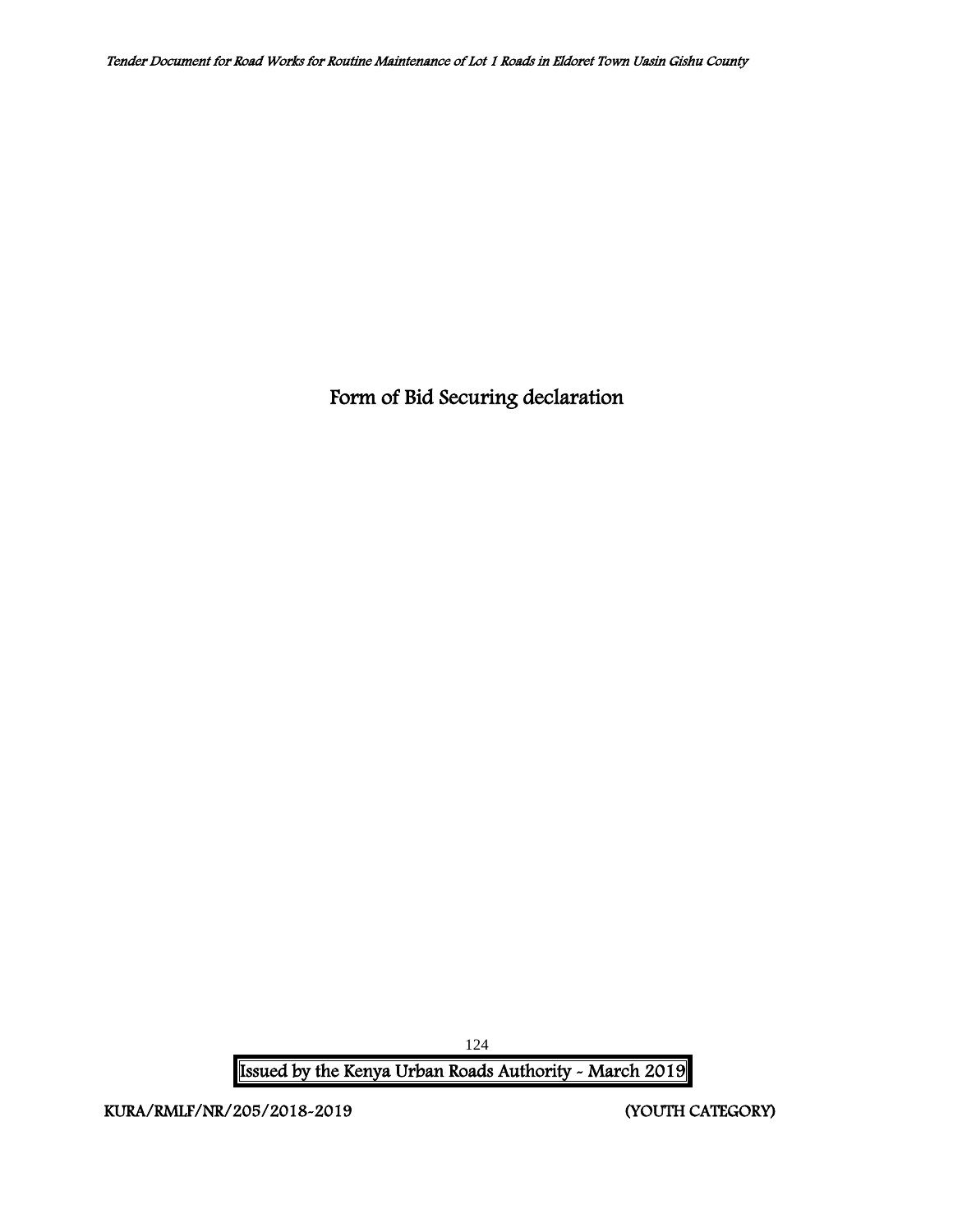Form of Bid Securing declaration

Issued by the Kenya Urban Roads Authority - March 2019

KURA/RMLF/NR/205/2018-2019 (YOUTH CATEGORY)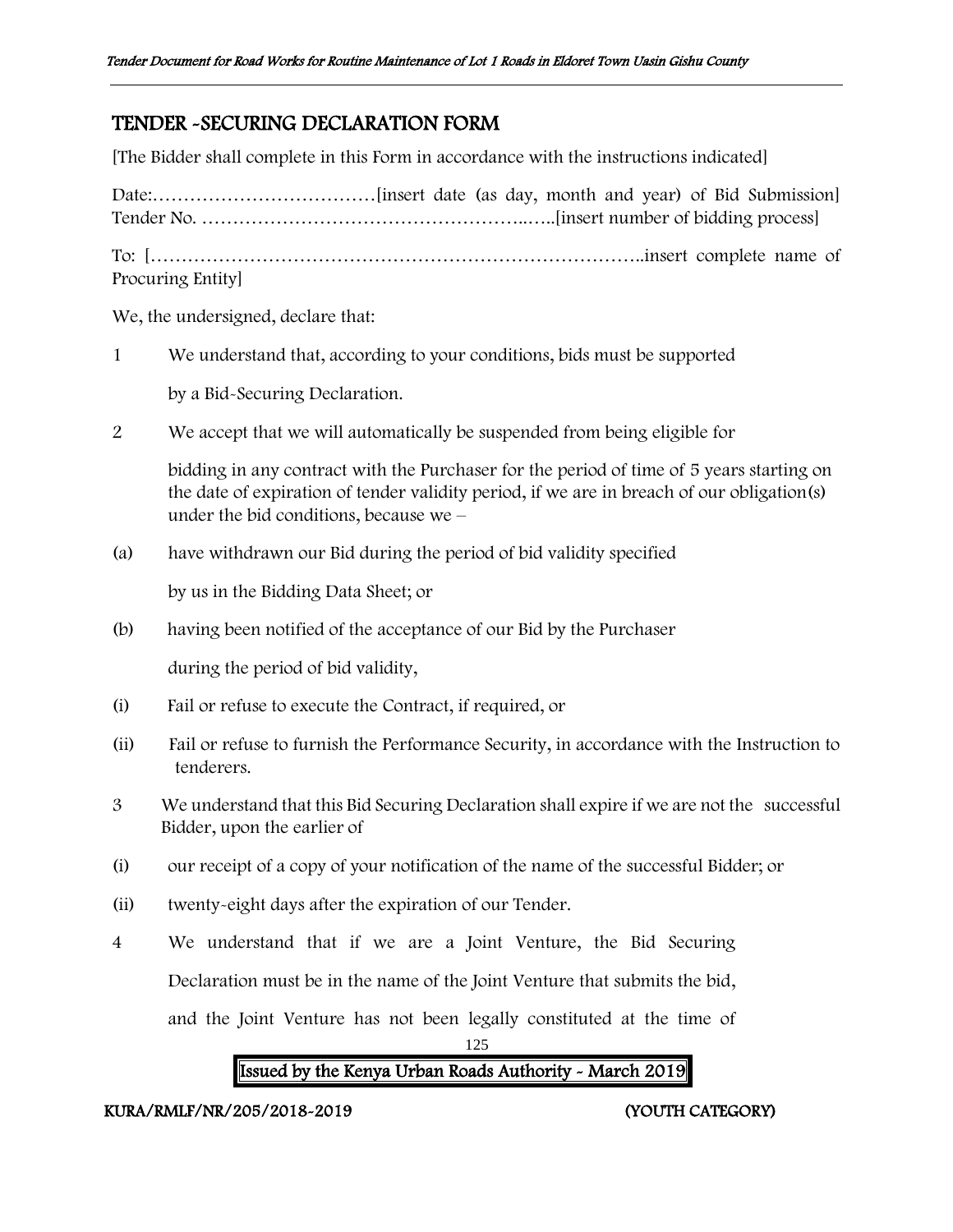## TENDER -SECURING DECLARATION FORM

[The Bidder shall complete in this Form in accordance with the instructions indicated]

Date:………………………………[insert date (as day, month and year) of Bid Submission] Tender No. ……………………………………………..…..[insert number of bidding process] To: [……………………………………………………………………..insert complete name of Procuring Entity]

٦

We, the undersigned, declare that:

1 We understand that, according to your conditions, bids must be supported

by a Bid-Securing Declaration.

2 We accept that we will automatically be suspended from being eligible for

bidding in any contract with the Purchaser for the period of time of 5 years starting on the date of expiration of tender validity period, if we are in breach of our obligation(s) under the bid conditions, because we –

(a) have withdrawn our Bid during the period of bid validity specified

by us in the Bidding Data Sheet; or

(b) having been notified of the acceptance of our Bid by the Purchaser

during the period of bid validity,

- (i) Fail or refuse to execute the Contract, if required, or
- (ii) Fail or refuse to furnish the Performance Security, in accordance with the Instruction to tenderers.
- 3 We understand that this Bid Securing Declaration shall expire if we are not the successful Bidder, upon the earlier of
- (i) our receipt of a copy of your notification of the name of the successful Bidder; or
- (ii) twenty-eight days after the expiration of our Tender.
- 4 We understand that if we are a Joint Venture, the Bid Securing

Declaration must be in the name of the Joint Venture that submits the bid,

and the Joint Venture has not been legally constituted at the time of

125

# Issued by the Kenya Urban Roads Authority - March 2019

## KURA/RMLF/NR/205/2018-2019 (YOUTH CATEGORY)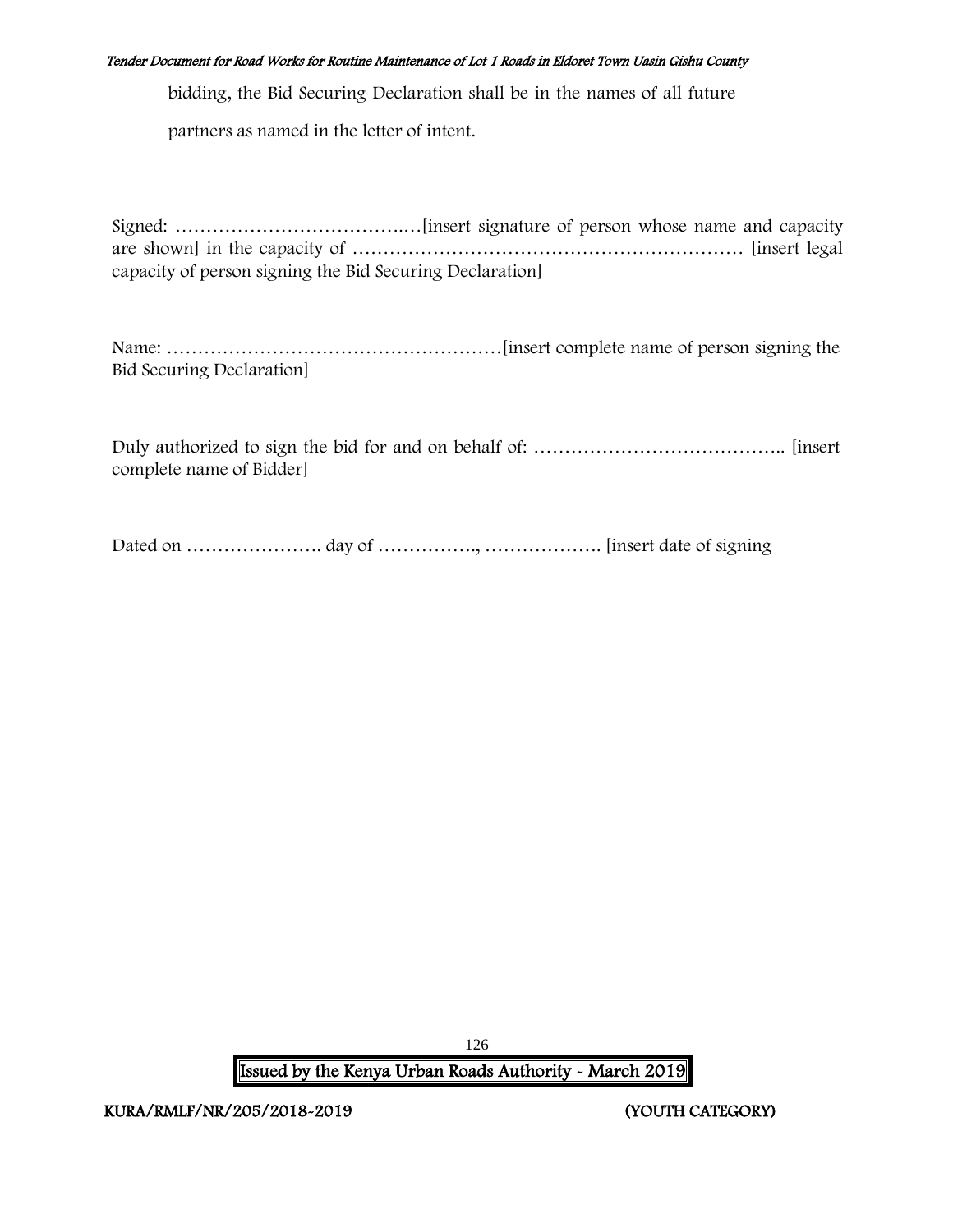bidding, the Bid Securing Declaration shall be in the names of all future

partners as named in the letter of intent.

Signed: ……………………………….…[insert signature of person whose name and capacity are shown] in the capacity of ……………………………………………………… [insert legal capacity of person signing the Bid Securing Declaration]

Name: ………………………………………………[insert complete name of person signing the Bid Securing Declaration]

Duly authorized to sign the bid for and on behalf of: ………………………………….. [insert complete name of Bidder]

Dated on …………………. day of ……………., ………………. [insert date of signing

126 Issued by the Kenya Urban Roads Authority - March 2019

KURA/RMLF/NR/205/2018-2019 (YOUTH CATEGORY)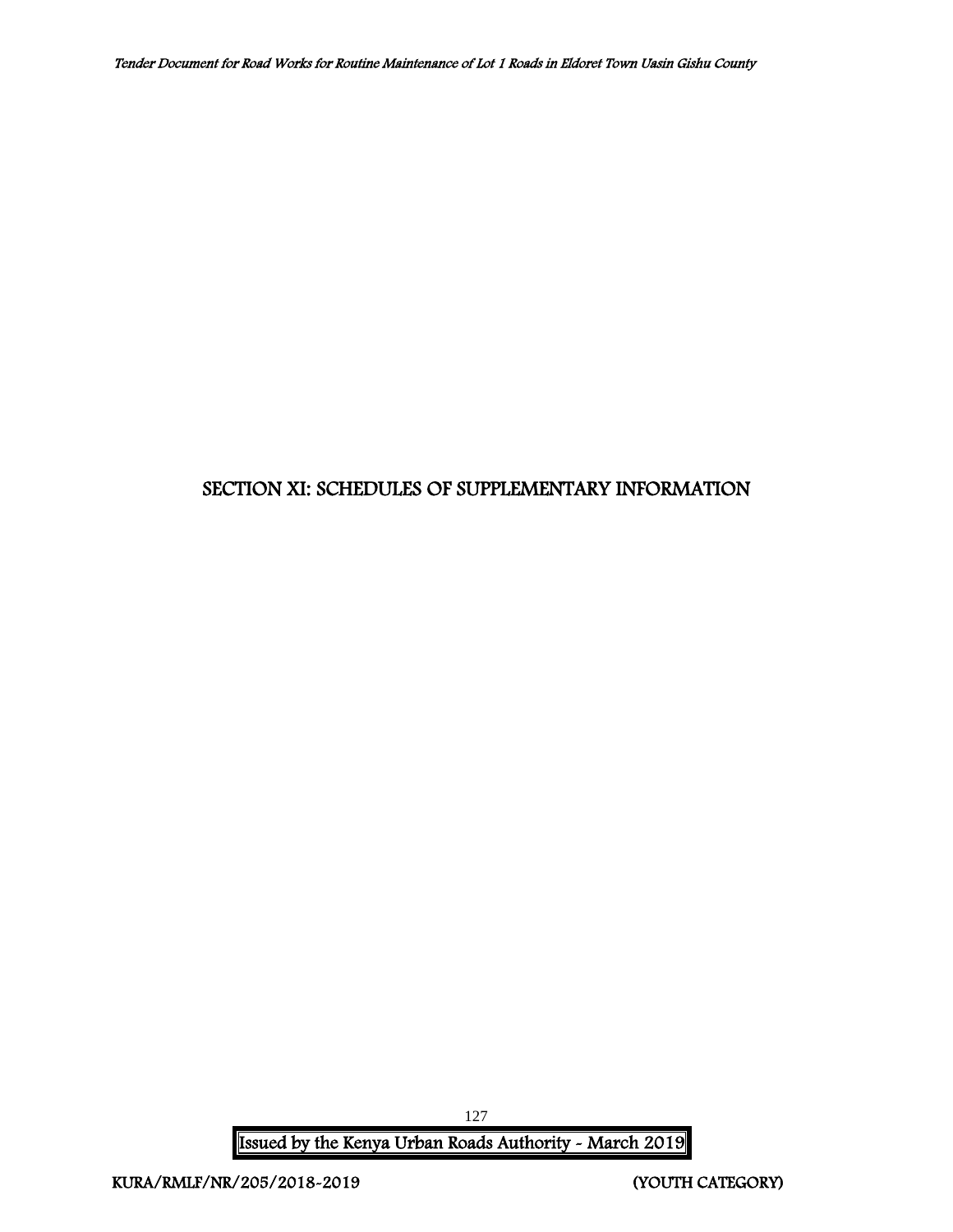## SECTION XI: SCHEDULES OF SUPPLEMENTARY INFORMATION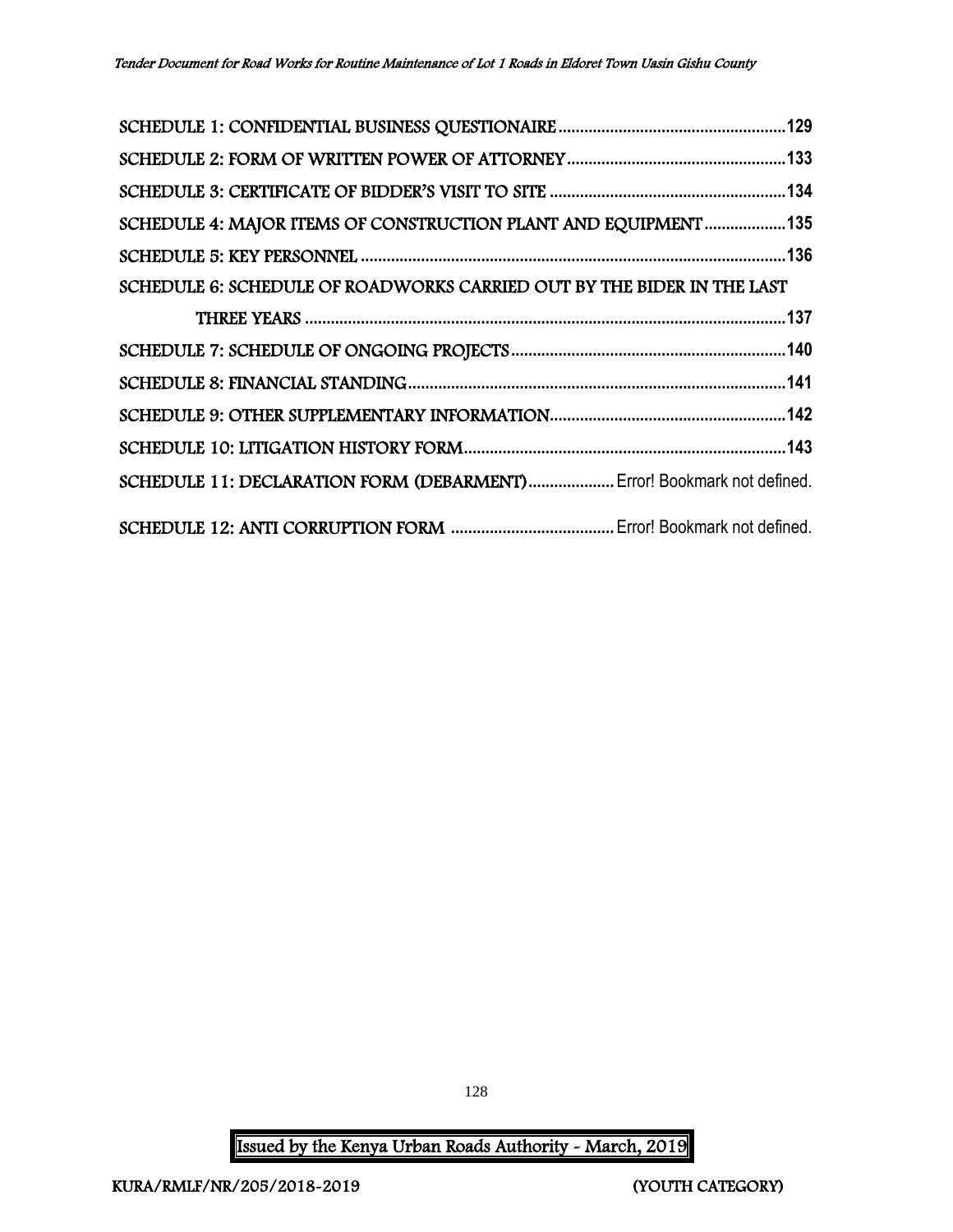| SCHEDULE 4: MAJOR ITEMS OF CONSTRUCTION PLANT AND EQUIPMENT 135        |  |
|------------------------------------------------------------------------|--|
|                                                                        |  |
| SCHEDULE 6: SCHEDULE OF ROADWORKS CARRIED OUT BY THE BIDER IN THE LAST |  |
|                                                                        |  |
|                                                                        |  |
|                                                                        |  |
|                                                                        |  |
|                                                                        |  |
| SCHEDULE 11: DECLARATION FORM (DEBARMENT) Error! Bookmark not defined. |  |
|                                                                        |  |

128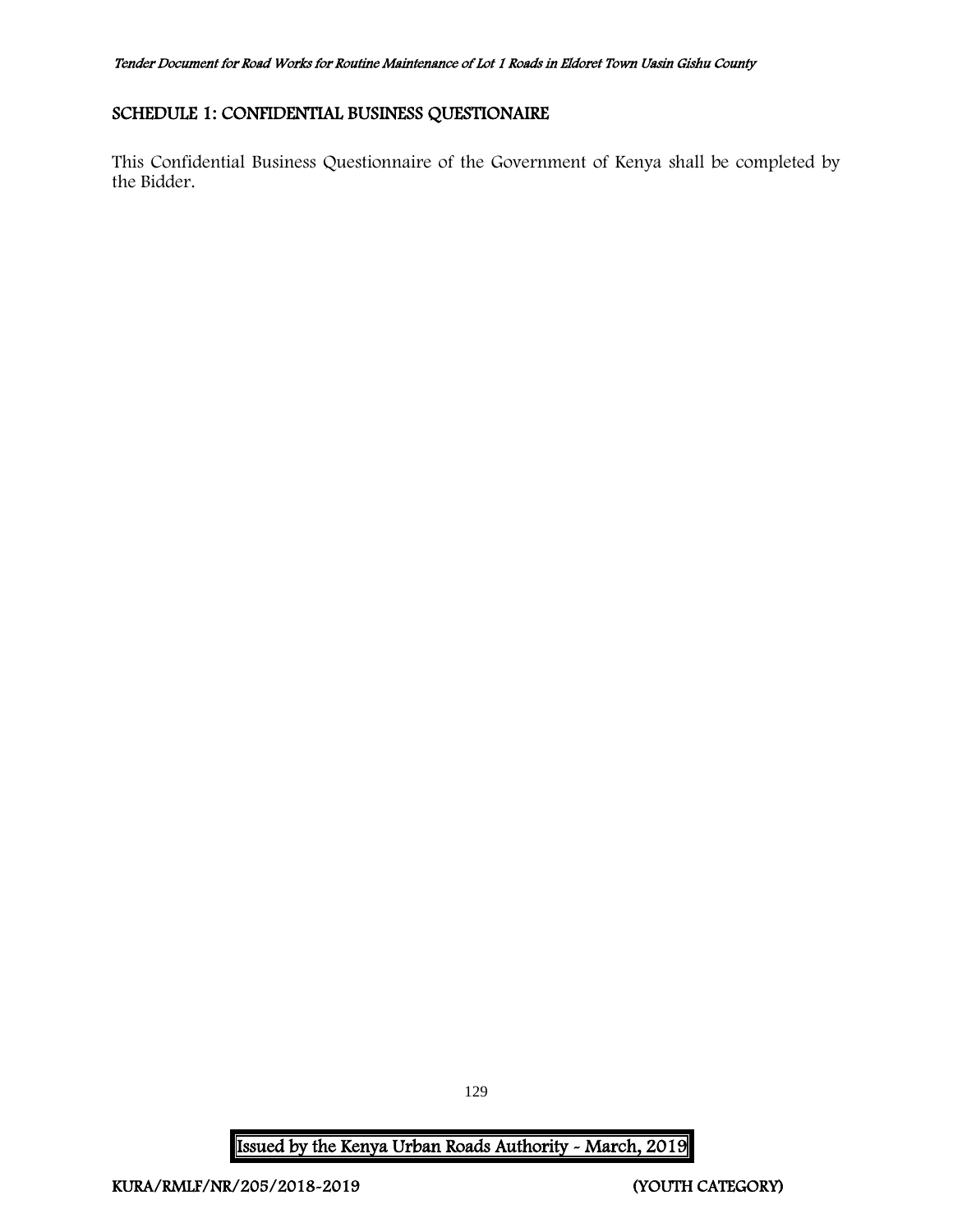## <span id="page-129-0"></span>SCHEDULE 1: CONFIDENTIAL BUSINESS QUESTIONAIRE

This Confidential Business Questionnaire of the Government of Kenya shall be completed by the Bidder.

129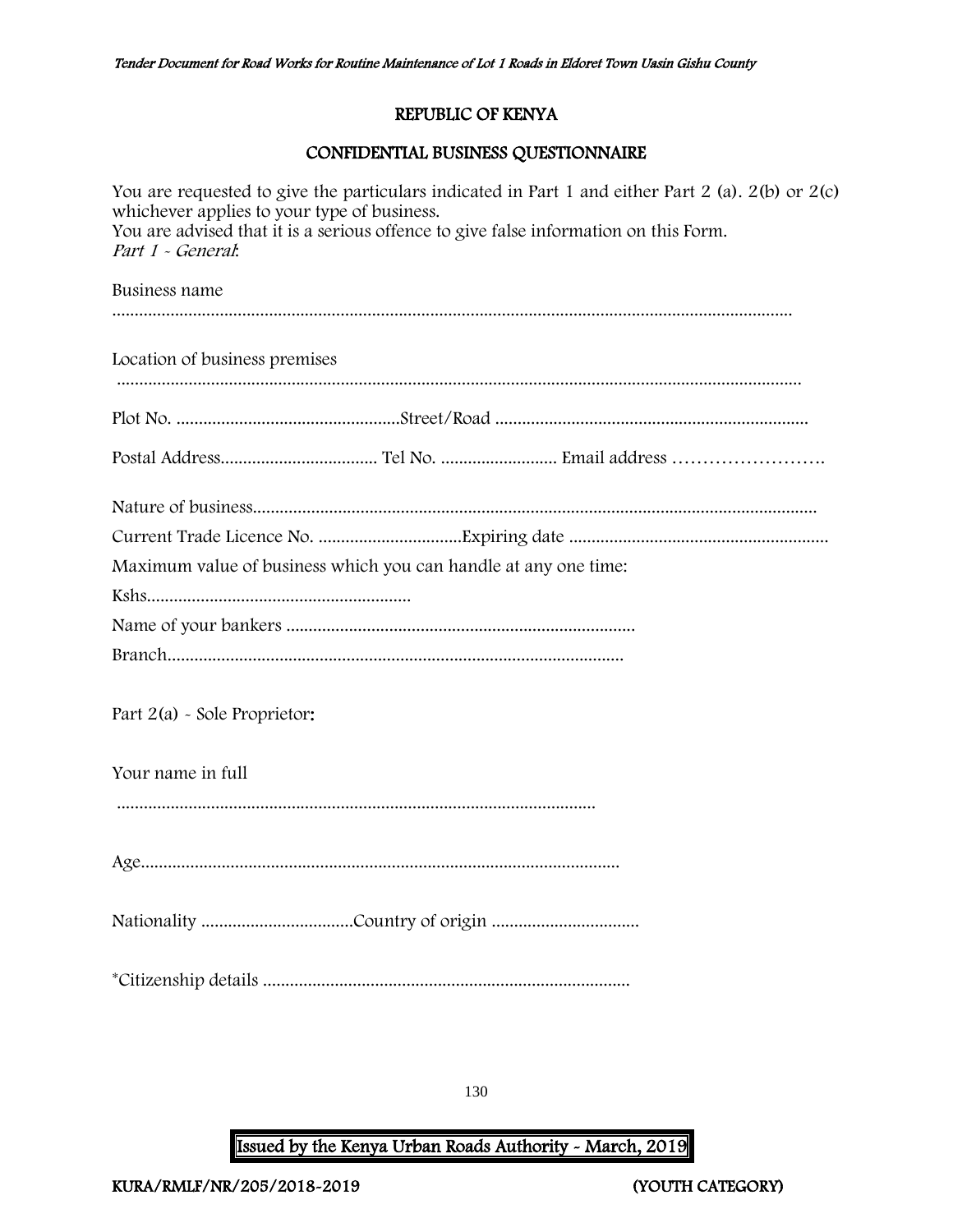## REPUBLIC OF KENYA

## CONFIDENTIAL BUSINESS QUESTIONNAIRE

| You are requested to give the particulars indicated in Part 1 and either Part 2 (a). 2(b) or 2(c)<br>whichever applies to your type of business.<br>You are advised that it is a serious offence to give false information on this Form.<br>Part 1 - General: |
|---------------------------------------------------------------------------------------------------------------------------------------------------------------------------------------------------------------------------------------------------------------|
| Business name                                                                                                                                                                                                                                                 |
|                                                                                                                                                                                                                                                               |
| Location of business premises                                                                                                                                                                                                                                 |
|                                                                                                                                                                                                                                                               |
|                                                                                                                                                                                                                                                               |
|                                                                                                                                                                                                                                                               |
|                                                                                                                                                                                                                                                               |
| Maximum value of business which you can handle at any one time:                                                                                                                                                                                               |
|                                                                                                                                                                                                                                                               |
|                                                                                                                                                                                                                                                               |
|                                                                                                                                                                                                                                                               |
| Part 2(a) - Sole Proprietor:                                                                                                                                                                                                                                  |
| Your name in full                                                                                                                                                                                                                                             |
|                                                                                                                                                                                                                                                               |
|                                                                                                                                                                                                                                                               |
|                                                                                                                                                                                                                                                               |
|                                                                                                                                                                                                                                                               |

130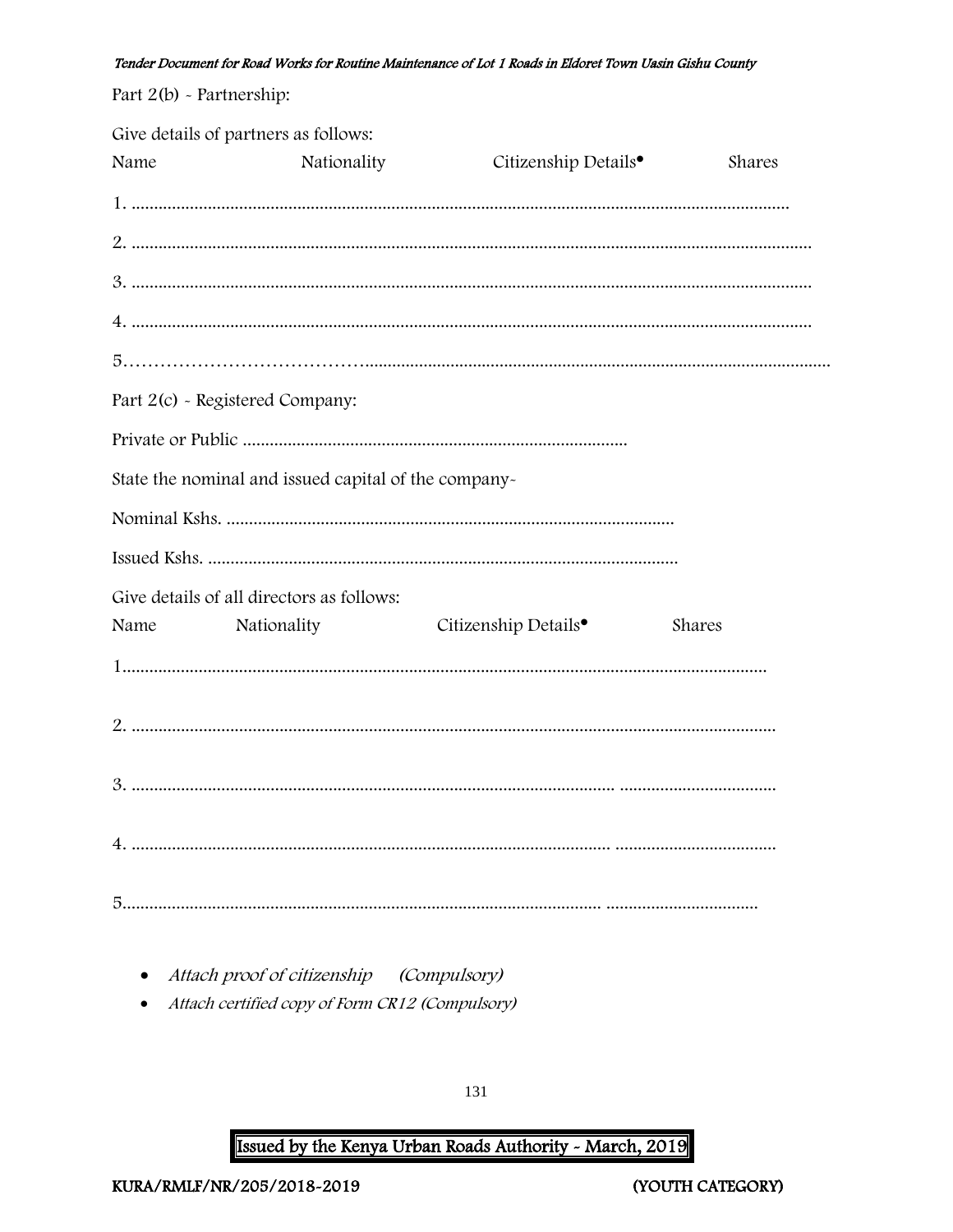| Part $2(b)$ - Partnership: |                                                          |                                  |        |
|----------------------------|----------------------------------------------------------|----------------------------------|--------|
| Name                       | Give details of partners as follows:<br>Nationality      | Citizenship Details <sup>•</sup> | Shares |
|                            |                                                          |                                  |        |
|                            |                                                          |                                  |        |
|                            |                                                          |                                  |        |
|                            |                                                          |                                  |        |
|                            |                                                          |                                  |        |
|                            | Part 2(c) - Registered Company:                          |                                  |        |
|                            |                                                          |                                  |        |
|                            | State the nominal and issued capital of the company-     |                                  |        |
|                            |                                                          |                                  |        |
|                            |                                                          |                                  |        |
| Name                       | Give details of all directors as follows:<br>Nationality | Citizenship Details <sup>•</sup> | Shares |
|                            |                                                          |                                  |        |
|                            |                                                          |                                  |        |
|                            |                                                          |                                  |        |
|                            |                                                          |                                  |        |
|                            |                                                          |                                  |        |

• Attach proof of citizenship (Compulsory)

• Attach certified copy of Form CR12 (Compulsory)

131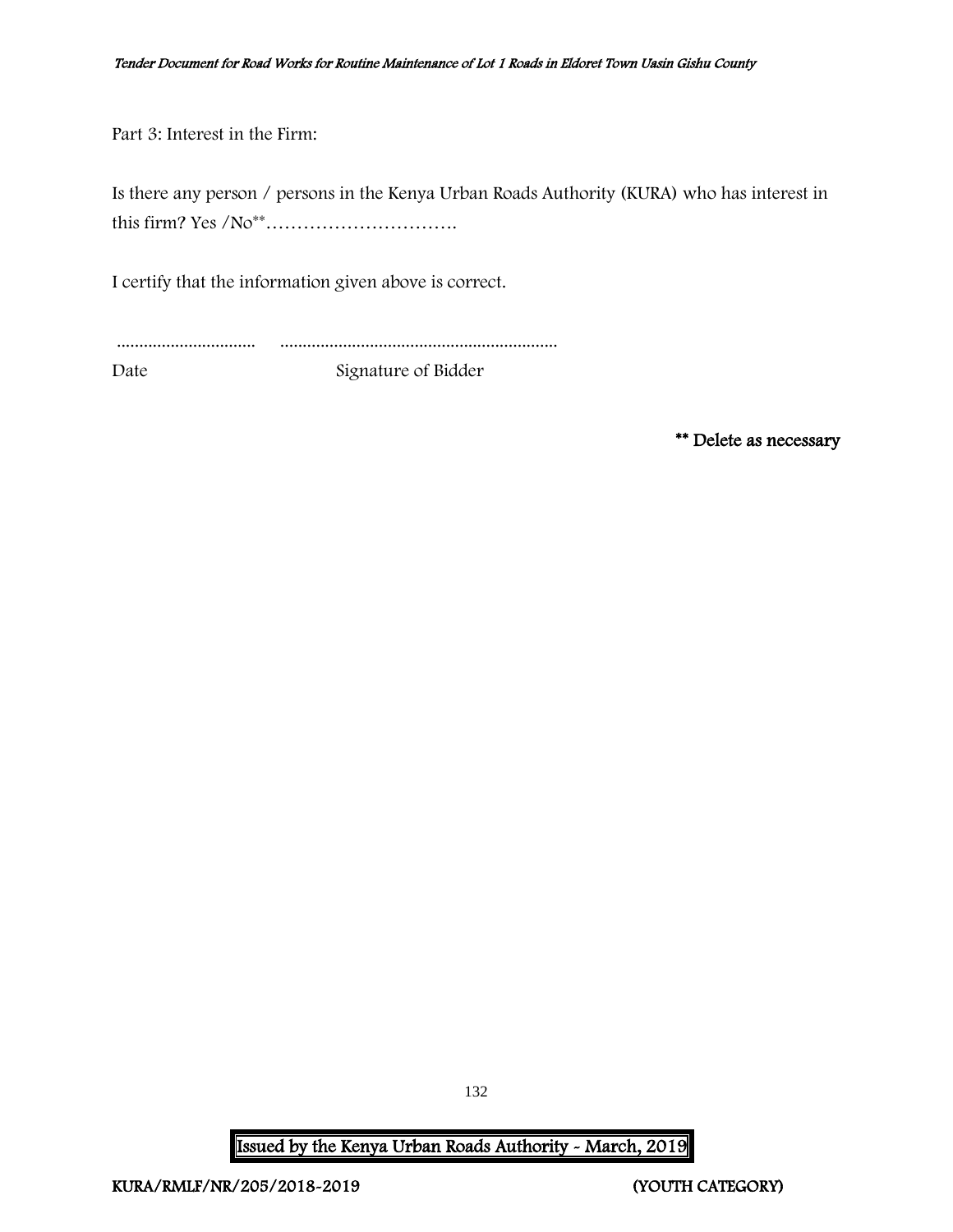Part 3: Interest in the Firm:

Is there any person / persons in the Kenya Urban Roads Authority (KURA) who has interest in this firm? Yes /No\*\*………………………….

I certify that the information given above is correct.

............................... ..............................................................

Date Signature of Bidder

\*\* Delete as necessary

132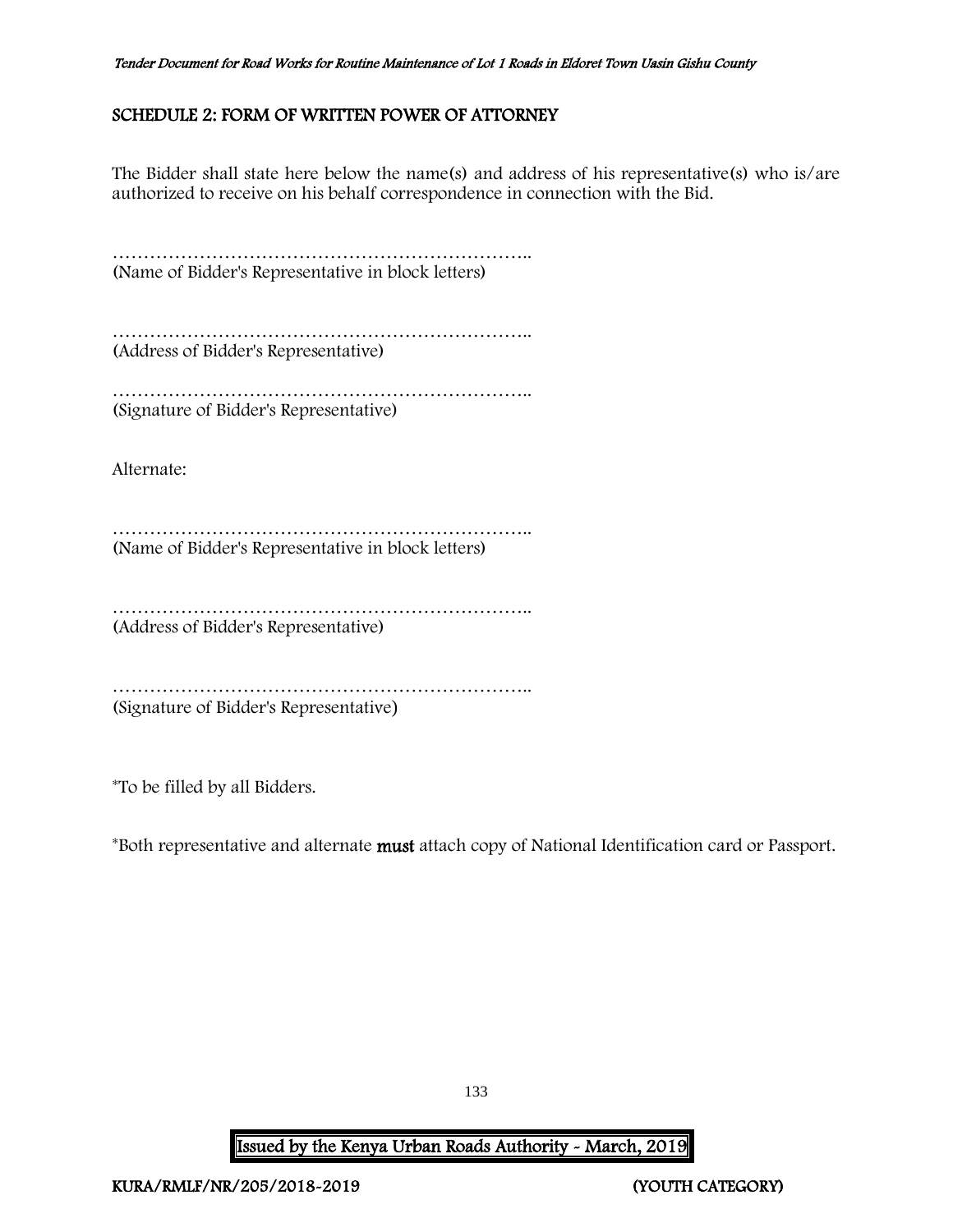## <span id="page-133-0"></span>SCHEDULE 2: FORM OF WRITTEN POWER OF ATTORNEY

The Bidder shall state here below the name(s) and address of his representative(s) who is/are authorized to receive on his behalf correspondence in connection with the Bid.

……………………………………………………………………………… (Name of Bidder's Representative in block letters)

………………………………………………………….. (Address of Bidder's Representative)

…………………………………………………………………… (Signature of Bidder's Representative)

Alternate:

………………………………………………………….. (Name of Bidder's Representative in block letters)

………………………………………………………….. (Address of Bidder's Representative)

………………………………………………………….. (Signature of Bidder's Representative)

\*To be filled by all Bidders.

\*Both representative and alternate must attach copy of National Identification card or Passport.

133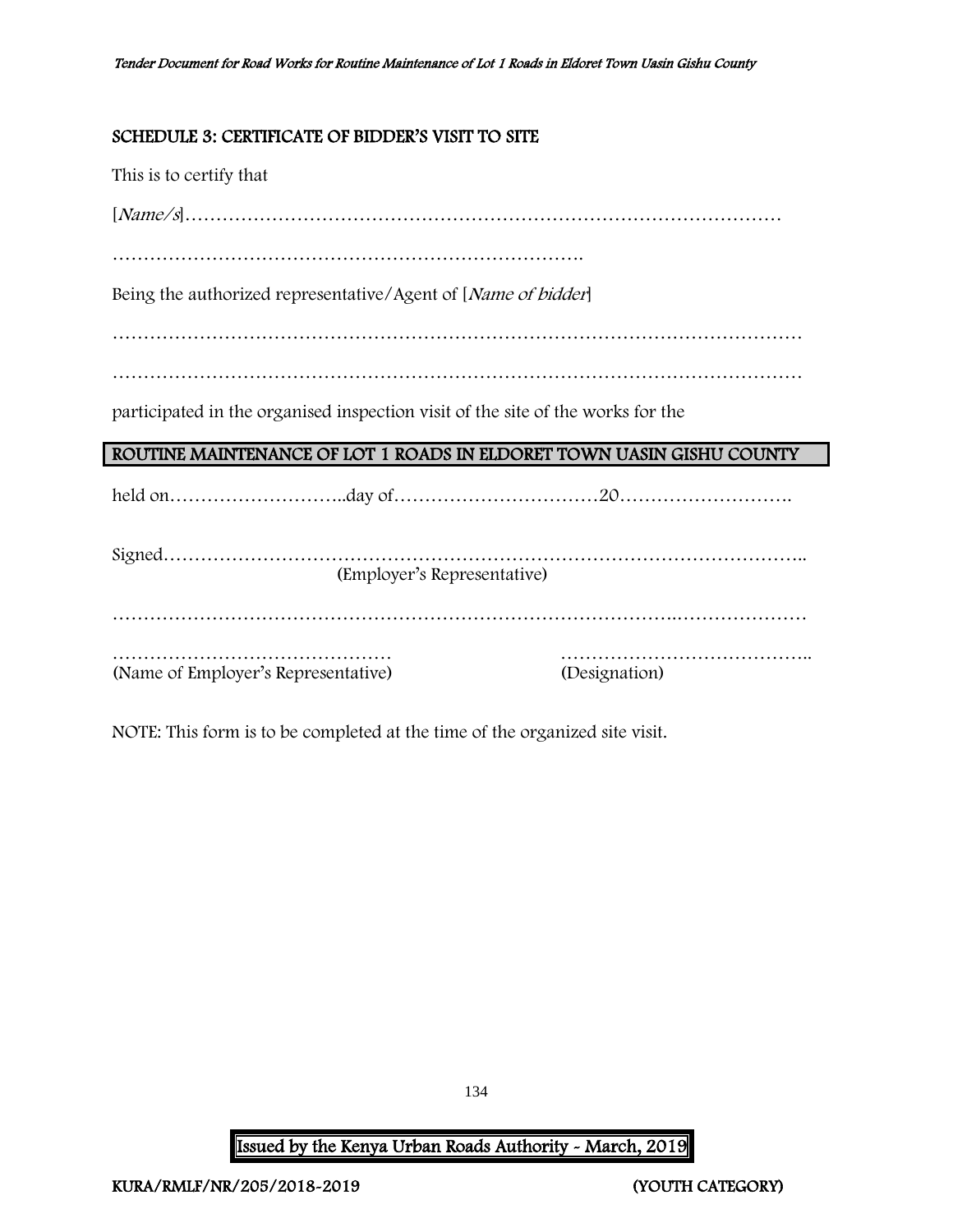## <span id="page-134-0"></span>SCHEDULE 3: CERTIFICATE OF BIDDER'S VISIT TO SITE

| This is to certify that                                                         |               |
|---------------------------------------------------------------------------------|---------------|
|                                                                                 |               |
|                                                                                 |               |
| Being the authorized representative/Agent of [Name of bidder]                   |               |
|                                                                                 |               |
|                                                                                 |               |
| participated in the organised inspection visit of the site of the works for the |               |
| ROUTINE MAINTENANCE OF LOT 1 ROADS IN ELDORET TOWN UASIN GISHU COUNTY           |               |
|                                                                                 |               |
| (Employer's Representative)                                                     |               |
|                                                                                 |               |
| (Name of Employer's Representative)                                             | (Designation) |

NOTE: This form is to be completed at the time of the organized site visit.

134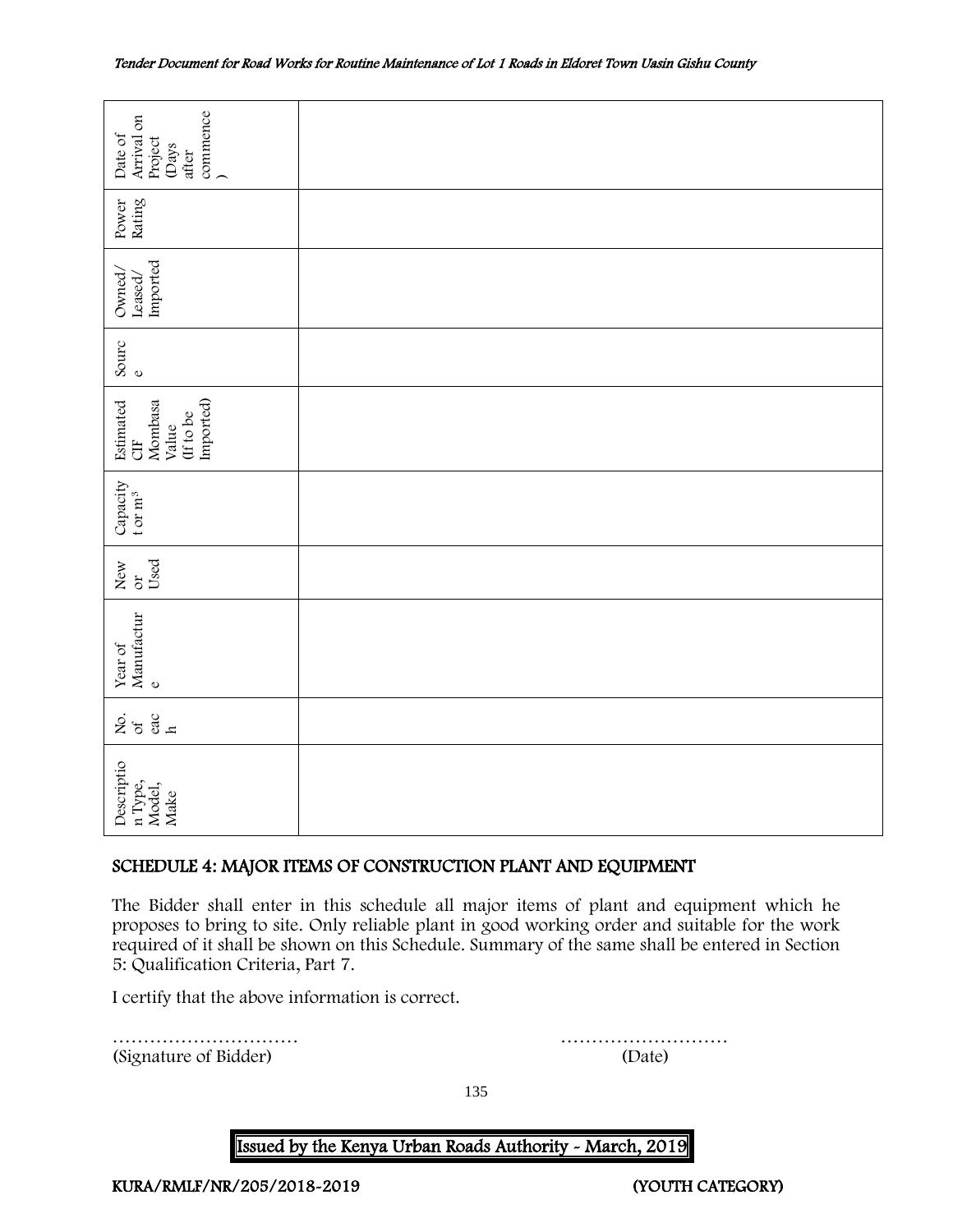| commence<br>Arrival on<br>Date of<br>Project<br>(Days<br>after    |                                                                                                                                                                                                                                                                                              |  |  |  |
|-------------------------------------------------------------------|----------------------------------------------------------------------------------------------------------------------------------------------------------------------------------------------------------------------------------------------------------------------------------------------|--|--|--|
| Rating<br>Power                                                   |                                                                                                                                                                                                                                                                                              |  |  |  |
| Imported<br>Owned,<br>Leased/                                     |                                                                                                                                                                                                                                                                                              |  |  |  |
| Sourc<br>$\mathbf 0$                                              |                                                                                                                                                                                                                                                                                              |  |  |  |
| Imported)<br>Mombasa<br>Estimated<br>(If to be<br>Value<br>UE     |                                                                                                                                                                                                                                                                                              |  |  |  |
| Capacity<br>t or $m^3$                                            |                                                                                                                                                                                                                                                                                              |  |  |  |
| Used<br>New<br>$\sigma$                                           |                                                                                                                                                                                                                                                                                              |  |  |  |
| $\operatorname*{Year}$ of $\operatorname*{Mannfactur}$<br>$\circ$ |                                                                                                                                                                                                                                                                                              |  |  |  |
| 258                                                               |                                                                                                                                                                                                                                                                                              |  |  |  |
| Descriptio<br>n Type,<br>Model,<br>Make                           |                                                                                                                                                                                                                                                                                              |  |  |  |
| SCHEDULE 4: MAJOR ITEMS OF CONSTRUCTION PLANT AND EQUIPMENT       |                                                                                                                                                                                                                                                                                              |  |  |  |
| 5: Qualification Criteria, Part 7.                                | The Bidder shall enter in this schedule all major items of plant and equipment which he<br>proposes to bring to site. Only reliable plant in good working order and suitable for the work<br>required of it shall be shown on this Schedule. Summary of the same shall be entered in Section |  |  |  |
| I certify that the above information is correct.                  |                                                                                                                                                                                                                                                                                              |  |  |  |
| (Signature of Bidder)                                             | .<br>(Date)                                                                                                                                                                                                                                                                                  |  |  |  |

## <span id="page-135-0"></span>SCHEDULE 4: MAJOR ITEMS OF CONSTRUCTION PLANT AND EQUIPMENT

135

#### **Issued by the Kenya Urban Roads Authority - March, 2019**

KURA/RMLF/NR/205/2018-2019 (YOUTH CATEGORY)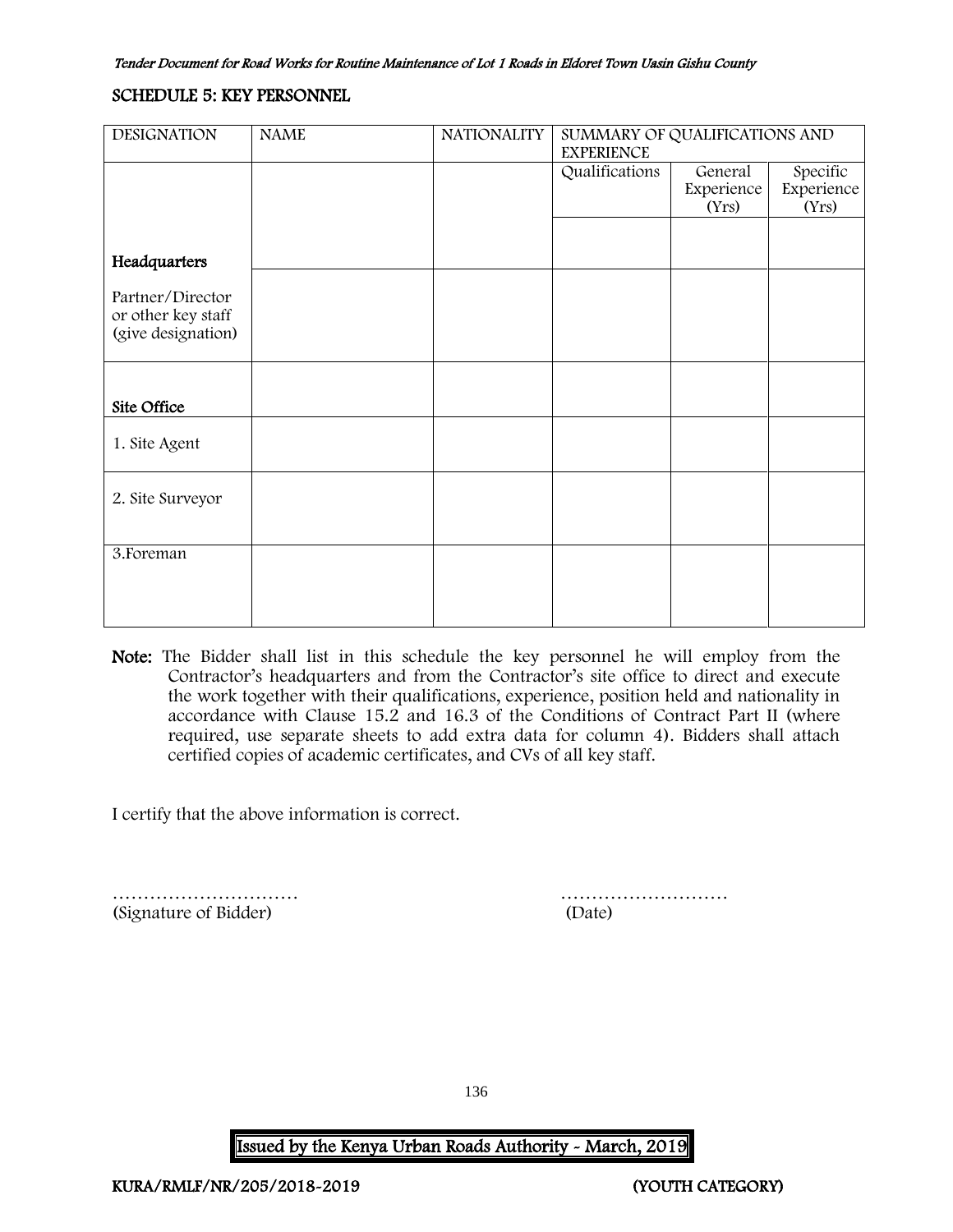#### <span id="page-136-0"></span>SCHEDULE 5: KEY PERSONNEL

| <b>DESIGNATION</b>                     | <b>NAME</b> | <b>NATIONALITY</b> | SUMMARY OF QUALIFICATIONS AND<br><b>EXPERIENCE</b> |            |            |
|----------------------------------------|-------------|--------------------|----------------------------------------------------|------------|------------|
|                                        |             |                    | Qualifications                                     | General    | Specific   |
|                                        |             |                    |                                                    | Experience | Experience |
|                                        |             |                    |                                                    | (Yrs)      | (Yrs)      |
|                                        |             |                    |                                                    |            |            |
| Headquarters                           |             |                    |                                                    |            |            |
| Partner/Director<br>or other key staff |             |                    |                                                    |            |            |
| (give designation)                     |             |                    |                                                    |            |            |
|                                        |             |                    |                                                    |            |            |
| Site Office                            |             |                    |                                                    |            |            |
| 1. Site Agent                          |             |                    |                                                    |            |            |
| 2. Site Surveyor                       |             |                    |                                                    |            |            |
|                                        |             |                    |                                                    |            |            |
| 3. Foreman                             |             |                    |                                                    |            |            |
|                                        |             |                    |                                                    |            |            |
|                                        |             |                    |                                                    |            |            |

Note: The Bidder shall list in this schedule the key personnel he will employ from the Contractor's headquarters and from the Contractor's site office to direct and execute the work together with their qualifications, experience, position held and nationality in accordance with Clause 15.2 and 16.3 of the Conditions of Contract Part II (where required, use separate sheets to add extra data for column 4). Bidders shall attach certified copies of academic certificates, and CVs of all key staff.

I certify that the above information is correct.

(Signature of Bidder) (Date)

………………………… ………………………

136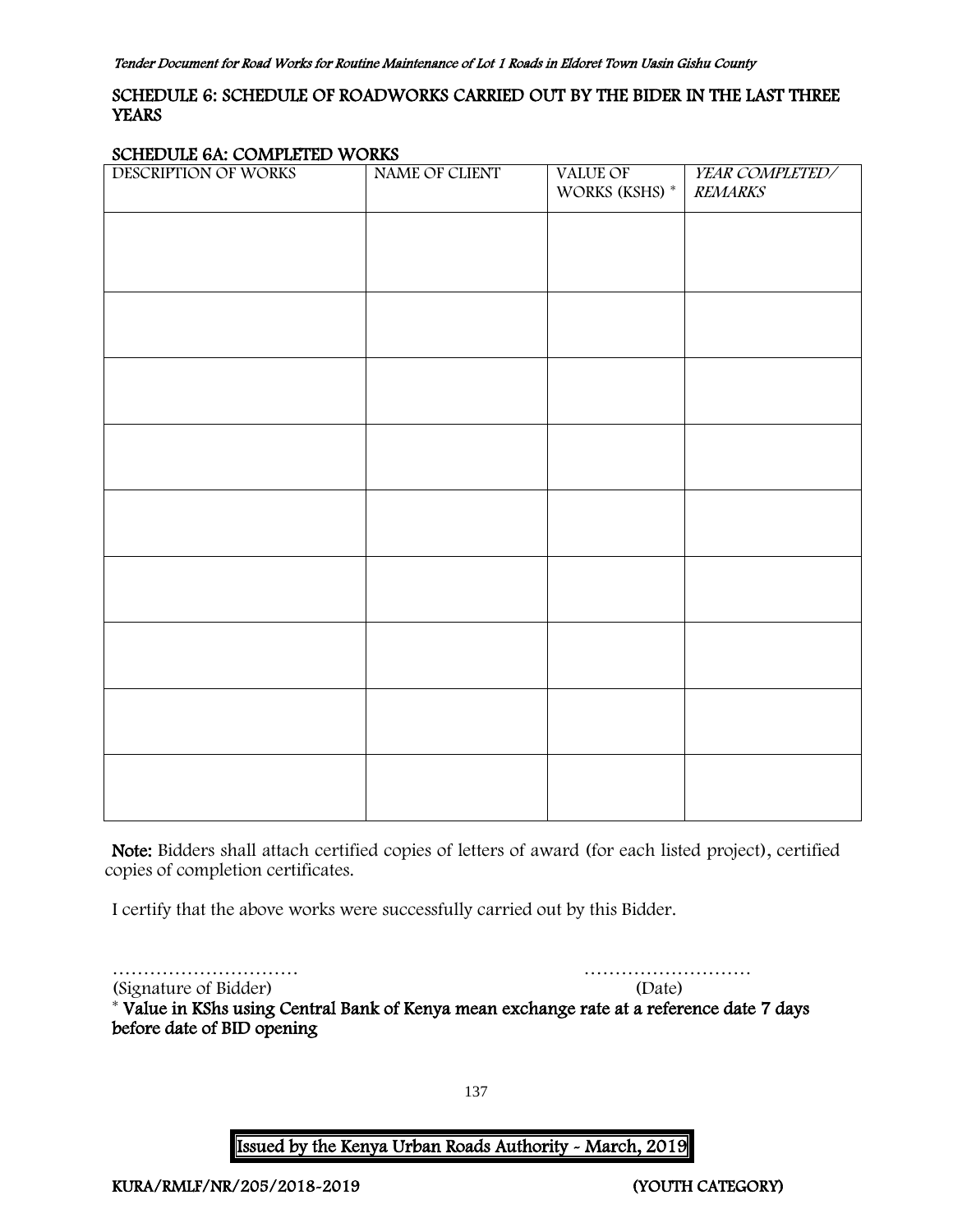## <span id="page-137-0"></span>SCHEDULE 6: SCHEDULE OF ROADWORKS CARRIED OUT BY THE BIDER IN THE LAST THREE **YEARS**

#### SCHEDULE 6A: COMPLETED WORKS

| ÷<br>------ ---- ---- -<br>.<br>DESCRIPTION OF WORKS | .<br>NAME OF CLIENT | VALUE OF<br>WORKS (KSHS) * | YEAR COMPLETED/<br><b>REMARKS</b> |
|------------------------------------------------------|---------------------|----------------------------|-----------------------------------|
|                                                      |                     |                            |                                   |
|                                                      |                     |                            |                                   |
|                                                      |                     |                            |                                   |
|                                                      |                     |                            |                                   |
|                                                      |                     |                            |                                   |
|                                                      |                     |                            |                                   |
|                                                      |                     |                            |                                   |
|                                                      |                     |                            |                                   |
|                                                      |                     |                            |                                   |
|                                                      |                     |                            |                                   |

Note: Bidders shall attach certified copies of letters of award (for each listed project), certified copies of completion certificates.

I certify that the above works were successfully carried out by this Bidder.

………………………… ………………………

(Signature of Bidder) (Date) \* Value in KShs using Central Bank of Kenya mean exchange rate at a reference date 7 days before date of BID opening

137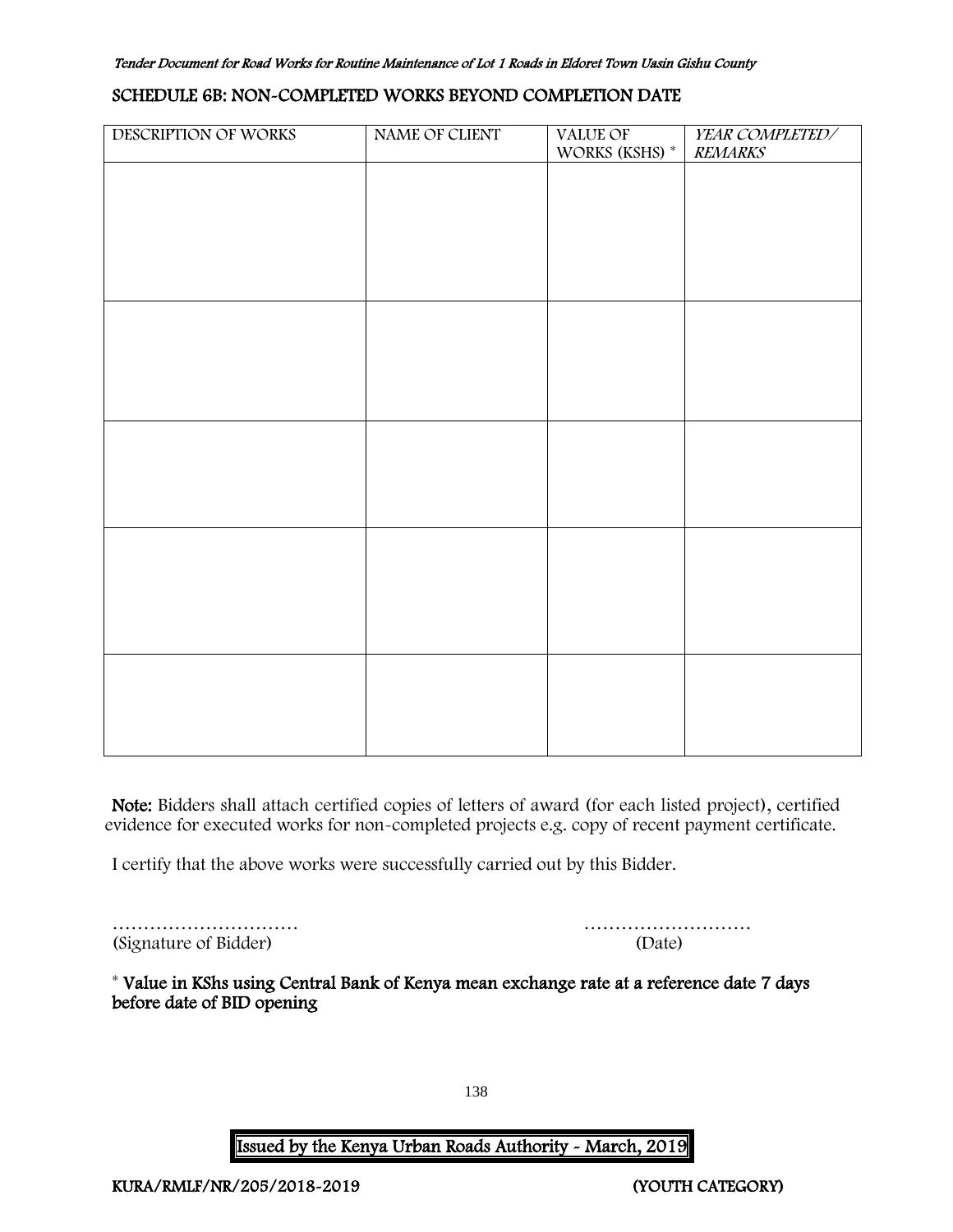#### SCHEDULE 6B: NON-COMPLETED WORKS BEYOND COMPLETION DATE

| DESCRIPTION OF WORKS | NAME OF CLIENT | VALUE OF             | YEAR COMPLETED/ |
|----------------------|----------------|----------------------|-----------------|
|                      |                | WORKS (KSHS) $^\ast$ | <b>REMARKS</b>  |
|                      |                |                      |                 |
|                      |                |                      |                 |
|                      |                |                      |                 |
|                      |                |                      |                 |
|                      |                |                      |                 |
|                      |                |                      |                 |
|                      |                |                      |                 |
|                      |                |                      |                 |
|                      |                |                      |                 |
|                      |                |                      |                 |
|                      |                |                      |                 |
|                      |                |                      |                 |
|                      |                |                      |                 |
|                      |                |                      |                 |
|                      |                |                      |                 |
|                      |                |                      |                 |
|                      |                |                      |                 |
|                      |                |                      |                 |
|                      |                |                      |                 |
|                      |                |                      |                 |
|                      |                |                      |                 |
|                      |                |                      |                 |
|                      |                |                      |                 |
|                      |                |                      |                 |
|                      |                |                      |                 |
|                      |                |                      |                 |
|                      |                |                      |                 |
|                      |                |                      |                 |
|                      |                |                      |                 |
|                      |                |                      |                 |
|                      |                |                      |                 |
|                      |                |                      |                 |
|                      |                |                      |                 |

Note: Bidders shall attach certified copies of letters of award (for each listed project), certified evidence for executed works for non-completed projects e.g. copy of recent payment certificate.

I certify that the above works were successfully carried out by this Bidder.

|                       | .      |
|-----------------------|--------|
| (Signature of Bidder) | (Date) |

| (Signature of Bidder) | 'Date) |
|-----------------------|--------|

\* Value in KShs using Central Bank of Kenya mean exchange rate at a reference date 7 days before date of BID opening

138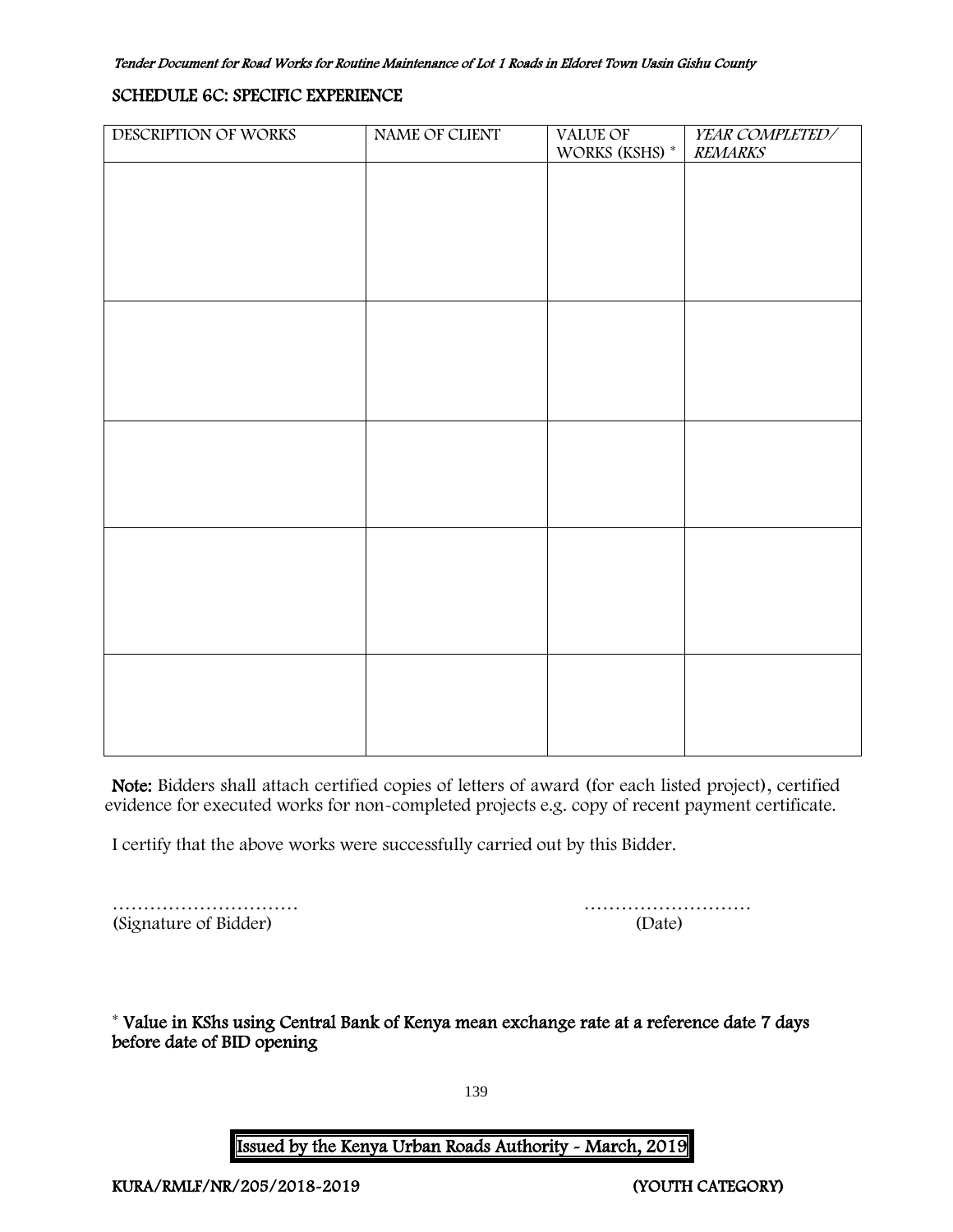#### SCHEDULE 6C: SPECIFIC EXPERIENCE

| DESCRIPTION OF WORKS | NAME OF CLIENT | VALUE OF             | YEAR COMPLETED/ |
|----------------------|----------------|----------------------|-----------------|
|                      |                | WORKS (KSHS) $^\ast$ | <b>REMARKS</b>  |
|                      |                |                      |                 |
|                      |                |                      |                 |
|                      |                |                      |                 |
|                      |                |                      |                 |
|                      |                |                      |                 |
|                      |                |                      |                 |
|                      |                |                      |                 |
|                      |                |                      |                 |
|                      |                |                      |                 |
|                      |                |                      |                 |
|                      |                |                      |                 |
|                      |                |                      |                 |
|                      |                |                      |                 |
|                      |                |                      |                 |
|                      |                |                      |                 |
|                      |                |                      |                 |
|                      |                |                      |                 |
|                      |                |                      |                 |
|                      |                |                      |                 |
|                      |                |                      |                 |
|                      |                |                      |                 |
|                      |                |                      |                 |
|                      |                |                      |                 |
|                      |                |                      |                 |
|                      |                |                      |                 |
|                      |                |                      |                 |
|                      |                |                      |                 |
|                      |                |                      |                 |
|                      |                |                      |                 |
|                      |                |                      |                 |
|                      |                |                      |                 |
|                      |                |                      |                 |
|                      |                |                      |                 |

Note: Bidders shall attach certified copies of letters of award (for each listed project), certified evidence for executed works for non-completed projects e.g. copy of recent payment certificate.

I certify that the above works were successfully carried out by this Bidder.

|                       | .      |
|-----------------------|--------|
| (Signature of Bidder) | (Date) |

………………………… ………………………

<span id="page-139-0"></span>\* Value in KShs using Central Bank of Kenya mean exchange rate at a reference date 7 days before date of BID opening

139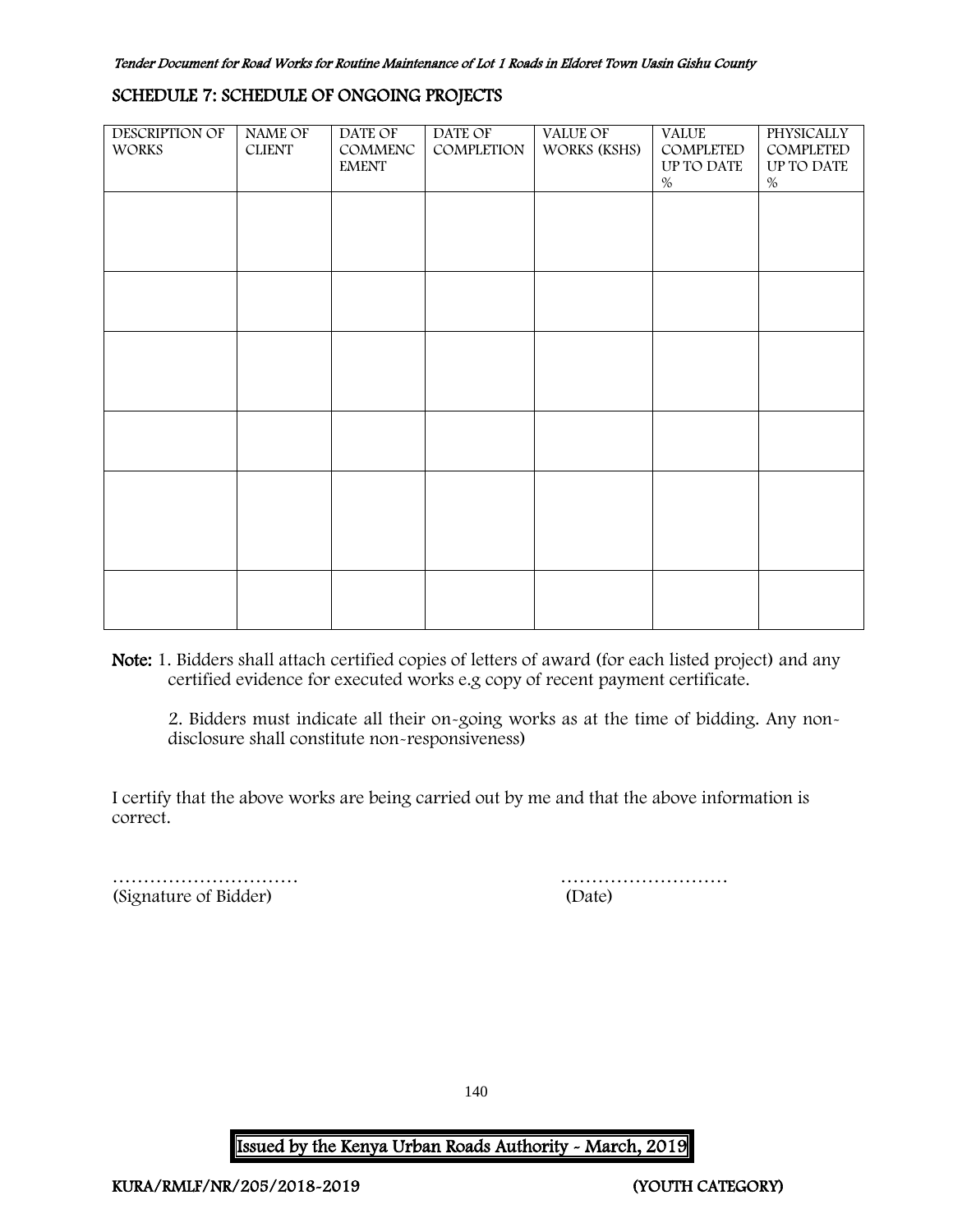#### SCHEDULE 7: SCHEDULE OF ONGOING PROJECTS

| <b>DESCRIPTION OF</b><br><b>WORKS</b> | NAME OF<br><b>CLIENT</b> | DATE OF<br>COMMENC<br><b>EMENT</b> | DATE OF<br>COMPLETION | VALUE OF<br>WORKS (KSHS) | <b>VALUE</b><br>COMPLETED<br>UP TO DATE<br>$\%$ | <b>PHYSICALLY</b><br>COMPLETED<br>UP TO DATE<br>$\%$ |
|---------------------------------------|--------------------------|------------------------------------|-----------------------|--------------------------|-------------------------------------------------|------------------------------------------------------|
|                                       |                          |                                    |                       |                          |                                                 |                                                      |
|                                       |                          |                                    |                       |                          |                                                 |                                                      |
|                                       |                          |                                    |                       |                          |                                                 |                                                      |
|                                       |                          |                                    |                       |                          |                                                 |                                                      |
|                                       |                          |                                    |                       |                          |                                                 |                                                      |
|                                       |                          |                                    |                       |                          |                                                 |                                                      |

Note: 1. Bidders shall attach certified copies of letters of award (for each listed project) and any certified evidence for executed works e.g copy of recent payment certificate.

2. Bidders must indicate all their on-going works as at the time of bidding. Any nondisclosure shall constitute non-responsiveness)

I certify that the above works are being carried out by me and that the above information is correct.

<span id="page-140-0"></span>(Signature of Bidder) (Date)

………………………… ………………………

140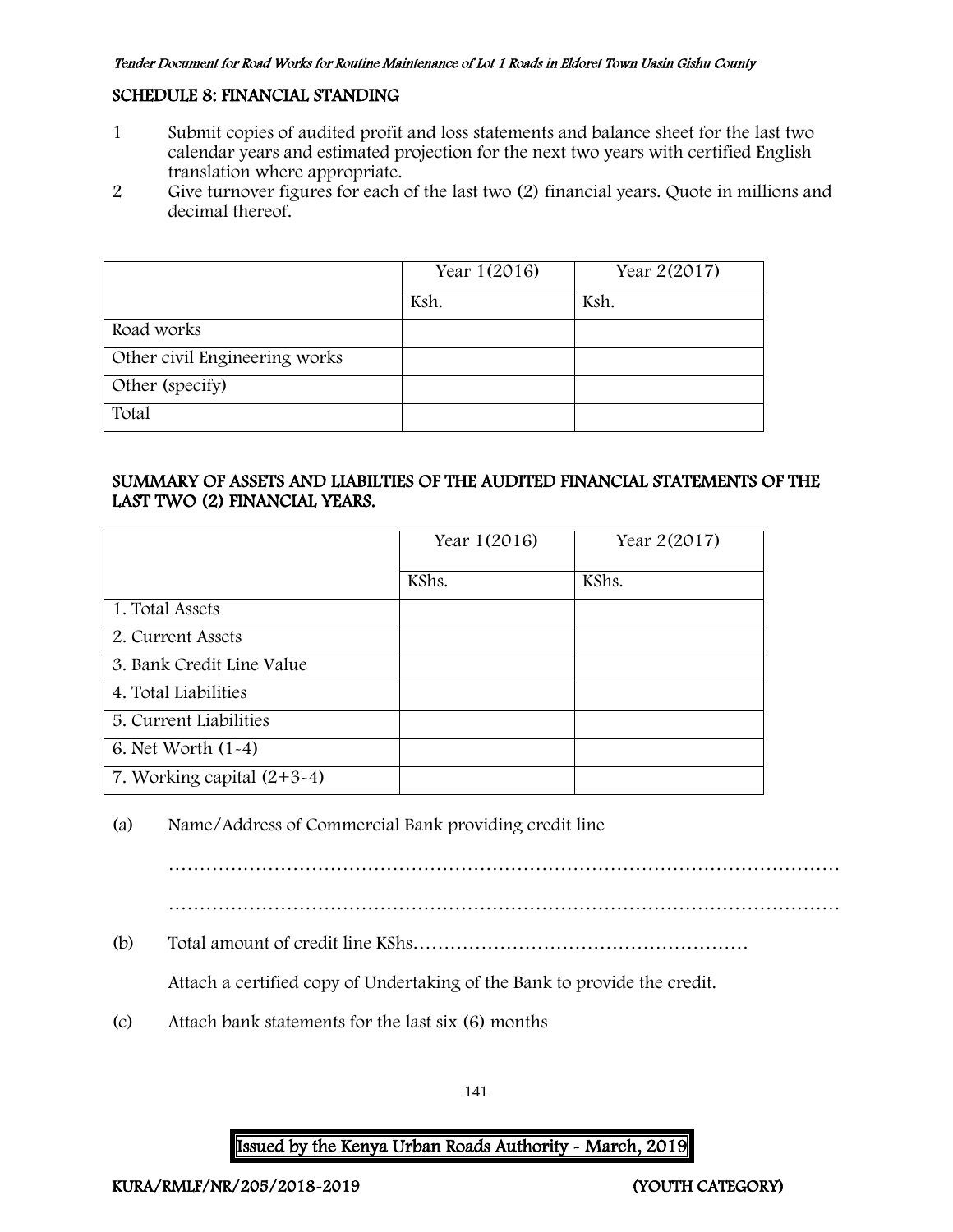#### SCHEDULE 8: FINANCIAL STANDING

- 1 Submit copies of audited profit and loss statements and balance sheet for the last two calendar years and estimated projection for the next two years with certified English translation where appropriate.
- 2 Give turnover figures for each of the last two (2) financial years. Quote in millions and decimal thereof.

|                               | Year 1(2016) | Year 2(2017) |
|-------------------------------|--------------|--------------|
|                               | Ksh.         | Ksh.         |
| Road works                    |              |              |
| Other civil Engineering works |              |              |
| Other (specify)               |              |              |
| Total                         |              |              |

## SUMMARY OF ASSETS AND LIABILTIES OF THE AUDITED FINANCIAL STATEMENTS OF THE LAST TWO (2) FINANCIAL YEARS.

|                              | Year 1(2016) | Year 2(2017) |
|------------------------------|--------------|--------------|
|                              | KShs.        | KShs.        |
| 1. Total Assets              |              |              |
| 2. Current Assets            |              |              |
| 3. Bank Credit Line Value    |              |              |
| 4. Total Liabilities         |              |              |
| 5. Current Liabilities       |              |              |
| 6. Net Worth $(1-4)$         |              |              |
| 7. Working capital $(2+3-4)$ |              |              |

## (a) Name/Address of Commercial Bank providing credit line

………………………………………………………………………………………………

(b) Total amount of credit line KShs………………………………………………

Attach a certified copy of Undertaking of the Bank to provide the credit.

(c) Attach bank statements for the last six (6) months

141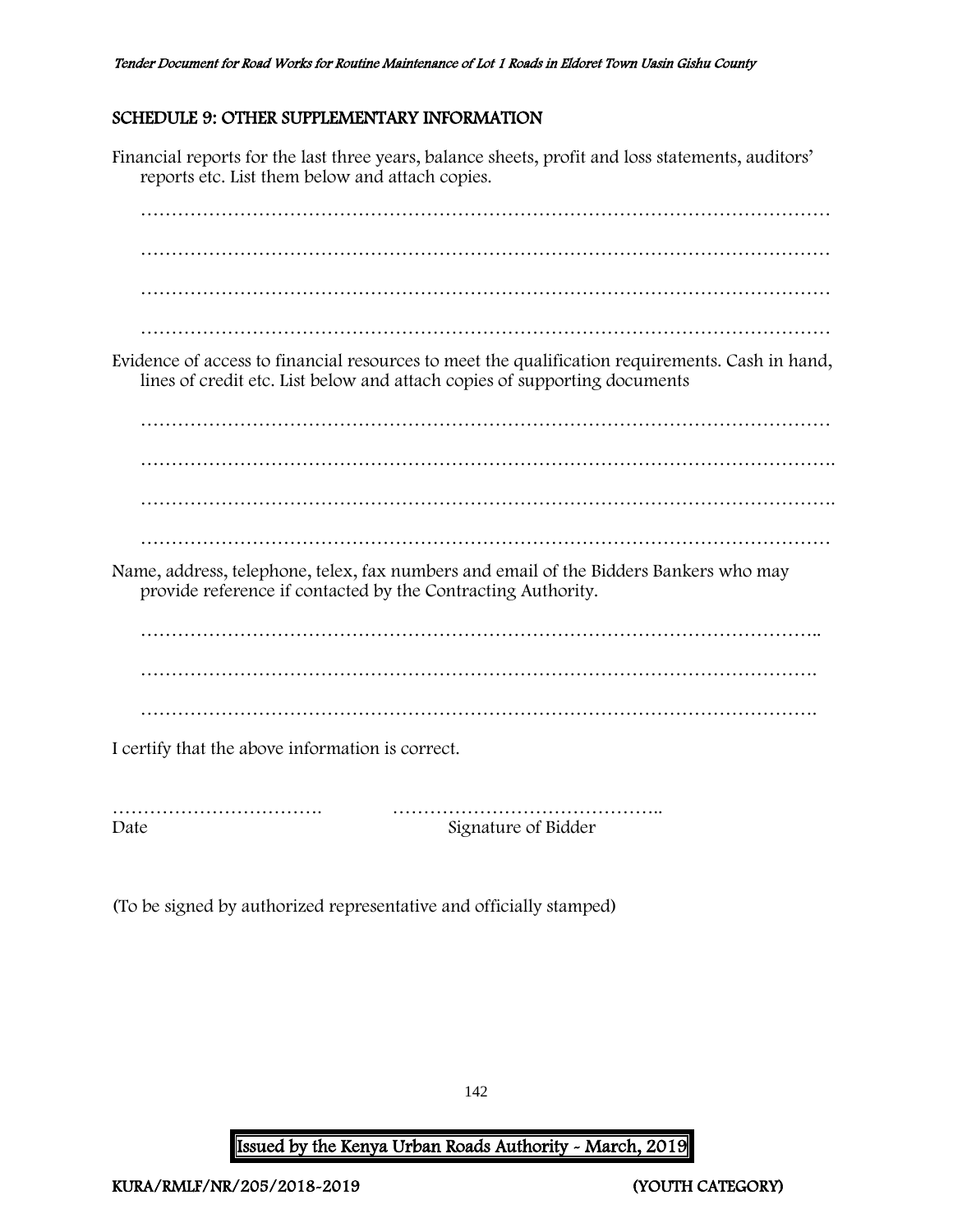## <span id="page-142-0"></span>SCHEDULE 9: OTHER SUPPLEMENTARY INFORMATION

Financial reports for the last three years, balance sheets, profit and loss statements, auditors' reports etc. List them below and attach copies. ………………………………………………………………………………………………… ………………………………………………………………………………………………… ………………………………………………………………………………………………… ………………………………………………………………………………………………… Evidence of access to financial resources to meet the qualification requirements. Cash in hand, lines of credit etc. List below and attach copies of supporting documents ………………………………………………………………………………………………… …………………………………………………………………………………………………. …………………………………………………………………………………………………. ………………………………………………………………………………………………… Name, address, telephone, telex, fax numbers and email of the Bidders Bankers who may provide reference if contacted by the Contracting Authority. ……………………………………………………………………………………………….. ………………………………………………………………………………………………. ………………………………………………………………………………………………. I certify that the above information is correct. ……………………………. ……………………………………..

Date Signature of Bidder

(To be signed by authorized representative and officially stamped)

142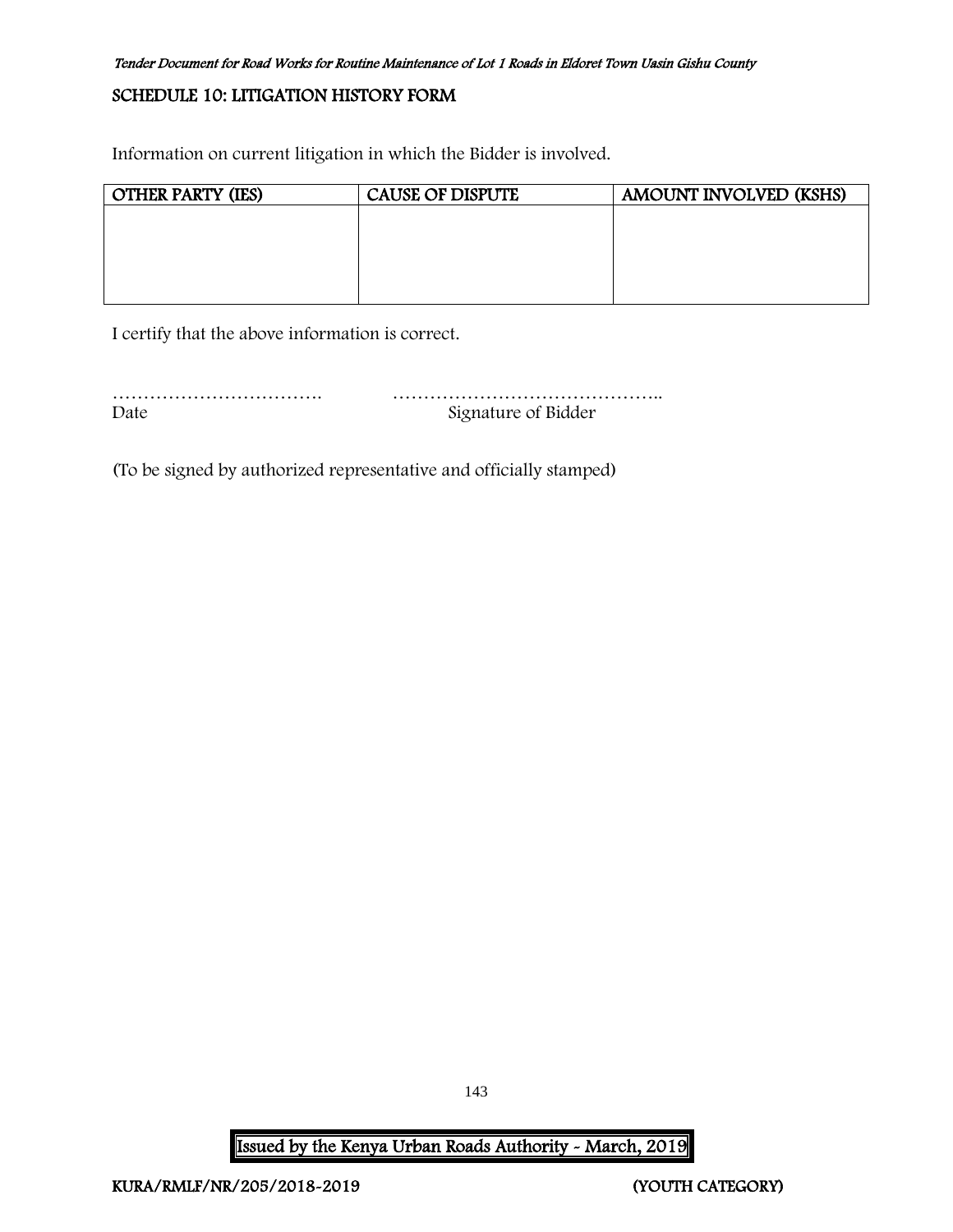## <span id="page-143-0"></span>SCHEDULE 10: LITIGATION HISTORY FORM

Information on current litigation in which the Bidder is involved.

| <b>OTHER PARTY (IES)</b> | <b>CAUSE OF DISPUTE</b> | <b>AMOUNT INVOLVED (KSHS)</b> |
|--------------------------|-------------------------|-------------------------------|
|                          |                         |                               |
|                          |                         |                               |
|                          |                         |                               |
|                          |                         |                               |
|                          |                         |                               |

I certify that the above information is correct.

……………………………. …………………………………….. Date Signature of Bidder

(To be signed by authorized representative and officially stamped)

Issued by the Kenya Urban Roads Authority - March, 2019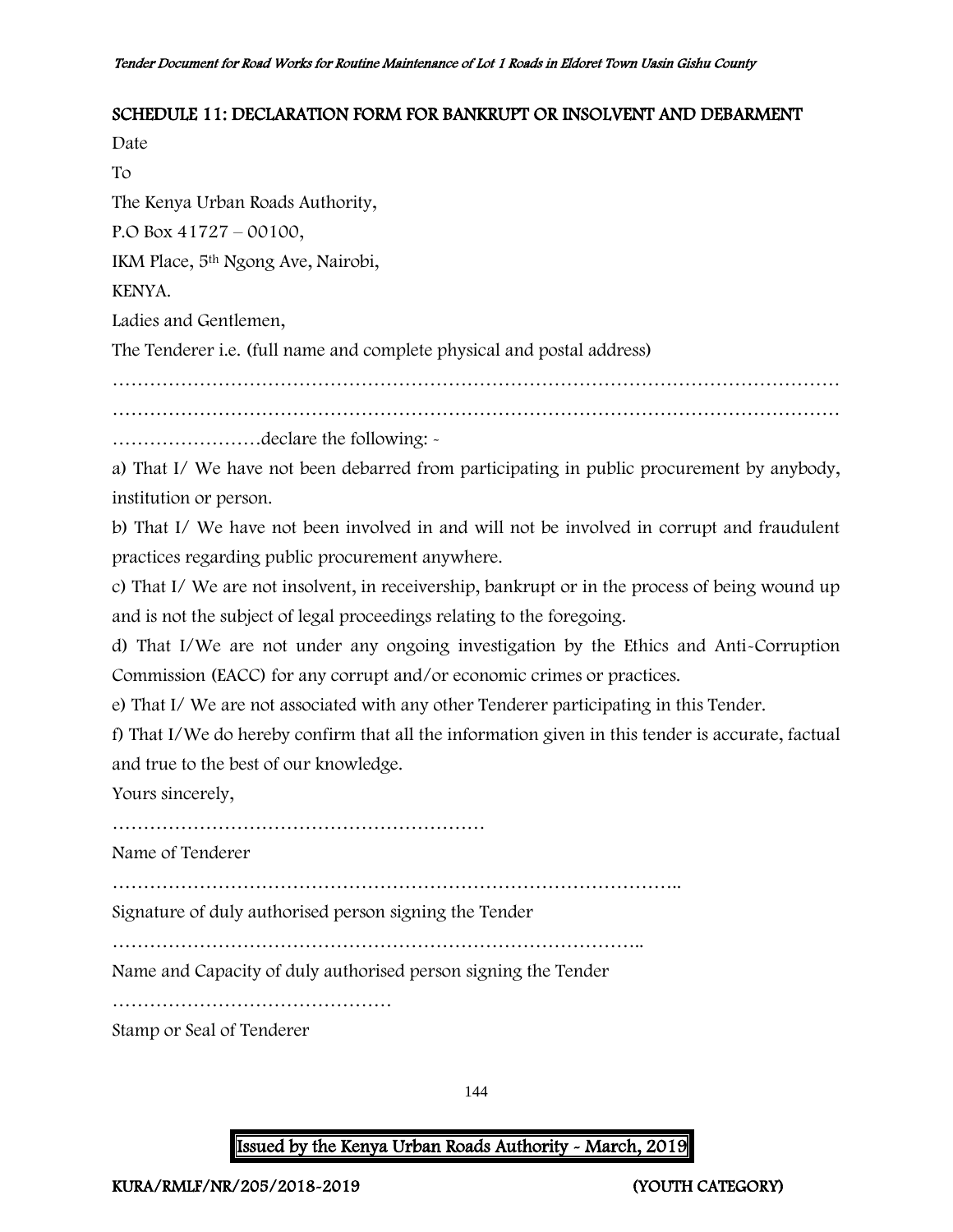#### SCHEDULE 11: DECLARATION FORM FOR BANKRUPT OR INSOLVENT AND DEBARMENT

Date To

The Kenya Urban Roads Authority,

P.O Box 41727 – 00100,

IKM Place, 5th Ngong Ave, Nairobi,

KENYA.

Ladies and Gentlemen,

The Tenderer i.e. (full name and complete physical and postal address)

………………………………………………………………………………………………………

………………………………………………………………………………………………………

……………………declare the following: -

a) That I/ We have not been debarred from participating in public procurement by anybody, institution or person.

b) That I/ We have not been involved in and will not be involved in corrupt and fraudulent practices regarding public procurement anywhere.

c) That I/ We are not insolvent, in receivership, bankrupt or in the process of being wound up and is not the subject of legal proceedings relating to the foregoing.

d) That I/We are not under any ongoing investigation by the Ethics and Anti-Corruption Commission (EACC) for any corrupt and/or economic crimes or practices.

e) That I/ We are not associated with any other Tenderer participating in this Tender.

f) That I/We do hereby confirm that all the information given in this tender is accurate, factual and true to the best of our knowledge.

Yours sincerely,

……………………………………………………

Name of Tenderer

………………………………………………………………………………..

Signature of duly authorised person signing the Tender

…………………………………………………………………………..

Name and Capacity of duly authorised person signing the Tender

………………………………………

Stamp or Seal of Tenderer

144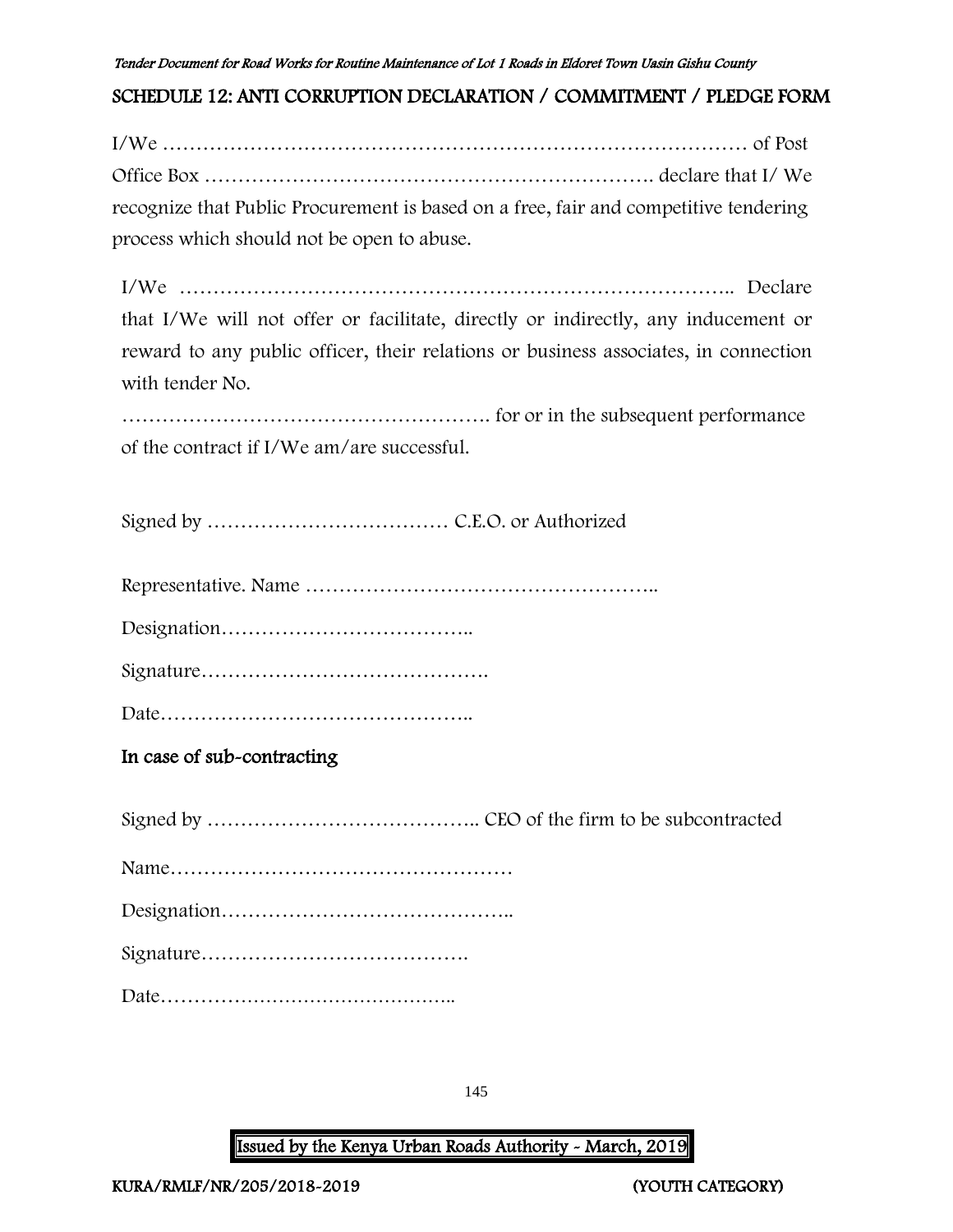#### Tender Document for Road Works for Routine Maintenance of Lot 1 Roads in Eldoret Town Uasin Gishu County

# SCHEDULE 12: ANTI CORRUPTION DECLARATION / COMMITMENT / PLEDGE FORM

I/We …………………………………………………………………………… of Post Office Box …………………………………………………………. declare that I/ We recognize that Public Procurement is based on a free, fair and competitive tendering process which should not be open to abuse.

I/We ……………………………………………………………………….. Declare that I/We will not offer or facilitate, directly or indirectly, any inducement or reward to any public officer, their relations or business associates, in connection with tender No.

………………………………………………. for or in the subsequent performance of the contract if I/We am/are successful.

Signed by ……………………………… C.E.O. or Authorized

Representative. Name ……………………………………………..

Designation………………………………..

Signature…………………………………….

Date………………………………………..

## In case of sub-contracting

Signed by ………………………………….. CEO of the firm to be subcontracted Name…………………………………………… Designation…………………………………….. Signature………………………………….

Date………………………………………..

145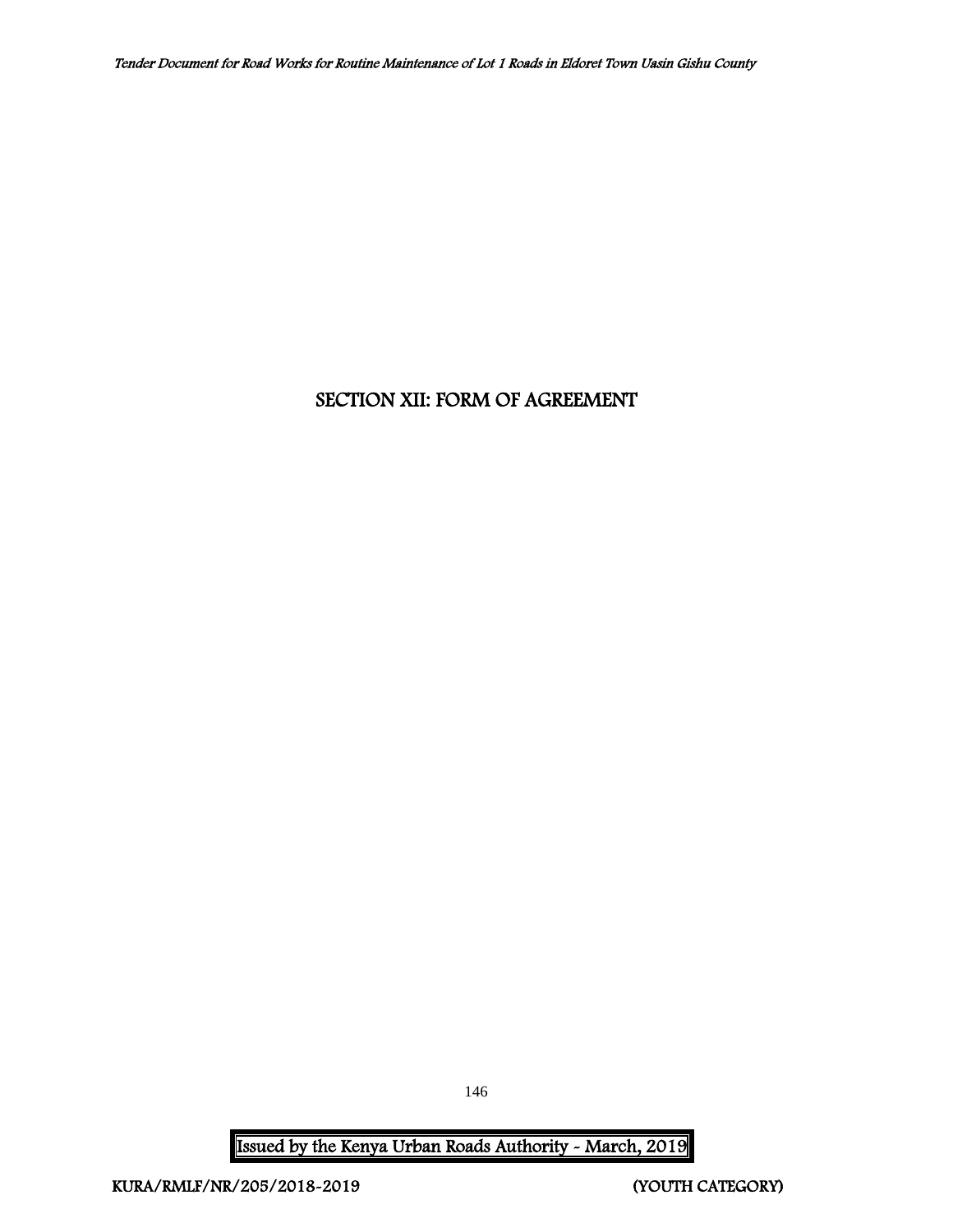# SECTION XII: FORM OF AGREEMENT

146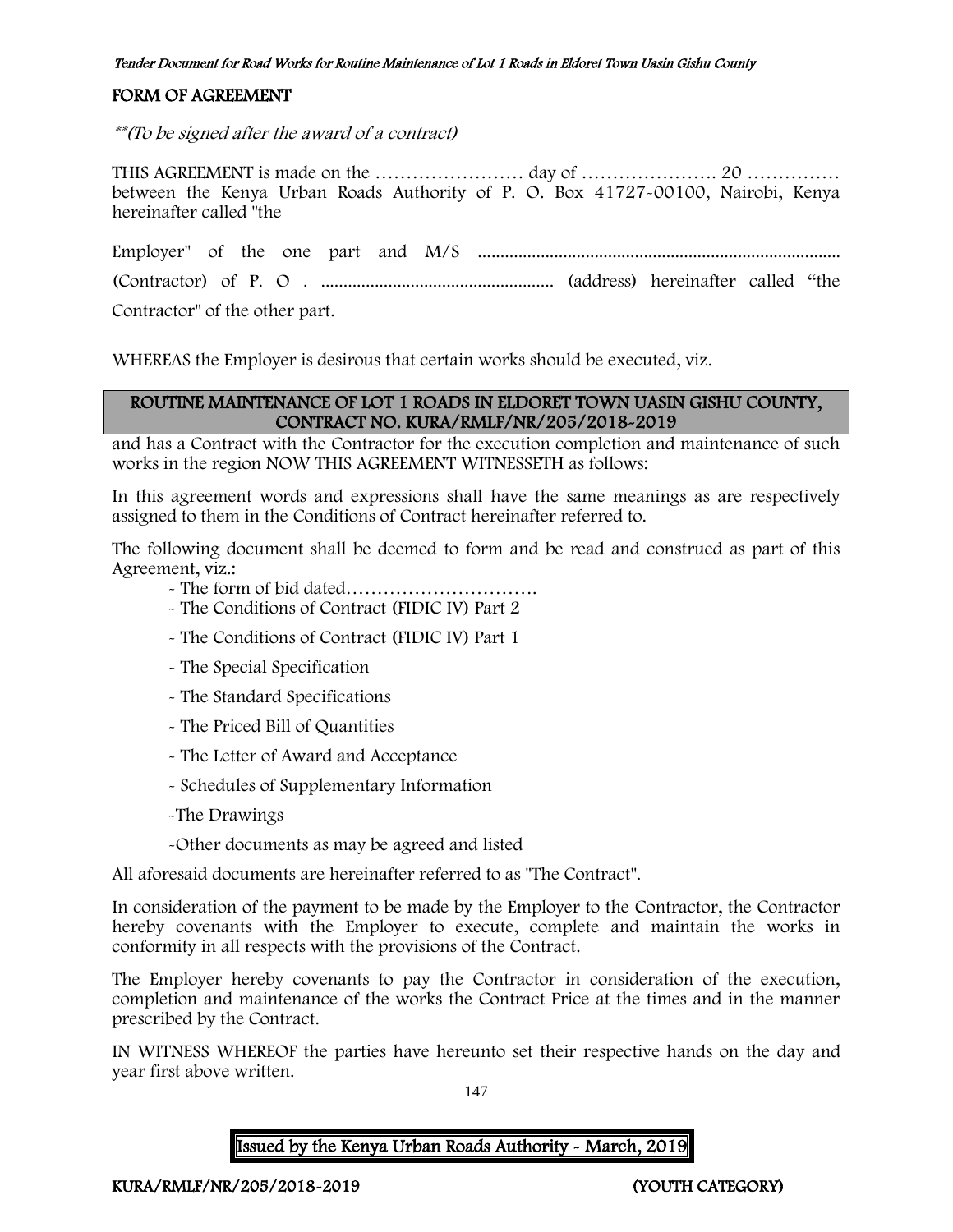#### Tender Document for Road Works for Routine Maintenance of Lot 1 Roads in Eldoret Town Uasin Gishu County

### FORM OF AGREEMENT

\*\*(To be signed after the award of a contract)

THIS AGREEMENT is made on the …………………… day of …………………. 20 …………… between the Kenya Urban Roads Authority of P. O. Box 41727-00100, Nairobi, Kenya hereinafter called "the

Employer" of the one part and M/S ................................................................................. (Contractor) of P. O . .................................................... (address) hereinafter called "the

Contractor" of the other part.

WHEREAS the Employer is desirous that certain works should be executed, viz.

#### ROUTINE MAINTENANCE OF LOT 1 ROADS IN ELDORET TOWN UASIN GISHU COUNTY, CONTRACT NO. KURA/RMLF/NR/205/2018-2019

and has a Contract with the Contractor for the execution completion and maintenance of such works in the region NOW THIS AGREEMENT WITNESSETH as follows:

In this agreement words and expressions shall have the same meanings as are respectively assigned to them in the Conditions of Contract hereinafter referred to.

The following document shall be deemed to form and be read and construed as part of this Agreement, viz.:

- The form of bid dated………………………….
- The Conditions of Contract (FIDIC IV) Part 2
- The Conditions of Contract (FIDIC IV) Part 1
- The Special Specification
- The Standard Specifications
- The Priced Bill of Quantities
- The Letter of Award and Acceptance
- Schedules of Supplementary Information
- -The Drawings
- -Other documents as may be agreed and listed

All aforesaid documents are hereinafter referred to as "The Contract".

In consideration of the payment to be made by the Employer to the Contractor, the Contractor hereby covenants with the Employer to execute, complete and maintain the works in conformity in all respects with the provisions of the Contract.

The Employer hereby covenants to pay the Contractor in consideration of the execution, completion and maintenance of the works the Contract Price at the times and in the manner prescribed by the Contract.

IN WITNESS WHEREOF the parties have hereunto set their respective hands on the day and year first above written.

147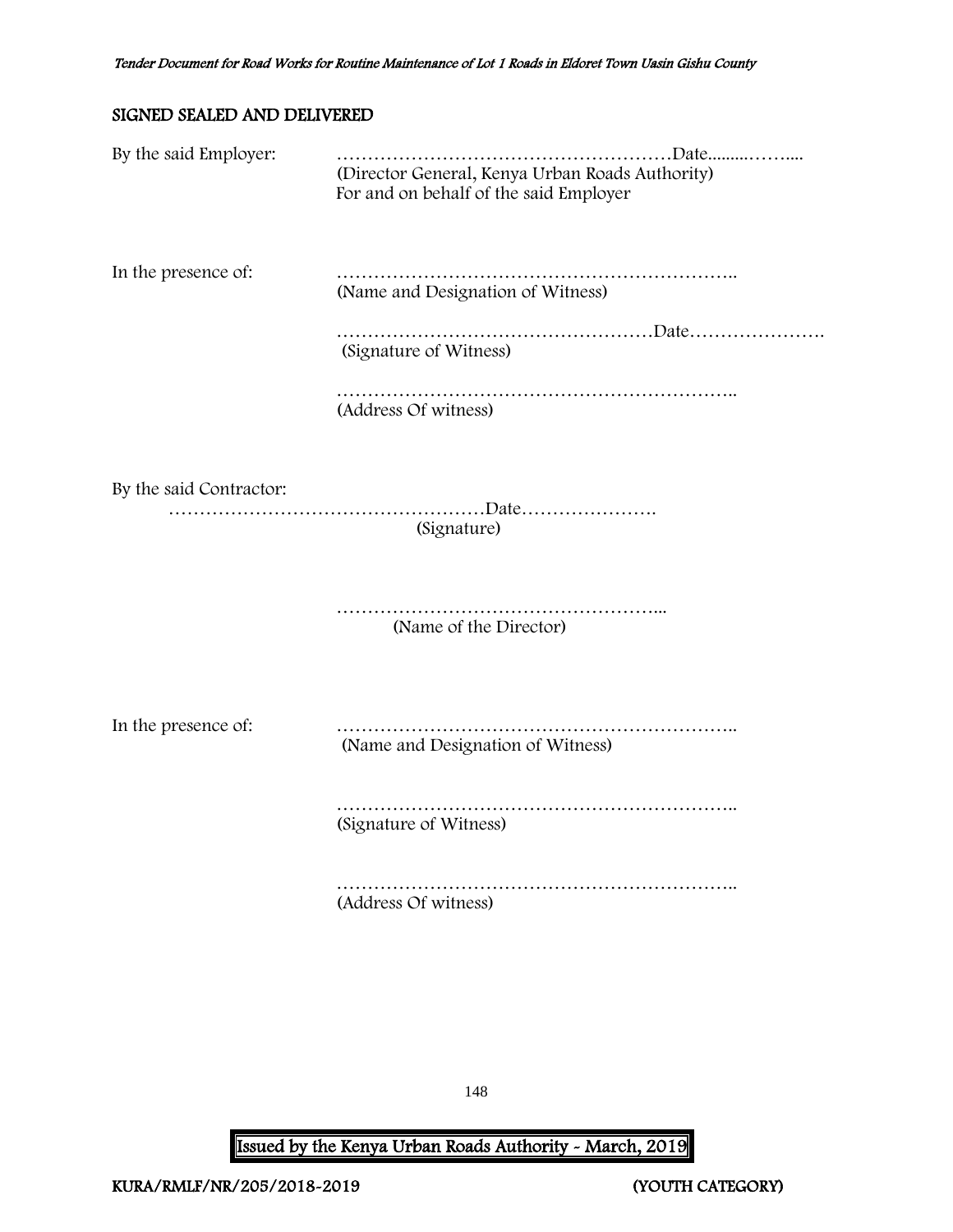## SIGNED SEALED AND DELIVERED

| By the said Employer:   | (Director General, Kenya Urban Roads Authority)<br>For and on behalf of the said Employer |
|-------------------------|-------------------------------------------------------------------------------------------|
| In the presence of:     | (Name and Designation of Witness)                                                         |
|                         | (Signature of Witness)                                                                    |
|                         | (Address Of witness)                                                                      |
| By the said Contractor: | (Signature)                                                                               |
|                         | (Name of the Director)                                                                    |
| In the presence of:     | (Name and Designation of Witness)                                                         |
|                         | (Signature of Witness)                                                                    |
|                         | (Address Of witness)                                                                      |

148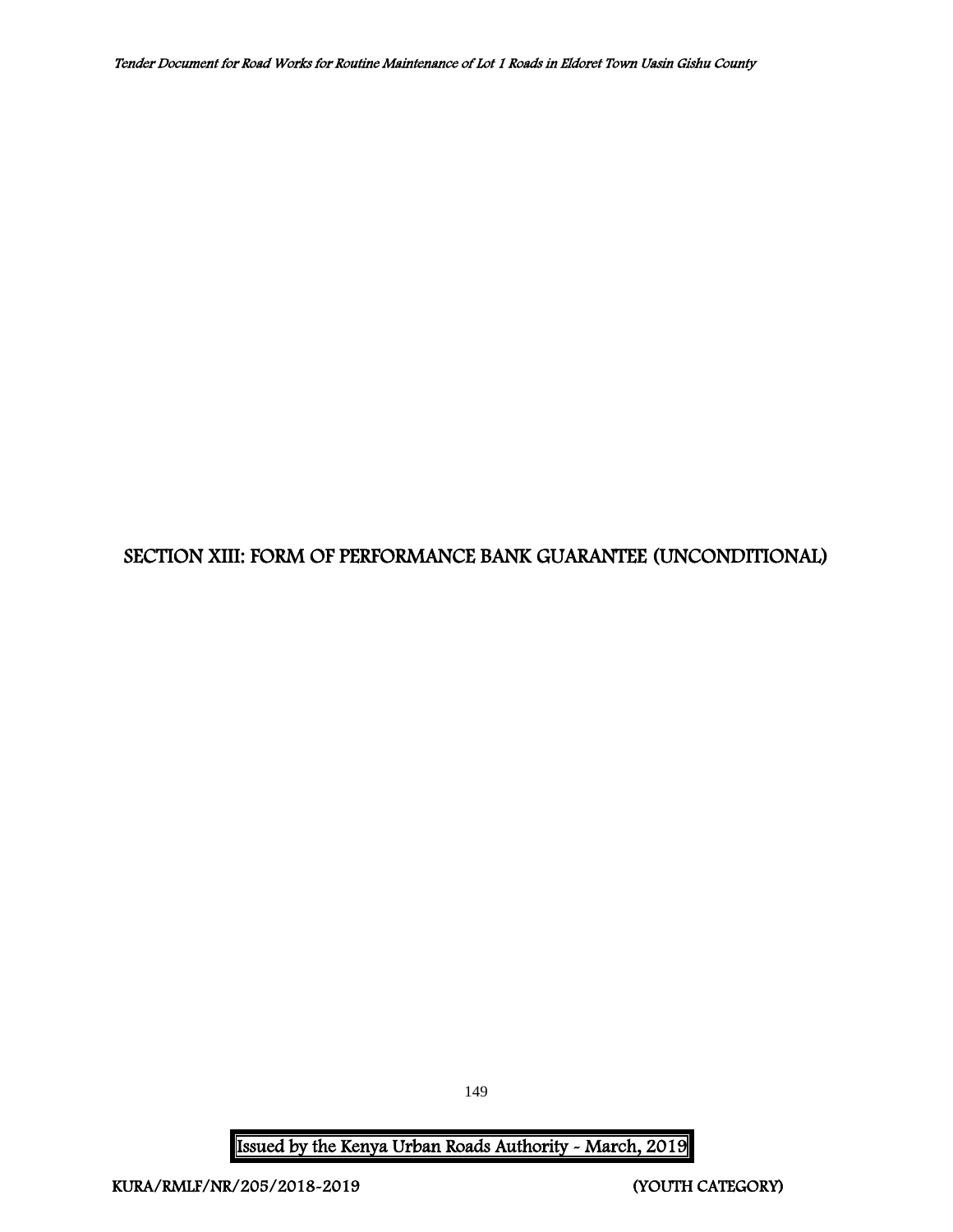# SECTION XIII: FORM OF PERFORMANCE BANK GUARANTEE (UNCONDITIONAL)

149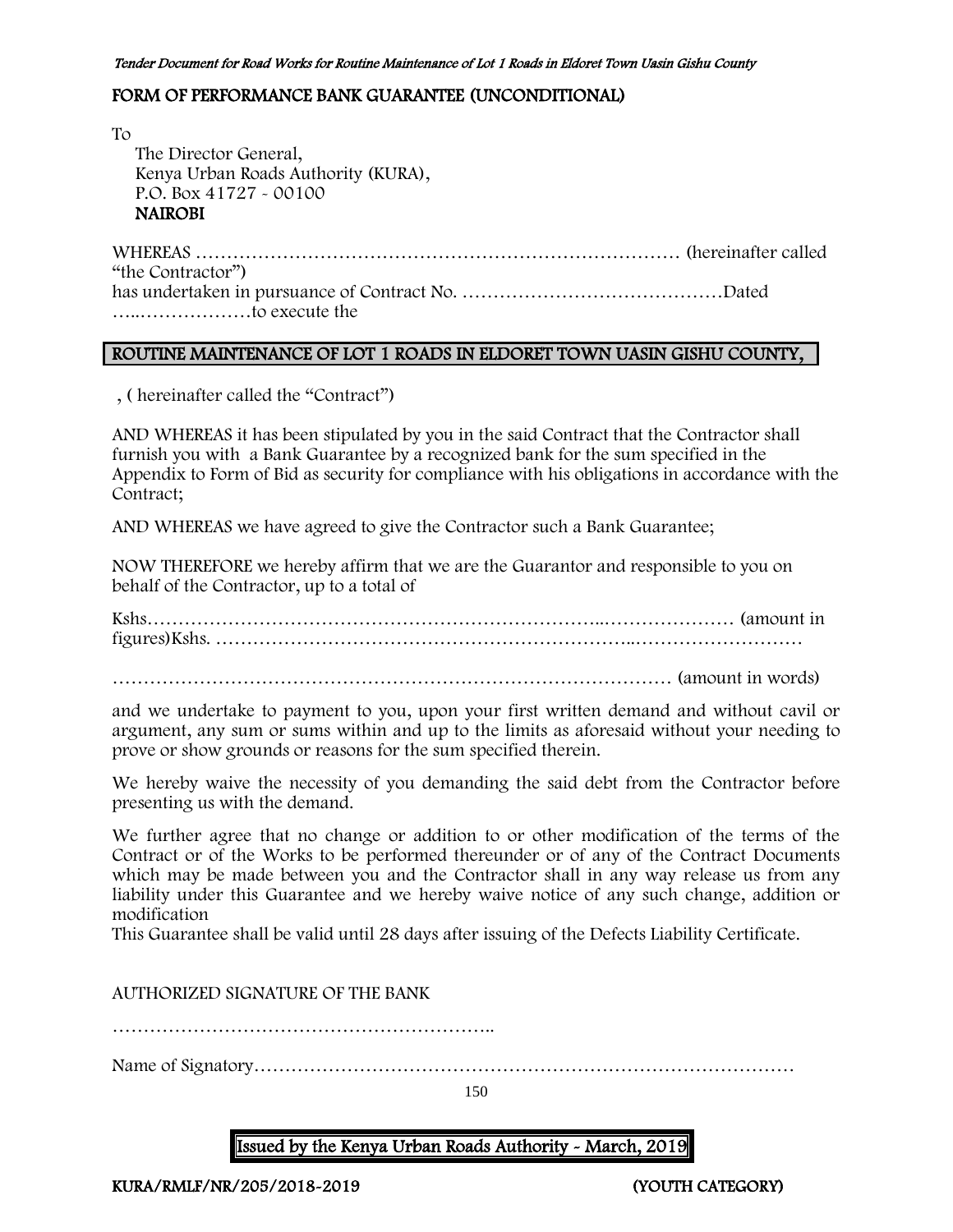### FORM OF PERFORMANCE BANK GUARANTEE (UNCONDITIONAL)

To The Director General, Kenya Urban Roads Authority (KURA), P.O. Box 41727 - 00100 NAIROBI

WHEREAS …………………………………………………………………… (hereinafter called "the Contractor") has undertaken in pursuance of Contract No. ……………………………………Dated …..………………to execute the

### ROUTINE MAINTENANCE OF LOT 1 ROADS IN ELDORET TOWN UASIN GISHU COUNTY,

, ( hereinafter called the "Contract")

AND WHEREAS it has been stipulated by you in the said Contract that the Contractor shall furnish you with a Bank Guarantee by a recognized bank for the sum specified in the Appendix to Form of Bid as security for compliance with his obligations in accordance with the Contract;

AND WHEREAS we have agreed to give the Contractor such a Bank Guarantee;

NOW THEREFORE we hereby affirm that we are the Guarantor and responsible to you on behalf of the Contractor, up to a total of

Kshs………………………………………………………………..………………… (amount in figures)Kshs. …………………………………………………………..………………………

……………………………………………………………………………… (amount in words)

and we undertake to payment to you, upon your first written demand and without cavil or argument, any sum or sums within and up to the limits as aforesaid without your needing to prove or show grounds or reasons for the sum specified therein.

We hereby waive the necessity of you demanding the said debt from the Contractor before presenting us with the demand.

We further agree that no change or addition to or other modification of the terms of the Contract or of the Works to be performed thereunder or of any of the Contract Documents which may be made between you and the Contractor shall in any way release us from any liability under this Guarantee and we hereby waive notice of any such change, addition or modification

This Guarantee shall be valid until 28 days after issuing of the Defects Liability Certificate.

AUTHORIZED SIGNATURE OF THE BANK

……………………………………………………..

Name of Signatory……………………………………………………………………………

150